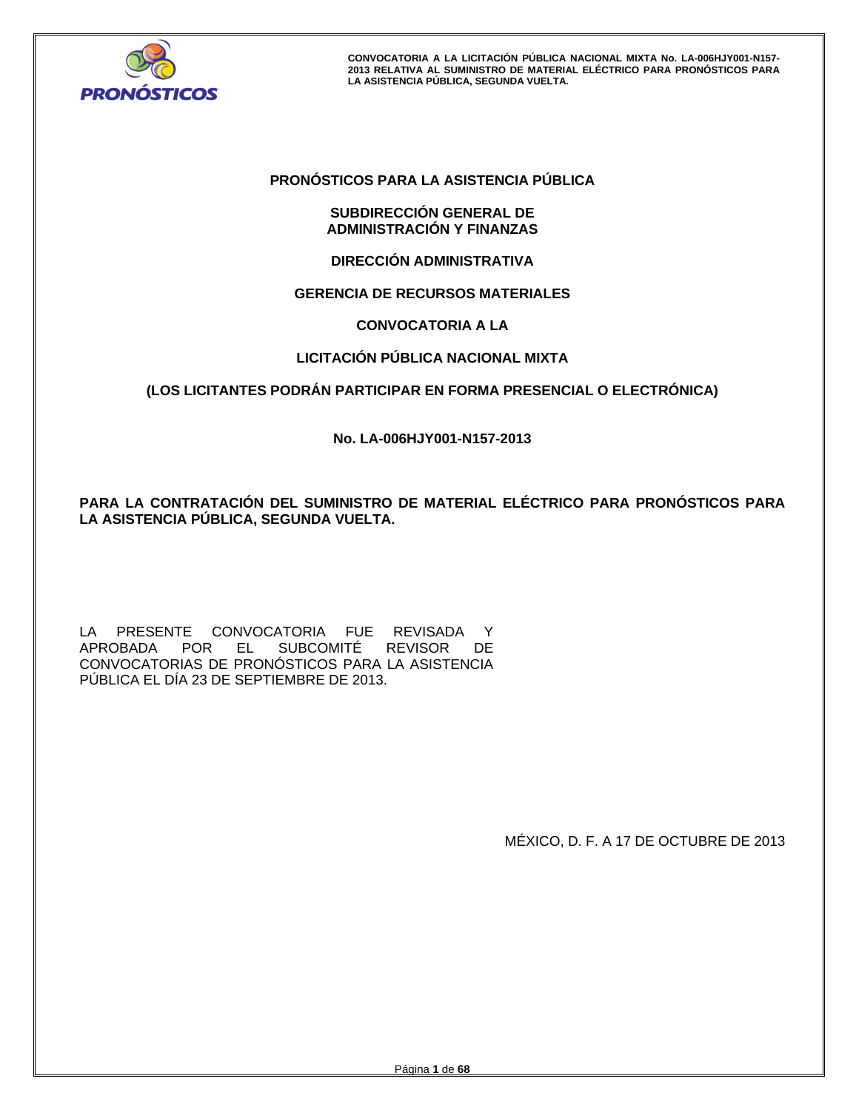

# **PRONÓSTICOS PARA LA ASISTENCIA PÚBLICA**

# **SUBDIRECCIÓN GENERAL DE ADMINISTRACIÓN Y FINANZAS**

# **DIRECCIÓN ADMINISTRATIVA**

# **GERENCIA DE RECURSOS MATERIALES**

# **CONVOCATORIA A LA**

# **LICITACIÓN PÚBLICA NACIONAL MIXTA**

# **(LOS LICITANTES PODRÁN PARTICIPAR EN FORMA PRESENCIAL O ELECTRÓNICA)**

**No. LA-006HJY001-N157-2013** 

**PARA LA CONTRATACIÓN DEL SUMINISTRO DE MATERIAL ELÉCTRICO PARA PRONÓSTICOS PARA LA ASISTENCIA PÚBLICA, SEGUNDA VUELTA.** 

LA PRESENTE CONVOCATORIA FUE REVISADA Y APROBADA POR EL SUBCOMITÉ REVISOR DE CONVOCATORIAS DE PRONÓSTICOS PARA LA ASISTENCIA PÚBLICA EL DÍA 23 DE SEPTIEMBRE DE 2013.

MÉXICO, D. F. A 17 DE OCTUBRE DE 2013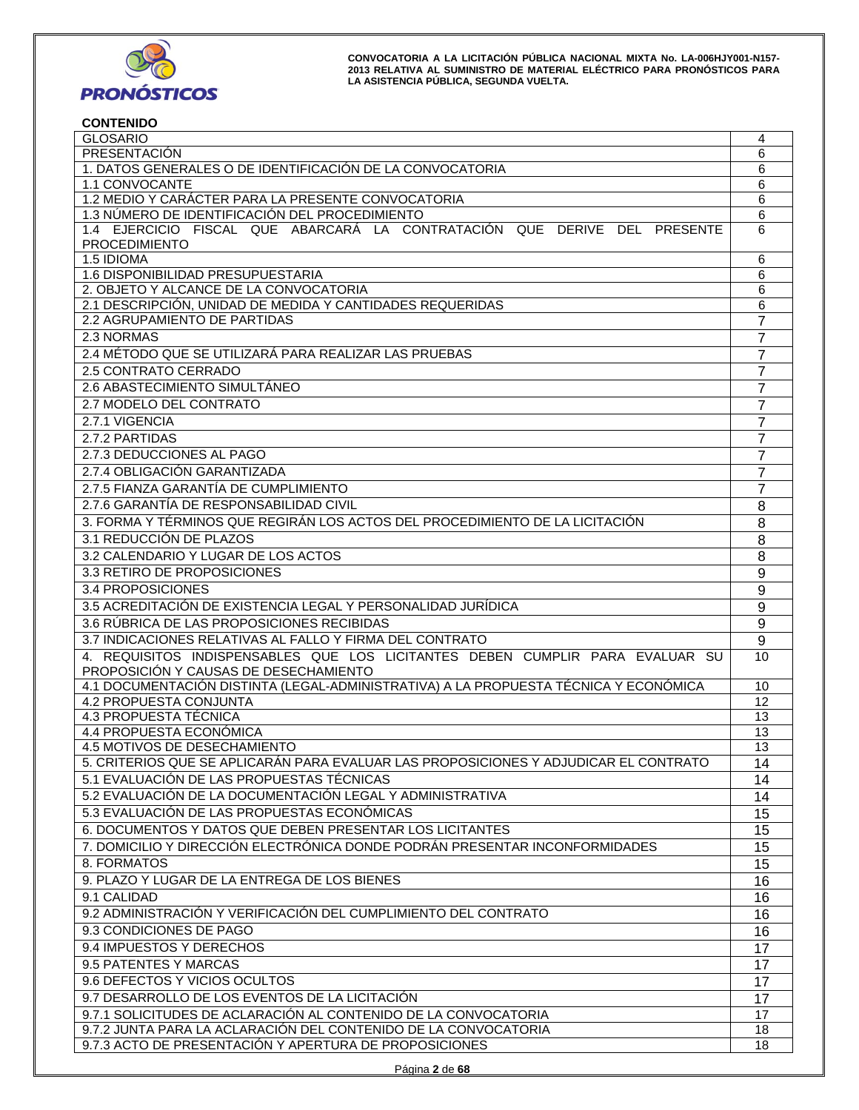

# **CONTENIDO**

| <b>GLOSARIO</b>                                                                                   | 4               |
|---------------------------------------------------------------------------------------------------|-----------------|
| PRESENTACIÓN                                                                                      | 6               |
| 1. DATOS GENERALES O DE IDENTIFICACIÓN DE LA CONVOCATORIA                                         | 6               |
| 1.1 CONVOCANTE                                                                                    | 6               |
| 1.2 MEDIO Y CARÁCTER PARA LA PRESENTE CONVOCATORIA                                                | 6               |
| 1.3 NÚMERO DE IDENTIFICACIÓN DEL PROCEDIMIENTO                                                    | 6               |
| 1.4 EJERCICIO FISCAL QUE ABARCARÁ LA CONTRATACIÓN QUE DERIVE DEL PRESENTE<br><b>PROCEDIMIENTO</b> | 6               |
| 1.5 IDIOMA                                                                                        | 6               |
| 1.6 DISPONIBILIDAD PRESUPUESTARIA                                                                 | 6               |
| 2. OBJETO Y ALCANCE DE LA CONVOCATORIA                                                            | 6               |
| 2.1 DESCRIPCIÓN, UNIDAD DE MEDIDA Y CANTIDADES REQUERIDAS                                         | 6               |
| 2.2 AGRUPAMIENTO DE PARTIDAS                                                                      | 7               |
| 2.3 NORMAS                                                                                        | 7               |
| 2.4 MÉTODO QUE SE UTILIZARÁ PARA REALIZAR LAS PRUEBAS                                             | 7               |
| 2.5 CONTRATO CERRADO                                                                              | 7               |
| 2.6 ABASTECIMIENTO SIMULTÁNEO                                                                     | 7               |
| 2.7 MODELO DEL CONTRATO                                                                           | 7               |
| 2.7.1 VIGENCIA                                                                                    | 7               |
| 2.7.2 PARTIDAS                                                                                    | 7               |
| 2.7.3 DEDUCCIONES AL PAGO                                                                         | 7               |
| 2.7.4 OBLIGACIÓN GARANTIZADA                                                                      | 7               |
| 2.7.5 FIANZA GARANTÍA DE CUMPLIMIENTO                                                             |                 |
|                                                                                                   | 7               |
| 2.7.6 GARANTÍA DE RESPONSABILIDAD CIVIL                                                           | 8               |
| 3. FORMA Y TÉRMINOS QUE REGIRÁN LOS ACTOS DEL PROCEDIMIENTO DE LA LICITACIÓN                      | 8               |
| 3.1 REDUCCIÓN DE PLAZOS                                                                           | 8               |
| 3.2 CALENDARIO Y LUGAR DE LOS ACTOS                                                               | 8               |
| 3.3 RETIRO DE PROPOSICIONES                                                                       | 9               |
| 3.4 PROPOSICIONES                                                                                 |                 |
| 3.5 ACREDITACIÓN DE EXISTENCIA LEGAL Y PERSONALIDAD JURÍDICA                                      |                 |
| 3.6 RÚBRICA DE LAS PROPOSICIONES RECIBIDAS                                                        |                 |
| 3.7 INDICACIONES RELATIVAS AL FALLO Y FIRMA DEL CONTRATO                                          | 9               |
| 4. REQUISITOS INDISPENSABLES QUE LOS LICITANTES DEBEN CUMPLIR PARA EVALUAR SU                     | 10              |
| PROPOSICIÓN Y CAUSAS DE DESECHAMIENTO                                                             |                 |
| 4.1 DOCUMENTACIÓN DISTINTA (LEGAL-ADMINISTRATIVA) A LA PROPUESTA TÉCNICA Y ECONÓMICA              | 10              |
| 4.2 PROPUESTA CONJUNTA                                                                            | 12              |
| 4.3 PROPUESTA TÉCNICA                                                                             | 13              |
| 4.4 PROPUESTA ECONÓMICA                                                                           | 13              |
| 4.5 MOTIVOS DE DESECHAMIENTO                                                                      | 13              |
| 5. CRITERIOS QUE SE APLICARÁN PARA EVALUAR LAS PROPOSICIONES Y ADJUDICAR EL CONTRATO              | 14              |
| 5.1 EVALUACIÓN DE LAS PROPUESTAS TÉCNICAS                                                         | 14              |
| 5.2 EVALUACIÓN DE LA DOCUMENTACIÓN LEGAL Y ADMINISTRATIVA                                         | 14              |
| 5.3 EVALUACIÓN DE LAS PROPUESTAS ECONÓMICAS                                                       | 15              |
| 6. DOCUMENTOS Y DATOS QUE DEBEN PRESENTAR LOS LICITANTES                                          | $\overline{15}$ |
| 7. DOMICILIO Y DIRECCIÓN ELECTRÓNICA DONDE PODRÁN PRESENTAR INCONFORMIDADES                       | $\overline{15}$ |
| 8. FORMATOS                                                                                       | $\overline{15}$ |
| 9. PLAZO Y LUGAR DE LA ENTREGA DE LOS BIENES                                                      | 16              |
| 9.1 CALIDAD                                                                                       | 16              |
| 9.2 ADMINISTRACIÓN Y VERIFICACIÓN DEL CUMPLIMIENTO DEL CONTRATO                                   | 16              |
| 9.3 CONDICIONES DE PAGO                                                                           | 16              |
| 9.4 IMPUESTOS Y DERECHOS                                                                          |                 |
|                                                                                                   | 17              |
| 9.5 PATENTES Y MARCAS                                                                             | 17              |
| 9.6 DEFECTOS Y VICIOS OCULTOS                                                                     | 17              |
| 9.7 DESARROLLO DE LOS EVENTOS DE LA LICITACIÓN                                                    | 17              |
| 9.7.1 SOLICITUDES DE ACLARACIÓN AL CONTENIDO DE LA CONVOCATORIA                                   | $\overline{17}$ |
| 9.7.2 JUNTA PARA LA ACLARACIÓN DEL CONTENIDO DE LA CONVOCATORIA                                   | 18              |
| 9.7.3 ACTO DE PRESENTACIÓN Y APERTURA DE PROPOSICIONES                                            | 18              |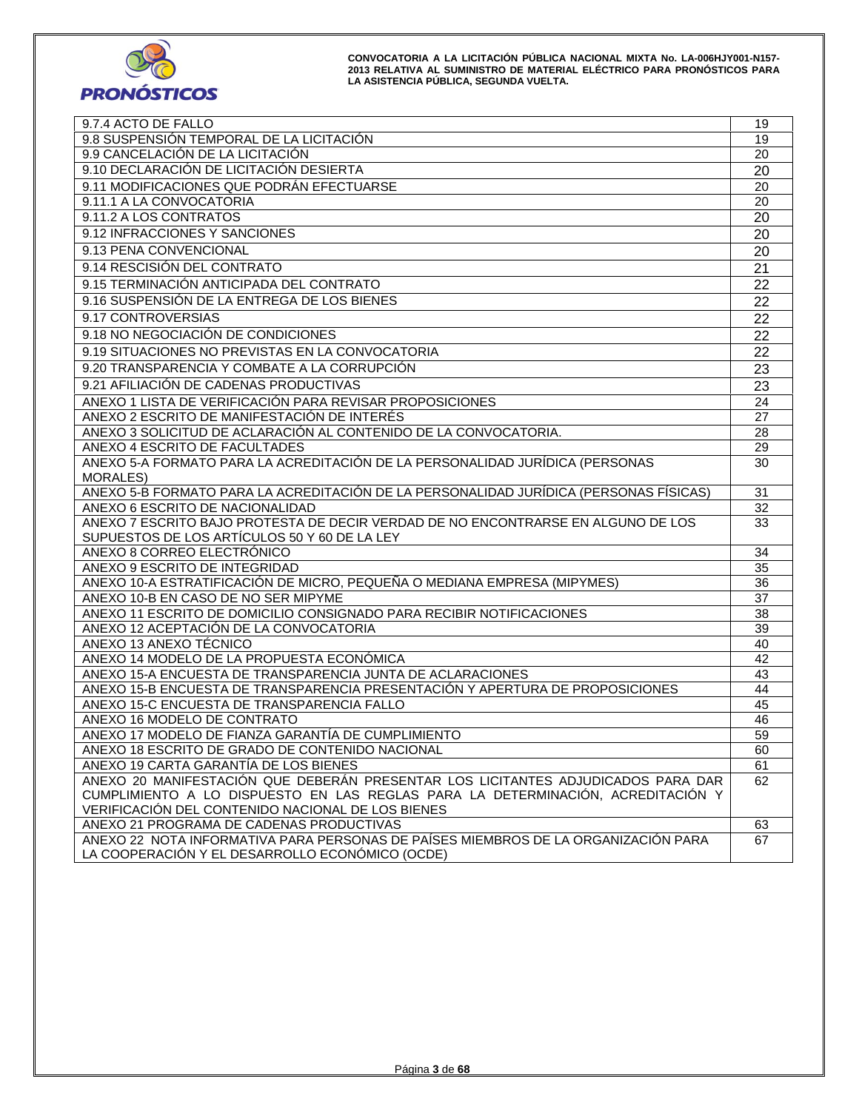

| 9.7.4 ACTO DE FALLO                                                                   | 19              |
|---------------------------------------------------------------------------------------|-----------------|
| 9.8 SUSPENSIÓN TEMPORAL DE LA LICITACIÓN                                              | 19              |
| 9.9 CANCELACIÓN DE LA LICITACIÓN                                                      | 20              |
| 9.10 DECLARACIÓN DE LICITACIÓN DESIERTA                                               | 20              |
| 9.11 MODIFICACIONES QUE PODRÁN EFECTUARSE                                             | 20              |
| 9.11.1 A LA CONVOCATORIA                                                              | 20              |
| 9.11.2 A LOS CONTRATOS                                                                | 20              |
| 9.12 INFRACCIONES Y SANCIONES                                                         | 20              |
| 9.13 PENA CONVENCIONAL                                                                | 20              |
| 9.14 RESCISIÓN DEL CONTRATO                                                           | 21              |
| 9.15 TERMINACIÓN ANTICIPADA DEL CONTRATO                                              | 22              |
| 9.16 SUSPENSIÓN DE LA ENTREGA DE LOS BIENES                                           |                 |
|                                                                                       | 22              |
| 9.17 CONTROVERSIAS                                                                    | 22              |
| 9.18 NO NEGOCIACIÓN DE CONDICIONES                                                    | 22              |
| 9.19 SITUACIONES NO PREVISTAS EN LA CONVOCATORIA                                      | 22              |
| 9.20 TRANSPARENCIA Y COMBATE A LA CORRUPCIÓN                                          | 23              |
| 9.21 AFILIACIÓN DE CADENAS PRODUCTIVAS                                                | 23              |
| ANEXO 1 LISTA DE VERIFICACIÓN PARA REVISAR PROPOSICIONES                              | 24              |
| ANEXO 2 ESCRITO DE MANIFESTACIÓN DE INTERÉS                                           | 27              |
| ANEXO 3 SOLICITUD DE ACLARACIÓN AL CONTENIDO DE LA CONVOCATORIA.                      | 28              |
| ANEXO 4 ESCRITO DE FACULTADES                                                         | 29              |
| ANEXO 5-A FORMATO PARA LA ACREDITACIÓN DE LA PERSONALIDAD JURÍDICA (PERSONAS          | 30              |
| <b>MORALES</b> )                                                                      |                 |
| ANEXO 5-B FORMATO PARA LA ACREDITACIÓN DE LA PERSONALIDAD JURÍDICA (PERSONAS FÍSICAS) | $\overline{31}$ |
| ANEXO 6 ESCRITO DE NACIONALIDAD                                                       | 32              |
| ANEXO 7 ESCRITO BAJO PROTESTA DE DECIR VERDAD DE NO ENCONTRARSE EN ALGUNO DE LOS      | 33              |
| SUPUESTOS DE LOS ARTÍCULOS 50 Y 60 DE LA LEY                                          |                 |
| ANEXO 8 CORREO ELECTRÓNICO                                                            | 34              |
| ANEXO 9 ESCRITO DE INTEGRIDAD                                                         | 35              |
| ANEXO 10-A ESTRATIFICACIÓN DE MICRO, PEQUEÑA O MEDIANA EMPRESA (MIPYMES)              | 36              |
| ANEXO 10-B EN CASO DE NO SER MIPYME                                                   | 37              |
| ANEXO 11 ESCRITO DE DOMICILIO CONSIGNADO PARA RECIBIR NOTIFICACIONES                  | 38              |
| ANEXO 12 ACEPTACIÓN DE LA CONVOCATORIA                                                | 39              |
| ANEXO 13 ANEXO TÉCNICO                                                                | 40              |
| ANEXO 14 MODELO DE LA PROPUESTA ECONÓMICA                                             | 42              |
| ANEXO 15-A ENCUESTA DE TRANSPARENCIA JUNTA DE ACLARACIONES                            | 43              |
| ANEXO 15-B ENCUESTA DE TRANSPARENCIA PRESENTACIÓN Y APERTURA DE PROPOSICIONES         | 44              |
| ANEXO 15-C ENCUESTA DE TRANSPARENCIA FALLO                                            | 45              |
| ANEXO 16 MODELO DE CONTRATO                                                           | 46              |
| ANEXO 17 MODELO DE FIANZA GARANTÍA DE CUMPLIMIENTO                                    | 59              |
| ANEXO 18 ESCRITO DE GRADO DE CONTENIDO NACIONAL                                       | 60              |
| ANEXO 19 CARTA GARANTÍA DE LOS BIENES                                                 | 61              |
| ANEXO 20 MANIFESTACIÓN QUE DEBERÁN PRESENTAR LOS LICITANTES ADJUDICADOS PARA DAR      | 62              |
| CUMPLIMIENTO A LO DISPUESTO EN LAS REGLAS PARA LA DETERMINACIÓN, ACREDITACIÓN Y       |                 |
| VERIFICACIÓN DEL CONTENIDO NACIONAL DE LOS BIENES                                     |                 |
| ANEXO 21 PROGRAMA DE CADENAS PRODUCTIVAS                                              | 63              |
| ANEXO 22 NOTA INFORMATIVA PARA PERSONAS DE PAÍSES MIEMBROS DE LA ORGANIZACIÓN PARA    | 67              |
| LA COOPERACIÓN Y EL DESARROLLO ECONÓMICO (OCDE)                                       |                 |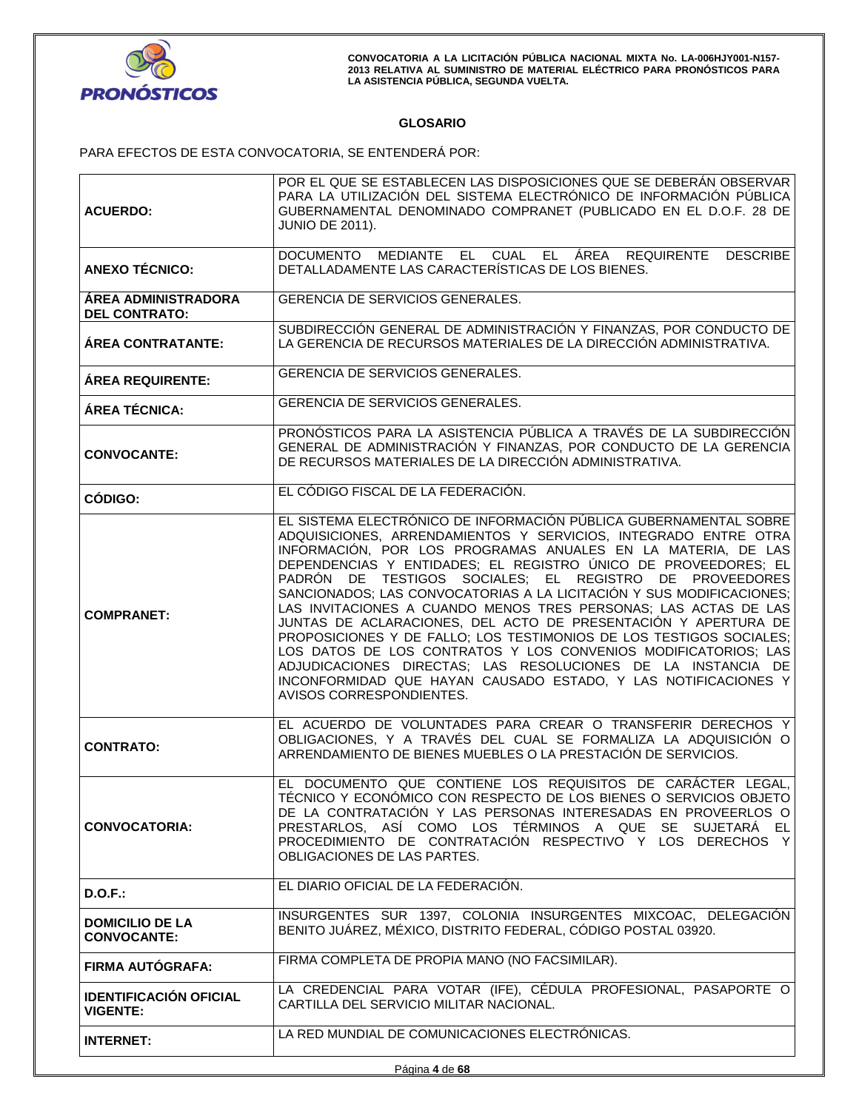

# **GLOSARIO**

PARA EFECTOS DE ESTA CONVOCATORIA, SE ENTENDERÁ POR:

|                                                                                                                                             | POR EL QUE SE ESTABLECEN LAS DISPOSICIONES QUE SE DEBERÁN OBSERVAR                                                                      |
|---------------------------------------------------------------------------------------------------------------------------------------------|-----------------------------------------------------------------------------------------------------------------------------------------|
| <b>ACUERDO:</b>                                                                                                                             | PARA LA UTILIZACIÓN DEL SISTEMA ELECTRÓNICO DE INFORMACIÓN PÚBLICA<br>GUBERNAMENTAL DENOMINADO COMPRANET (PUBLICADO EN EL D.O.F. 28 DE  |
|                                                                                                                                             | <b>JUNIO DE 2011).</b>                                                                                                                  |
|                                                                                                                                             |                                                                                                                                         |
| <b>ANEXO TÉCNICO:</b>                                                                                                                       | DOCUMENTO MEDIANTE EL CUAL EL ÁREA REQUIRENTE<br><b>DESCRIBE</b><br>DETALLADAMENTE LAS CARACTERÍSTICAS DE LOS BIENES.                   |
|                                                                                                                                             |                                                                                                                                         |
| <b>ÁREA ADMINISTRADORA</b>                                                                                                                  | GERENCIA DE SERVICIOS GENERALES.                                                                                                        |
| <b>DEL CONTRATO:</b>                                                                                                                        | SUBDIRECCIÓN GENERAL DE ADMINISTRACIÓN Y FINANZAS, POR CONDUCTO DE                                                                      |
| <b>ÁREA CONTRATANTE:</b>                                                                                                                    | LA GERENCIA DE RECURSOS MATERIALES DE LA DIRECCIÓN ADMINISTRATIVA.                                                                      |
|                                                                                                                                             |                                                                                                                                         |
| <b>ÁREA REQUIRENTE:</b>                                                                                                                     | <b>GERENCIA DE SERVICIOS GENERALES.</b>                                                                                                 |
| ÁREA TÉCNICA:                                                                                                                               | GERENCIA DE SERVICIOS GENERALES.                                                                                                        |
|                                                                                                                                             | PRONÓSTICOS PARA LA ASISTENCIA PÚBLICA A TRAVÉS DE LA SUBDIRECCIÓN                                                                      |
|                                                                                                                                             | GENERAL DE ADMINISTRACIÓN Y FINANZAS, POR CONDUCTO DE LA GERENCIA                                                                       |
| <b>CONVOCANTE:</b>                                                                                                                          | DE RECURSOS MATERIALES DE LA DIRECCIÓN ADMINISTRATIVA.                                                                                  |
|                                                                                                                                             | EL CÓDIGO FISCAL DE LA FEDERACIÓN.                                                                                                      |
| CÓDIGO:                                                                                                                                     |                                                                                                                                         |
|                                                                                                                                             | EL SISTEMA ELECTRÓNICO DE INFORMACIÓN PÚBLICA GUBERNAMENTAL SOBRE                                                                       |
|                                                                                                                                             | ADQUISICIONES, ARRENDAMIENTOS Y SERVICIOS, INTEGRADO ENTRE OTRA<br>INFORMACIÓN, POR LOS PROGRAMAS ANUALES EN LA MATERIA, DE LAS         |
|                                                                                                                                             | DEPENDENCIAS Y ENTIDADES; EL REGISTRO ÚNICO DE PROVEEDORES; EL                                                                          |
|                                                                                                                                             | PADRÓN DE TESTIGOS SOCIALES: EL REGISTRO DE PROVEEDORES                                                                                 |
|                                                                                                                                             | SANCIONADOS; LAS CONVOCATORIAS A LA LICITACIÓN Y SUS MODIFICACIONES;<br>LAS INVITACIONES A CUANDO MENOS TRES PERSONAS; LAS ACTAS DE LAS |
| <b>COMPRANET:</b>                                                                                                                           | JUNTAS DE ACLARACIONES, DEL ACTO DE PRESENTACIÓN Y APERTURA DE                                                                          |
|                                                                                                                                             | PROPOSICIONES Y DE FALLO; LOS TESTIMONIOS DE LOS TESTIGOS SOCIALES;                                                                     |
|                                                                                                                                             | LOS DATOS DE LOS CONTRATOS Y LOS CONVENIOS MODIFICATORIOS; LAS<br>ADJUDICACIONES DIRECTAS; LAS RESOLUCIONES DE LA INSTANCIA DE          |
|                                                                                                                                             | INCONFORMIDAD QUE HAYAN CAUSADO ESTADO, Y LAS NOTIFICACIONES Y                                                                          |
| AVISOS CORRESPONDIENTES.                                                                                                                    |                                                                                                                                         |
|                                                                                                                                             | EL ACUERDO DE VOLUNTADES PARA CREAR O TRANSFERIR DERECHOS Y                                                                             |
|                                                                                                                                             | OBLIGACIONES, Y A TRAVÉS DEL CUAL SE FORMALIZA LA ADQUISICIÓN O                                                                         |
| <b>CONTRATO:</b>                                                                                                                            | ARRENDAMIENTO DE BIENES MUEBLES O LA PRESTACIÓN DE SERVICIOS.                                                                           |
|                                                                                                                                             | EL DOCUMENTO QUE CONTIENE LOS REQUISITOS DE CARÁCTER LEGAL,                                                                             |
|                                                                                                                                             | TÉCNICO Y ECONÓMICO CON RESPECTO DE LOS BIENES O SERVICIOS OBJETO                                                                       |
|                                                                                                                                             | DE LA CONTRATACIÓN Y LAS PERSONAS INTERESADAS EN PROVEERLOS O                                                                           |
| <b>CONVOCATORIA:</b>                                                                                                                        | PRESTARLOS, ASÍ COMO LOS TÉRMINOS A QUE SE SUJETARÁ EL<br>PROCEDIMIENTO DE CONTRATACIÓN RESPECTIVO Y LOS DERECHOS Y                     |
|                                                                                                                                             | OBLIGACIONES DE LAS PARTES.                                                                                                             |
|                                                                                                                                             |                                                                                                                                         |
| $D.O.F.$ :                                                                                                                                  | EL DIARIO OFICIAL DE LA FEDERACIÓN.                                                                                                     |
| <b>DOMICILIO DE LA</b>                                                                                                                      | INSURGENTES SUR 1397, COLONIA INSURGENTES MIXCOAC, DELEGACIÓN                                                                           |
| <b>CONVOCANTE:</b>                                                                                                                          | BENITO JUÁREZ, MÉXICO, DISTRITO FEDERAL, CÓDIGO POSTAL 03920.                                                                           |
| <b>FIRMA AUTÓGRAFA:</b>                                                                                                                     | FIRMA COMPLETA DE PROPIA MANO (NO FACSIMILAR).                                                                                          |
|                                                                                                                                             |                                                                                                                                         |
| LA CREDENCIAL PARA VOTAR (IFE), CÉDULA PROFESIONAL, PASAPORTE O<br><b>IDENTIFICACIÓN OFICIAL</b><br>CARTILLA DEL SERVICIO MILITAR NACIONAL. |                                                                                                                                         |
| <b>VIGENTE:</b>                                                                                                                             |                                                                                                                                         |
| <b>INTERNET:</b>                                                                                                                            | LA RED MUNDIAL DE COMUNICACIONES ELECTRÓNICAS.                                                                                          |
|                                                                                                                                             |                                                                                                                                         |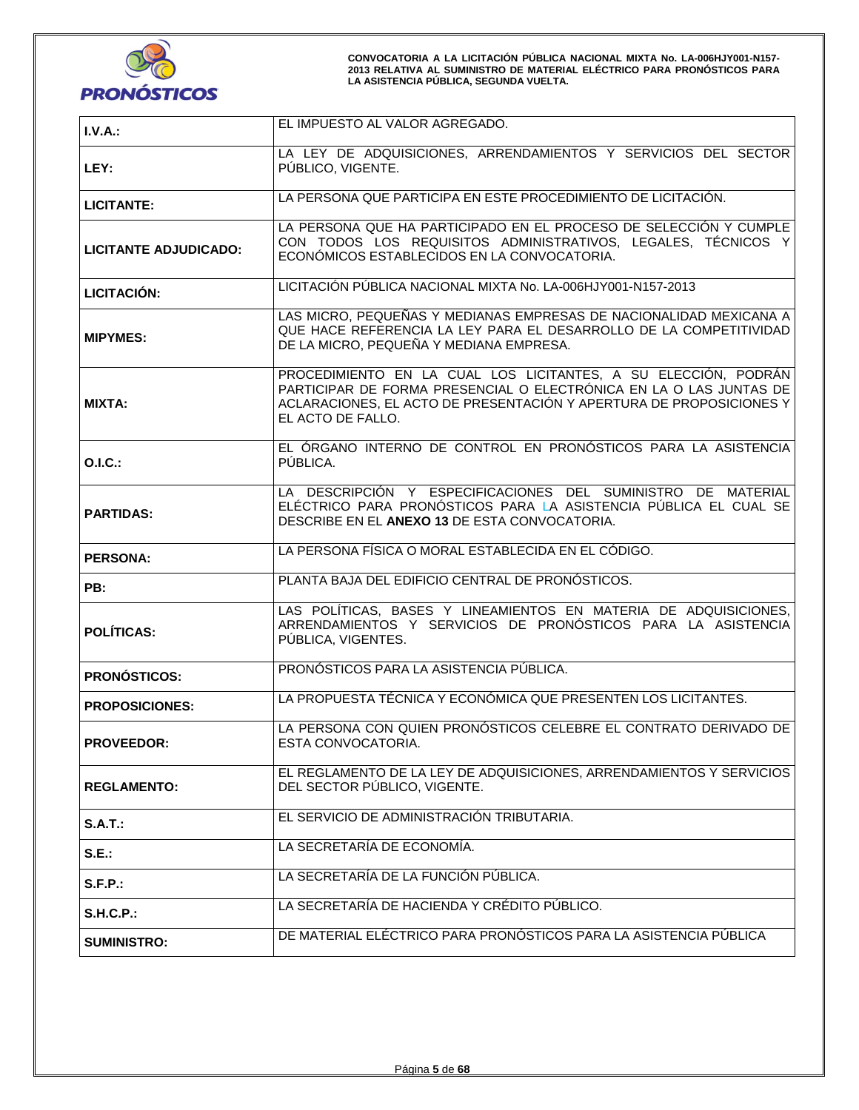

| I.V.A.:                                                                                                                                                                                                           | EL IMPUESTO AL VALOR AGREGADO.                                                                                                                                                                                                   |
|-------------------------------------------------------------------------------------------------------------------------------------------------------------------------------------------------------------------|----------------------------------------------------------------------------------------------------------------------------------------------------------------------------------------------------------------------------------|
| LEY:                                                                                                                                                                                                              | LA LEY DE ADQUISICIONES, ARRENDAMIENTOS Y SERVICIOS DEL SECTOR<br>PÚBLICO, VIGENTE.                                                                                                                                              |
| <b>LICITANTE:</b>                                                                                                                                                                                                 | LA PERSONA QUE PARTICIPA EN ESTE PROCEDIMIENTO DE LICITACIÓN.                                                                                                                                                                    |
| LA PERSONA QUE HA PARTICIPADO EN EL PROCESO DE SELECCIÓN Y CUMPLE<br>CON TODOS LOS REQUISITOS ADMINISTRATIVOS, LEGALES, TÉCNICOS Y<br><b>LICITANTE ADJUDICADO:</b><br>ECONÓMICOS ESTABLECIDOS EN LA CONVOCATORIA. |                                                                                                                                                                                                                                  |
| LICITACIÓN PÚBLICA NACIONAL MIXTA No. LA-006HJY001-N157-2013<br><b>LICITACIÓN:</b>                                                                                                                                |                                                                                                                                                                                                                                  |
| LAS MICRO, PEQUEÑAS Y MEDIANAS EMPRESAS DE NACIONALIDAD MEXICANA A<br>QUE HACE REFERENCIA LA LEY PARA EL DESARROLLO DE LA COMPETITIVIDAD<br><b>MIPYMES:</b><br>DE LA MICRO, PEQUEÑA Y MEDIANA EMPRESA.            |                                                                                                                                                                                                                                  |
| <b>MIXTA:</b>                                                                                                                                                                                                     | PROCEDIMIENTO EN LA CUAL LOS LICITANTES, A SU ELECCIÓN, PODRÁN<br>PARTICIPAR DE FORMA PRESENCIAL O ELECTRÓNICA EN LA O LAS JUNTAS DE<br>ACLARACIONES, EL ACTO DE PRESENTACIÓN Y APERTURA DE PROPOSICIONES Y<br>EL ACTO DE FALLO. |
| <b>O.I.C.:</b>                                                                                                                                                                                                    | EL ÓRGANO INTERNO DE CONTROL EN PRONÓSTICOS PARA LA ASISTENCIA<br>PÚBLICA.                                                                                                                                                       |
| <b>PARTIDAS:</b>                                                                                                                                                                                                  | LA DESCRIPCIÓN Y ESPECIFICACIONES DEL SUMINISTRO DE MATERIAL<br>ELÉCTRICO PARA PRONÓSTICOS PARA LA ASISTENCIA PÚBLICA EL CUAL SE<br>DESCRIBE EN EL ANEXO 13 DE ESTA CONVOCATORIA.                                                |
| LA PERSONA FÍSICA O MORAL ESTABLECIDA EN EL CÓDIGO.<br><b>PERSONA:</b>                                                                                                                                            |                                                                                                                                                                                                                                  |
| PLANTA BAJA DEL EDIFICIO CENTRAL DE PRONÓSTICOS.<br>PB:                                                                                                                                                           |                                                                                                                                                                                                                                  |
| LAS POLÍTICAS, BASES Y LINEAMIENTOS EN MATERIA DE ADQUISICIONES.<br>ARRENDAMIENTOS Y SERVICIOS DE PRONÓSTICOS PARA LA ASISTENCIA<br><b>POLÍTICAS:</b><br>PUBLICA, VIGENTES.                                       |                                                                                                                                                                                                                                  |
| <b>PRONÓSTICOS:</b>                                                                                                                                                                                               | PRONÓSTICOS PARA LA ASISTENCIA PÚBLICA.                                                                                                                                                                                          |
| <b>PROPOSICIONES:</b>                                                                                                                                                                                             | LA PROPUESTA TÉCNICA Y ECONÓMICA QUE PRESENTEN LOS LICITANTES.                                                                                                                                                                   |
| <b>PROVEEDOR:</b>                                                                                                                                                                                                 | LA PERSONA CON QUIEN PRONÓSTICOS CELEBRE EL CONTRATO DERIVADO DE<br>ESTA CONVOCATORIA.                                                                                                                                           |
| <b>REGLAMENTO:</b>                                                                                                                                                                                                | EL REGLAMENTO DE LA LEY DE ADQUISICIONES, ARRENDAMIENTOS Y SERVICIOS<br>DEL SECTOR PÚBLICO, VIGENTE.                                                                                                                             |
| S.A.T.:                                                                                                                                                                                                           | EL SERVICIO DE ADMINISTRACIÓN TRIBUTARIA.                                                                                                                                                                                        |
| S.E.:                                                                                                                                                                                                             | LA SECRETARÍA DE ECONOMÍA.                                                                                                                                                                                                       |
| S.F.P.:                                                                                                                                                                                                           | LA SECRETARÍA DE LA FUNCIÓN PÚBLICA.                                                                                                                                                                                             |
| <b>S.H.C.P.:</b>                                                                                                                                                                                                  | LA SECRETARÍA DE HACIENDA Y CRÉDITO PÚBLICO.                                                                                                                                                                                     |
| <b>SUMINISTRO:</b>                                                                                                                                                                                                | DE MATERIAL ELÉCTRICO PARA PRONÓSTICOS PARA LA ASISTENCIA PÚBLICA                                                                                                                                                                |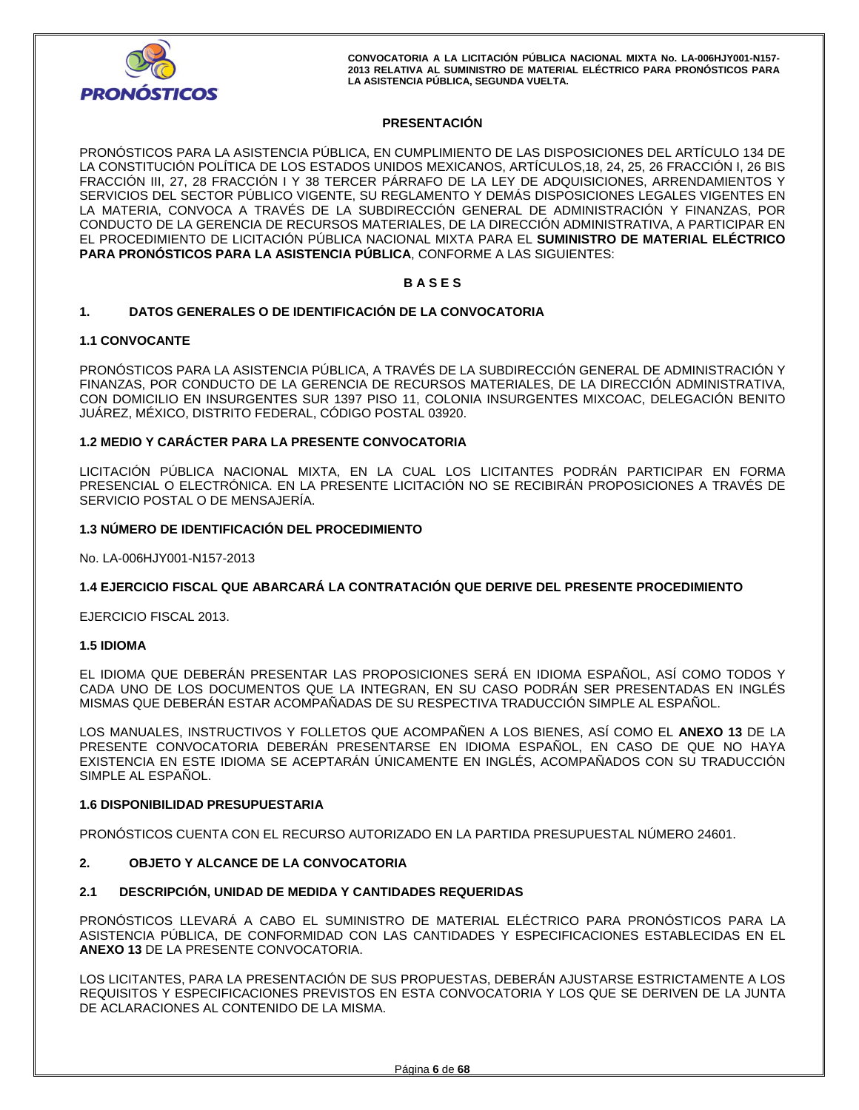

# **PRESENTACIÓN**

PRONÓSTICOS PARA LA ASISTENCIA PÚBLICA, EN CUMPLIMIENTO DE LAS DISPOSICIONES DEL ARTÍCULO 134 DE LA CONSTITUCIÓN POLÍTICA DE LOS ESTADOS UNIDOS MEXICANOS, ARTÍCULOS,18, 24, 25, 26 FRACCIÓN I, 26 BIS FRACCIÓN III, 27, 28 FRACCIÓN I Y 38 TERCER PÁRRAFO DE LA LEY DE ADQUISICIONES, ARRENDAMIENTOS Y SERVICIOS DEL SECTOR PÚBLICO VIGENTE, SU REGLAMENTO Y DEMÁS DISPOSICIONES LEGALES VIGENTES EN LA MATERIA, CONVOCA A TRAVÉS DE LA SUBDIRECCIÓN GENERAL DE ADMINISTRACIÓN Y FINANZAS, POR CONDUCTO DE LA GERENCIA DE RECURSOS MATERIALES, DE LA DIRECCIÓN ADMINISTRATIVA, A PARTICIPAR EN EL PROCEDIMIENTO DE LICITACIÓN PÚBLICA NACIONAL MIXTA PARA EL **SUMINISTRO DE MATERIAL ELÉCTRICO PARA PRONÓSTICOS PARA LA ASISTENCIA PÚBLICA**, CONFORME A LAS SIGUIENTES:

## **B A S E S**

## **1. DATOS GENERALES O DE IDENTIFICACIÓN DE LA CONVOCATORIA**

#### **1.1 CONVOCANTE**

PRONÓSTICOS PARA LA ASISTENCIA PÚBLICA, A TRAVÉS DE LA SUBDIRECCIÓN GENERAL DE ADMINISTRACIÓN Y FINANZAS, POR CONDUCTO DE LA GERENCIA DE RECURSOS MATERIALES, DE LA DIRECCIÓN ADMINISTRATIVA, CON DOMICILIO EN INSURGENTES SUR 1397 PISO 11, COLONIA INSURGENTES MIXCOAC, DELEGACIÓN BENITO JUÁREZ, MÉXICO, DISTRITO FEDERAL, CÓDIGO POSTAL 03920.

#### **1.2 MEDIO Y CARÁCTER PARA LA PRESENTE CONVOCATORIA**

LICITACIÓN PÚBLICA NACIONAL MIXTA, EN LA CUAL LOS LICITANTES PODRÁN PARTICIPAR EN FORMA PRESENCIAL O ELECTRÓNICA. EN LA PRESENTE LICITACIÓN NO SE RECIBIRÁN PROPOSICIONES A TRAVÉS DE SERVICIO POSTAL O DE MENSAJERÍA.

#### **1.3 NÚMERO DE IDENTIFICACIÓN DEL PROCEDIMIENTO**

No. LA-006HJY001-N157-2013

#### **1.4 EJERCICIO FISCAL QUE ABARCARÁ LA CONTRATACIÓN QUE DERIVE DEL PRESENTE PROCEDIMIENTO**

EJERCICIO FISCAL 2013.

#### **1.5 IDIOMA**

EL IDIOMA QUE DEBERÁN PRESENTAR LAS PROPOSICIONES SERÁ EN IDIOMA ESPAÑOL, ASÍ COMO TODOS Y CADA UNO DE LOS DOCUMENTOS QUE LA INTEGRAN, EN SU CASO PODRÁN SER PRESENTADAS EN INGLÉS MISMAS QUE DEBERÁN ESTAR ACOMPAÑADAS DE SU RESPECTIVA TRADUCCIÓN SIMPLE AL ESPAÑOL.

LOS MANUALES, INSTRUCTIVOS Y FOLLETOS QUE ACOMPAÑEN A LOS BIENES, ASÍ COMO EL **ANEXO 13** DE LA PRESENTE CONVOCATORIA DEBERÁN PRESENTARSE EN IDIOMA ESPAÑOL, EN CASO DE QUE NO HAYA EXISTENCIA EN ESTE IDIOMA SE ACEPTARÁN ÚNICAMENTE EN INGLÉS, ACOMPAÑADOS CON SU TRADUCCIÓN SIMPLE AL ESPAÑOL.

## **1.6 DISPONIBILIDAD PRESUPUESTARIA**

PRONÓSTICOS CUENTA CON EL RECURSO AUTORIZADO EN LA PARTIDA PRESUPUESTAL NÚMERO 24601.

## **2. OBJETO Y ALCANCE DE LA CONVOCATORIA**

#### **2.1 DESCRIPCIÓN, UNIDAD DE MEDIDA Y CANTIDADES REQUERIDAS**

PRONÓSTICOS LLEVARÁ A CABO EL SUMINISTRO DE MATERIAL ELÉCTRICO PARA PRONÓSTICOS PARA LA ASISTENCIA PÚBLICA, DE CONFORMIDAD CON LAS CANTIDADES Y ESPECIFICACIONES ESTABLECIDAS EN EL **ANEXO 13** DE LA PRESENTE CONVOCATORIA.

LOS LICITANTES, PARA LA PRESENTACIÓN DE SUS PROPUESTAS, DEBERÁN AJUSTARSE ESTRICTAMENTE A LOS REQUISITOS Y ESPECIFICACIONES PREVISTOS EN ESTA CONVOCATORIA Y LOS QUE SE DERIVEN DE LA JUNTA DE ACLARACIONES AL CONTENIDO DE LA MISMA.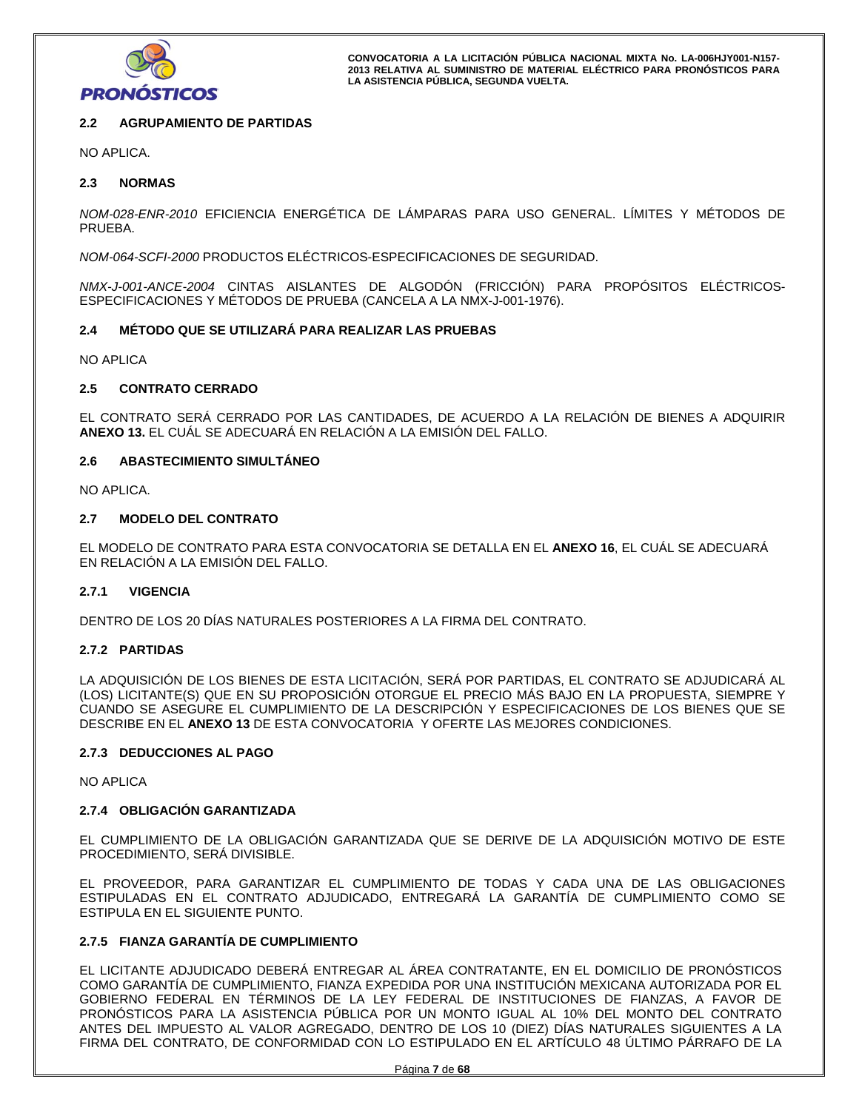

# **2.2 AGRUPAMIENTO DE PARTIDAS**

NO APLICA.

## **2.3 NORMAS**

*NOM-028-ENR-2010* EFICIENCIA ENERGÉTICA DE LÁMPARAS PARA USO GENERAL. LÍMITES Y MÉTODOS DE PRUEBA.

*NOM-064-SCFI-2000* PRODUCTOS ELÉCTRICOS-ESPECIFICACIONES DE SEGURIDAD.

*NMX-J-001-ANCE-2004* CINTAS AISLANTES DE ALGODÓN (FRICCIÓN) PARA PROPÓSITOS ELÉCTRICOS-ESPECIFICACIONES Y MÉTODOS DE PRUEBA (CANCELA A LA NMX-J-001-1976).

#### **2.4 MÉTODO QUE SE UTILIZARÁ PARA REALIZAR LAS PRUEBAS**

NO APLICA

#### **2.5 CONTRATO CERRADO**

EL CONTRATO SERÁ CERRADO POR LAS CANTIDADES, DE ACUERDO A LA RELACIÓN DE BIENES A ADQUIRIR **ANEXO 13.** EL CUÁL SE ADECUARÁ EN RELACIÓN A LA EMISIÓN DEL FALLO.

# **2.6 ABASTECIMIENTO SIMULTÁNEO**

NO APLICA.

#### **2.7 MODELO DEL CONTRATO**

EL MODELO DE CONTRATO PARA ESTA CONVOCATORIA SE DETALLA EN EL **ANEXO 16**, EL CUÁL SE ADECUARÁ EN RELACIÓN A LA EMISIÓN DEL FALLO.

## **2.7.1 VIGENCIA**

DENTRO DE LOS 20 DÍAS NATURALES POSTERIORES A LA FIRMA DEL CONTRATO.

#### **2.7.2 PARTIDAS**

LA ADQUISICIÓN DE LOS BIENES DE ESTA LICITACIÓN, SERÁ POR PARTIDAS, EL CONTRATO SE ADJUDICARÁ AL (LOS) LICITANTE(S) QUE EN SU PROPOSICIÓN OTORGUE EL PRECIO MÁS BAJO EN LA PROPUESTA, SIEMPRE Y CUANDO SE ASEGURE EL CUMPLIMIENTO DE LA DESCRIPCIÓN Y ESPECIFICACIONES DE LOS BIENES QUE SE DESCRIBE EN EL **ANEXO 13** DE ESTA CONVOCATORIA Y OFERTE LAS MEJORES CONDICIONES.

#### **2.7.3 DEDUCCIONES AL PAGO**

NO APLICA

#### **2.7.4 OBLIGACIÓN GARANTIZADA**

EL CUMPLIMIENTO DE LA OBLIGACIÓN GARANTIZADA QUE SE DERIVE DE LA ADQUISICIÓN MOTIVO DE ESTE PROCEDIMIENTO, SERÁ DIVISIBLE.

EL PROVEEDOR, PARA GARANTIZAR EL CUMPLIMIENTO DE TODAS Y CADA UNA DE LAS OBLIGACIONES ESTIPULADAS EN EL CONTRATO ADJUDICADO, ENTREGARÁ LA GARANTÍA DE CUMPLIMIENTO COMO SE ESTIPULA EN EL SIGUIENTE PUNTO.

# **2.7.5 FIANZA GARANTÍA DE CUMPLIMIENTO**

EL LICITANTE ADJUDICADO DEBERÁ ENTREGAR AL ÁREA CONTRATANTE, EN EL DOMICILIO DE PRONÓSTICOS COMO GARANTÍA DE CUMPLIMIENTO, FIANZA EXPEDIDA POR UNA INSTITUCIÓN MEXICANA AUTORIZADA POR EL GOBIERNO FEDERAL EN TÉRMINOS DE LA LEY FEDERAL DE INSTITUCIONES DE FIANZAS, A FAVOR DE PRONÓSTICOS PARA LA ASISTENCIA PÚBLICA POR UN MONTO IGUAL AL 10% DEL MONTO DEL CONTRATO ANTES DEL IMPUESTO AL VALOR AGREGADO, DENTRO DE LOS 10 (DIEZ) DÍAS NATURALES SIGUIENTES A LA FIRMA DEL CONTRATO, DE CONFORMIDAD CON LO ESTIPULADO EN EL ARTÍCULO 48 ÚLTIMO PÁRRAFO DE LA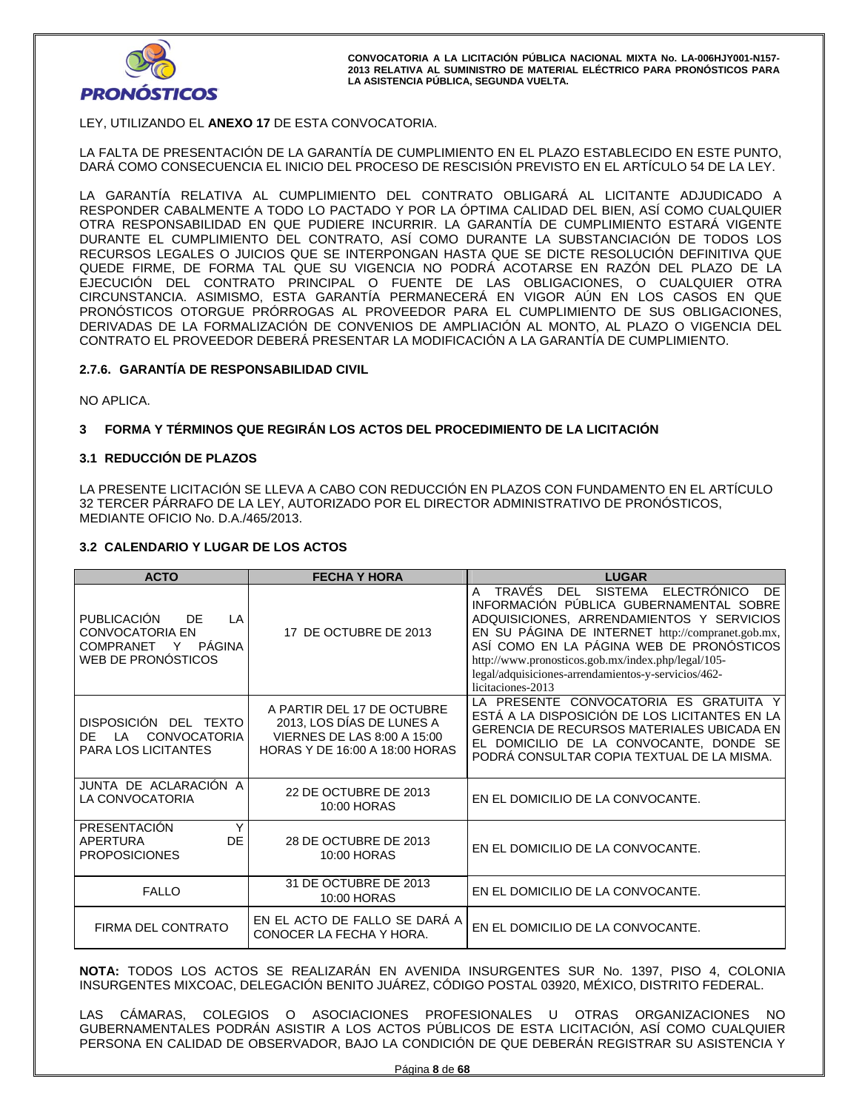

# LEY, UTILIZANDO EL **ANEXO 17** DE ESTA CONVOCATORIA.

LA FALTA DE PRESENTACIÓN DE LA GARANTÍA DE CUMPLIMIENTO EN EL PLAZO ESTABLECIDO EN ESTE PUNTO, DARÁ COMO CONSECUENCIA EL INICIO DEL PROCESO DE RESCISIÓN PREVISTO EN EL ARTÍCULO 54 DE LA LEY.

LA GARANTÍA RELATIVA AL CUMPLIMIENTO DEL CONTRATO OBLIGARÁ AL LICITANTE ADJUDICADO A RESPONDER CABALMENTE A TODO LO PACTADO Y POR LA ÓPTIMA CALIDAD DEL BIEN, ASÍ COMO CUALQUIER OTRA RESPONSABILIDAD EN QUE PUDIERE INCURRIR. LA GARANTÍA DE CUMPLIMIENTO ESTARÁ VIGENTE DURANTE EL CUMPLIMIENTO DEL CONTRATO, ASÍ COMO DURANTE LA SUBSTANCIACIÓN DE TODOS LOS RECURSOS LEGALES O JUICIOS QUE SE INTERPONGAN HASTA QUE SE DICTE RESOLUCIÓN DEFINITIVA QUE QUEDE FIRME, DE FORMA TAL QUE SU VIGENCIA NO PODRÁ ACOTARSE EN RAZÓN DEL PLAZO DE LA EJECUCIÓN DEL CONTRATO PRINCIPAL O FUENTE DE LAS OBLIGACIONES, O CUALQUIER OTRA CIRCUNSTANCIA. ASIMISMO, ESTA GARANTÍA PERMANECERÁ EN VIGOR AÚN EN LOS CASOS EN QUE PRONÓSTICOS OTORGUE PRÓRROGAS AL PROVEEDOR PARA EL CUMPLIMIENTO DE SUS OBLIGACIONES, DERIVADAS DE LA FORMALIZACIÓN DE CONVENIOS DE AMPLIACIÓN AL MONTO, AL PLAZO O VIGENCIA DEL CONTRATO EL PROVEEDOR DEBERÁ PRESENTAR LA MODIFICACIÓN A LA GARANTÍA DE CUMPLIMIENTO.

## **2.7.6. GARANTÍA DE RESPONSABILIDAD CIVIL**

NO APLICA.

## **3 FORMA Y TÉRMINOS QUE REGIRÁN LOS ACTOS DEL PROCEDIMIENTO DE LA LICITACIÓN**

#### **3.1 REDUCCIÓN DE PLAZOS**

LA PRESENTE LICITACIÓN SE LLEVA A CABO CON REDUCCIÓN EN PLAZOS CON FUNDAMENTO EN EL ARTÍCULO 32 TERCER PÁRRAFO DE LA LEY, AUTORIZADO POR EL DIRECTOR ADMINISTRATIVO DE PRONÓSTICOS, MEDIANTE OFICIO No. D.A./465/2013.

#### **3.2 CALENDARIO Y LUGAR DE LOS ACTOS**

| <b>ACTO</b>                                                                                          | <b>FECHA Y HORA</b>                                                                                                             | <b>LUGAR</b>                                                                                                                                                                                                                                                                                                                                                                                |
|------------------------------------------------------------------------------------------------------|---------------------------------------------------------------------------------------------------------------------------------|---------------------------------------------------------------------------------------------------------------------------------------------------------------------------------------------------------------------------------------------------------------------------------------------------------------------------------------------------------------------------------------------|
| <b>PUBLICACIÓN</b><br>DF<br>LA<br><b>CONVOCATORIA EN</b><br>COMPRANET Y PÁGINA<br>WEB DE PRONÓSTICOS | 17 DE OCTUBRE DE 2013                                                                                                           | TRAVÉS<br><b>DEL</b><br>SISTEMA<br><b>ELECTRÓNICO</b><br>DF<br>A<br>INFORMACIÓN PÚBLICA GUBERNAMENTAL SOBRE<br>ADQUISICIONES, ARRENDAMIENTOS Y SERVICIOS<br>EN SU PÁGINA DE INTERNET http://compranet.gob.mx,<br>ASÍ COMO EN LA PÁGINA WEB DE PRONÓSTICOS<br>http://www.pronosticos.gob.mx/index.php/legal/105-<br>legal/adquisiciones-arrendamientos-y-servicios/462-<br>licitaciones-2013 |
| DISPOSICIÓN DEL TEXTO<br><b>CONVOCATORIA</b><br>DF.<br>ΙA<br><b>PARA LOS LICITANTES</b>              | A PARTIR DEL 17 DE OCTUBRE<br>2013, LOS DÍAS DE LUNES A<br><b>VIERNES DE LAS 8:00 A 15:00</b><br>HORAS Y DE 16:00 A 18:00 HORAS | LA PRESENTE CONVOCATORIA ES GRATUITA Y<br>ESTÁ A LA DISPOSICIÓN DE LOS LICITANTES EN LA<br><b>GERENCIA DE RECURSOS MATERIALES UBICADA EN</b><br>EL DOMICILIO DE LA CONVOCANTE, DONDE SE<br>PODRÁ CONSULTAR COPIA TEXTUAL DE LA MISMA.                                                                                                                                                       |
| JUNTA DE ACLARACIÓN A<br>LA CONVOCATORIA                                                             | 22 DE OCTUBRE DE 2013<br>10:00 HORAS                                                                                            | EN EL DOMICILIO DE LA CONVOCANTE.                                                                                                                                                                                                                                                                                                                                                           |
| PRESENTACIÓN<br><b>DE</b><br>APERTURA<br><b>PROPOSICIONES</b>                                        | 28 DE OCTUBRE DE 2013<br>10:00 HORAS                                                                                            | EN EL DOMICILIO DE LA CONVOCANTE.                                                                                                                                                                                                                                                                                                                                                           |
| <b>FALLO</b>                                                                                         | 31 DE OCTUBRE DE 2013<br>10:00 HORAS                                                                                            | EN EL DOMICILIO DE LA CONVOCANTE.                                                                                                                                                                                                                                                                                                                                                           |
| FIRMA DEL CONTRATO                                                                                   | EN EL ACTO DE FALLO SE DARÁ A<br>CONOCER LA FECHA Y HORA.                                                                       | EN EL DOMICILIO DE LA CONVOCANTE.                                                                                                                                                                                                                                                                                                                                                           |

**NOTA:** TODOS LOS ACTOS SE REALIZARÁN EN AVENIDA INSURGENTES SUR No. 1397, PISO 4, COLONIA INSURGENTES MIXCOAC, DELEGACIÓN BENITO JUÁREZ, CÓDIGO POSTAL 03920, MÉXICO, DISTRITO FEDERAL.

LAS CÁMARAS, COLEGIOS O ASOCIACIONES PROFESIONALES U OTRAS ORGANIZACIONES NO GUBERNAMENTALES PODRÁN ASISTIR A LOS ACTOS PÚBLICOS DE ESTA LICITACIÓN, ASÍ COMO CUALQUIER PERSONA EN CALIDAD DE OBSERVADOR, BAJO LA CONDICIÓN DE QUE DEBERÁN REGISTRAR SU ASISTENCIA Y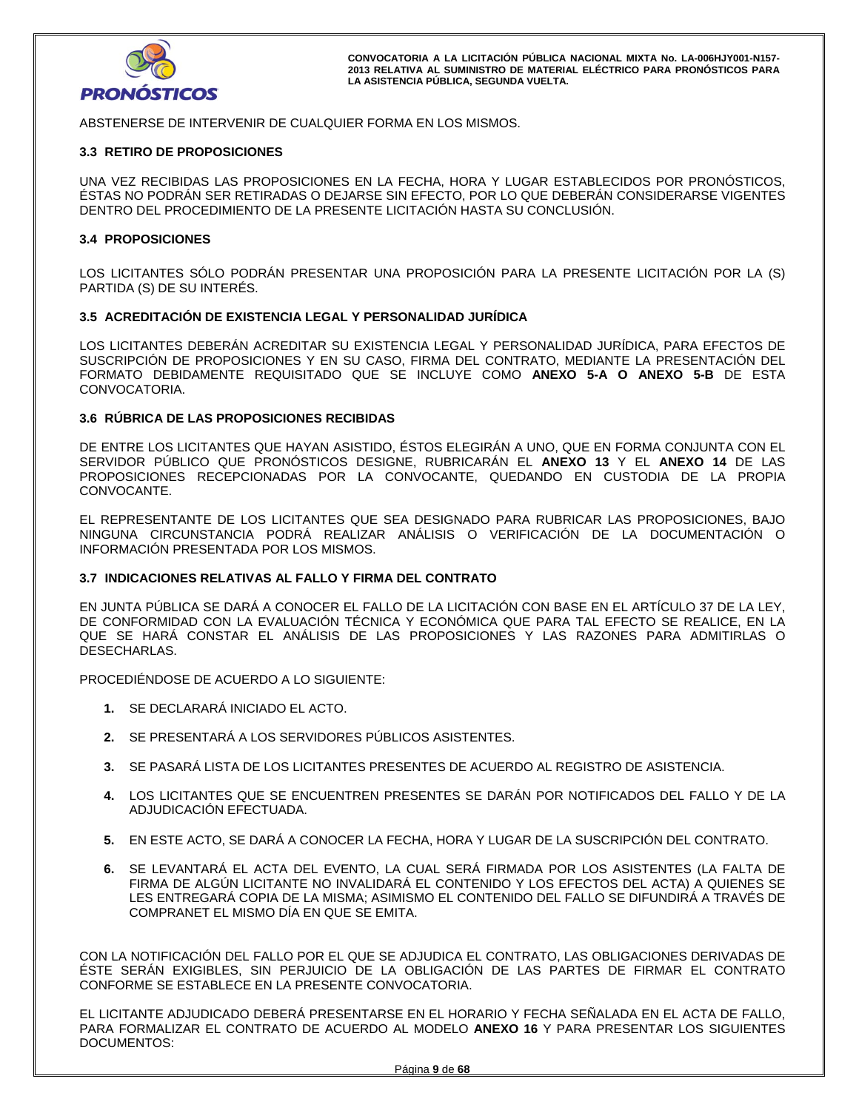

ABSTENERSE DE INTERVENIR DE CUALQUIER FORMA EN LOS MISMOS.

#### **3.3 RETIRO DE PROPOSICIONES**

UNA VEZ RECIBIDAS LAS PROPOSICIONES EN LA FECHA, HORA Y LUGAR ESTABLECIDOS POR PRONÓSTICOS, ÉSTAS NO PODRÁN SER RETIRADAS O DEJARSE SIN EFECTO, POR LO QUE DEBERÁN CONSIDERARSE VIGENTES DENTRO DEL PROCEDIMIENTO DE LA PRESENTE LICITACIÓN HASTA SU CONCLUSIÓN.

#### **3.4 PROPOSICIONES**

LOS LICITANTES SÓLO PODRÁN PRESENTAR UNA PROPOSICIÓN PARA LA PRESENTE LICITACIÓN POR LA (S) PARTIDA (S) DE SU INTERÉS.

#### **3.5 ACREDITACIÓN DE EXISTENCIA LEGAL Y PERSONALIDAD JURÍDICA**

LOS LICITANTES DEBERÁN ACREDITAR SU EXISTENCIA LEGAL Y PERSONALIDAD JURÍDICA, PARA EFECTOS DE SUSCRIPCIÓN DE PROPOSICIONES Y EN SU CASO, FIRMA DEL CONTRATO, MEDIANTE LA PRESENTACIÓN DEL FORMATO DEBIDAMENTE REQUISITADO QUE SE INCLUYE COMO **ANEXO 5-A O ANEXO 5-B** DE ESTA CONVOCATORIA.

#### **3.6 RÚBRICA DE LAS PROPOSICIONES RECIBIDAS**

DE ENTRE LOS LICITANTES QUE HAYAN ASISTIDO, ÉSTOS ELEGIRÁN A UNO, QUE EN FORMA CONJUNTA CON EL SERVIDOR PÚBLICO QUE PRONÓSTICOS DESIGNE, RUBRICARÁN EL **ANEXO 13** Y EL **ANEXO 14** DE LAS PROPOSICIONES RECEPCIONADAS POR LA CONVOCANTE, QUEDANDO EN CUSTODIA DE LA PROPIA CONVOCANTE.

EL REPRESENTANTE DE LOS LICITANTES QUE SEA DESIGNADO PARA RUBRICAR LAS PROPOSICIONES, BAJO NINGUNA CIRCUNSTANCIA PODRÁ REALIZAR ANÁLISIS O VERIFICACIÓN DE LA DOCUMENTACIÓN O INFORMACIÓN PRESENTADA POR LOS MISMOS.

# **3.7 INDICACIONES RELATIVAS AL FALLO Y FIRMA DEL CONTRATO**

EN JUNTA PÚBLICA SE DARÁ A CONOCER EL FALLO DE LA LICITACIÓN CON BASE EN EL ARTÍCULO 37 DE LA LEY, DE CONFORMIDAD CON LA EVALUACIÓN TÉCNICA Y ECONÓMICA QUE PARA TAL EFECTO SE REALICE, EN LA QUE SE HARÁ CONSTAR EL ANÁLISIS DE LAS PROPOSICIONES Y LAS RAZONES PARA ADMITIRLAS O DESECHARLAS.

PROCEDIÉNDOSE DE ACUERDO A LO SIGUIENTE:

- **1.** SE DECLARARÁ INICIADO EL ACTO.
- **2.** SE PRESENTARÁ A LOS SERVIDORES PÚBLICOS ASISTENTES.
- **3.** SE PASARÁ LISTA DE LOS LICITANTES PRESENTES DE ACUERDO AL REGISTRO DE ASISTENCIA.
- **4.** LOS LICITANTES QUE SE ENCUENTREN PRESENTES SE DARÁN POR NOTIFICADOS DEL FALLO Y DE LA ADJUDICACIÓN EFECTUADA.
- **5.** EN ESTE ACTO, SE DARÁ A CONOCER LA FECHA, HORA Y LUGAR DE LA SUSCRIPCIÓN DEL CONTRATO.
- **6.** SE LEVANTARÁ EL ACTA DEL EVENTO, LA CUAL SERÁ FIRMADA POR LOS ASISTENTES (LA FALTA DE FIRMA DE ALGÚN LICITANTE NO INVALIDARÁ EL CONTENIDO Y LOS EFECTOS DEL ACTA) A QUIENES SE LES ENTREGARÁ COPIA DE LA MISMA; ASIMISMO EL CONTENIDO DEL FALLO SE DIFUNDIRÁ A TRAVÉS DE COMPRANET EL MISMO DÍA EN QUE SE EMITA.

CON LA NOTIFICACIÓN DEL FALLO POR EL QUE SE ADJUDICA EL CONTRATO, LAS OBLIGACIONES DERIVADAS DE ÉSTE SERÁN EXIGIBLES, SIN PERJUICIO DE LA OBLIGACIÓN DE LAS PARTES DE FIRMAR EL CONTRATO CONFORME SE ESTABLECE EN LA PRESENTE CONVOCATORIA.

EL LICITANTE ADJUDICADO DEBERÁ PRESENTARSE EN EL HORARIO Y FECHA SEÑALADA EN EL ACTA DE FALLO, PARA FORMALIZAR EL CONTRATO DE ACUERDO AL MODELO **ANEXO 16** Y PARA PRESENTAR LOS SIGUIENTES DOCUMENTOS: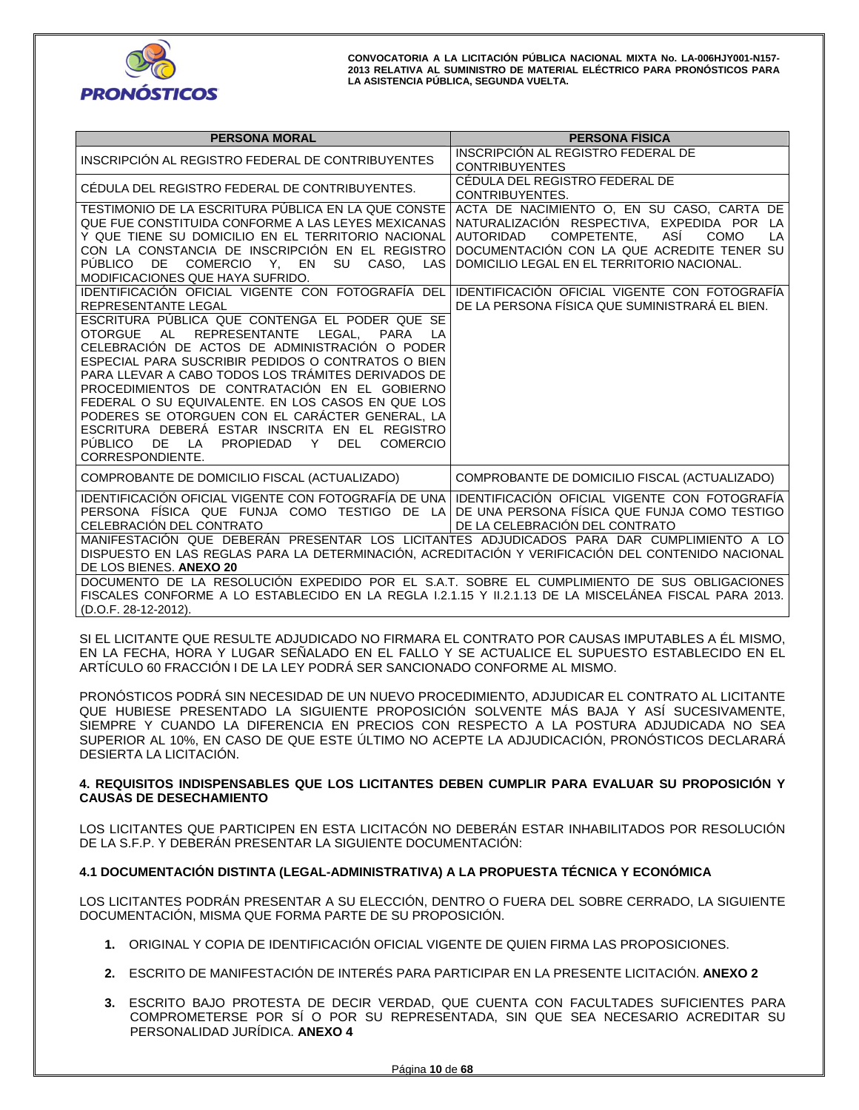

| <b>PERSONA MORAL</b>                                                                                                                                                                                                                                                                                                                                                                                                                                                                                                                                                                                                                                                               | <b>PERSONA FÍSICA</b>                                                                                                                                                                                                                        |
|------------------------------------------------------------------------------------------------------------------------------------------------------------------------------------------------------------------------------------------------------------------------------------------------------------------------------------------------------------------------------------------------------------------------------------------------------------------------------------------------------------------------------------------------------------------------------------------------------------------------------------------------------------------------------------|----------------------------------------------------------------------------------------------------------------------------------------------------------------------------------------------------------------------------------------------|
| INSCRIPCIÓN AL REGISTRO FEDERAL DE CONTRIBUYENTES                                                                                                                                                                                                                                                                                                                                                                                                                                                                                                                                                                                                                                  | INSCRIPCIÓN AL REGISTRO FEDERAL DE<br><b>CONTRIBUYENTES</b>                                                                                                                                                                                  |
| CÉDULA DEL REGISTRO FEDERAL DE CONTRIBUYENTES.                                                                                                                                                                                                                                                                                                                                                                                                                                                                                                                                                                                                                                     | CÉDULA DEL REGISTRO FEDERAL DE<br>CONTRIBUYENTES.                                                                                                                                                                                            |
| TESTIMONIO DE LA ESCRITURA PÚBLICA EN LA QUE CONSTE<br>QUE FUE CONSTITUIDA CONFORME A LAS LEYES MEXICANAS<br>Y QUE TIENE SU DOMICILIO EN EL TERRITORIO NACIONAL<br>CON LA CONSTANCIA DE INSCRIPCIÓN EN EL REGISTRO<br>PUBLICO DE<br>COMERCIO Y, EN<br>SU CASO, LAS<br>MODIFICACIONES QUE HAYA SUFRIDO.                                                                                                                                                                                                                                                                                                                                                                             | ACTA DE NACIMIENTO O, EN SU CASO, CARTA DE<br>NATURALIZACIÓN RESPECTIVA. EXPEDIDA POR LA<br>COMPETENTE.<br>ASÍ<br><b>AUTORIDAD</b><br>COMO<br>LA<br>DOCUMENTACIÓN CON LA QUE ACREDITE TENER SU<br>DOMICILIO LEGAL EN EL TERRITORIO NACIONAL. |
| IDENTIFICACIÓN OFICIAL VIGENTE CON FOTOGRAFÍA DEL<br><b>REPRESENTANTE LEGAL</b><br>ESCRITURA PUBLICA QUE CONTENGA EL PODER QUE SE<br>AL<br><b>REPRESENTANTE</b><br><b>OTORGUE</b><br>LEGAL.<br><b>PARA</b><br>CELEBRACIÓN DE ACTOS DE ADMINISTRACIÓN O PODER<br>ESPECIAL PARA SUSCRIBIR PEDIDOS O CONTRATOS O BIEN<br>PARA LLEVAR A CABO TODOS LOS TRÁMITES DERIVADOS DE<br>PROCEDIMIENTOS DE CONTRATACIÓN EN EL GOBIERNO<br>FEDERAL O SU EQUIVALENTE. EN LOS CASOS EN QUE LOS<br>PODERES SE OTORGUEN CON EL CARÁCTER GENERAL, LA<br>ESCRITURA DEBERA ESTAR INSCRITA EN EL REGISTRO<br>PUBLICO DE LA<br><b>DEL</b><br><b>PROPIEDAD</b><br>Y<br><b>COMERCIO</b><br>CORRESPONDIENTE. | IDENTIFICACIÓN OFICIAL VIGENTE CON FOTOGRAFÍA<br>DE LA PERSONA FÍSICA QUE SUMINISTRARÁ EL BIEN.                                                                                                                                              |
| COMPROBANTE DE DOMICILIO FISCAL (ACTUALIZADO)                                                                                                                                                                                                                                                                                                                                                                                                                                                                                                                                                                                                                                      | COMPROBANTE DE DOMICILIO FISCAL (ACTUALIZADO)                                                                                                                                                                                                |
| IDENTIFICACIÓN OFICIAL VIGENTE CON FOTOGRAFÍA DE UNA<br>PERSONA FISICA QUE FUNJA COMO TESTIGO DE LA<br>CELEBRACIÓN DEL CONTRATO                                                                                                                                                                                                                                                                                                                                                                                                                                                                                                                                                    | IDENTIFICACIÓN OFICIAL VIGENTE CON FOTOGRAFÍA<br>DE UNA PERSONA FÍSICA QUE FUNJA COMO TESTIGO<br>DE LA CELEBRACIÓN DEL CONTRATO                                                                                                              |
| MANIFESTACIÓN QUE DEBERÁN PRESENTAR LOS LICITANTES ADJUDICADOS PARA DAR CUMPLIMIENTO A LO<br>DISPUESTO EN LAS REGLAS PARA LA DETERMINACIÓN, ACREDITACIÓN Y VERIFICACIÓN DEL CONTENIDO NACIONAL<br>DE LOS BIENES. ANEXO 20                                                                                                                                                                                                                                                                                                                                                                                                                                                          |                                                                                                                                                                                                                                              |
| DOCUMENTO DE LA RESOLUCIÓN EXPEDIDO POR EL S.A.T. SOBRE EL CUMPLIMIENTO DE SUS OBLIGACIONES<br>FISCALES CONFORME A LO ESTABLECIDO EN LA REGLA 1.2.1.15 Y 11.2.1.13 DE LA MISCELÁNEA FISCAL PARA 2013.<br>(D.O.F. 28-12-2012).                                                                                                                                                                                                                                                                                                                                                                                                                                                      |                                                                                                                                                                                                                                              |

SI EL LICITANTE QUE RESULTE ADJUDICADO NO FIRMARA EL CONTRATO POR CAUSAS IMPUTABLES A ÉL MISMO, EN LA FECHA, HORA Y LUGAR SEÑALADO EN EL FALLO Y SE ACTUALICE EL SUPUESTO ESTABLECIDO EN EL ARTÍCULO 60 FRACCIÓN I DE LA LEY PODRÁ SER SANCIONADO CONFORME AL MISMO.

PRONÓSTICOS PODRÁ SIN NECESIDAD DE UN NUEVO PROCEDIMIENTO, ADJUDICAR EL CONTRATO AL LICITANTE QUE HUBIESE PRESENTADO LA SIGUIENTE PROPOSICIÓN SOLVENTE MÁS BAJA Y ASÍ SUCESIVAMENTE, SIEMPRE Y CUANDO LA DIFERENCIA EN PRECIOS CON RESPECTO A LA POSTURA ADJUDICADA NO SEA SUPERIOR AL 10%, EN CASO DE QUE ESTE ÚLTIMO NO ACEPTE LA ADJUDICACIÓN, PRONÓSTICOS DECLARARÁ DESIERTA LA LICITACIÓN.

# **4. REQUISITOS INDISPENSABLES QUE LOS LICITANTES DEBEN CUMPLIR PARA EVALUAR SU PROPOSICIÓN Y CAUSAS DE DESECHAMIENTO**

LOS LICITANTES QUE PARTICIPEN EN ESTA LICITACÓN NO DEBERÁN ESTAR INHABILITADOS POR RESOLUCIÓN DE LA S.F.P. Y DEBERÁN PRESENTAR LA SIGUIENTE DOCUMENTACIÓN:

# **4.1 DOCUMENTACIÓN DISTINTA (LEGAL-ADMINISTRATIVA) A LA PROPUESTA TÉCNICA Y ECONÓMICA**

LOS LICITANTES PODRÁN PRESENTAR A SU ELECCIÓN, DENTRO O FUERA DEL SOBRE CERRADO, LA SIGUIENTE DOCUMENTACIÓN, MISMA QUE FORMA PARTE DE SU PROPOSICIÓN.

- **1.** ORIGINAL Y COPIA DE IDENTIFICACIÓN OFICIAL VIGENTE DE QUIEN FIRMA LAS PROPOSICIONES.
- **2.** ESCRITO DE MANIFESTACIÓN DE INTERÉS PARA PARTICIPAR EN LA PRESENTE LICITACIÓN. **ANEXO 2**
- **3.** ESCRITO BAJO PROTESTA DE DECIR VERDAD, QUE CUENTA CON FACULTADES SUFICIENTES PARA COMPROMETERSE POR SÍ O POR SU REPRESENTADA, SIN QUE SEA NECESARIO ACREDITAR SU PERSONALIDAD JURÍDICA. **ANEXO 4**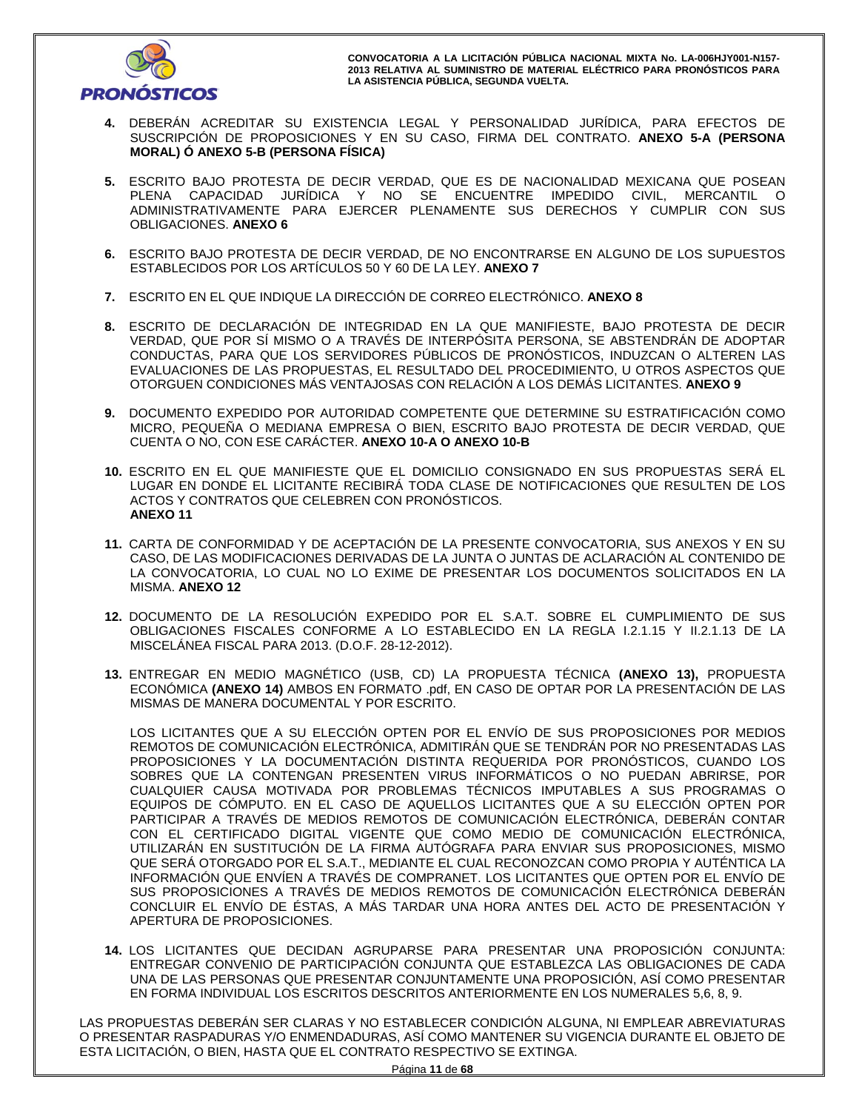

- **4.** DEBERÁN ACREDITAR SU EXISTENCIA LEGAL Y PERSONALIDAD JURÍDICA, PARA EFECTOS DE SUSCRIPCIÓN DE PROPOSICIONES Y EN SU CASO, FIRMA DEL CONTRATO. **ANEXO 5-A (PERSONA MORAL) Ó ANEXO 5-B (PERSONA FÍSICA)**
- **5.** ESCRITO BAJO PROTESTA DE DECIR VERDAD, QUE ES DE NACIONALIDAD MEXICANA QUE POSEAN PLENA CAPACIDAD JURÍDICA Y NO SE ENCUENTRE IMPEDIDO CIVIL, MERCANTIL O ADMINISTRATIVAMENTE PARA EJERCER PLENAMENTE SUS DERECHOS Y CUMPLIR CON SUS OBLIGACIONES. **ANEXO 6**
- **6.** ESCRITO BAJO PROTESTA DE DECIR VERDAD, DE NO ENCONTRARSE EN ALGUNO DE LOS SUPUESTOS ESTABLECIDOS POR LOS ARTÍCULOS 50 Y 60 DE LA LEY. **ANEXO 7**
- **7.** ESCRITO EN EL QUE INDIQUE LA DIRECCIÓN DE CORREO ELECTRÓNICO. **ANEXO 8**
- **8.** ESCRITO DE DECLARACIÓN DE INTEGRIDAD EN LA QUE MANIFIESTE, BAJO PROTESTA DE DECIR VERDAD, QUE POR SÍ MISMO O A TRAVÉS DE INTERPÓSITA PERSONA, SE ABSTENDRÁN DE ADOPTAR CONDUCTAS, PARA QUE LOS SERVIDORES PÚBLICOS DE PRONÓSTICOS, INDUZCAN O ALTEREN LAS EVALUACIONES DE LAS PROPUESTAS, EL RESULTADO DEL PROCEDIMIENTO, U OTROS ASPECTOS QUE OTORGUEN CONDICIONES MÁS VENTAJOSAS CON RELACIÓN A LOS DEMÁS LICITANTES. **ANEXO 9**
- **9.** DOCUMENTO EXPEDIDO POR AUTORIDAD COMPETENTE QUE DETERMINE SU ESTRATIFICACIÓN COMO MICRO, PEQUEÑA O MEDIANA EMPRESA O BIEN, ESCRITO BAJO PROTESTA DE DECIR VERDAD, QUE CUENTA O NO, CON ESE CARÁCTER. **ANEXO 10-A O ANEXO 10-B**
- **10.** ESCRITO EN EL QUE MANIFIESTE QUE EL DOMICILIO CONSIGNADO EN SUS PROPUESTAS SERÁ EL LUGAR EN DONDE EL LICITANTE RECIBIRÁ TODA CLASE DE NOTIFICACIONES QUE RESULTEN DE LOS ACTOS Y CONTRATOS QUE CELEBREN CON PRONÓSTICOS. **ANEXO 11**
- **11.** CARTA DE CONFORMIDAD Y DE ACEPTACIÓN DE LA PRESENTE CONVOCATORIA, SUS ANEXOS Y EN SU CASO, DE LAS MODIFICACIONES DERIVADAS DE LA JUNTA O JUNTAS DE ACLARACIÓN AL CONTENIDO DE LA CONVOCATORIA, LO CUAL NO LO EXIME DE PRESENTAR LOS DOCUMENTOS SOLICITADOS EN LA MISMA. **ANEXO 12**
- **12.** DOCUMENTO DE LA RESOLUCIÓN EXPEDIDO POR EL S.A.T. SOBRE EL CUMPLIMIENTO DE SUS OBLIGACIONES FISCALES CONFORME A LO ESTABLECIDO EN LA REGLA I.2.1.15 Y II.2.1.13 DE LA MISCELÁNEA FISCAL PARA 2013. (D.O.F. 28-12-2012).
- **13.** ENTREGAR EN MEDIO MAGNÉTICO (USB, CD) LA PROPUESTA TÉCNICA **(ANEXO 13),** PROPUESTA ECONÓMICA **(ANEXO 14)** AMBOS EN FORMATO .pdf, EN CASO DE OPTAR POR LA PRESENTACIÓN DE LAS MISMAS DE MANERA DOCUMENTAL Y POR ESCRITO.

LOS LICITANTES QUE A SU ELECCIÓN OPTEN POR EL ENVÍO DE SUS PROPOSICIONES POR MEDIOS REMOTOS DE COMUNICACIÓN ELECTRÓNICA, ADMITIRÁN QUE SE TENDRÁN POR NO PRESENTADAS LAS PROPOSICIONES Y LA DOCUMENTACIÓN DISTINTA REQUERIDA POR PRONÓSTICOS, CUANDO LOS SOBRES QUE LA CONTENGAN PRESENTEN VIRUS INFORMÁTICOS O NO PUEDAN ABRIRSE, POR CUALQUIER CAUSA MOTIVADA POR PROBLEMAS TÉCNICOS IMPUTABLES A SUS PROGRAMAS O EQUIPOS DE CÓMPUTO. EN EL CASO DE AQUELLOS LICITANTES QUE A SU ELECCIÓN OPTEN POR PARTICIPAR A TRAVÉS DE MEDIOS REMOTOS DE COMUNICACIÓN ELECTRÓNICA, DEBERÁN CONTAR CON EL CERTIFICADO DIGITAL VIGENTE QUE COMO MEDIO DE COMUNICACIÓN ELECTRÓNICA, UTILIZARÁN EN SUSTITUCIÓN DE LA FIRMA AUTÓGRAFA PARA ENVIAR SUS PROPOSICIONES, MISMO QUE SERÁ OTORGADO POR EL S.A.T., MEDIANTE EL CUAL RECONOZCAN COMO PROPIA Y AUTÉNTICA LA INFORMACIÓN QUE ENVÍEN A TRAVÉS DE COMPRANET. LOS LICITANTES QUE OPTEN POR EL ENVÍO DE SUS PROPOSICIONES A TRAVÉS DE MEDIOS REMOTOS DE COMUNICACIÓN ELECTRÓNICA DEBERÁN CONCLUIR EL ENVÍO DE ÉSTAS, A MÁS TARDAR UNA HORA ANTES DEL ACTO DE PRESENTACIÓN Y APERTURA DE PROPOSICIONES.

**14.** LOS LICITANTES QUE DECIDAN AGRUPARSE PARA PRESENTAR UNA PROPOSICIÓN CONJUNTA: ENTREGAR CONVENIO DE PARTICIPACIÓN CONJUNTA QUE ESTABLEZCA LAS OBLIGACIONES DE CADA UNA DE LAS PERSONAS QUE PRESENTAR CONJUNTAMENTE UNA PROPOSICIÓN, ASÍ COMO PRESENTAR EN FORMA INDIVIDUAL LOS ESCRITOS DESCRITOS ANTERIORMENTE EN LOS NUMERALES 5,6, 8, 9.

LAS PROPUESTAS DEBERÁN SER CLARAS Y NO ESTABLECER CONDICIÓN ALGUNA, NI EMPLEAR ABREVIATURAS O PRESENTAR RASPADURAS Y/O ENMENDADURAS, ASÍ COMO MANTENER SU VIGENCIA DURANTE EL OBJETO DE ESTA LICITACIÓN, O BIEN, HASTA QUE EL CONTRATO RESPECTIVO SE EXTINGA.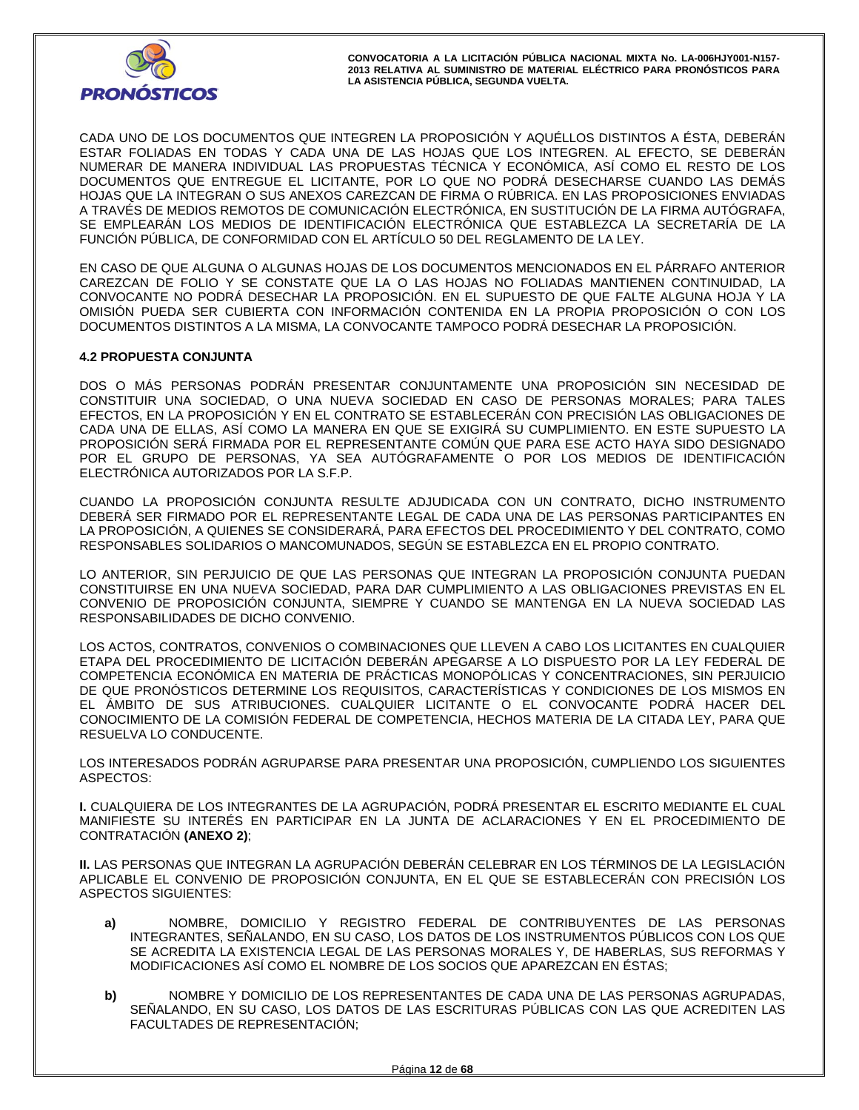

CADA UNO DE LOS DOCUMENTOS QUE INTEGREN LA PROPOSICIÓN Y AQUÉLLOS DISTINTOS A ÉSTA, DEBERÁN ESTAR FOLIADAS EN TODAS Y CADA UNA DE LAS HOJAS QUE LOS INTEGREN. AL EFECTO, SE DEBERÁN NUMERAR DE MANERA INDIVIDUAL LAS PROPUESTAS TÉCNICA Y ECONÓMICA, ASÍ COMO EL RESTO DE LOS DOCUMENTOS QUE ENTREGUE EL LICITANTE, POR LO QUE NO PODRÁ DESECHARSE CUANDO LAS DEMÁS HOJAS QUE LA INTEGRAN O SUS ANEXOS CAREZCAN DE FIRMA O RÚBRICA. EN LAS PROPOSICIONES ENVIADAS A TRAVÉS DE MEDIOS REMOTOS DE COMUNICACIÓN ELECTRÓNICA, EN SUSTITUCIÓN DE LA FIRMA AUTÓGRAFA, SE EMPLEARÁN LOS MEDIOS DE IDENTIFICACIÓN ELECTRÓNICA QUE ESTABLEZCA LA SECRETARÍA DE LA FUNCIÓN PÚBLICA, DE CONFORMIDAD CON EL ARTÍCULO 50 DEL REGLAMENTO DE LA LEY.

EN CASO DE QUE ALGUNA O ALGUNAS HOJAS DE LOS DOCUMENTOS MENCIONADOS EN EL PÁRRAFO ANTERIOR CAREZCAN DE FOLIO Y SE CONSTATE QUE LA O LAS HOJAS NO FOLIADAS MANTIENEN CONTINUIDAD, LA CONVOCANTE NO PODRÁ DESECHAR LA PROPOSICIÓN. EN EL SUPUESTO DE QUE FALTE ALGUNA HOJA Y LA OMISIÓN PUEDA SER CUBIERTA CON INFORMACIÓN CONTENIDA EN LA PROPIA PROPOSICIÓN O CON LOS DOCUMENTOS DISTINTOS A LA MISMA, LA CONVOCANTE TAMPOCO PODRÁ DESECHAR LA PROPOSICIÓN.

# **4.2 PROPUESTA CONJUNTA**

DOS O MÁS PERSONAS PODRÁN PRESENTAR CONJUNTAMENTE UNA PROPOSICIÓN SIN NECESIDAD DE CONSTITUIR UNA SOCIEDAD, O UNA NUEVA SOCIEDAD EN CASO DE PERSONAS MORALES; PARA TALES EFECTOS, EN LA PROPOSICIÓN Y EN EL CONTRATO SE ESTABLECERÁN CON PRECISIÓN LAS OBLIGACIONES DE CADA UNA DE ELLAS, ASÍ COMO LA MANERA EN QUE SE EXIGIRÁ SU CUMPLIMIENTO. EN ESTE SUPUESTO LA PROPOSICIÓN SERÁ FIRMADA POR EL REPRESENTANTE COMÚN QUE PARA ESE ACTO HAYA SIDO DESIGNADO POR EL GRUPO DE PERSONAS, YA SEA AUTÓGRAFAMENTE O POR LOS MEDIOS DE IDENTIFICACIÓN ELECTRÓNICA AUTORIZADOS POR LA S.F.P.

CUANDO LA PROPOSICIÓN CONJUNTA RESULTE ADJUDICADA CON UN CONTRATO, DICHO INSTRUMENTO DEBERÁ SER FIRMADO POR EL REPRESENTANTE LEGAL DE CADA UNA DE LAS PERSONAS PARTICIPANTES EN LA PROPOSICIÓN, A QUIENES SE CONSIDERARÁ, PARA EFECTOS DEL PROCEDIMIENTO Y DEL CONTRATO, COMO RESPONSABLES SOLIDARIOS O MANCOMUNADOS, SEGÚN SE ESTABLEZCA EN EL PROPIO CONTRATO.

LO ANTERIOR, SIN PERJUICIO DE QUE LAS PERSONAS QUE INTEGRAN LA PROPOSICIÓN CONJUNTA PUEDAN CONSTITUIRSE EN UNA NUEVA SOCIEDAD, PARA DAR CUMPLIMIENTO A LAS OBLIGACIONES PREVISTAS EN EL CONVENIO DE PROPOSICIÓN CONJUNTA, SIEMPRE Y CUANDO SE MANTENGA EN LA NUEVA SOCIEDAD LAS RESPONSABILIDADES DE DICHO CONVENIO.

LOS ACTOS, CONTRATOS, CONVENIOS O COMBINACIONES QUE LLEVEN A CABO LOS LICITANTES EN CUALQUIER ETAPA DEL PROCEDIMIENTO DE LICITACIÓN DEBERÁN APEGARSE A LO DISPUESTO POR LA LEY FEDERAL DE COMPETENCIA ECONÓMICA EN MATERIA DE PRÁCTICAS MONOPÓLICAS Y CONCENTRACIONES, SIN PERJUICIO DE QUE PRONÓSTICOS DETERMINE LOS REQUISITOS, CARACTERÍSTICAS Y CONDICIONES DE LOS MISMOS EN EL ÁMBITO DE SUS ATRIBUCIONES. CUALQUIER LICITANTE O EL CONVOCANTE PODRÁ HACER DEL CONOCIMIENTO DE LA COMISIÓN FEDERAL DE COMPETENCIA, HECHOS MATERIA DE LA CITADA LEY, PARA QUE RESUELVA LO CONDUCENTE.

LOS INTERESADOS PODRÁN AGRUPARSE PARA PRESENTAR UNA PROPOSICIÓN, CUMPLIENDO LOS SIGUIENTES ASPECTOS:

**I.** CUALQUIERA DE LOS INTEGRANTES DE LA AGRUPACIÓN, PODRÁ PRESENTAR EL ESCRITO MEDIANTE EL CUAL MANIFIESTE SU INTERÉS EN PARTICIPAR EN LA JUNTA DE ACLARACIONES Y EN EL PROCEDIMIENTO DE CONTRATACIÓN **(ANEXO 2)**;

**II.** LAS PERSONAS QUE INTEGRAN LA AGRUPACIÓN DEBERÁN CELEBRAR EN LOS TÉRMINOS DE LA LEGISLACIÓN APLICABLE EL CONVENIO DE PROPOSICION CONJUNTA, EN EL QUE SE ESTABLECERAN CON PRECISION LOS ASPECTOS SIGUIENTES:

- **a)** NOMBRE, DOMICILIO Y REGISTRO FEDERAL DE CONTRIBUYENTES DE LAS PERSONAS INTEGRANTES, SEÑALANDO, EN SU CASO, LOS DATOS DE LOS INSTRUMENTOS PÚBLICOS CON LOS QUE SE ACREDITA LA EXISTENCIA LEGAL DE LAS PERSONAS MORALES Y, DE HABERLAS, SUS REFORMAS Y MODIFICACIONES ASÍ COMO EL NOMBRE DE LOS SOCIOS QUE APAREZCAN EN ÉSTAS;
- **b)** NOMBRE Y DOMICILIO DE LOS REPRESENTANTES DE CADA UNA DE LAS PERSONAS AGRUPADAS, SEÑALANDO, EN SU CASO, LOS DATOS DE LAS ESCRITURAS PÚBLICAS CON LAS QUE ACREDITEN LAS FACULTADES DE REPRESENTACIÓN;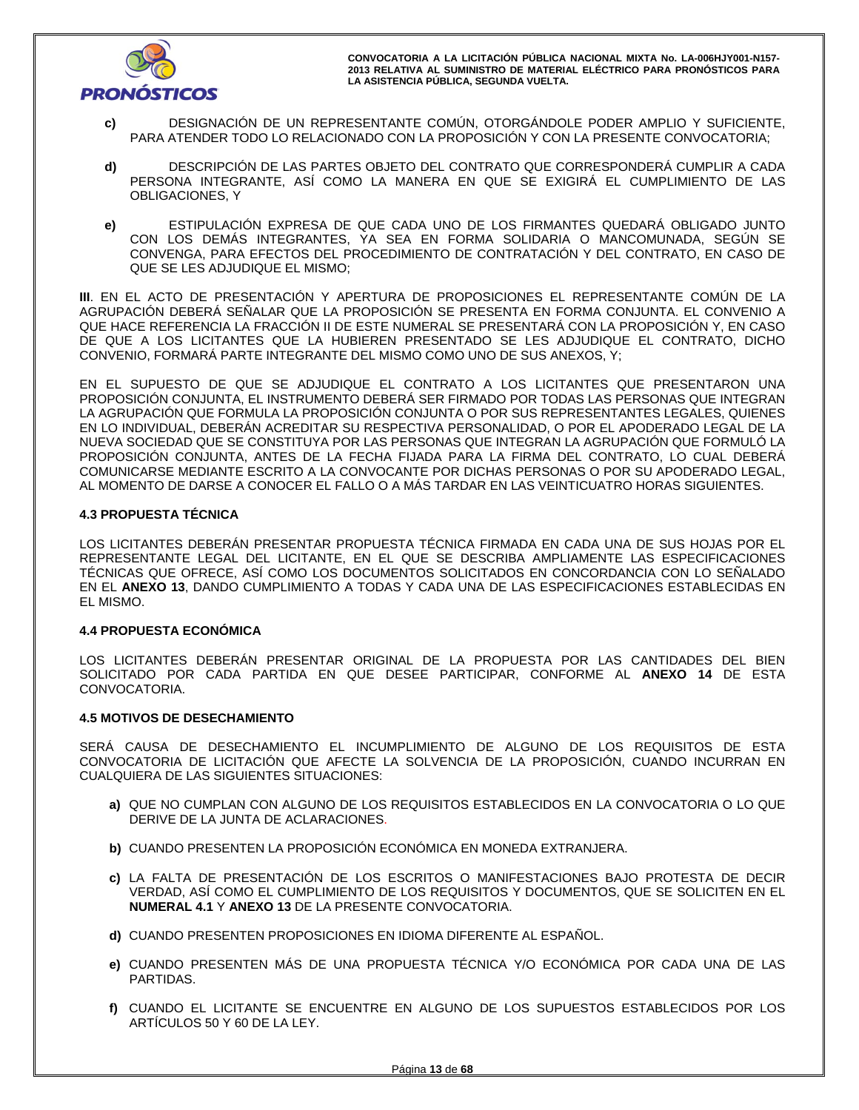

- **c)** DESIGNACIÓN DE UN REPRESENTANTE COMÚN, OTORGÁNDOLE PODER AMPLIO Y SUFICIENTE, PARA ATENDER TODO LO RELACIONADO CON LA PROPOSICIÓN Y CON LA PRESENTE CONVOCATORIA;
- **d)** DESCRIPCIÓN DE LAS PARTES OBJETO DEL CONTRATO QUE CORRESPONDERÁ CUMPLIR A CADA PERSONA INTEGRANTE, ASÍ COMO LA MANERA EN QUE SE EXIGIRÁ EL CUMPLIMIENTO DE LAS OBLIGACIONES, Y
- **e)** ESTIPULACIÓN EXPRESA DE QUE CADA UNO DE LOS FIRMANTES QUEDARÁ OBLIGADO JUNTO CON LOS DEMÁS INTEGRANTES, YA SEA EN FORMA SOLIDARIA O MANCOMUNADA, SEGÚN SE CONVENGA, PARA EFECTOS DEL PROCEDIMIENTO DE CONTRATACIÓN Y DEL CONTRATO, EN CASO DE QUE SE LES ADJUDIQUE EL MISMO;

**III**. EN EL ACTO DE PRESENTACIÓN Y APERTURA DE PROPOSICIONES EL REPRESENTANTE COMÚN DE LA AGRUPACIÓN DEBERÁ SEÑALAR QUE LA PROPOSICIÓN SE PRESENTA EN FORMA CONJUNTA. EL CONVENIO A QUE HACE REFERENCIA LA FRACCIÓN II DE ESTE NUMERAL SE PRESENTARÁ CON LA PROPOSICIÓN Y, EN CASO DE QUE A LOS LICITANTES QUE LA HUBIEREN PRESENTADO SE LES ADJUDIQUE EL CONTRATO, DICHO CONVENIO, FORMARÁ PARTE INTEGRANTE DEL MISMO COMO UNO DE SUS ANEXOS, Y;

EN EL SUPUESTO DE QUE SE ADJUDIQUE EL CONTRATO A LOS LICITANTES QUE PRESENTARON UNA PROPOSICIÓN CONJUNTA, EL INSTRUMENTO DEBERÁ SER FIRMADO POR TODAS LAS PERSONAS QUE INTEGRAN LA AGRUPACIÓN QUE FORMULA LA PROPOSICIÓN CONJUNTA O POR SUS REPRESENTANTES LEGALES, QUIENES EN LO INDIVIDUAL, DEBERÁN ACREDITAR SU RESPECTIVA PERSONALIDAD, O POR EL APODERADO LEGAL DE LA NUEVA SOCIEDAD QUE SE CONSTITUYA POR LAS PERSONAS QUE INTEGRAN LA AGRUPACIÓN QUE FORMULÓ LA PROPOSICIÓN CONJUNTA, ANTES DE LA FECHA FIJADA PARA LA FIRMA DEL CONTRATO, LO CUAL DEBERÁ COMUNICARSE MEDIANTE ESCRITO A LA CONVOCANTE POR DICHAS PERSONAS O POR SU APODERADO LEGAL, AL MOMENTO DE DARSE A CONOCER EL FALLO O A MÁS TARDAR EN LAS VEINTICUATRO HORAS SIGUIENTES.

# **4.3 PROPUESTA TÉCNICA**

LOS LICITANTES DEBERÁN PRESENTAR PROPUESTA TÉCNICA FIRMADA EN CADA UNA DE SUS HOJAS POR EL REPRESENTANTE LEGAL DEL LICITANTE, EN EL QUE SE DESCRIBA AMPLIAMENTE LAS ESPECIFICACIONES TÉCNICAS QUE OFRECE, ASÍ COMO LOS DOCUMENTOS SOLICITADOS EN CONCORDANCIA CON LO SEÑALADO EN EL **ANEXO 13**, DANDO CUMPLIMIENTO A TODAS Y CADA UNA DE LAS ESPECIFICACIONES ESTABLECIDAS EN EL MISMO.

## **4.4 PROPUESTA ECONÓMICA**

LOS LICITANTES DEBERÁN PRESENTAR ORIGINAL DE LA PROPUESTA POR LAS CANTIDADES DEL BIEN SOLICITADO POR CADA PARTIDA EN QUE DESEE PARTICIPAR, CONFORME AL **ANEXO 14** DE ESTA CONVOCATORIA.

## **4.5 MOTIVOS DE DESECHAMIENTO**

SERÁ CAUSA DE DESECHAMIENTO EL INCUMPLIMIENTO DE ALGUNO DE LOS REQUISITOS DE ESTA CONVOCATORIA DE LICITACIÓN QUE AFECTE LA SOLVENCIA DE LA PROPOSICIÓN, CUANDO INCURRAN EN CUALQUIERA DE LAS SIGUIENTES SITUACIONES:

- **a)** QUE NO CUMPLAN CON ALGUNO DE LOS REQUISITOS ESTABLECIDOS EN LA CONVOCATORIA O LO QUE DERIVE DE LA JUNTA DE ACLARACIONES.
- **b)** CUANDO PRESENTEN LA PROPOSICIÓN ECONÓMICA EN MONEDA EXTRANJERA.
- **c)** LA FALTA DE PRESENTACIÓN DE LOS ESCRITOS O MANIFESTACIONES BAJO PROTESTA DE DECIR VERDAD, ASÍ COMO EL CUMPLIMIENTO DE LOS REQUISITOS Y DOCUMENTOS, QUE SE SOLICITEN EN EL **NUMERAL 4.1** Y **ANEXO 13** DE LA PRESENTE CONVOCATORIA.
- **d)** CUANDO PRESENTEN PROPOSICIONES EN IDIOMA DIFERENTE AL ESPAÑOL.
- **e)** CUANDO PRESENTEN MÁS DE UNA PROPUESTA TÉCNICA Y/O ECONÓMICA POR CADA UNA DE LAS PARTIDAS.
- **f)** CUANDO EL LICITANTE SE ENCUENTRE EN ALGUNO DE LOS SUPUESTOS ESTABLECIDOS POR LOS ARTÍCULOS 50 Y 60 DE LA LEY.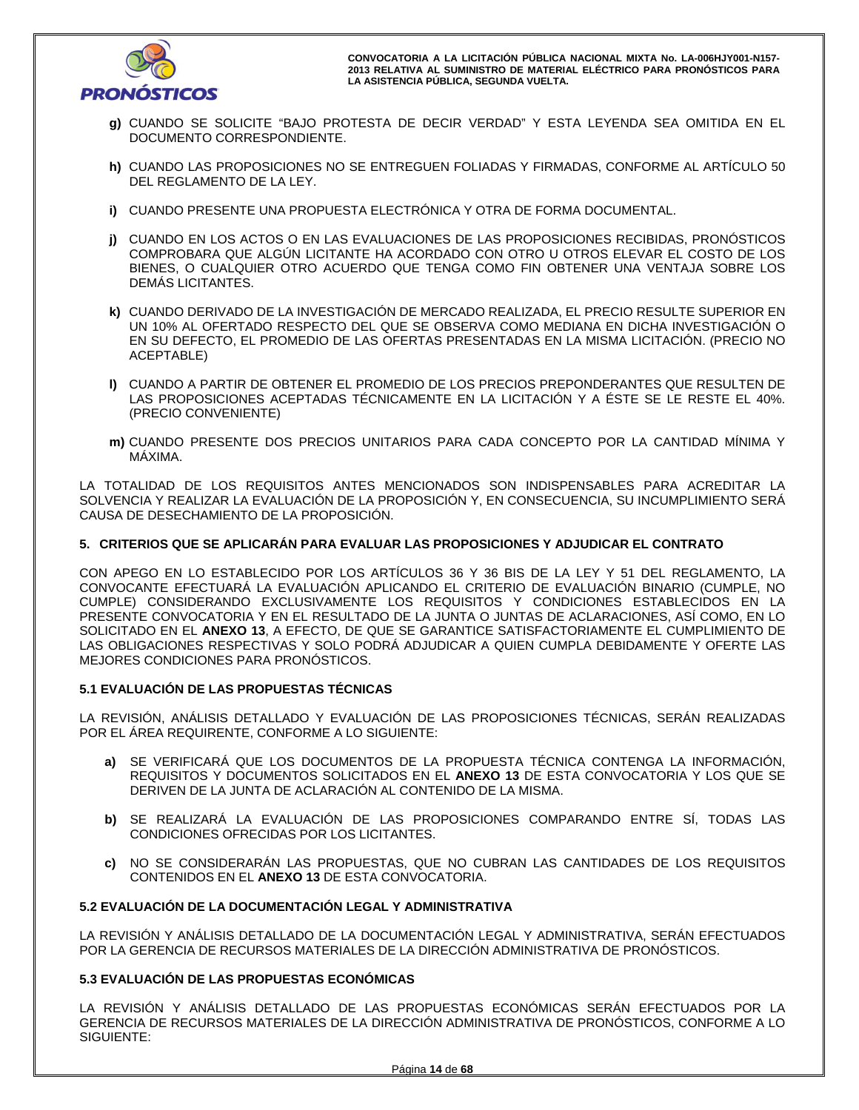

- **g)** CUANDO SE SOLICITE "BAJO PROTESTA DE DECIR VERDAD" Y ESTA LEYENDA SEA OMITIDA EN EL DOCUMENTO CORRESPONDIENTE.
- **h)** CUANDO LAS PROPOSICIONES NO SE ENTREGUEN FOLIADAS Y FIRMADAS, CONFORME AL ARTÍCULO 50 DEL REGLAMENTO DE LA LEY.
- **i)** CUANDO PRESENTE UNA PROPUESTA ELECTRÓNICA Y OTRA DE FORMA DOCUMENTAL.
- **j)** CUANDO EN LOS ACTOS O EN LAS EVALUACIONES DE LAS PROPOSICIONES RECIBIDAS, PRONÓSTICOS COMPROBARA QUE ALGÚN LICITANTE HA ACORDADO CON OTRO U OTROS ELEVAR EL COSTO DE LOS BIENES, O CUALQUIER OTRO ACUERDO QUE TENGA COMO FIN OBTENER UNA VENTAJA SOBRE LOS DEMÁS LICITANTES.
- **k)** CUANDO DERIVADO DE LA INVESTIGACIÓN DE MERCADO REALIZADA, EL PRECIO RESULTE SUPERIOR EN UN 10% AL OFERTADO RESPECTO DEL QUE SE OBSERVA COMO MEDIANA EN DICHA INVESTIGACIÓN O EN SU DEFECTO, EL PROMEDIO DE LAS OFERTAS PRESENTADAS EN LA MISMA LICITACIÓN. (PRECIO NO ACEPTABLE)
- **l)** CUANDO A PARTIR DE OBTENER EL PROMEDIO DE LOS PRECIOS PREPONDERANTES QUE RESULTEN DE LAS PROPOSICIONES ACEPTADAS TÉCNICAMENTE EN LA LICITACIÓN Y A ÉSTE SE LE RESTE EL 40%. (PRECIO CONVENIENTE)
- **m)** CUANDO PRESENTE DOS PRECIOS UNITARIOS PARA CADA CONCEPTO POR LA CANTIDAD MÍNIMA Y MÁXIMA.

LA TOTALIDAD DE LOS REQUISITOS ANTES MENCIONADOS SON INDISPENSABLES PARA ACREDITAR LA SOLVENCIA Y REALIZAR LA EVALUACIÓN DE LA PROPOSICIÓN Y, EN CONSECUENCIA, SU INCUMPLIMIENTO SERÁ CAUSA DE DESECHAMIENTO DE LA PROPOSICIÓN.

# **5. CRITERIOS QUE SE APLICARÁN PARA EVALUAR LAS PROPOSICIONES Y ADJUDICAR EL CONTRATO**

CON APEGO EN LO ESTABLECIDO POR LOS ARTÍCULOS 36 Y 36 BIS DE LA LEY Y 51 DEL REGLAMENTO, LA CONVOCANTE EFECTUARÁ LA EVALUACIÓN APLICANDO EL CRITERIO DE EVALUACIÓN BINARIO (CUMPLE, NO CUMPLE) CONSIDERANDO EXCLUSIVAMENTE LOS REQUISITOS Y CONDICIONES ESTABLECIDOS EN LA PRESENTE CONVOCATORIA Y EN EL RESULTADO DE LA JUNTA O JUNTAS DE ACLARACIONES, ASÍ COMO, EN LO SOLICITADO EN EL **ANEXO 13**, A EFECTO, DE QUE SE GARANTICE SATISFACTORIAMENTE EL CUMPLIMIENTO DE LAS OBLIGACIONES RESPECTIVAS Y SOLO PODRÁ ADJUDICAR A QUIEN CUMPLA DEBIDAMENTE Y OFERTE LAS MEJORES CONDICIONES PARA PRONÓSTICOS.

# **5.1 EVALUACIÓN DE LAS PROPUESTAS TÉCNICAS**

LA REVISIÓN, ANÁLISIS DETALLADO Y EVALUACIÓN DE LAS PROPOSICIONES TÉCNICAS, SERÁN REALIZADAS POR EL ÁREA REQUIRENTE, CONFORME A LO SIGUIENTE:

- **a)** SE VERIFICARÁ QUE LOS DOCUMENTOS DE LA PROPUESTA TÉCNICA CONTENGA LA INFORMACIÓN, REQUISITOS Y DOCUMENTOS SOLICITADOS EN EL **ANEXO 13** DE ESTA CONVOCATORIA Y LOS QUE SE DERIVEN DE LA JUNTA DE ACLARACIÓN AL CONTENIDO DE LA MISMA.
- **b)** SE REALIZARÁ LA EVALUACIÓN DE LAS PROPOSICIONES COMPARANDO ENTRE SÍ, TODAS LAS CONDICIONES OFRECIDAS POR LOS LICITANTES.
- **c)** NO SE CONSIDERARÁN LAS PROPUESTAS, QUE NO CUBRAN LAS CANTIDADES DE LOS REQUISITOS CONTENIDOS EN EL **ANEXO 13** DE ESTA CONVOCATORIA.

# **5.2 EVALUACIÓN DE LA DOCUMENTACIÓN LEGAL Y ADMINISTRATIVA**

LA REVISIÓN Y ANÁLISIS DETALLADO DE LA DOCUMENTACIÓN LEGAL Y ADMINISTRATIVA, SERÁN EFECTUADOS POR LA GERENCIA DE RECURSOS MATERIALES DE LA DIRECCIÓN ADMINISTRATIVA DE PRONÓSTICOS.

## **5.3 EVALUACIÓN DE LAS PROPUESTAS ECONÓMICAS**

LA REVISIÓN Y ANÁLISIS DETALLADO DE LAS PROPUESTAS ECONÓMICAS SERÁN EFECTUADOS POR LA GERENCIA DE RECURSOS MATERIALES DE LA DIRECCIÓN ADMINISTRATIVA DE PRONÓSTICOS, CONFORME A LO SIGUIENTE: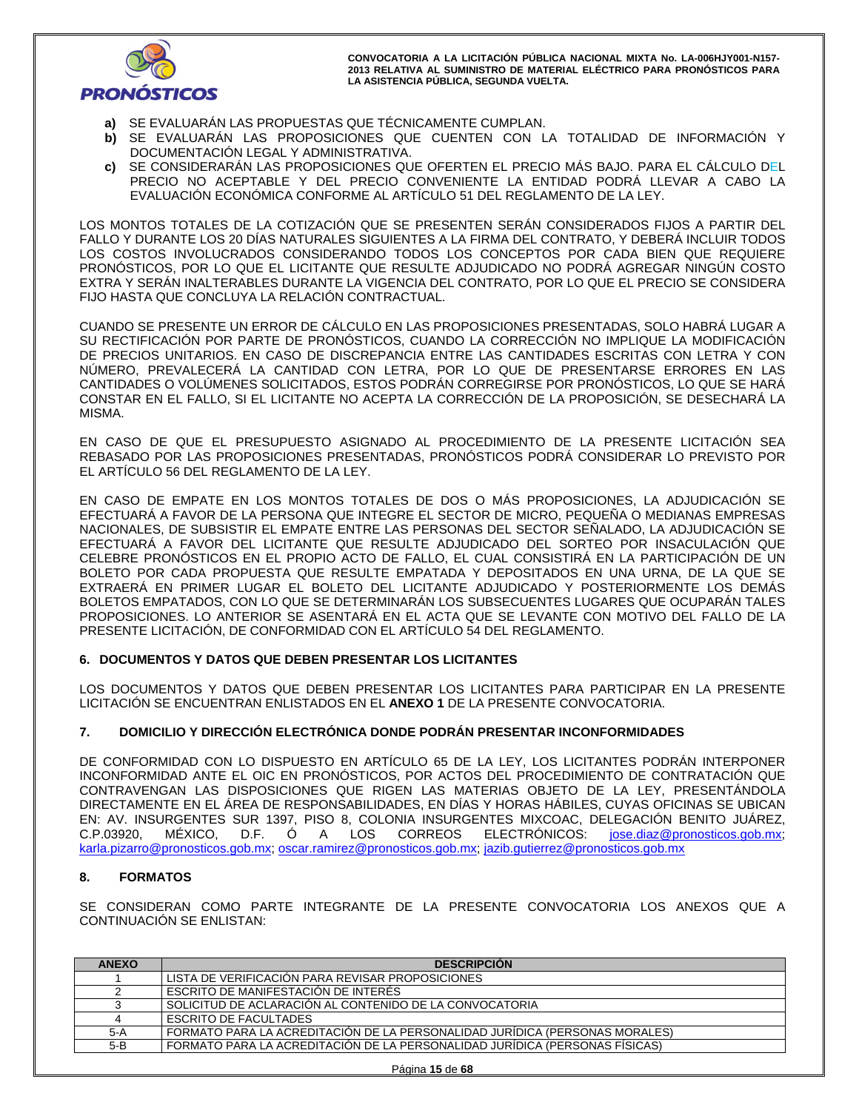

- **a)** SE EVALUARÁN LAS PROPUESTAS QUE TÉCNICAMENTE CUMPLAN.
- **b)** SE EVALUARÁN LAS PROPOSICIONES QUE CUENTEN CON LA TOTALIDAD DE INFORMACIÓN Y DOCUMENTACIÓN LEGAL Y ADMINISTRATIVA.
- **c)** SE CONSIDERARÁN LAS PROPOSICIONES QUE OFERTEN EL PRECIO MÁS BAJO. PARA EL CÁLCULO DEL PRECIO NO ACEPTABLE Y DEL PRECIO CONVENIENTE LA ENTIDAD PODRÁ LLEVAR A CABO LA EVALUACIÓN ECONÓMICA CONFORME AL ARTÍCULO 51 DEL REGLAMENTO DE LA LEY.

LOS MONTOS TOTALES DE LA COTIZACIÓN QUE SE PRESENTEN SERÁN CONSIDERADOS FIJOS A PARTIR DEL FALLO Y DURANTE LOS 20 DÍAS NATURALES SIGUIENTES A LA FIRMA DEL CONTRATO, Y DEBERÁ INCLUIR TODOS LOS COSTOS INVOLUCRADOS CONSIDERANDO TODOS LOS CONCEPTOS POR CADA BIEN QUE REQUIERE PRONÓSTICOS, POR LO QUE EL LICITANTE QUE RESULTE ADJUDICADO NO PODRÁ AGREGAR NINGÚN COSTO EXTRA Y SERÁN INALTERABLES DURANTE LA VIGENCIA DEL CONTRATO, POR LO QUE EL PRECIO SE CONSIDERA FIJO HASTA QUE CONCLUYA LA RELACIÓN CONTRACTUAL.

CUANDO SE PRESENTE UN ERROR DE CÁLCULO EN LAS PROPOSICIONES PRESENTADAS, SOLO HABRÁ LUGAR A SU RECTIFICACIÓN POR PARTE DE PRONÓSTICOS, CUANDO LA CORRECCIÓN NO IMPLIQUE LA MODIFICACIÓN DE PRECIOS UNITARIOS. EN CASO DE DISCREPANCIA ENTRE LAS CANTIDADES ESCRITAS CON LETRA Y CON NÚMERO, PREVALECERÁ LA CANTIDAD CON LETRA, POR LO QUE DE PRESENTARSE ERRORES EN LAS CANTIDADES O VOLÚMENES SOLICITADOS, ESTOS PODRÁN CORREGIRSE POR PRONÓSTICOS, LO QUE SE HARÁ CONSTAR EN EL FALLO, SI EL LICITANTE NO ACEPTA LA CORRECCIÓN DE LA PROPOSICIÓN, SE DESECHARÁ LA MISMA.

EN CASO DE QUE EL PRESUPUESTO ASIGNADO AL PROCEDIMIENTO DE LA PRESENTE LICITACIÓN SEA REBASADO POR LAS PROPOSICIONES PRESENTADAS, PRONÓSTICOS PODRÁ CONSIDERAR LO PREVISTO POR EL ARTÍCULO 56 DEL REGLAMENTO DE LA LEY.

EN CASO DE EMPATE EN LOS MONTOS TOTALES DE DOS O MÁS PROPOSICIONES, LA ADJUDICACIÓN SE EFECTUARÁ A FAVOR DE LA PERSONA QUE INTEGRE EL SECTOR DE MICRO, PEQUEÑA O MEDIANAS EMPRESAS NACIONALES, DE SUBSISTIR EL EMPATE ENTRE LAS PERSONAS DEL SECTOR SEÑALADO, LA ADJUDICACIÓN SE EFECTUARÁ A FAVOR DEL LICITANTE QUE RESULTE ADJUDICADO DEL SORTEO POR INSACULACIÓN QUE CELEBRE PRONÓSTICOS EN EL PROPIO ACTO DE FALLO, EL CUAL CONSISTIRÁ EN LA PARTICIPACIÓN DE UN BOLETO POR CADA PROPUESTA QUE RESULTE EMPATADA Y DEPOSITADOS EN UNA URNA, DE LA QUE SE EXTRAERÁ EN PRIMER LUGAR EL BOLETO DEL LICITANTE ADJUDICADO Y POSTERIORMENTE LOS DEMÁS BOLETOS EMPATADOS, CON LO QUE SE DETERMINARÁN LOS SUBSECUENTES LUGARES QUE OCUPARÁN TALES PROPOSICIONES. LO ANTERIOR SE ASENTARÁ EN EL ACTA QUE SE LEVANTE CON MOTIVO DEL FALLO DE LA PRESENTE LICITACIÓN, DE CONFORMIDAD CON EL ARTÍCULO 54 DEL REGLAMENTO.

# **6. DOCUMENTOS Y DATOS QUE DEBEN PRESENTAR LOS LICITANTES**

LOS DOCUMENTOS Y DATOS QUE DEBEN PRESENTAR LOS LICITANTES PARA PARTICIPAR EN LA PRESENTE LICITACIÓN SE ENCUENTRAN ENLISTADOS EN EL **ANEXO 1** DE LA PRESENTE CONVOCATORIA.

# **7. DOMICILIO Y DIRECCIÓN ELECTRÓNICA DONDE PODRÁN PRESENTAR INCONFORMIDADES**

DE CONFORMIDAD CON LO DISPUESTO EN ARTÍCULO 65 DE LA LEY, LOS LICITANTES PODRÁN INTERPONER INCONFORMIDAD ANTE EL OIC EN PRONÓSTICOS, POR ACTOS DEL PROCEDIMIENTO DE CONTRATACIÓN QUE CONTRAVENGAN LAS DISPOSICIONES QUE RIGEN LAS MATERIAS OBJETO DE LA LEY, PRESENTÁNDOLA DIRECTAMENTE EN EL ÁREA DE RESPONSABILIDADES, EN DÍAS Y HORAS HÁBILES, CUYAS OFICINAS SE UBICAN EN: AV. INSURGENTES SUR 1397, PISO 8, COLONIA INSURGENTES MIXCOAC, DELEGACIÓN BENITO JUÁREZ, C.P.03920, MÉXICO, D.F. Ó A LOS CORREOS ELECTRÓNICOS: jose.diaz@pronosticos.gob.mx; karla.pizarro@pronosticos.gob.mx; oscar.ramirez@pronosticos.gob.mx; jazib.gutierrez@pronosticos.gob.mx

# **8. FORMATOS**

SE CONSIDERAN COMO PARTE INTEGRANTE DE LA PRESENTE CONVOCATORIA LOS ANEXOS QUE A CONTINUACIÓN SE ENLISTAN:

| <b>ANEXO</b> | <b>DESCRIPCION</b>                                                          |
|--------------|-----------------------------------------------------------------------------|
|              | LISTA DE VERIFICACIÓN PARA REVISAR PROPOSICIONES                            |
|              | ESCRITO DE MANIFESTACIÓN DE INTERÉS                                         |
|              | SOLICITUD DE ACLARACIÓN AL CONTENIDO DE LA CONVOCATORIA                     |
|              | ESCRITO DE FACULTADES                                                       |
| $5-A$        | FORMATO PARA LA ACREDITACIÓN DE LA PERSONALIDAD JURÍDICA (PERSONAS MORALES) |
| $5-B$        | FORMATO PARA LA ACREDITACIÓN DE LA PERSONALIDAD JURÍDICA (PERSONAS FÍSICAS) |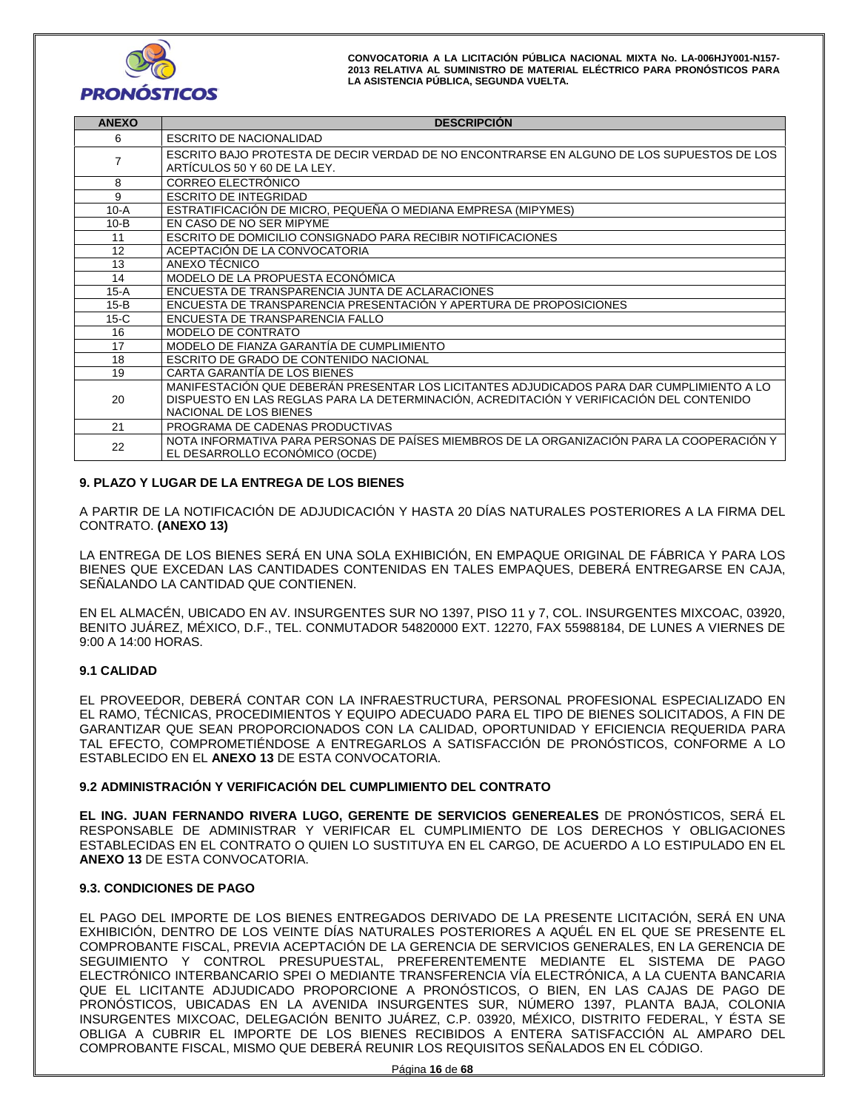

| <b>ANEXO</b>                                                                 | <b>DESCRIPCIÓN</b>                                                                                                                                                                                              |  |
|------------------------------------------------------------------------------|-----------------------------------------------------------------------------------------------------------------------------------------------------------------------------------------------------------------|--|
| 6                                                                            | ESCRITO DE NACIONALIDAD                                                                                                                                                                                         |  |
|                                                                              | ESCRITO BAJO PROTESTA DE DECIR VERDAD DE NO ENCONTRARSE EN ALGUNO DE LOS SUPUESTOS DE LOS<br>ARTICULOS 50 Y 60 DE LA LEY.                                                                                       |  |
| 8                                                                            | CORREO ELECTRÓNICO                                                                                                                                                                                              |  |
| 9                                                                            | <b>ESCRITO DE INTEGRIDAD</b>                                                                                                                                                                                    |  |
| $10-A$                                                                       | ESTRATIFICACIÓN DE MICRO, PEQUEÑA O MEDIANA EMPRESA (MIPYMES)                                                                                                                                                   |  |
| $10 - B$                                                                     | EN CASO DE NO SER MIPYME                                                                                                                                                                                        |  |
| 11                                                                           | ESCRITO DE DOMICILIO CONSIGNADO PARA RECIBIR NOTIFICACIONES                                                                                                                                                     |  |
| 12                                                                           | ACEPTACIÓN DE LA CONVOCATORIA                                                                                                                                                                                   |  |
| 13                                                                           | ANEXO TÉCNICO                                                                                                                                                                                                   |  |
| 14                                                                           | MODELO DE LA PROPUESTA ECONÓMICA                                                                                                                                                                                |  |
| $15-A$                                                                       | ENCUESTA DE TRANSPARENCIA JUNTA DE ACLARACIONES                                                                                                                                                                 |  |
| ENCUESTA DE TRANSPARENCIA PRESENTACIÓN Y APERTURA DE PROPOSICIONES<br>$15-B$ |                                                                                                                                                                                                                 |  |
| $15-C$                                                                       | ENCUESTA DE TRANSPARENCIA FALLO                                                                                                                                                                                 |  |
| 16                                                                           | MODELO DE CONTRATO                                                                                                                                                                                              |  |
| 17                                                                           | MODELO DE FIANZA GARANTÍA DE CUMPLIMIENTO                                                                                                                                                                       |  |
| 18                                                                           | ESCRITO DE GRADO DE CONTENIDO NACIONAL                                                                                                                                                                          |  |
| 19                                                                           | CARTA GARANTÍA DE LOS BIENES                                                                                                                                                                                    |  |
| 20                                                                           | MANIFESTACIÓN QUE DEBERÁN PRESENTAR LOS LICITANTES ADJUDICADOS PARA DAR CUMPLIMIENTO A LO<br>DISPUESTO EN LAS REGLAS PARA LA DETERMINACIÓN, ACREDITACIÓN Y VERIFICACIÓN DEL CONTENIDO<br>NACIONAL DE LOS BIENES |  |
| 21                                                                           | PROGRAMA DE CADENAS PRODUCTIVAS                                                                                                                                                                                 |  |
| 22                                                                           | NOTA INFORMATIVA PARA PERSONAS DE PAÍSES MIEMBROS DE LA ORGANIZACIÓN PARA LA COOPERACIÓN Y<br>EL DESARROLLO ECONÓMICO (OCDE)                                                                                    |  |

# **9. PLAZO Y LUGAR DE LA ENTREGA DE LOS BIENES**

A PARTIR DE LA NOTIFICACIÓN DE ADJUDICACIÓN Y HASTA 20 DÍAS NATURALES POSTERIORES A LA FIRMA DEL CONTRATO. **(ANEXO 13)**

LA ENTREGA DE LOS BIENES SERÁ EN UNA SOLA EXHIBICIÓN, EN EMPAQUE ORIGINAL DE FÁBRICA Y PARA LOS BIENES QUE EXCEDAN LAS CANTIDADES CONTENIDAS EN TALES EMPAQUES, DEBERÁ ENTREGARSE EN CAJA, SEÑALANDO LA CANTIDAD QUE CONTIENEN.

EN EL ALMACÉN, UBICADO EN AV. INSURGENTES SUR NO 1397, PISO 11 y 7, COL. INSURGENTES MIXCOAC, 03920, BENITO JUÁREZ, MÉXICO, D.F., TEL. CONMUTADOR 54820000 EXT. 12270, FAX 55988184, DE LUNES A VIERNES DE 9:00 A 14:00 HORAS.

## **9.1 CALIDAD**

EL PROVEEDOR, DEBERÁ CONTAR CON LA INFRAESTRUCTURA, PERSONAL PROFESIONAL ESPECIALIZADO EN EL RAMO, TÉCNICAS, PROCEDIMIENTOS Y EQUIPO ADECUADO PARA EL TIPO DE BIENES SOLICITADOS, A FIN DE GARANTIZAR QUE SEAN PROPORCIONADOS CON LA CALIDAD, OPORTUNIDAD Y EFICIENCIA REQUERIDA PARA TAL EFECTO, COMPROMETIÉNDOSE A ENTREGARLOS A SATISFACCIÓN DE PRONÓSTICOS, CONFORME A LO ESTABLECIDO EN EL **ANEXO 13** DE ESTA CONVOCATORIA.

## **9.2 ADMINISTRACIÓN Y VERIFICACIÓN DEL CUMPLIMIENTO DEL CONTRATO**

**EL ING. JUAN FERNANDO RIVERA LUGO, GERENTE DE SERVICIOS GENEREALES** DE PRONÓSTICOS, SERÁ EL RESPONSABLE DE ADMINISTRAR Y VERIFICAR EL CUMPLIMIENTO DE LOS DERECHOS Y OBLIGACIONES ESTABLECIDAS EN EL CONTRATO O QUIEN LO SUSTITUYA EN EL CARGO, DE ACUERDO A LO ESTIPULADO EN EL **ANEXO 13** DE ESTA CONVOCATORIA.

## **9.3. CONDICIONES DE PAGO**

EL PAGO DEL IMPORTE DE LOS BIENES ENTREGADOS DERIVADO DE LA PRESENTE LICITACIÓN, SERÁ EN UNA EXHIBICIÓN, DENTRO DE LOS VEINTE DÍAS NATURALES POSTERIORES A AQUÉL EN EL QUE SE PRESENTE EL COMPROBANTE FISCAL, PREVIA ACEPTACIÓN DE LA GERENCIA DE SERVICIOS GENERALES, EN LA GERENCIA DE SEGUIMIENTO Y CONTROL PRESUPUESTAL, PREFERENTEMENTE MEDIANTE EL SISTEMA DE PAGO ELECTRÓNICO INTERBANCARIO SPEI O MEDIANTE TRANSFERENCIA VÍA ELECTRÓNICA, A LA CUENTA BANCARIA QUE EL LICITANTE ADJUDICADO PROPORCIONE A PRONÓSTICOS, O BIEN, EN LAS CAJAS DE PAGO DE PRONÓSTICOS, UBICADAS EN LA AVENIDA INSURGENTES SUR, NÚMERO 1397, PLANTA BAJA, COLONIA INSURGENTES MIXCOAC, DELEGACIÓN BENITO JUÁREZ, C.P. 03920, MÉXICO, DISTRITO FEDERAL, Y ÉSTA SE OBLIGA A CUBRIR EL IMPORTE DE LOS BIENES RECIBIDOS A ENTERA SATISFACCIÓN AL AMPARO DEL COMPROBANTE FISCAL, MISMO QUE DEBERÁ REUNIR LOS REQUISITOS SEÑALADOS EN EL CÓDIGO.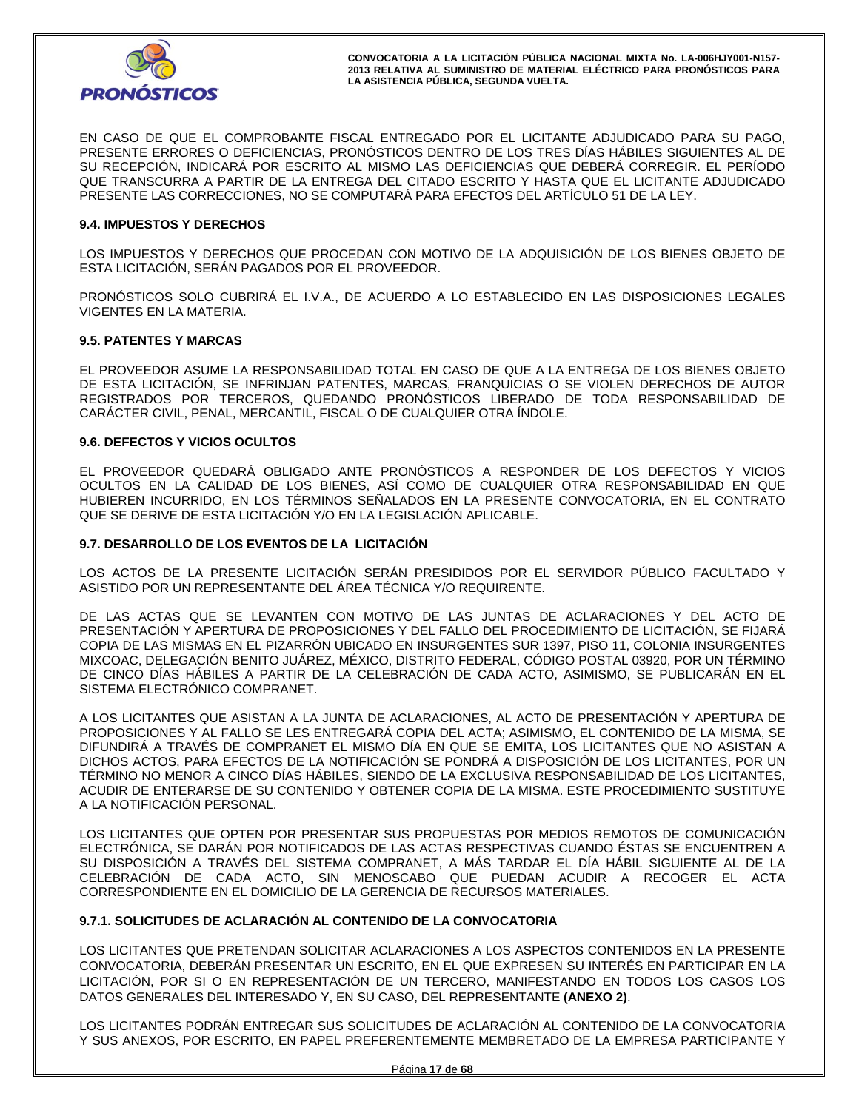

EN CASO DE QUE EL COMPROBANTE FISCAL ENTREGADO POR EL LICITANTE ADJUDICADO PARA SU PAGO, PRESENTE ERRORES O DEFICIENCIAS, PRONÓSTICOS DENTRO DE LOS TRES DÍAS HÁBILES SIGUIENTES AL DE SU RECEPCIÓN, INDICARÁ POR ESCRITO AL MISMO LAS DEFICIENCIAS QUE DEBERÁ CORREGIR. EL PERÍODO QUE TRANSCURRA A PARTIR DE LA ENTREGA DEL CITADO ESCRITO Y HASTA QUE EL LICITANTE ADJUDICADO PRESENTE LAS CORRECCIONES, NO SE COMPUTARÁ PARA EFECTOS DEL ARTÍCULO 51 DE LA LEY.

#### **9.4. IMPUESTOS Y DERECHOS**

LOS IMPUESTOS Y DERECHOS QUE PROCEDAN CON MOTIVO DE LA ADQUISICIÓN DE LOS BIENES OBJETO DE ESTA LICITACIÓN, SERÁN PAGADOS POR EL PROVEEDOR.

PRONÓSTICOS SOLO CUBRIRÁ EL I.V.A., DE ACUERDO A LO ESTABLECIDO EN LAS DISPOSICIONES LEGALES VIGENTES EN LA MATERIA.

#### **9.5. PATENTES Y MARCAS**

EL PROVEEDOR ASUME LA RESPONSABILIDAD TOTAL EN CASO DE QUE A LA ENTREGA DE LOS BIENES OBJETO DE ESTA LICITACIÓN, SE INFRINJAN PATENTES, MARCAS, FRANQUICIAS O SE VIOLEN DERECHOS DE AUTOR REGISTRADOS POR TERCEROS, QUEDANDO PRONÓSTICOS LIBERADO DE TODA RESPONSABILIDAD DE CARÁCTER CIVIL, PENAL, MERCANTIL, FISCAL O DE CUALQUIER OTRA ÍNDOLE.

#### **9.6. DEFECTOS Y VICIOS OCULTOS**

EL PROVEEDOR QUEDARÁ OBLIGADO ANTE PRONÓSTICOS A RESPONDER DE LOS DEFECTOS Y VICIOS OCULTOS EN LA CALIDAD DE LOS BIENES, ASÍ COMO DE CUALQUIER OTRA RESPONSABILIDAD EN QUE HUBIEREN INCURRIDO, EN LOS TÉRMINOS SEÑALADOS EN LA PRESENTE CONVOCATORIA, EN EL CONTRATO QUE SE DERIVE DE ESTA LICITACIÓN Y/O EN LA LEGISLACIÓN APLICABLE.

#### **9.7. DESARROLLO DE LOS EVENTOS DE LA LICITACIÓN**

LOS ACTOS DE LA PRESENTE LICITACIÓN SERÁN PRESIDIDOS POR EL SERVIDOR PÚBLICO FACULTADO Y ASISTIDO POR UN REPRESENTANTE DEL ÁREA TÉCNICA Y/O REQUIRENTE.

DE LAS ACTAS QUE SE LEVANTEN CON MOTIVO DE LAS JUNTAS DE ACLARACIONES Y DEL ACTO DE PRESENTACIÓN Y APERTURA DE PROPOSICIONES Y DEL FALLO DEL PROCEDIMIENTO DE LICITACIÓN, SE FIJARÁ COPIA DE LAS MISMAS EN EL PIZARRÓN UBICADO EN INSURGENTES SUR 1397, PISO 11, COLONIA INSURGENTES MIXCOAC, DELEGACIÓN BENITO JUÁREZ, MÉXICO, DISTRITO FEDERAL, CÓDIGO POSTAL 03920, POR UN TÉRMINO DE CINCO DÍAS HÁBILES A PARTIR DE LA CELEBRACIÓN DE CADA ACTO, ASIMISMO, SE PUBLICARÁN EN EL SISTEMA ELECTRÓNICO COMPRANET.

A LOS LICITANTES QUE ASISTAN A LA JUNTA DE ACLARACIONES, AL ACTO DE PRESENTACIÓN Y APERTURA DE PROPOSICIONES Y AL FALLO SE LES ENTREGARÁ COPIA DEL ACTA; ASIMISMO, EL CONTENIDO DE LA MISMA, SE DIFUNDIRÁ A TRAVÉS DE COMPRANET EL MISMO DÍA EN QUE SE EMITA, LOS LICITANTES QUE NO ASISTAN A DICHOS ACTOS, PARA EFECTOS DE LA NOTIFICACIÓN SE PONDRÁ A DISPOSICIÓN DE LOS LICITANTES, POR UN TÉRMINO NO MENOR A CINCO DÍAS HÁBILES, SIENDO DE LA EXCLUSIVA RESPONSABILIDAD DE LOS LICITANTES, ACUDIR DE ENTERARSE DE SU CONTENIDO Y OBTENER COPIA DE LA MISMA. ESTE PROCEDIMIENTO SUSTITUYE A LA NOTIFICACIÓN PERSONAL.

LOS LICITANTES QUE OPTEN POR PRESENTAR SUS PROPUESTAS POR MEDIOS REMOTOS DE COMUNICACIÓN ELECTRÓNICA, SE DARÁN POR NOTIFICADOS DE LAS ACTAS RESPECTIVAS CUANDO ÉSTAS SE ENCUENTREN A SU DISPOSICIÓN A TRAVÉS DEL SISTEMA COMPRANET, A MÁS TARDAR EL DÍA HÁBIL SIGUIENTE AL DE LA CELEBRACIÓN DE CADA ACTO, SIN MENOSCABO QUE PUEDAN ACUDIR A RECOGER EL ACTA CORRESPONDIENTE EN EL DOMICILIO DE LA GERENCIA DE RECURSOS MATERIALES.

## **9.7.1. SOLICITUDES DE ACLARACIÓN AL CONTENIDO DE LA CONVOCATORIA**

LOS LICITANTES QUE PRETENDAN SOLICITAR ACLARACIONES A LOS ASPECTOS CONTENIDOS EN LA PRESENTE CONVOCATORIA, DEBERÁN PRESENTAR UN ESCRITO, EN EL QUE EXPRESEN SU INTERÉS EN PARTICIPAR EN LA LICITACIÓN, POR SI O EN REPRESENTACIÓN DE UN TERCERO, MANIFESTANDO EN TODOS LOS CASOS LOS DATOS GENERALES DEL INTERESADO Y, EN SU CASO, DEL REPRESENTANTE **(ANEXO 2)**.

LOS LICITANTES PODRÁN ENTREGAR SUS SOLICITUDES DE ACLARACIÓN AL CONTENIDO DE LA CONVOCATORIA Y SUS ANEXOS, POR ESCRITO, EN PAPEL PREFERENTEMENTE MEMBRETADO DE LA EMPRESA PARTICIPANTE Y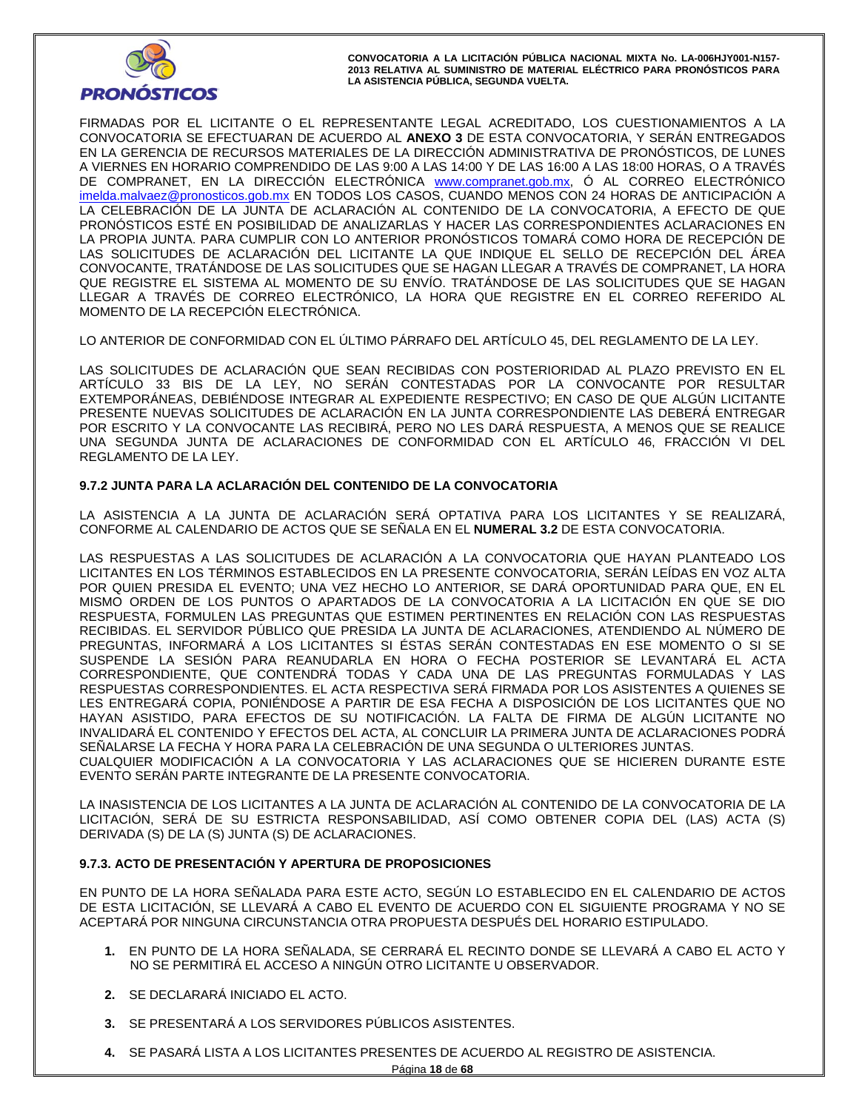

FIRMADAS POR EL LICITANTE O EL REPRESENTANTE LEGAL ACREDITADO, LOS CUESTIONAMIENTOS A LA CONVOCATORIA SE EFECTUARAN DE ACUERDO AL **ANEXO 3** DE ESTA CONVOCATORIA, Y SERÁN ENTREGADOS EN LA GERENCIA DE RECURSOS MATERIALES DE LA DIRECCIÓN ADMINISTRATIVA DE PRONÓSTICOS, DE LUNES A VIERNES EN HORARIO COMPRENDIDO DE LAS 9:00 A LAS 14:00 Y DE LAS 16:00 A LAS 18:00 HORAS, O A TRAVÉS DE COMPRANET, EN LA DIRECCIÓN ELECTRÓNICA www.compranet.gob.mx, Ó AL CORREO ELECTRÓNICO imelda.malvaez@pronosticos.gob.mx EN TODOS LOS CASOS, CUANDO MENOS CON 24 HORAS DE ANTICIPACIÓN A LA CELEBRACIÓN DE LA JUNTA DE ACLARACIÓN AL CONTENIDO DE LA CONVOCATORIA, A EFECTO DE QUE PRONÓSTICOS ESTÉ EN POSIBILIDAD DE ANALIZARLAS Y HACER LAS CORRESPONDIENTES ACLARACIONES EN LA PROPIA JUNTA. PARA CUMPLIR CON LO ANTERIOR PRONÓSTICOS TOMARÁ COMO HORA DE RECEPCIÓN DE LAS SOLICITUDES DE ACLARACIÓN DEL LICITANTE LA QUE INDIQUE EL SELLO DE RECEPCIÓN DEL ÁREA CONVOCANTE, TRATÁNDOSE DE LAS SOLICITUDES QUE SE HAGAN LLEGAR A TRAVÉS DE COMPRANET, LA HORA QUE REGISTRE EL SISTEMA AL MOMENTO DE SU ENVÍO. TRATÁNDOSE DE LAS SOLICITUDES QUE SE HAGAN LLEGAR A TRAVÉS DE CORREO ELECTRÓNICO, LA HORA QUE REGISTRE EN EL CORREO REFERIDO AL MOMENTO DE LA RECEPCIÓN ELECTRÓNICA.

LO ANTERIOR DE CONFORMIDAD CON EL ÚLTIMO PÁRRAFO DEL ARTÍCULO 45, DEL REGLAMENTO DE LA LEY.

LAS SOLICITUDES DE ACLARACIÓN QUE SEAN RECIBIDAS CON POSTERIORIDAD AL PLAZO PREVISTO EN EL ARTÍCULO 33 BIS DE LA LEY, NO SERÁN CONTESTADAS POR LA CONVOCANTE POR RESULTAR EXTEMPORÁNEAS, DEBIÉNDOSE INTEGRAR AL EXPEDIENTE RESPECTIVO; EN CASO DE QUE ALGÚN LICITANTE PRESENTE NUEVAS SOLICITUDES DE ACLARACIÓN EN LA JUNTA CORRESPONDIENTE LAS DEBERÁ ENTREGAR POR ESCRITO Y LA CONVOCANTE LAS RECIBIRÁ, PERO NO LES DARÁ RESPUESTA, A MENOS QUE SE REALICE UNA SEGUNDA JUNTA DE ACLARACIONES DE CONFORMIDAD CON EL ARTÍCULO 46, FRACCIÓN VI DEL REGLAMENTO DE LA LEY.

# **9.7.2 JUNTA PARA LA ACLARACIÓN DEL CONTENIDO DE LA CONVOCATORIA**

LA ASISTENCIA A LA JUNTA DE ACLARACIÓN SERÁ OPTATIVA PARA LOS LICITANTES Y SE REALIZARÁ, CONFORME AL CALENDARIO DE ACTOS QUE SE SEÑALA EN EL **NUMERAL 3.2** DE ESTA CONVOCATORIA.

LAS RESPUESTAS A LAS SOLICITUDES DE ACLARACIÓN A LA CONVOCATORIA QUE HAYAN PLANTEADO LOS LICITANTES EN LOS TÉRMINOS ESTABLECIDOS EN LA PRESENTE CONVOCATORIA, SERÁN LEÍDAS EN VOZ ALTA POR QUIEN PRESIDA EL EVENTO; UNA VEZ HECHO LO ANTERIOR, SE DARÁ OPORTUNIDAD PARA QUE, EN EL MISMO ORDEN DE LOS PUNTOS O APARTADOS DE LA CONVOCATORIA A LA LICITACIÓN EN QUE SE DIO RESPUESTA, FORMULEN LAS PREGUNTAS QUE ESTIMEN PERTINENTES EN RELACIÓN CON LAS RESPUESTAS RECIBIDAS. EL SERVIDOR PÚBLICO QUE PRESIDA LA JUNTA DE ACLARACIONES, ATENDIENDO AL NÚMERO DE PREGUNTAS, INFORMARÁ A LOS LICITANTES SI ÉSTAS SERÁN CONTESTADAS EN ESE MOMENTO O SI SE SUSPENDE LA SESIÓN PARA REANUDARLA EN HORA O FECHA POSTERIOR SE LEVANTARÁ EL ACTA CORRESPONDIENTE, QUE CONTENDRÁ TODAS Y CADA UNA DE LAS PREGUNTAS FORMULADAS Y LAS RESPUESTAS CORRESPONDIENTES. EL ACTA RESPECTIVA SERÁ FIRMADA POR LOS ASISTENTES A QUIENES SE LES ENTREGARÁ COPIA, PONIÉNDOSE A PARTIR DE ESA FECHA A DISPOSICIÓN DE LOS LICITANTES QUE NO HAYAN ASISTIDO, PARA EFECTOS DE SU NOTIFICACIÓN. LA FALTA DE FIRMA DE ALGÚN LICITANTE NO INVALIDARÁ EL CONTENIDO Y EFECTOS DEL ACTA, AL CONCLUIR LA PRIMERA JUNTA DE ACLARACIONES PODRÁ SEÑALARSE LA FECHA Y HORA PARA LA CELEBRACIÓN DE UNA SEGUNDA O ULTERIORES JUNTAS. CUALQUIER MODIFICACIÓN A LA CONVOCATORIA Y LAS ACLARACIONES QUE SE HICIEREN DURANTE ESTE

EVENTO SERÁN PARTE INTEGRANTE DE LA PRESENTE CONVOCATORIA.

LA INASISTENCIA DE LOS LICITANTES A LA JUNTA DE ACLARACIÓN AL CONTENIDO DE LA CONVOCATORIA DE LA LICITACIÓN, SERÁ DE SU ESTRICTA RESPONSABILIDAD, ASÍ COMO OBTENER COPIA DEL (LAS) ACTA (S) DERIVADA (S) DE LA (S) JUNTA (S) DE ACLARACIONES.

# **9.7.3. ACTO DE PRESENTACIÓN Y APERTURA DE PROPOSICIONES**

EN PUNTO DE LA HORA SEÑALADA PARA ESTE ACTO, SEGÚN LO ESTABLECIDO EN EL CALENDARIO DE ACTOS DE ESTA LICITACIÓN, SE LLEVARÁ A CABO EL EVENTO DE ACUERDO CON EL SIGUIENTE PROGRAMA Y NO SE ACEPTARÁ POR NINGUNA CIRCUNSTANCIA OTRA PROPUESTA DESPUÉS DEL HORARIO ESTIPULADO.

- **1.** EN PUNTO DE LA HORA SEÑALADA, SE CERRARÁ EL RECINTO DONDE SE LLEVARÁ A CABO EL ACTO Y NO SE PERMITIRÁ EL ACCESO A NINGÚN OTRO LICITANTE U OBSERVADOR.
- **2.** SE DECLARARÁ INICIADO EL ACTO.
- **3.** SE PRESENTARÁ A LOS SERVIDORES PÚBLICOS ASISTENTES.
- **4.** SE PASARÁ LISTA A LOS LICITANTES PRESENTES DE ACUERDO AL REGISTRO DE ASISTENCIA.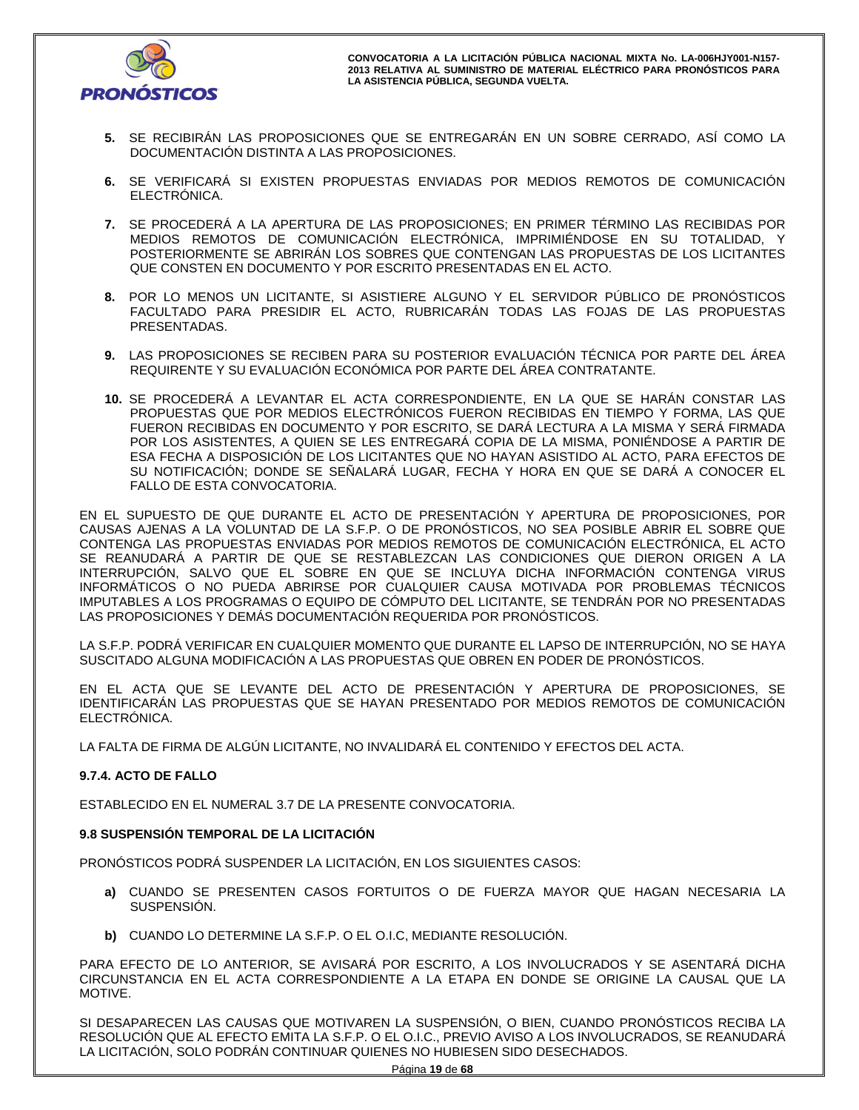

- **5.** SE RECIBIRÁN LAS PROPOSICIONES QUE SE ENTREGARÁN EN UN SOBRE CERRADO, ASÍ COMO LA DOCUMENTACIÓN DISTINTA A LAS PROPOSICIONES.
- **6.** SE VERIFICARÁ SI EXISTEN PROPUESTAS ENVIADAS POR MEDIOS REMOTOS DE COMUNICACIÓN ELECTRÓNICA.
- **7.** SE PROCEDERÁ A LA APERTURA DE LAS PROPOSICIONES; EN PRIMER TÉRMINO LAS RECIBIDAS POR MEDIOS REMOTOS DE COMUNICACIÓN ELECTRÓNICA, IMPRIMIÉNDOSE EN SU TOTALIDAD, Y POSTERIORMENTE SE ABRIRÁN LOS SOBRES QUE CONTENGAN LAS PROPUESTAS DE LOS LICITANTES QUE CONSTEN EN DOCUMENTO Y POR ESCRITO PRESENTADAS EN EL ACTO.
- **8.** POR LO MENOS UN LICITANTE, SI ASISTIERE ALGUNO Y EL SERVIDOR PÚBLICO DE PRONÓSTICOS FACULTADO PARA PRESIDIR EL ACTO, RUBRICARÁN TODAS LAS FOJAS DE LAS PROPUESTAS PRESENTADAS.
- **9.** LAS PROPOSICIONES SE RECIBEN PARA SU POSTERIOR EVALUACIÓN TÉCNICA POR PARTE DEL ÁREA REQUIRENTE Y SU EVALUACIÓN ECONÓMICA POR PARTE DEL ÁREA CONTRATANTE.
- **10.** SE PROCEDERÁ A LEVANTAR EL ACTA CORRESPONDIENTE, EN LA QUE SE HARÁN CONSTAR LAS PROPUESTAS QUE POR MEDIOS ELECTRÓNICOS FUERON RECIBIDAS EN TIEMPO Y FORMA, LAS QUE FUERON RECIBIDAS EN DOCUMENTO Y POR ESCRITO, SE DARÁ LECTURA A LA MISMA Y SERÁ FIRMADA POR LOS ASISTENTES, A QUIEN SE LES ENTREGARÁ COPIA DE LA MISMA, PONIÉNDOSE A PARTIR DE ESA FECHA A DISPOSICIÓN DE LOS LICITANTES QUE NO HAYAN ASISTIDO AL ACTO, PARA EFECTOS DE SU NOTIFICACIÓN; DONDE SE SEÑALARÁ LUGAR, FECHA Y HORA EN QUE SE DARÁ A CONOCER EL FALLO DE ESTA CONVOCATORIA.

EN EL SUPUESTO DE QUE DURANTE EL ACTO DE PRESENTACIÓN Y APERTURA DE PROPOSICIONES, POR CAUSAS AJENAS A LA VOLUNTAD DE LA S.F.P. O DE PRONÓSTICOS, NO SEA POSIBLE ABRIR EL SOBRE QUE CONTENGA LAS PROPUESTAS ENVIADAS POR MEDIOS REMOTOS DE COMUNICACIÓN ELECTRÓNICA, EL ACTO SE REANUDARÁ A PARTIR DE QUE SE RESTABLEZCAN LAS CONDICIONES QUE DIERON ORIGEN A LA INTERRUPCIÓN, SALVO QUE EL SOBRE EN QUE SE INCLUYA DICHA INFORMACIÓN CONTENGA VIRUS INFORMÁTICOS O NO PUEDA ABRIRSE POR CUALQUIER CAUSA MOTIVADA POR PROBLEMAS TÉCNICOS IMPUTABLES A LOS PROGRAMAS O EQUIPO DE CÓMPUTO DEL LICITANTE, SE TENDRÁN POR NO PRESENTADAS LAS PROPOSICIONES Y DEMÁS DOCUMENTACIÓN REQUERIDA POR PRONÓSTICOS.

LA S.F.P. PODRÁ VERIFICAR EN CUALQUIER MOMENTO QUE DURANTE EL LAPSO DE INTERRUPCIÓN, NO SE HAYA SUSCITADO ALGUNA MODIFICACIÓN A LAS PROPUESTAS QUE OBREN EN PODER DE PRONÓSTICOS.

EN EL ACTA QUE SE LEVANTE DEL ACTO DE PRESENTACIÓN Y APERTURA DE PROPOSICIONES, SE IDENTIFICARÁN LAS PROPUESTAS QUE SE HAYAN PRESENTADO POR MEDIOS REMOTOS DE COMUNICACIÓN ELECTRÓNICA.

LA FALTA DE FIRMA DE ALGÚN LICITANTE, NO INVALIDARÁ EL CONTENIDO Y EFECTOS DEL ACTA.

# **9.7.4. ACTO DE FALLO**

ESTABLECIDO EN EL NUMERAL 3.7 DE LA PRESENTE CONVOCATORIA.

## **9.8 SUSPENSIÓN TEMPORAL DE LA LICITACIÓN**

PRONÓSTICOS PODRÁ SUSPENDER LA LICITACIÓN, EN LOS SIGUIENTES CASOS:

- **a)** CUANDO SE PRESENTEN CASOS FORTUITOS O DE FUERZA MAYOR QUE HAGAN NECESARIA LA SUSPENSIÓN.
- **b)** CUANDO LO DETERMINE LA S.F.P. O EL O.I.C, MEDIANTE RESOLUCIÓN.

PARA EFECTO DE LO ANTERIOR, SE AVISARÁ POR ESCRITO, A LOS INVOLUCRADOS Y SE ASENTARÁ DICHA CIRCUNSTANCIA EN EL ACTA CORRESPONDIENTE A LA ETAPA EN DONDE SE ORIGINE LA CAUSAL QUE LA MOTIVE.

SI DESAPARECEN LAS CAUSAS QUE MOTIVAREN LA SUSPENSIÓN, O BIEN, CUANDO PRONÓSTICOS RECIBA LA RESOLUCIÓN QUE AL EFECTO EMITA LA S.F.P. O EL O.I.C., PREVIO AVISO A LOS INVOLUCRADOS, SE REANUDARÁ LA LICITACIÓN, SOLO PODRÁN CONTINUAR QUIENES NO HUBIESEN SIDO DESECHADOS.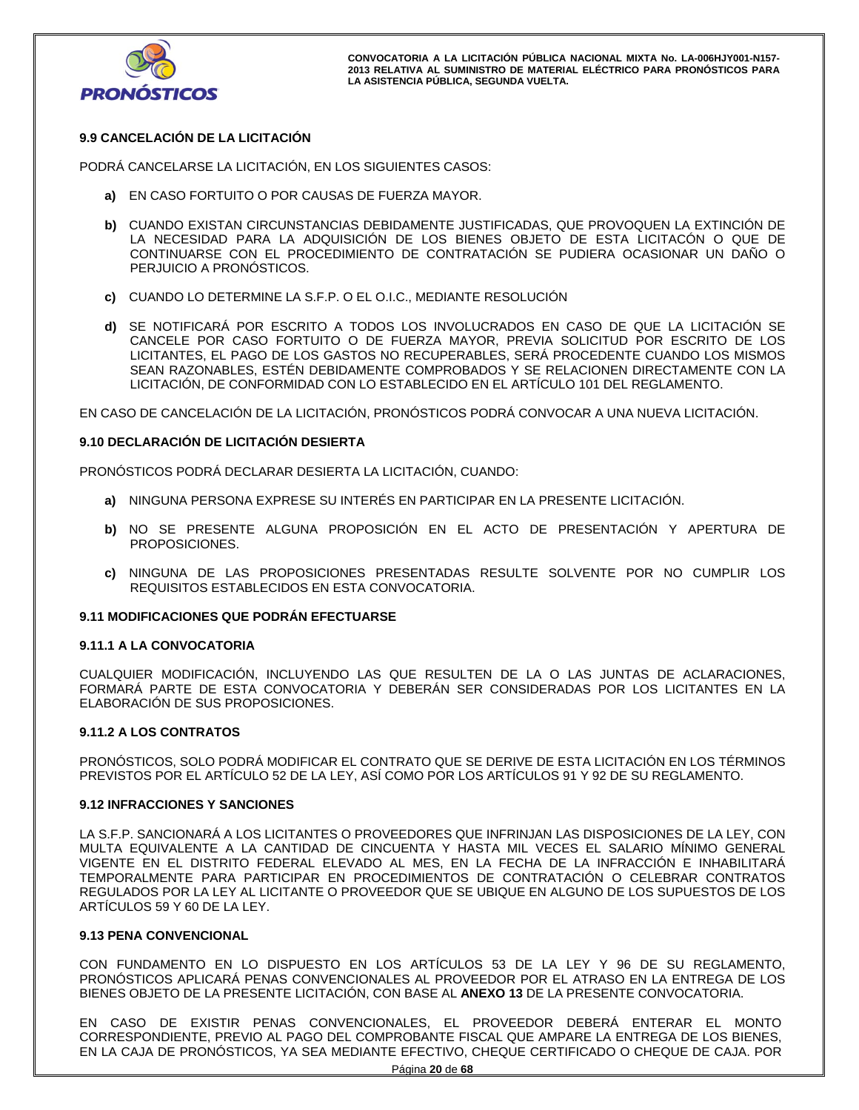

# **9.9 CANCELACIÓN DE LA LICITACIÓN**

PODRÁ CANCELARSE LA LICITACIÓN, EN LOS SIGUIENTES CASOS:

- **a)** EN CASO FORTUITO O POR CAUSAS DE FUERZA MAYOR.
- **b)** CUANDO EXISTAN CIRCUNSTANCIAS DEBIDAMENTE JUSTIFICADAS, QUE PROVOQUEN LA EXTINCIÓN DE LA NECESIDAD PARA LA ADQUISICIÓN DE LOS BIENES OBJETO DE ESTA LICITACÓN O QUE DE CONTINUARSE CON EL PROCEDIMIENTO DE CONTRATACIÓN SE PUDIERA OCASIONAR UN DAÑO O PERJUICIO A PRONÓSTICOS.
- **c)** CUANDO LO DETERMINE LA S.F.P. O EL O.I.C., MEDIANTE RESOLUCIÓN
- **d)** SE NOTIFICARÁ POR ESCRITO A TODOS LOS INVOLUCRADOS EN CASO DE QUE LA LICITACIÓN SE CANCELE POR CASO FORTUITO O DE FUERZA MAYOR, PREVIA SOLICITUD POR ESCRITO DE LOS LICITANTES, EL PAGO DE LOS GASTOS NO RECUPERABLES, SERÁ PROCEDENTE CUANDO LOS MISMOS SEAN RAZONABLES, ESTÉN DEBIDAMENTE COMPROBADOS Y SE RELACIONEN DIRECTAMENTE CON LA LICITACIÓN, DE CONFORMIDAD CON LO ESTABLECIDO EN EL ARTÍCULO 101 DEL REGLAMENTO.

EN CASO DE CANCELACIÓN DE LA LICITACIÓN, PRONÓSTICOS PODRÁ CONVOCAR A UNA NUEVA LICITACIÓN.

#### **9.10 DECLARACIÓN DE LICITACIÓN DESIERTA**

PRONÓSTICOS PODRÁ DECLARAR DESIERTA LA LICITACIÓN, CUANDO:

- **a)** NINGUNA PERSONA EXPRESE SU INTERÉS EN PARTICIPAR EN LA PRESENTE LICITACIÓN.
- **b)** NO SE PRESENTE ALGUNA PROPOSICIÓN EN EL ACTO DE PRESENTACIÓN Y APERTURA DE PROPOSICIONES.
- **c)** NINGUNA DE LAS PROPOSICIONES PRESENTADAS RESULTE SOLVENTE POR NO CUMPLIR LOS REQUISITOS ESTABLECIDOS EN ESTA CONVOCATORIA.

#### **9.11 MODIFICACIONES QUE PODRÁN EFECTUARSE**

#### **9.11.1 A LA CONVOCATORIA**

CUALQUIER MODIFICACIÓN, INCLUYENDO LAS QUE RESULTEN DE LA O LAS JUNTAS DE ACLARACIONES, FORMARÁ PARTE DE ESTA CONVOCATORIA Y DEBERÁN SER CONSIDERADAS POR LOS LICITANTES EN LA ELABORACIÓN DE SUS PROPOSICIONES.

#### **9.11.2 A LOS CONTRATOS**

PRONÓSTICOS, SOLO PODRÁ MODIFICAR EL CONTRATO QUE SE DERIVE DE ESTA LICITACIÓN EN LOS TÉRMINOS PREVISTOS POR EL ARTÍCULO 52 DE LA LEY, ASÍ COMO POR LOS ARTÍCULOS 91 Y 92 DE SU REGLAMENTO.

#### **9.12 INFRACCIONES Y SANCIONES**

LA S.F.P. SANCIONARÁ A LOS LICITANTES O PROVEEDORES QUE INFRINJAN LAS DISPOSICIONES DE LA LEY, CON MULTA EQUIVALENTE A LA CANTIDAD DE CINCUENTA Y HASTA MIL VECES EL SALARIO MÍNIMO GENERAL VIGENTE EN EL DISTRITO FEDERAL ELEVADO AL MES, EN LA FECHA DE LA INFRACCIÓN E INHABILITARÁ TEMPORALMENTE PARA PARTICIPAR EN PROCEDIMIENTOS DE CONTRATACIÓN O CELEBRAR CONTRATOS REGULADOS POR LA LEY AL LICITANTE O PROVEEDOR QUE SE UBIQUE EN ALGUNO DE LOS SUPUESTOS DE LOS ARTÍCULOS 59 Y 60 DE LA LEY.

#### **9.13 PENA CONVENCIONAL**

CON FUNDAMENTO EN LO DISPUESTO EN LOS ARTÍCULOS 53 DE LA LEY Y 96 DE SU REGLAMENTO, PRONÓSTICOS APLICARÁ PENAS CONVENCIONALES AL PROVEEDOR POR EL ATRASO EN LA ENTREGA DE LOS BIENES OBJETO DE LA PRESENTE LICITACIÓN, CON BASE AL **ANEXO 13** DE LA PRESENTE CONVOCATORIA.

EN CASO DE EXISTIR PENAS CONVENCIONALES, EL PROVEEDOR DEBERÁ ENTERAR EL MONTO CORRESPONDIENTE, PREVIO AL PAGO DEL COMPROBANTE FISCAL QUE AMPARE LA ENTREGA DE LOS BIENES, EN LA CAJA DE PRONÓSTICOS, YA SEA MEDIANTE EFECTIVO, CHEQUE CERTIFICADO O CHEQUE DE CAJA. POR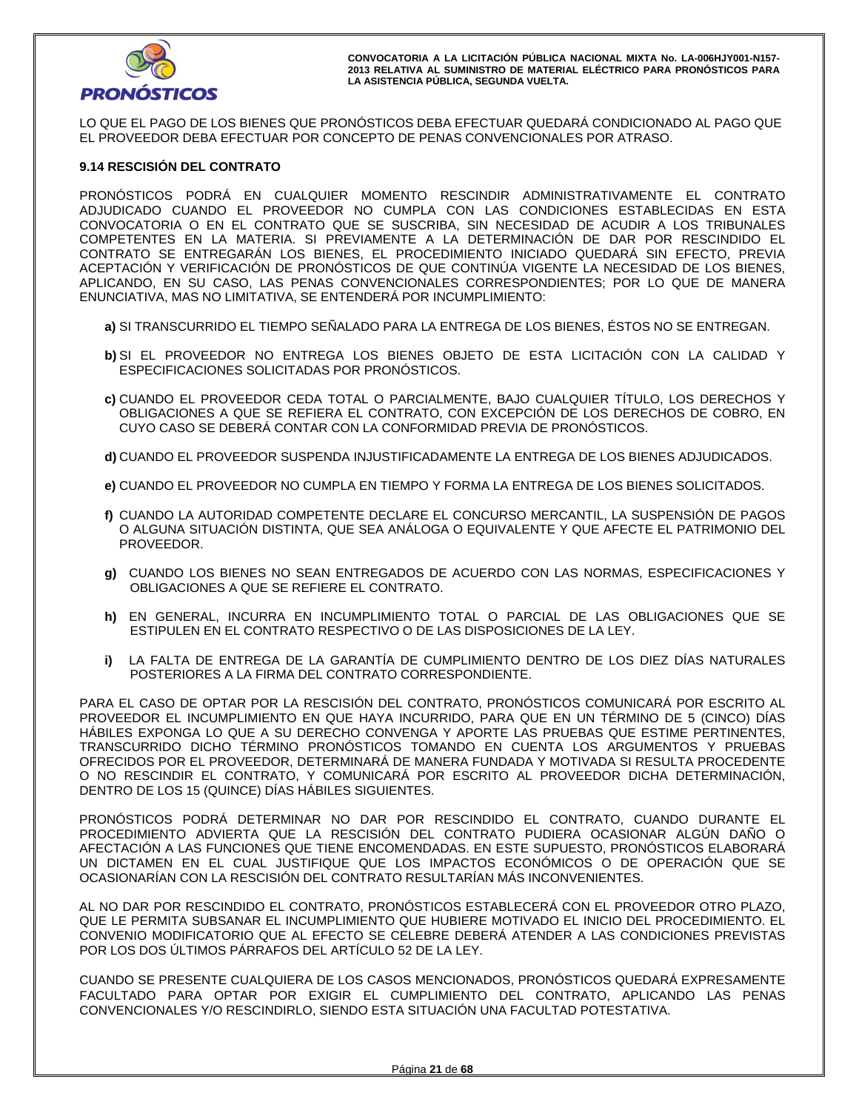

LO QUE EL PAGO DE LOS BIENES QUE PRONÓSTICOS DEBA EFECTUAR QUEDARÁ CONDICIONADO AL PAGO QUE EL PROVEEDOR DEBA EFECTUAR POR CONCEPTO DE PENAS CONVENCIONALES POR ATRASO.

#### **9.14 RESCISIÓN DEL CONTRATO**

PRONÓSTICOS PODRÁ EN CUALQUIER MOMENTO RESCINDIR ADMINISTRATIVAMENTE EL CONTRATO ADJUDICADO CUANDO EL PROVEEDOR NO CUMPLA CON LAS CONDICIONES ESTABLECIDAS EN ESTA CONVOCATORIA O EN EL CONTRATO QUE SE SUSCRIBA, SIN NECESIDAD DE ACUDIR A LOS TRIBUNALES COMPETENTES EN LA MATERIA. SI PREVIAMENTE A LA DETERMINACIÓN DE DAR POR RESCINDIDO EL CONTRATO SE ENTREGARÁN LOS BIENES, EL PROCEDIMIENTO INICIADO QUEDARÁ SIN EFECTO, PREVIA ACEPTACIÓN Y VERIFICACIÓN DE PRONÓSTICOS DE QUE CONTINÚA VIGENTE LA NECESIDAD DE LOS BIENES, APLICANDO, EN SU CASO, LAS PENAS CONVENCIONALES CORRESPONDIENTES; POR LO QUE DE MANERA ENUNCIATIVA, MAS NO LIMITATIVA, SE ENTENDERÁ POR INCUMPLIMIENTO:

- **a)** SI TRANSCURRIDO EL TIEMPO SEÑALADO PARA LA ENTREGA DE LOS BIENES, ÉSTOS NO SE ENTREGAN.
- **b)** SI EL PROVEEDOR NO ENTREGA LOS BIENES OBJETO DE ESTA LICITACIÓN CON LA CALIDAD Y ESPECIFICACIONES SOLICITADAS POR PRONÓSTICOS.
- **c)** CUANDO EL PROVEEDOR CEDA TOTAL O PARCIALMENTE, BAJO CUALQUIER TÍTULO, LOS DERECHOS Y OBLIGACIONES A QUE SE REFIERA EL CONTRATO, CON EXCEPCIÓN DE LOS DERECHOS DE COBRO, EN CUYO CASO SE DEBERÁ CONTAR CON LA CONFORMIDAD PREVIA DE PRONÓSTICOS.
- **d)** CUANDO EL PROVEEDOR SUSPENDA INJUSTIFICADAMENTE LA ENTREGA DE LOS BIENES ADJUDICADOS.
- **e)** CUANDO EL PROVEEDOR NO CUMPLA EN TIEMPO Y FORMA LA ENTREGA DE LOS BIENES SOLICITADOS.
- **f)** CUANDO LA AUTORIDAD COMPETENTE DECLARE EL CONCURSO MERCANTIL, LA SUSPENSIÓN DE PAGOS O ALGUNA SITUACIÓN DISTINTA, QUE SEA ANÁLOGA O EQUIVALENTE Y QUE AFECTE EL PATRIMONIO DEL PROVEEDOR.
- **g)** CUANDO LOS BIENES NO SEAN ENTREGADOS DE ACUERDO CON LAS NORMAS, ESPECIFICACIONES Y OBLIGACIONES A QUE SE REFIERE EL CONTRATO.
- **h)** EN GENERAL, INCURRA EN INCUMPLIMIENTO TOTAL O PARCIAL DE LAS OBLIGACIONES QUE SE ESTIPULEN EN EL CONTRATO RESPECTIVO O DE LAS DISPOSICIONES DE LA LEY.
- **i)** LA FALTA DE ENTREGA DE LA GARANTÍA DE CUMPLIMIENTO DENTRO DE LOS DIEZ DÍAS NATURALES POSTERIORES A LA FIRMA DEL CONTRATO CORRESPONDIENTE.

PARA EL CASO DE OPTAR POR LA RESCISIÓN DEL CONTRATO, PRONÓSTICOS COMUNICARÁ POR ESCRITO AL PROVEEDOR EL INCUMPLIMIENTO EN QUE HAYA INCURRIDO, PARA QUE EN UN TÉRMINO DE 5 (CINCO) DÍAS HÁBILES EXPONGA LO QUE A SU DERECHO CONVENGA Y APORTE LAS PRUEBAS QUE ESTIME PERTINENTES, TRANSCURRIDO DICHO TÉRMINO PRONÓSTICOS TOMANDO EN CUENTA LOS ARGUMENTOS Y PRUEBAS OFRECIDOS POR EL PROVEEDOR, DETERMINARÁ DE MANERA FUNDADA Y MOTIVADA SI RESULTA PROCEDENTE O NO RESCINDIR EL CONTRATO, Y COMUNICARÁ POR ESCRITO AL PROVEEDOR DICHA DETERMINACIÓN, DENTRO DE LOS 15 (QUINCE) DÍAS HÁBILES SIGUIENTES.

PRONÓSTICOS PODRÁ DETERMINAR NO DAR POR RESCINDIDO EL CONTRATO, CUANDO DURANTE EL PROCEDIMIENTO ADVIERTA QUE LA RESCISIÓN DEL CONTRATO PUDIERA OCASIONAR ALGÚN DAÑO O AFECTACIÓN A LAS FUNCIONES QUE TIENE ENCOMENDADAS. EN ESTE SUPUESTO, PRONÓSTICOS ELABORARÁ UN DICTAMEN EN EL CUAL JUSTIFIQUE QUE LOS IMPACTOS ECONÓMICOS O DE OPERACIÓN QUE SE OCASIONARÍAN CON LA RESCISIÓN DEL CONTRATO RESULTARÍAN MÁS INCONVENIENTES.

AL NO DAR POR RESCINDIDO EL CONTRATO, PRONÓSTICOS ESTABLECERÁ CON EL PROVEEDOR OTRO PLAZO, QUE LE PERMITA SUBSANAR EL INCUMPLIMIENTO QUE HUBIERE MOTIVADO EL INICIO DEL PROCEDIMIENTO. EL CONVENIO MODIFICATORIO QUE AL EFECTO SE CELEBRE DEBERÁ ATENDER A LAS CONDICIONES PREVISTAS POR LOS DOS ÚLTIMOS PÁRRAFOS DEL ARTÍCULO 52 DE LA LEY.

CUANDO SE PRESENTE CUALQUIERA DE LOS CASOS MENCIONADOS, PRONÓSTICOS QUEDARÁ EXPRESAMENTE FACULTADO PARA OPTAR POR EXIGIR EL CUMPLIMIENTO DEL CONTRATO, APLICANDO LAS PENAS CONVENCIONALES Y/O RESCINDIRLO, SIENDO ESTA SITUACIÓN UNA FACULTAD POTESTATIVA.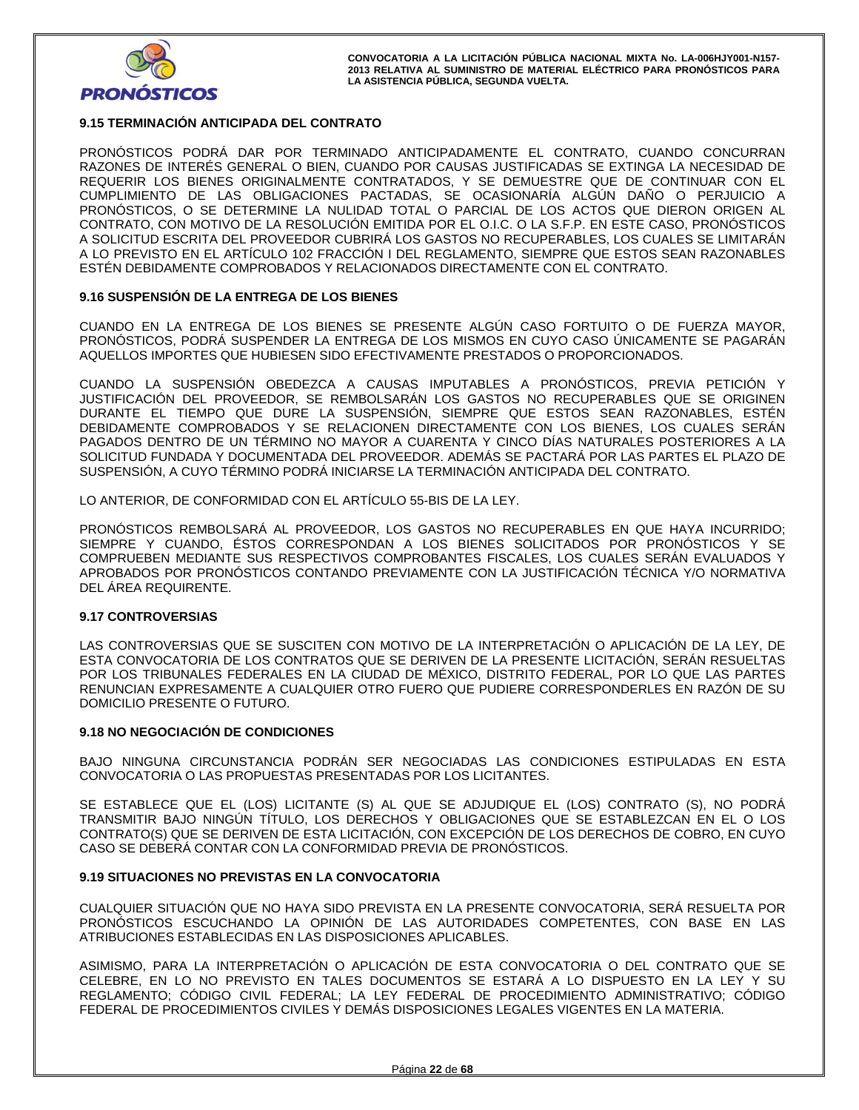

## **9.15 TERMINACIÓN ANTICIPADA DEL CONTRATO**

PRONÓSTICOS PODRÁ DAR POR TERMINADO ANTICIPADAMENTE EL CONTRATO, CUANDO CONCURRAN RAZONES DE INTERÉS GENERAL O BIEN, CUANDO POR CAUSAS JUSTIFICADAS SE EXTINGA LA NECESIDAD DE REQUERIR LOS BIENES ORIGINALMENTE CONTRATADOS, Y SE DEMUESTRE QUE DE CONTINUAR CON EL CUMPLIMIENTO DE LAS OBLIGACIONES PACTADAS, SE OCASIONARÍA ALGÚN DAÑO O PERJUICIO A PRONÓSTICOS, O SE DETERMINE LA NULIDAD TOTAL O PARCIAL DE LOS ACTOS QUE DIERON ORIGEN AL CONTRATO, CON MOTIVO DE LA RESOLUCIÓN EMITIDA POR EL O.I.C. O LA S.F.P. EN ESTE CASO, PRONÓSTICOS A SOLICITUD ESCRITA DEL PROVEEDOR CUBRIRÁ LOS GASTOS NO RECUPERABLES, LOS CUALES SE LIMITARÁN A LO PREVISTO EN EL ARTÍCULO 102 FRACCIÓN I DEL REGLAMENTO, SIEMPRE QUE ESTOS SEAN RAZONABLES ESTÉN DEBIDAMENTE COMPROBADOS Y RELACIONADOS DIRECTAMENTE CON EL CONTRATO.

# **9.16 SUSPENSIÓN DE LA ENTREGA DE LOS BIENES**

CUANDO EN LA ENTREGA DE LOS BIENES SE PRESENTE ALGÚN CASO FORTUITO O DE FUERZA MAYOR, PRONÓSTICOS, PODRÁ SUSPENDER LA ENTREGA DE LOS MISMOS EN CUYO CASO ÚNICAMENTE SE PAGARÁN AQUELLOS IMPORTES QUE HUBIESEN SIDO EFECTIVAMENTE PRESTADOS O PROPORCIONADOS.

CUANDO LA SUSPENSIÓN OBEDEZCA A CAUSAS IMPUTABLES A PRONÓSTICOS, PREVIA PETICIÓN Y JUSTIFICACIÓN DEL PROVEEDOR, SE REMBOLSARÁN LOS GASTOS NO RECUPERABLES QUE SE ORIGINEN DURANTE EL TIEMPO QUE DURE LA SUSPENSIÓN, SIEMPRE QUE ESTOS SEAN RAZONABLES, ESTÉN DEBIDAMENTE COMPROBADOS Y SE RELACIONEN DIRECTAMENTE CON LOS BIENES, LOS CUALES SERÁN PAGADOS DENTRO DE UN TÉRMINO NO MAYOR A CUARENTA Y CINCO DÍAS NATURALES POSTERIORES A LA SOLICITUD FUNDADA Y DOCUMENTADA DEL PROVEEDOR. ADEMÁS SE PACTARÁ POR LAS PARTES EL PLAZO DE SUSPENSIÓN, A CUYO TÉRMINO PODRÁ INICIARSE LA TERMINACIÓN ANTICIPADA DEL CONTRATO.

LO ANTERIOR, DE CONFORMIDAD CON EL ARTÍCULO 55-BIS DE LA LEY.

PRONÓSTICOS REMBOLSARÁ AL PROVEEDOR, LOS GASTOS NO RECUPERABLES EN QUE HAYA INCURRIDO; SIEMPRE Y CUANDO, ÉSTOS CORRESPONDAN A LOS BIENES SOLICITADOS POR PRONÓSTICOS Y SE COMPRUEBEN MEDIANTE SUS RESPECTIVOS COMPROBANTES FISCALES, LOS CUALES SERÁN EVALUADOS Y APROBADOS POR PRONÓSTICOS CONTANDO PREVIAMENTE CON LA JUSTIFICACIÓN TÉCNICA Y/O NORMATIVA DEL ÁREA REQUIRENTE.

## **9.17 CONTROVERSIAS**

LAS CONTROVERSIAS QUE SE SUSCITEN CON MOTIVO DE LA INTERPRETACIÓN O APLICACIÓN DE LA LEY, DE ESTA CONVOCATORIA DE LOS CONTRATOS QUE SE DERIVEN DE LA PRESENTE LICITACIÓN, SERÁN RESUELTAS POR LOS TRIBUNALES FEDERALES EN LA CIUDAD DE MÉXICO, DISTRITO FEDERAL, POR LO QUE LAS PARTES RENUNCIAN EXPRESAMENTE A CUALQUIER OTRO FUERO QUE PUDIERE CORRESPONDERLES EN RAZÓN DE SU DOMICILIO PRESENTE O FUTURO.

## **9.18 NO NEGOCIACIÓN DE CONDICIONES**

BAJO NINGUNA CIRCUNSTANCIA PODRÁN SER NEGOCIADAS LAS CONDICIONES ESTIPULADAS EN ESTA CONVOCATORIA O LAS PROPUESTAS PRESENTADAS POR LOS LICITANTES.

SE ESTABLECE QUE EL (LOS) LICITANTE (S) AL QUE SE ADJUDIQUE EL (LOS) CONTRATO (S), NO PODRÁ TRANSMITIR BAJO NINGÚN TÍTULO, LOS DERECHOS Y OBLIGACIONES QUE SE ESTABLEZCAN EN EL O LOS CONTRATO(S) QUE SE DERIVEN DE ESTA LICITACIÓN, CON EXCEPCIÓN DE LOS DERECHOS DE COBRO, EN CUYO CASO SE DEBERÁ CONTAR CON LA CONFORMIDAD PREVIA DE PRONÓSTICOS.

## **9.19 SITUACIONES NO PREVISTAS EN LA CONVOCATORIA**

CUALQUIER SITUACIÓN QUE NO HAYA SIDO PREVISTA EN LA PRESENTE CONVOCATORIA, SERÁ RESUELTA POR PRONÓSTICOS ESCUCHANDO LA OPINIÓN DE LAS AUTORIDADES COMPETENTES, CON BASE EN LAS ATRIBUCIONES ESTABLECIDAS EN LAS DISPOSICIONES APLICABLES.

ASIMISMO, PARA LA INTERPRETACIÓN O APLICACIÓN DE ESTA CONVOCATORIA O DEL CONTRATO QUE SE CELEBRE, EN LO NO PREVISTO EN TALES DOCUMENTOS SE ESTARÁ A LO DISPUESTO EN LA LEY Y SU REGLAMENTO; CÓDIGO CIVIL FEDERAL; LA LEY FEDERAL DE PROCEDIMIENTO ADMINISTRATIVO; CÓDIGO FEDERAL DE PROCEDIMIENTOS CIVILES Y DEMÁS DISPOSICIONES LEGALES VIGENTES EN LA MATERIA.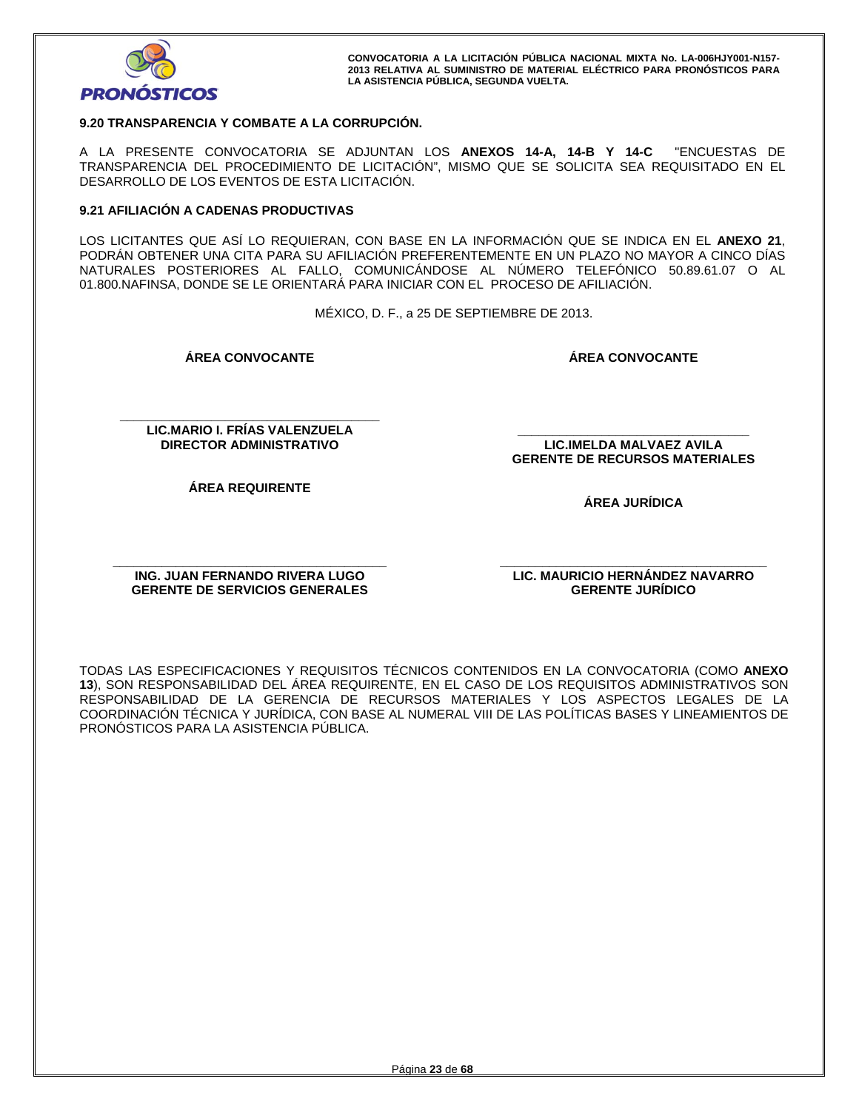

## **9.20 TRANSPARENCIA Y COMBATE A LA CORRUPCIÓN.**

A LA PRESENTE CONVOCATORIA SE ADJUNTAN LOS **ANEXOS 14-A, 14-B Y 14-C** "ENCUESTAS DE TRANSPARENCIA DEL PROCEDIMIENTO DE LICITACIÓN", MISMO QUE SE SOLICITA SEA REQUISITADO EN EL DESARROLLO DE LOS EVENTOS DE ESTA LICITACIÓN.

#### **9.21 AFILIACIÓN A CADENAS PRODUCTIVAS**

LOS LICITANTES QUE ASÍ LO REQUIERAN, CON BASE EN LA INFORMACIÓN QUE SE INDICA EN EL **ANEXO 21**, PODRÁN OBTENER UNA CITA PARA SU AFILIACIÓN PREFERENTEMENTE EN UN PLAZO NO MAYOR A CINCO DÍAS NATURALES POSTERIORES AL FALLO, COMUNICÁNDOSE AL NÚMERO TELEFÓNICO 50.89.61.07 O AL 01.800.NAFINSA, DONDE SE LE ORIENTARÁ PARA INICIAR CON EL PROCESO DE AFILIACIÓN.

MÉXICO, D. F., a 25 DE SEPTIEMBRE DE 2013.

**ÁREA CONVOCANTE** 

**ÁREA CONVOCANTE**

**\_\_\_\_\_\_\_\_\_\_\_\_\_\_\_\_\_\_\_\_\_\_\_\_\_\_\_\_\_\_\_\_\_\_\_\_\_ LIC.MARIO I. FRÍAS VALENZUELA DIRECTOR ADMINISTRATIVO** 

**\_\_\_\_\_\_\_\_\_\_\_\_\_\_\_\_\_\_\_\_\_\_\_\_\_\_\_\_\_\_\_\_\_ LIC.IMELDA MALVAEZ AVILA GERENTE DE RECURSOS MATERIALES** 

**ÁREA REQUIRENTE** 

**ÁREA JURÍDICA** 

**\_\_\_\_\_\_\_\_\_\_\_\_\_\_\_\_\_\_\_\_\_\_\_\_\_\_\_\_\_\_\_\_\_\_\_\_\_\_\_ ING. JUAN FERNANDO RIVERA LUGO GERENTE DE SERVICIOS GENERALES** 

**\_\_\_\_\_\_\_\_\_\_\_\_\_\_\_\_\_\_\_\_\_\_\_\_\_\_\_\_\_\_\_\_\_\_\_\_\_\_ LIC. MAURICIO HERNÁNDEZ NAVARRO GERENTE JURÍDICO** 

TODAS LAS ESPECIFICACIONES Y REQUISITOS TÉCNICOS CONTENIDOS EN LA CONVOCATORIA (COMO **ANEXO 13**), SON RESPONSABILIDAD DEL ÁREA REQUIRENTE, EN EL CASO DE LOS REQUISITOS ADMINISTRATIVOS SON RESPONSABILIDAD DE LA GERENCIA DE RECURSOS MATERIALES Y LOS ASPECTOS LEGALES DE LA COORDINACIÓN TÉCNICA Y JURÍDICA, CON BASE AL NUMERAL VIII DE LAS POLÍTICAS BASES Y LINEAMIENTOS DE PRONÓSTICOS PARA LA ASISTENCIA PÚBLICA.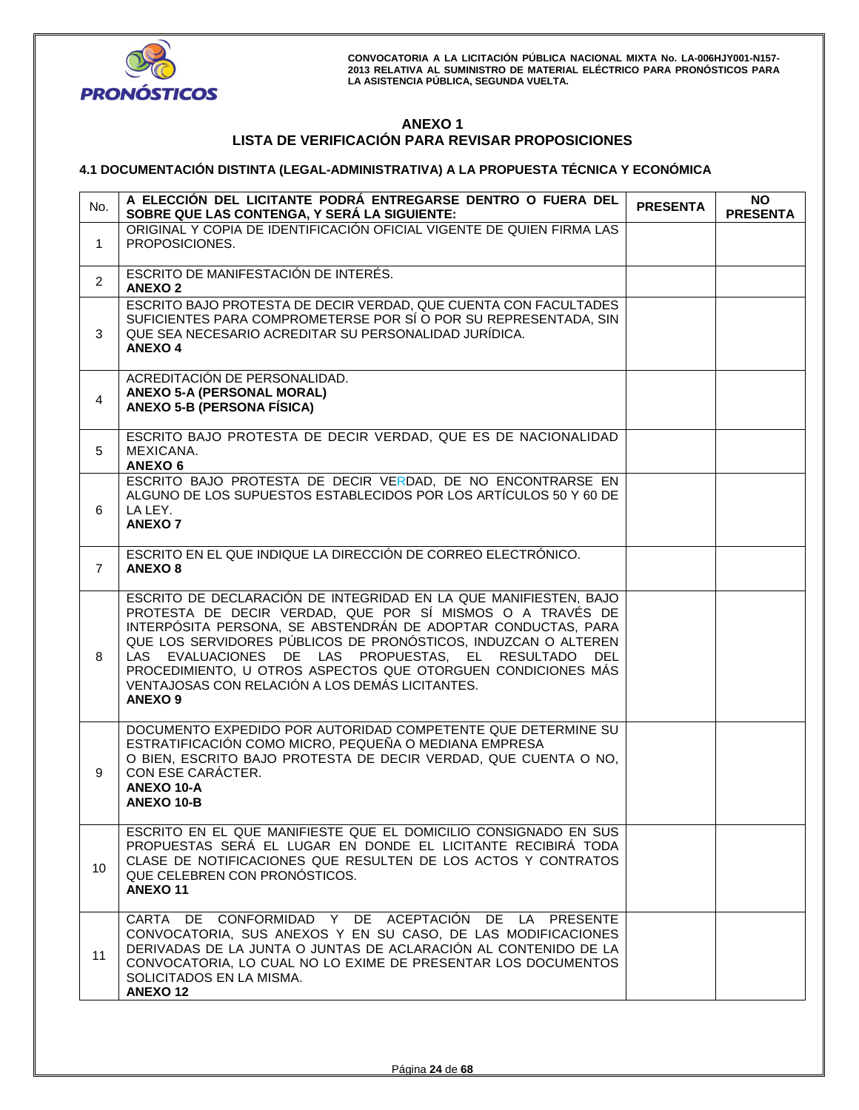

# **ANEXO 1 LISTA DE VERIFICACIÓN PARA REVISAR PROPOSICIONES**

# **4.1 DOCUMENTACIÓN DISTINTA (LEGAL-ADMINISTRATIVA) A LA PROPUESTA TÉCNICA Y ECONÓMICA**

| No.            | A ELECCIÓN DEL LICITANTE PODRÁ ENTREGARSE DENTRO O FUERA DEL<br>SOBRE QUE LAS CONTENGA, Y SERÁ LA SIGUIENTE:                                                                                                                                                                                                                                                                                                                                                  | <b>PRESENTA</b> | NO.<br><b>PRESENTA</b> |
|----------------|---------------------------------------------------------------------------------------------------------------------------------------------------------------------------------------------------------------------------------------------------------------------------------------------------------------------------------------------------------------------------------------------------------------------------------------------------------------|-----------------|------------------------|
| 1              | ORIGINAL Y COPIA DE IDENTIFICACIÓN OFICIAL VIGENTE DE QUIEN FIRMA LAS<br>PROPOSICIONES.                                                                                                                                                                                                                                                                                                                                                                       |                 |                        |
| $\overline{2}$ | ESCRITO DE MANIFESTACIÓN DE INTERÉS.<br><b>ANEXO2</b>                                                                                                                                                                                                                                                                                                                                                                                                         |                 |                        |
| 3              | ESCRITO BAJO PROTESTA DE DECIR VERDAD, QUE CUENTA CON FACULTADES<br>SUFICIENTES PARA COMPROMETERSE POR SÍ O POR SU REPRESENTADA, SIN<br>QUE SEA NECESARIO ACREDITAR SU PERSONALIDAD JURÍDICA.<br><b>ANEXO 4</b>                                                                                                                                                                                                                                               |                 |                        |
| $\overline{4}$ | ACREDITACIÓN DE PERSONALIDAD.<br><b>ANEXO 5-A (PERSONAL MORAL)</b><br><b>ANEXO 5-B (PERSONA FÍSICA)</b>                                                                                                                                                                                                                                                                                                                                                       |                 |                        |
| 5              | ESCRITO BAJO PROTESTA DE DECIR VERDAD, QUE ES DE NACIONALIDAD<br>MEXICANA.<br>ANEXO <sub>6</sub>                                                                                                                                                                                                                                                                                                                                                              |                 |                        |
| 6              | ESCRITO BAJO PROTESTA DE DECIR VERDAD, DE NO ENCONTRARSE EN<br>ALGUNO DE LOS SUPUESTOS ESTABLECIDOS POR LOS ARTÍCULOS 50 Y 60 DE<br>LA LEY.<br><b>ANEXO 7</b>                                                                                                                                                                                                                                                                                                 |                 |                        |
| $\overline{7}$ | ESCRITO EN EL QUE INDIQUE LA DIRECCIÓN DE CORREO ELECTRÓNICO.<br><b>ANEXO 8</b>                                                                                                                                                                                                                                                                                                                                                                               |                 |                        |
| 8              | ESCRITO DE DECLARACIÓN DE INTEGRIDAD EN LA QUE MANIFIESTEN, BAJO<br>PROTESTA DE DECIR VERDAD, QUE POR SÍ MISMOS O A TRAVÉS DE<br>INTERPÓSITA PERSONA, SE ABSTENDRÁN DE ADOPTAR CONDUCTAS, PARA<br>QUE LOS SERVIDORES PÚBLICOS DE PRONÓSTICOS, INDUZCAN O ALTEREN<br>LAS EVALUACIONES DE LAS PROPUESTAS, EL RESULTADO DEL<br>PROCEDIMIENTO, U OTROS ASPECTOS QUE OTORGUEN CONDICIONES MÁS<br>VENTAJOSAS CON RELACIÓN A LOS DEMÁS LICITANTES.<br><b>ANEXO 9</b> |                 |                        |
| 9              | DOCUMENTO EXPEDIDO POR AUTORIDAD COMPETENTE QUE DETERMINE SU<br>ESTRATIFICACIÓN COMO MICRO, PEQUEÑA O MEDIANA EMPRESA<br>O BIEN, ESCRITO BAJO PROTESTA DE DECIR VERDAD, QUE CUENTA O NO,<br>CON ESE CARÁCTER.<br>ANEXO 10-A<br><b>ANEXO 10-B</b>                                                                                                                                                                                                              |                 |                        |
| 10             | ESCRITO EN EL QUE MANIFIESTE QUE EL DOMICILIO CONSIGNADO EN SUS<br>PROPUESTAS SERÁ EL LUGAR EN DONDE EL LICITANTE RECIBIRÁ TODA<br>CLASE DE NOTIFICACIONES QUE RESULTEN DE LOS ACTOS Y CONTRATOS<br>QUE CELEBREN CON PRONÓSTICOS.<br><b>ANEXO11</b>                                                                                                                                                                                                           |                 |                        |
| 11             | CARTA DE CONFORMIDAD Y DE ACEPTACIÓN DE LA PRESENTE<br>CONVOCATORIA, SUS ANEXOS Y EN SU CASO, DE LAS MODIFICACIONES<br>DERIVADAS DE LA JUNTA O JUNTAS DE ACLARACIÓN AL CONTENIDO DE LA<br>CONVOCATORIA, LO CUAL NO LO EXIME DE PRESENTAR LOS DOCUMENTOS<br>SOLICITADOS EN LA MISMA.<br><b>ANEXO12</b>                                                                                                                                                         |                 |                        |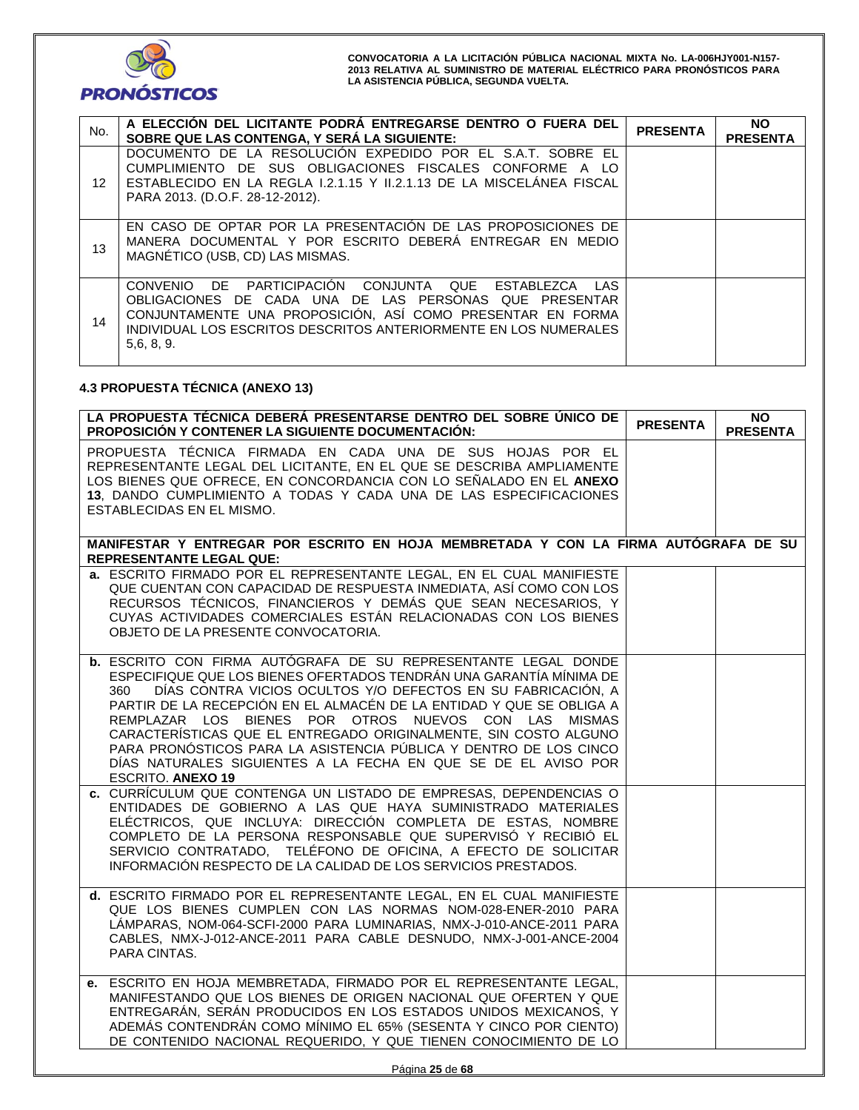

| No.             | A ELECCIÓN DEL LICITANTE PODRÀ ENTREGARSE DENTRO O FUERA DEL<br>SOBRE QUE LAS CONTENGA, Y SERÁ LA SIGUIENTE:                                                                                                                                                                            | <b>PRESENTA</b> | <b>NO</b><br><b>PRESENTA</b> |
|-----------------|-----------------------------------------------------------------------------------------------------------------------------------------------------------------------------------------------------------------------------------------------------------------------------------------|-----------------|------------------------------|
| 12 <sup>°</sup> | DOCUMENTO DE LA RESOLUCIÓN EXPEDIDO POR EL S.A.T. SOBRE EL<br>CUMPLIMIENTO DE SUS OBLIGACIONES FISCALES CONFORME A LO<br>ESTABLECIDO EN LA REGLA I.2.1.15 Y II.2.1.13 DE LA MISCELÁNEA FISCAL<br>PARA 2013. (D.O.F. 28-12-2012).                                                        |                 |                              |
| 13              | EN CASO DE OPTAR POR LA PRESENTACION DE LAS PROPOSICIONES DE<br>MANERA DOCUMENTAL Y POR ESCRITO DEBERÁ ENTREGAR EN MEDIO<br>MAGNÉTICO (USB, CD) LAS MISMAS.                                                                                                                             |                 |                              |
| 14              | PARTICIPACIÓN CONJUNTA<br>DE .<br>QUE<br><b>CONVENIO</b><br>ESTABLEZCA<br>LAS<br>OBLIGACIONES DE CADA UNA DE LAS PERSONAS QUE PRESENTAR<br>CONJUNTAMENTE UNA PROPOSICIÓN, ASÍ COMO PRESENTAR EN FORMA<br>INDIVIDUAL LOS ESCRITOS DESCRITOS ANTERIORMENTE EN LOS NUMERALES<br>5,6, 8, 9. |                 |                              |

# **4.3 PROPUESTA TÉCNICA (ANEXO 13)**

| LA PROPUESTA TÉCNICA DEBERÁ PRESENTARSE DENTRO DEL SOBRE ÚNICO DE<br>PROPOSICIÓN Y CONTENER LA SIGUIENTE DOCUMENTACIÓN:                                                                                                                                                                                                                                                                                                                                                                                                                                                                    | <b>PRESENTA</b> | <b>NO</b><br><b>PRESENTA</b> |
|--------------------------------------------------------------------------------------------------------------------------------------------------------------------------------------------------------------------------------------------------------------------------------------------------------------------------------------------------------------------------------------------------------------------------------------------------------------------------------------------------------------------------------------------------------------------------------------------|-----------------|------------------------------|
| PROPUESTA TÉCNICA FIRMADA EN CADA UNA DE SUS HOJAS POR EL<br>REPRESENTANTE LEGAL DEL LICITANTE, EN EL QUE SE DESCRIBA AMPLIAMENTE<br>LOS BIENES QUE OFRECE, EN CONCORDANCIA CON LO SEÑALADO EN EL ANEXO<br>13, DANDO CUMPLIMIENTO A TODAS Y CADA UNA DE LAS ESPECIFICACIONES<br>ESTABLECIDAS EN EL MISMO.                                                                                                                                                                                                                                                                                  |                 |                              |
| MANIFESTAR Y ENTREGAR POR ESCRITO EN HOJA MEMBRETADA Y CON LA FIRMA AUTÓGRAFA DE SU<br><b>REPRESENTANTE LEGAL QUE:</b>                                                                                                                                                                                                                                                                                                                                                                                                                                                                     |                 |                              |
| a. ESCRITO FIRMADO POR EL REPRESENTANTE LEGAL, EN EL CUAL MANIFIESTE<br>QUE CUENTAN CON CAPACIDAD DE RESPUESTA INMEDIATA, ASÍ COMO CON LOS<br>RECURSOS TÉCNICOS, FINANCIEROS Y DEMÁS QUE SEAN NECESARIOS, Y<br>CUYAS ACTIVIDADES COMERCIALES ESTÁN RELACIONADAS CON LOS BIENES<br>OBJETO DE LA PRESENTE CONVOCATORIA.                                                                                                                                                                                                                                                                      |                 |                              |
| <b>b.</b> ESCRITO CON FIRMA AUTÓGRAFA DE SU REPRESENTANTE LEGAL DONDE<br>ESPECIFIQUE QUE LOS BIENES OFERTADOS TENDRÁN UNA GARANTÍA MÍNIMA DE<br>DÍAS CONTRA VICIOS OCULTOS Y/O DEFECTOS EN SU FABRICACIÓN, A<br>360<br>PARTIR DE LA RECEPCIÓN EN EL ALMACÉN DE LA ENTIDAD Y QUE SE OBLIGA A<br>REMPLAZAR LOS BIENES POR OTROS NUEVOS CON LAS MISMAS<br>CARACTERÍSTICAS QUE EL ENTREGADO ORIGINALMENTE, SIN COSTO ALGUNO<br>PARA PRONÓSTICOS PARA LA ASISTENCIA PÚBLICA Y DENTRO DE LOS CINCO<br>DÍAS NATURALES SIGUIENTES A LA FECHA EN QUE SE DE EL AVISO POR<br><b>ESCRITO. ANEXO 19</b> |                 |                              |
| c. CURRÍCULUM QUE CONTENGA UN LISTADO DE EMPRESAS, DEPENDENCIAS O<br>ENTIDADES DE GOBIERNO A LAS QUE HAYA SUMINISTRADO MATERIALES<br>ELÉCTRICOS, QUE INCLUYA: DIRECCIÓN COMPLETA DE ESTAS, NOMBRE<br>COMPLETO DE LA PERSONA RESPONSABLE QUE SUPERVISÓ Y RECIBIÓ EL<br>SERVICIO CONTRATADO, TELÉFONO DE OFICINA, A EFECTO DE SOLICITAR<br>INFORMACIÓN RESPECTO DE LA CALIDAD DE LOS SERVICIOS PRESTADOS.                                                                                                                                                                                    |                 |                              |
| d. ESCRITO FIRMADO POR EL REPRESENTANTE LEGAL, EN EL CUAL MANIFIESTE<br>QUE LOS BIENES CUMPLEN CON LAS NORMAS NOM-028-ENER-2010 PARA<br>LÁMPARAS, NOM-064-SCFI-2000 PARA LUMINARIAS, NMX-J-010-ANCE-2011 PARA<br>CABLES, NMX-J-012-ANCE-2011 PARA CABLE DESNUDO, NMX-J-001-ANCE-2004<br>PARA CINTAS.                                                                                                                                                                                                                                                                                       |                 |                              |
| e. ESCRITO EN HOJA MEMBRETADA, FIRMADO POR EL REPRESENTANTE LEGAL,<br>MANIFESTANDO QUE LOS BIENES DE ORIGEN NACIONAL QUE OFERTEN Y QUE<br>ENTREGARÁN, SERÁN PRODUCIDOS EN LOS ESTADOS UNIDOS MEXICANOS, Y<br>ADEMÁS CONTENDRÁN COMO MÍNIMO EL 65% (SESENTA Y CINCO POR CIENTO)<br>DE CONTENIDO NACIONAL REQUERIDO, Y QUE TIENEN CONOCIMIENTO DE LO                                                                                                                                                                                                                                         |                 |                              |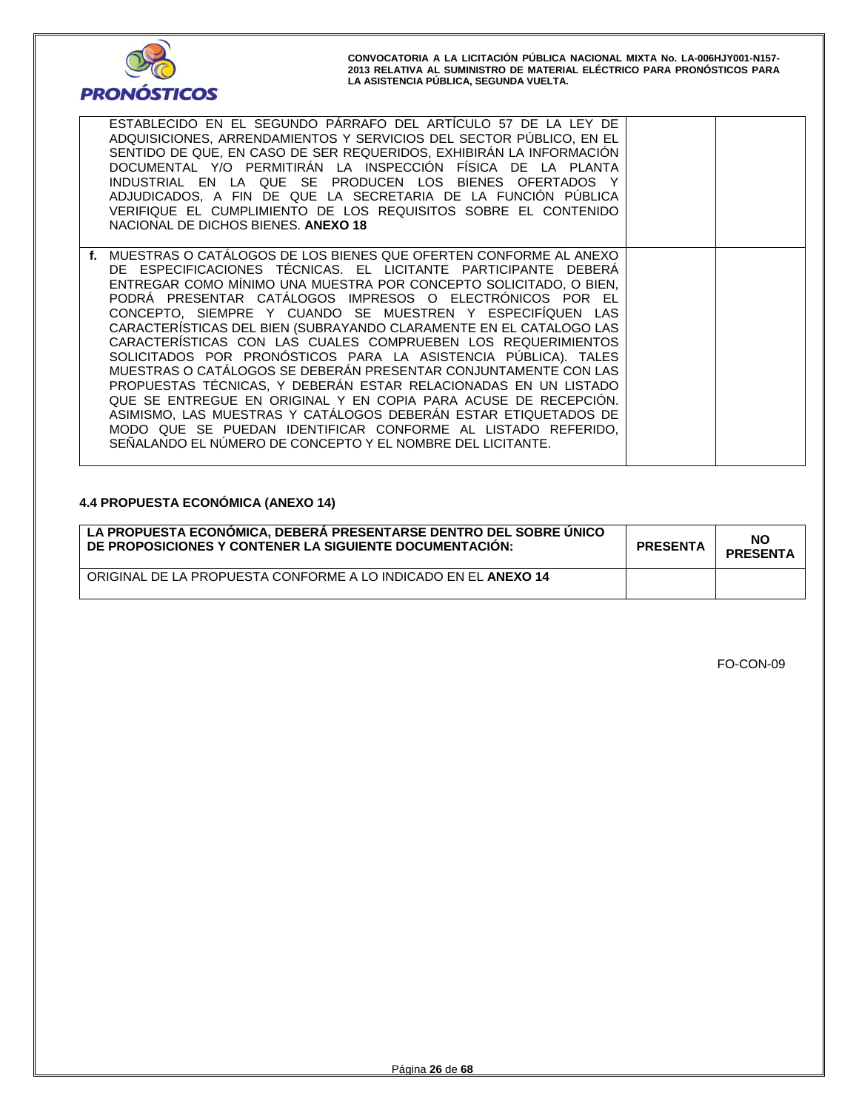

| ESTABLECIDO EN EL SEGUNDO PÁRRAFO DEL ARTÍCULO 57 DE LA LEY DE<br>ADQUISICIONES, ARRENDAMIENTOS Y SERVICIOS DEL SECTOR PÚBLICO, EN EL<br>SENTIDO DE QUE, EN CASO DE SER REQUERIDOS, EXHIBIRÁN LA INFORMACIÓN<br>DOCUMENTAL Y/O PERMITIRÁN LA INSPECCIÓN FÍSICA DE LA PLANTA<br>INDUSTRIAL EN LA QUE SE PRODUCEN LOS BIENES OFERTADOS Y<br>ADJUDICADOS, A FIN DE QUE LA SECRETARIA DE LA FUNCIÓN PÚBLICA<br>VERIFIQUE EL CUMPLIMIENTO DE LOS REQUISITOS SOBRE EL CONTENIDO                                                                                                                                                                                                                                                                                                                                                                                                                                                                             |  |
|-------------------------------------------------------------------------------------------------------------------------------------------------------------------------------------------------------------------------------------------------------------------------------------------------------------------------------------------------------------------------------------------------------------------------------------------------------------------------------------------------------------------------------------------------------------------------------------------------------------------------------------------------------------------------------------------------------------------------------------------------------------------------------------------------------------------------------------------------------------------------------------------------------------------------------------------------------|--|
| NACIONAL DE DICHOS BIENES. ANEXO 18                                                                                                                                                                                                                                                                                                                                                                                                                                                                                                                                                                                                                                                                                                                                                                                                                                                                                                                   |  |
| f. MUESTRAS O CATÁLOGOS DE LOS BIENES QUE OFERTEN CONFORME AL ANEXO<br>DE ESPECIFICACIONES TÉCNICAS. EL LICITANTE PARTICIPANTE DEBERA<br>ENTREGAR COMO MÍNIMO UNA MUESTRA POR CONCEPTO SOLICITADO, O BIEN,<br>PODRÁ PRESENTAR CATÁLOGOS IMPRESOS O ELECTRÓNICOS POR EL<br>CONCEPTO, SIEMPRE Y CUANDO SE MUESTREN Y ESPECIFÍQUEN LAS<br>CARACTERÍSTICAS DEL BIEN (SUBRAYANDO CLARAMENTE EN EL CATALOGO LAS<br>CARACTERÍSTICAS CON LAS CUALES COMPRUEBEN LOS REQUERIMIENTOS<br>SOLICITADOS POR PRONÓSTICOS PARA LA ASISTENCIA PÚBLICA). TALES<br>MUESTRAS O CATÁLOGOS SE DEBERÁN PRESENTAR CONJUNTAMENTE CON LAS<br>PROPUESTAS TÉCNICAS, Y DEBERÁN ESTAR RELACIONADAS EN UN LISTADO<br>QUE SE ENTREGUE EN ORIGINAL Y EN COPIA PARA ACUSE DE RECEPCIÓN.<br>ASIMISMO, LAS MUESTRAS Y CATÁLOGOS DEBERÁN ESTAR ETIQUETADOS DE<br>MODO QUE SE PUEDAN IDENTIFICAR CONFORME AL LISTADO REFERIDO,<br>SENALANDO EL NÚMERO DE CONCEPTO Y EL NOMBRE DEL LICITANTE. |  |

# **4.4 PROPUESTA ECONÓMICA (ANEXO 14)**

| LA PROPUESTA ECONÓMICA. DEBERÁ PRESENTARSE DENTRO DEL SOBRE UNICO<br>DE PROPOSICIONES Y CONTENER LA SIGUIENTE DOCUMENTACIÓN: | <b>PRESENTA</b> | <b>NO</b><br><b>PRESENTA</b> |
|------------------------------------------------------------------------------------------------------------------------------|-----------------|------------------------------|
| ORIGINAL DE LA PROPUESTA CONFORME A LO INDICADO EN EL ANEXO 14                                                               |                 |                              |

FO-CON-09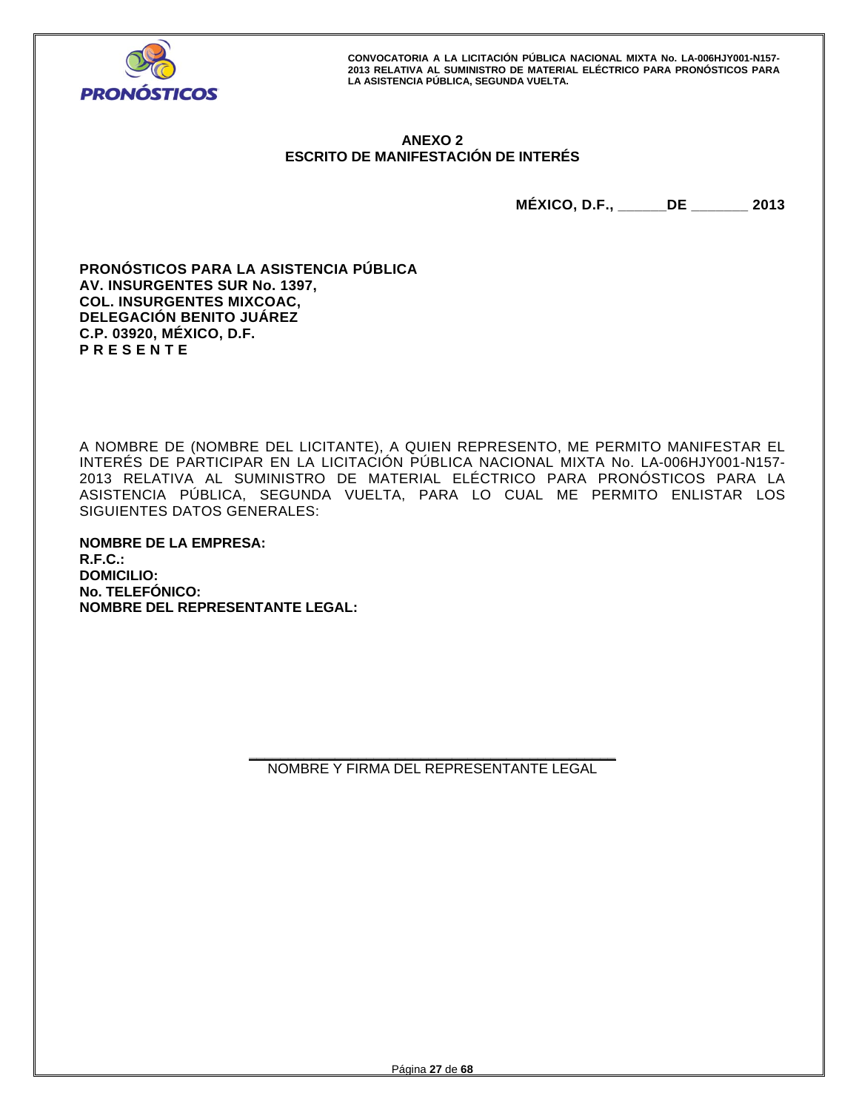

# **ANEXO 2 ESCRITO DE MANIFESTACIÓN DE INTERÉS**

**MÉXICO, D.F., \_\_\_\_\_\_DE \_\_\_\_\_\_\_ 2013** 

**PRONÓSTICOS PARA LA ASISTENCIA PÚBLICA AV. INSURGENTES SUR No. 1397, COL. INSURGENTES MIXCOAC, DELEGACIÓN BENITO JUÁREZ C.P. 03920, MÉXICO, D.F. P R E S E N T E** 

A NOMBRE DE (NOMBRE DEL LICITANTE), A QUIEN REPRESENTO, ME PERMITO MANIFESTAR EL INTERÉS DE PARTICIPAR EN LA LICITACIÓN PÚBLICA NACIONAL MIXTA No. LA-006HJY001-N157- 2013 RELATIVA AL SUMINISTRO DE MATERIAL ELÉCTRICO PARA PRONÓSTICOS PARA LA ASISTENCIA PÚBLICA, SEGUNDA VUELTA, PARA LO CUAL ME PERMITO ENLISTAR LOS SIGUIENTES DATOS GENERALES:

**NOMBRE DE LA EMPRESA: R.F.C.: DOMICILIO: No. TELEFÓNICO: NOMBRE DEL REPRESENTANTE LEGAL:**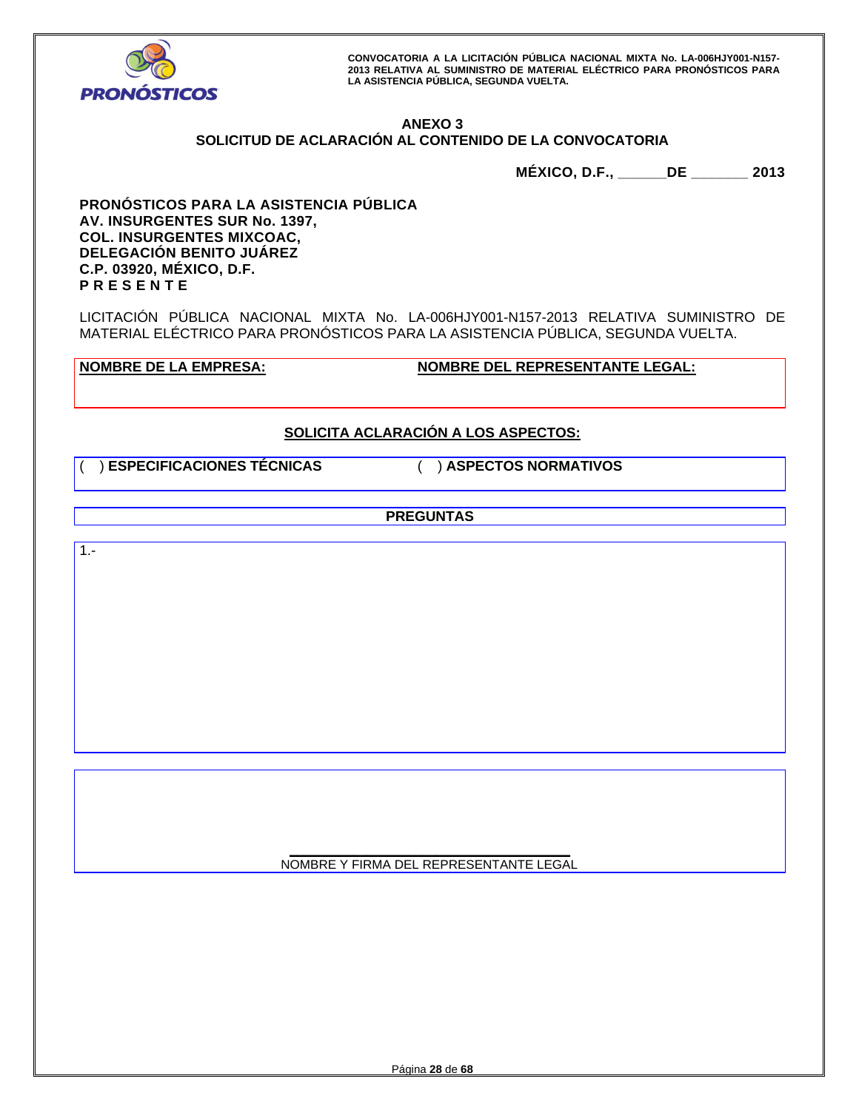

# **ANEXO 3 SOLICITUD DE ACLARACIÓN AL CONTENIDO DE LA CONVOCATORIA**

**MÉXICO, D.F., \_\_\_\_\_\_DE \_\_\_\_\_\_\_ 2013** 

**PRONÓSTICOS PARA LA ASISTENCIA PÚBLICA AV. INSURGENTES SUR No. 1397, COL. INSURGENTES MIXCOAC, DELEGACIÓN BENITO JUÁREZ C.P. 03920, MÉXICO, D.F. P R E S E N T E** 

LICITACIÓN PÚBLICA NACIONAL MIXTA No. LA-006HJY001-N157-2013 RELATIVA SUMINISTRO DE MATERIAL ELÉCTRICO PARA PRONÓSTICOS PARA LA ASISTENCIA PÚBLICA, SEGUNDA VUELTA.

**NOMBRE DE LA EMPRESA: NOMBRE DEL REPRESENTANTE LEGAL:** 

# **SOLICITA ACLARACIÓN A LOS ASPECTOS:**

( ) **ESPECIFICACIONES TÉCNICAS** ( ) **ASPECTOS NORMATIVOS**

**PREGUNTAS** 

1.-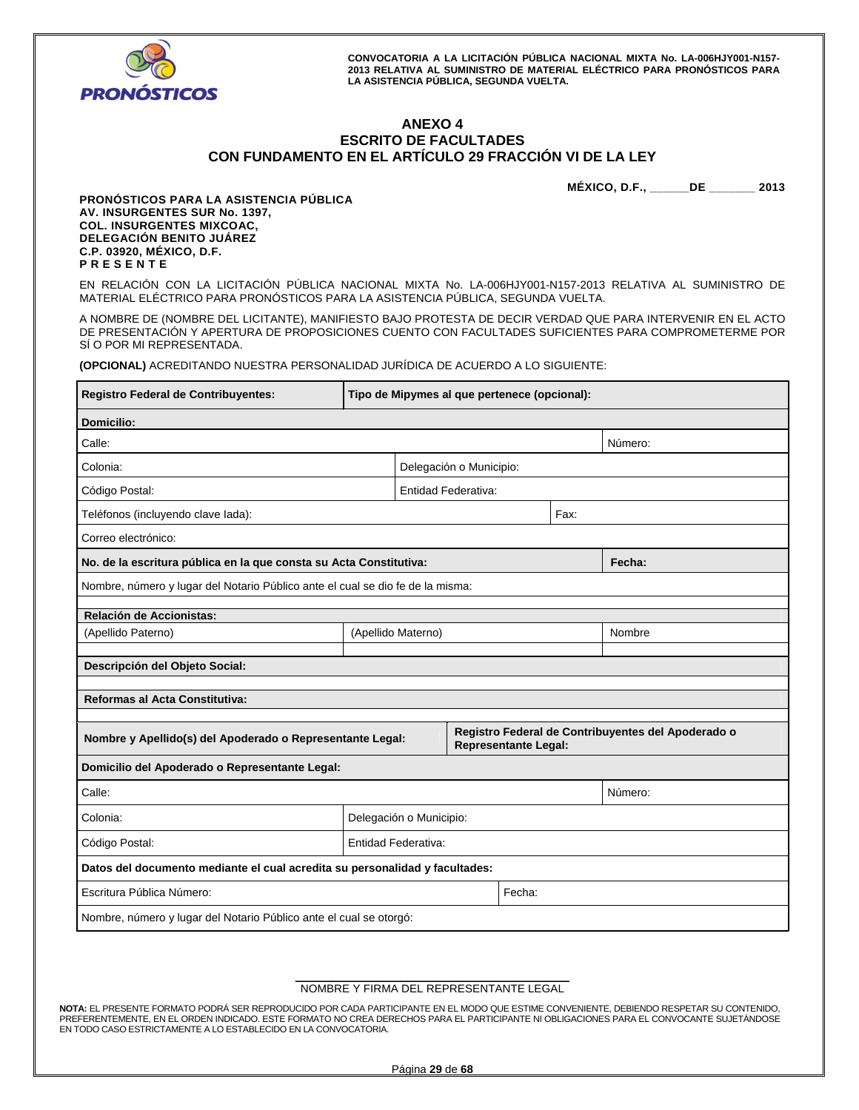

 $\blacksquare$ 

**CONVOCATORIA A LA LICITACIÓN PÚBLICA NACIONAL MIXTA No. LA-006HJY001-N157- 2013 RELATIVA AL SUMINISTRO DE MATERIAL ELÉCTRICO PARA PRONÓSTICOS PARA LA ASISTENCIA PÚBLICA, SEGUNDA VUELTA.** 

## **ANEXO 4 ESCRITO DE FACULTADES CON FUNDAMENTO EN EL ARTÍCULO 29 FRACCIÓN VI DE LA LEY**

**MÉXICO, D.F., \_\_\_\_\_\_DE \_\_\_\_\_\_\_ 2013** 

h

**PRONÓSTICOS PARA LA ASISTENCIA PÚBLICA AV. INSURGENTES SUR No. 1397, COL. INSURGENTES MIXCOAC, DELEGACIÓN BENITO JUÁREZ C.P. 03920, MÉXICO, D.F. P R E S E N T E** 

EN RELACIÓN CON LA LICITACIÓN PÚBLICA NACIONAL MIXTA No. LA-006HJY001-N157-2013 RELATIVA AL SUMINISTRO DE MATERIAL ELÉCTRICO PARA PRONÓSTICOS PARA LA ASISTENCIA PÚBLICA, SEGUNDA VUELTA.

A NOMBRE DE (NOMBRE DEL LICITANTE), MANIFIESTO BAJO PROTESTA DE DECIR VERDAD QUE PARA INTERVENIR EN EL ACTO DE PRESENTACIÓN Y APERTURA DE PROPOSICIONES CUENTO CON FACULTADES SUFICIENTES PARA COMPROMETERME POR SÍ O POR MI REPRESENTADA.

**(OPCIONAL)** ACREDITANDO NUESTRA PERSONALIDAD JURÍDICA DE ACUERDO A LO SIGUIENTE:

| <b>Registro Federal de Contribuyentes:</b>                                     | Tipo de Mipymes al que pertenece (opcional): |                     |                         |                             |      |                                                    |
|--------------------------------------------------------------------------------|----------------------------------------------|---------------------|-------------------------|-----------------------------|------|----------------------------------------------------|
| <b>Domicilio:</b>                                                              |                                              |                     |                         |                             |      |                                                    |
| Calle:<br>Número:                                                              |                                              |                     |                         |                             |      |                                                    |
| Colonia:                                                                       |                                              |                     | Delegación o Municipio: |                             |      |                                                    |
| Código Postal:                                                                 |                                              | Entidad Federativa: |                         |                             |      |                                                    |
| Teléfonos (incluyendo clave lada):                                             |                                              |                     |                         |                             | Fax: |                                                    |
| Correo electrónico:                                                            |                                              |                     |                         |                             |      |                                                    |
| No. de la escritura pública en la que consta su Acta Constitutiva:             |                                              |                     |                         |                             |      | Fecha:                                             |
| Nombre, número y lugar del Notario Público ante el cual se dio fe de la misma: |                                              |                     |                         |                             |      |                                                    |
| Relación de Accionistas:                                                       |                                              |                     |                         |                             |      |                                                    |
| (Apellido Paterno)                                                             |                                              | (Apellido Materno)  |                         |                             |      | Nombre                                             |
| Descripción del Objeto Social:                                                 |                                              |                     |                         |                             |      |                                                    |
| Reformas al Acta Constitutiva:                                                 |                                              |                     |                         |                             |      |                                                    |
|                                                                                |                                              |                     |                         |                             |      |                                                    |
| Nombre y Apellido(s) del Apoderado o Representante Legal:                      |                                              |                     |                         | <b>Representante Legal:</b> |      | Registro Federal de Contribuyentes del Apoderado o |
| Domicilio del Apoderado o Representante Legal:                                 |                                              |                     |                         |                             |      |                                                    |
| Calle:<br>Número:                                                              |                                              |                     |                         |                             |      |                                                    |
| Colonia:                                                                       | Delegación o Municipio:                      |                     |                         |                             |      |                                                    |
| Código Postal:                                                                 | Entidad Federativa:                          |                     |                         |                             |      |                                                    |
| Datos del documento mediante el cual acredita su personalidad y facultades:    |                                              |                     |                         |                             |      |                                                    |
| Escritura Pública Número:<br>Fecha:                                            |                                              |                     |                         |                             |      |                                                    |
| Nombre, número y lugar del Notario Público ante el cual se otorgó:             |                                              |                     |                         |                             |      |                                                    |

#### **\_\_\_\_\_\_\_\_\_\_\_\_\_\_\_\_\_\_\_\_\_\_\_\_\_\_\_\_\_\_\_\_\_\_\_\_\_\_\_\_\_\_\_\_**  NOMBRE Y FIRMA DEL REPRESENTANTE LEGAL

**NOTA:** EL PRESENTE FORMATO PODRÁ SER REPRODUCIDO POR CADA PARTICIPANTE EN EL MODO QUE ESTIME CONVENIENTE, DEBIENDO RESPETAR SU CONTENIDO, PREFERENTEMENTE, EN EL ORDEN INDICADO. ESTE FORMATO NO CREA DERECHOS PARA EL PARTICIPANTE NI OBLIGACIONES PARA EL CONVOCANTE SUJETÁNDOSE EN TODO CASO ESTRICTAMENTE A LO ESTABLECIDO EN LA CONVOCATORIA.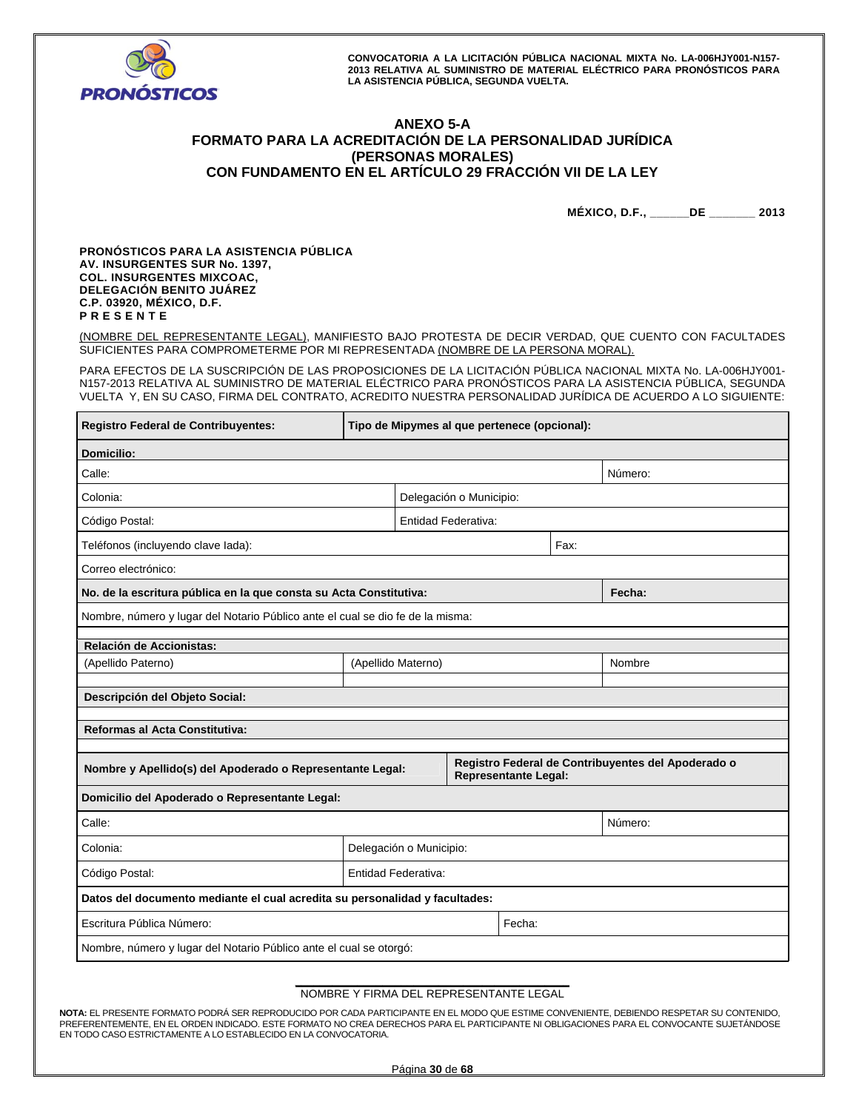

# **ANEXO 5-A FORMATO PARA LA ACREDITACIÓN DE LA PERSONALIDAD JURÍDICA (PERSONAS MORALES) CON FUNDAMENTO EN EL ARTÍCULO 29 FRACCIÓN VII DE LA LEY**

**MÉXICO, D.F., \_\_\_\_\_\_DE \_\_\_\_\_\_\_ 2013** 

**PRONÓSTICOS PARA LA ASISTENCIA PÚBLICA AV. INSURGENTES SUR No. 1397, COL. INSURGENTES MIXCOAC, DELEGACIÓN BENITO JUÁREZ C.P. 03920, MÉXICO, D.F. P R E S E N T E** 

(NOMBRE DEL REPRESENTANTE LEGAL), MANIFIESTO BAJO PROTESTA DE DECIR VERDAD, QUE CUENTO CON FACULTADES SUFICIENTES PARA COMPROMETERME POR MI REPRESENTADA (NOMBRE DE LA PERSONA MORAL).

PARA EFECTOS DE LA SUSCRIPCIÓN DE LAS PROPOSICIONES DE LA LICITACIÓN PÚBLICA NACIONAL MIXTA No. LA-006HJY001- N157-2013 RELATIVA AL SUMINISTRO DE MATERIAL ELÉCTRICO PARA PRONÓSTICOS PARA LA ASISTENCIA PÚBLICA, SEGUNDA VUELTA Y, EN SU CASO, FIRMA DEL CONTRATO, ACREDITO NUESTRA PERSONALIDAD JURÍDICA DE ACUERDO A LO SIGUIENTE:

| Registro Federal de Contribuyentes:                                            | Tipo de Mipymes al que pertenece (opcional): |  |                         |                      |      |                                                    |
|--------------------------------------------------------------------------------|----------------------------------------------|--|-------------------------|----------------------|------|----------------------------------------------------|
| Domicilio:                                                                     |                                              |  |                         |                      |      |                                                    |
| Calle:<br>Número:                                                              |                                              |  |                         |                      |      |                                                    |
| Colonia:                                                                       |                                              |  | Delegación o Municipio: |                      |      |                                                    |
| Código Postal:                                                                 |                                              |  | Entidad Federativa:     |                      |      |                                                    |
| Teléfonos (incluyendo clave lada):                                             |                                              |  |                         |                      | Fax: |                                                    |
| Correo electrónico:                                                            |                                              |  |                         |                      |      |                                                    |
| No. de la escritura pública en la que consta su Acta Constitutiva:             |                                              |  |                         |                      |      | Fecha:                                             |
| Nombre, número y lugar del Notario Público ante el cual se dio fe de la misma: |                                              |  |                         |                      |      |                                                    |
| Relación de Accionistas:                                                       |                                              |  |                         |                      |      |                                                    |
| (Apellido Paterno)                                                             | (Apellido Materno)                           |  |                         |                      |      | Nombre                                             |
| Descripción del Objeto Social:                                                 |                                              |  |                         |                      |      |                                                    |
| Reformas al Acta Constitutiva:                                                 |                                              |  |                         |                      |      |                                                    |
|                                                                                |                                              |  |                         |                      |      |                                                    |
| Nombre y Apellido(s) del Apoderado o Representante Legal:                      |                                              |  |                         | Representante Legal: |      | Registro Federal de Contribuyentes del Apoderado o |
| Domicilio del Apoderado o Representante Legal:                                 |                                              |  |                         |                      |      |                                                    |
| Calle:                                                                         |                                              |  |                         |                      |      | Número:                                            |
| Colonia:                                                                       | Delegación o Municipio:                      |  |                         |                      |      |                                                    |
| Código Postal:                                                                 | Entidad Federativa:                          |  |                         |                      |      |                                                    |
| Datos del documento mediante el cual acredita su personalidad y facultades:    |                                              |  |                         |                      |      |                                                    |
| Escritura Pública Número:<br>Fecha:                                            |                                              |  |                         |                      |      |                                                    |
| Nombre, número y lugar del Notario Público ante el cual se otorgó:             |                                              |  |                         |                      |      |                                                    |

#### **\_\_\_\_\_\_\_\_\_\_\_\_\_\_\_\_\_\_\_\_\_\_\_\_\_\_\_\_\_\_\_\_\_\_\_\_\_\_\_\_\_\_\_\_**  NOMBRE Y FIRMA DEL REPRESENTANTE LEGAL

**NOTA:** EL PRESENTE FORMATO PODRÁ SER REPRODUCIDO POR CADA PARTICIPANTE EN EL MODO QUE ESTIME CONVENIENTE, DEBIENDO RESPETAR SU CONTENIDO, PREFERENTEMENTE, EN EL ORDEN INDICADO. ESTE FORMATO NO CREA DERECHOS PARA EL PARTICIPANTE NI OBLIGACIONES PARA EL CONVOCANTE SUJETÁNDOSE EN TODO CASO ESTRICTAMENTE A LO ESTABLECIDO EN LA CONVOCATORIA.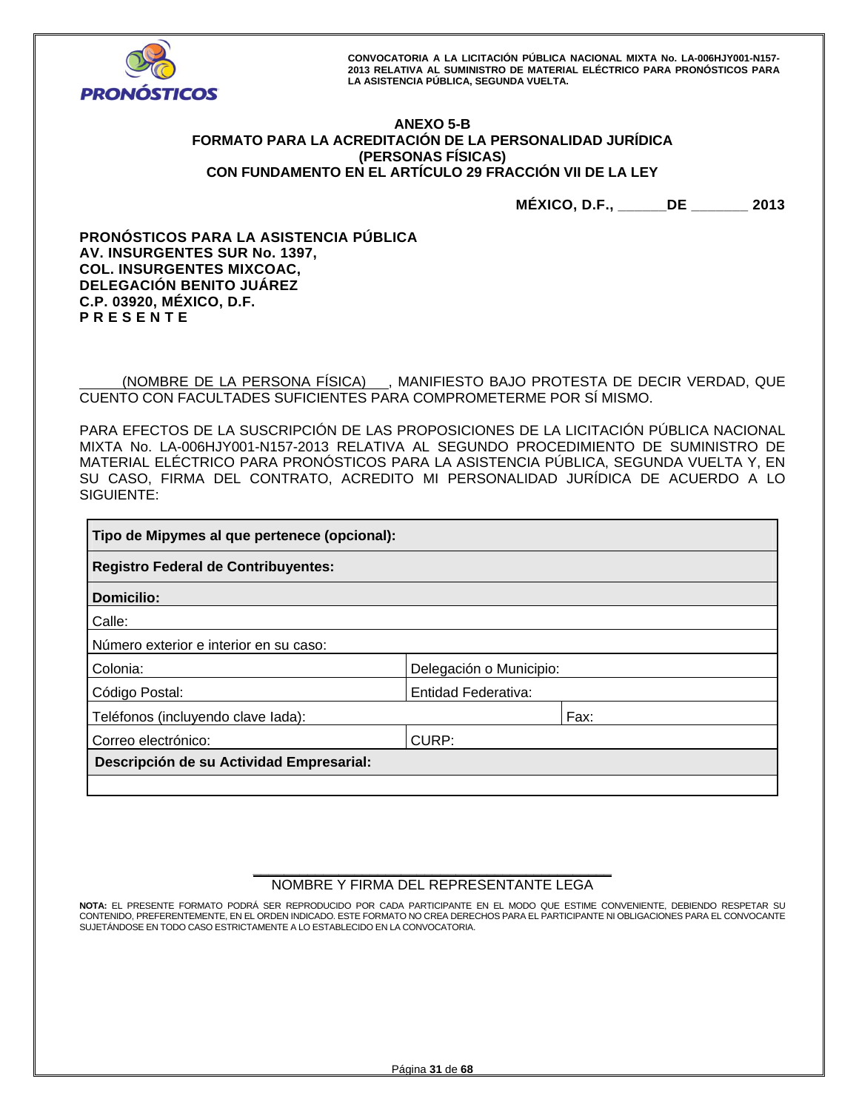

# **ANEXO 5-B FORMATO PARA LA ACREDITACIÓN DE LA PERSONALIDAD JURÍDICA (PERSONAS FÍSICAS) CON FUNDAMENTO EN EL ARTÍCULO 29 FRACCIÓN VII DE LA LEY**

**MÉXICO, D.F., \_\_\_\_\_\_DE \_\_\_\_\_\_\_ 2013** 

**PRONÓSTICOS PARA LA ASISTENCIA PÚBLICA AV. INSURGENTES SUR No. 1397, COL. INSURGENTES MIXCOAC, DELEGACIÓN BENITO JUÁREZ C.P. 03920, MÉXICO, D.F. P R E S E N T E** 

 (NOMBRE DE LA PERSONA FÍSICA) , MANIFIESTO BAJO PROTESTA DE DECIR VERDAD, QUE CUENTO CON FACULTADES SUFICIENTES PARA COMPROMETERME POR SÍ MISMO.

PARA EFECTOS DE LA SUSCRIPCIÓN DE LAS PROPOSICIONES DE LA LICITACIÓN PÚBLICA NACIONAL MIXTA No. LA-006HJY001-N157-2013 RELATIVA AL SEGUNDO PROCEDIMIENTO DE SUMINISTRO DE MATERIAL ELÉCTRICO PARA PRONÓSTICOS PARA LA ASISTENCIA PÚBLICA, SEGUNDA VUELTA Y, EN SU CASO, FIRMA DEL CONTRATO, ACREDITO MI PERSONALIDAD JURÍDICA DE ACUERDO A LO SIGUIENTE:

| Tipo de Mipymes al que pertenece (opcional): |                         |      |  |  |  |
|----------------------------------------------|-------------------------|------|--|--|--|
| <b>Registro Federal de Contribuyentes:</b>   |                         |      |  |  |  |
| Domicilio:                                   |                         |      |  |  |  |
| Calle:                                       |                         |      |  |  |  |
| Número exterior e interior en su caso:       |                         |      |  |  |  |
| Colonia:                                     | Delegación o Municipio: |      |  |  |  |
| Código Postal:                               | Entidad Federativa:     |      |  |  |  |
| Teléfonos (incluyendo clave lada):           |                         | Fax: |  |  |  |
| Correo electrónico:<br>CURP:                 |                         |      |  |  |  |
| Descripción de su Actividad Empresarial:     |                         |      |  |  |  |
|                                              |                         |      |  |  |  |

#### **\_\_\_\_\_\_\_\_\_\_\_\_\_\_\_\_\_\_\_\_\_\_\_\_\_\_\_\_\_\_\_\_\_\_\_\_\_\_\_\_\_\_\_\_\_\_**  NOMBRE Y FIRMA DEL REPRESENTANTE LEGA

**NOTA:** EL PRESENTE FORMATO PODRÁ SER REPRODUCIDO POR CADA PARTICIPANTE EN EL MODO QUE ESTIME CONVENIENTE, DEBIENDO RESPETAR SU CONTENIDO, PREFERENTEMENTE, EN EL ORDEN INDICADO. ESTE FORMATO NO CREA DERECHOS PARA EL PARTICIPANTE NI OBLIGACIONES PARA EL CONVOCANTE SUJETÁNDOSE EN TODO CASO ESTRICTAMENTE A LO ESTABLECIDO EN LA CONVOCATORIA.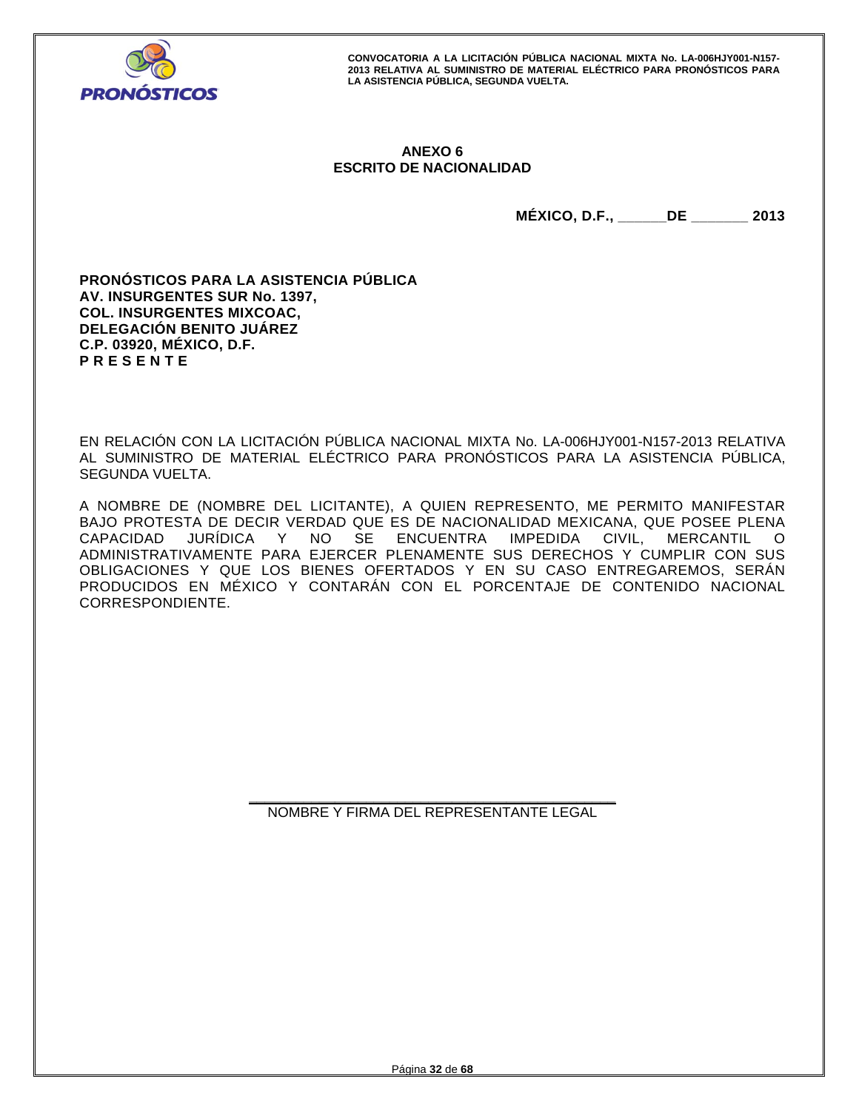

# **ANEXO 6 ESCRITO DE NACIONALIDAD**

**MÉXICO, D.F., \_\_\_\_\_\_DE \_\_\_\_\_\_\_ 2013** 

**PRONÓSTICOS PARA LA ASISTENCIA PÚBLICA AV. INSURGENTES SUR No. 1397, COL. INSURGENTES MIXCOAC, DELEGACIÓN BENITO JUÁREZ C.P. 03920, MÉXICO, D.F. P R E S E N T E** 

EN RELACIÓN CON LA LICITACIÓN PÚBLICA NACIONAL MIXTA No. LA-006HJY001-N157-2013 RELATIVA AL SUMINISTRO DE MATERIAL ELÉCTRICO PARA PRONÓSTICOS PARA LA ASISTENCIA PÚBLICA, SEGUNDA VUELTA.

A NOMBRE DE (NOMBRE DEL LICITANTE), A QUIEN REPRESENTO, ME PERMITO MANIFESTAR BAJO PROTESTA DE DECIR VERDAD QUE ES DE NACIONALIDAD MEXICANA, QUE POSEE PLENA CAPACIDAD JURÍDICA Y NO SE ENCUENTRA IMPEDIDA CIVIL, MERCANTIL O ADMINISTRATIVAMENTE PARA EJERCER PLENAMENTE SUS DERECHOS Y CUMPLIR CON SUS OBLIGACIONES Y QUE LOS BIENES OFERTADOS Y EN SU CASO ENTREGAREMOS, SERÁN PRODUCIDOS EN MÉXICO Y CONTARÁN CON EL PORCENTAJE DE CONTENIDO NACIONAL CORRESPONDIENTE.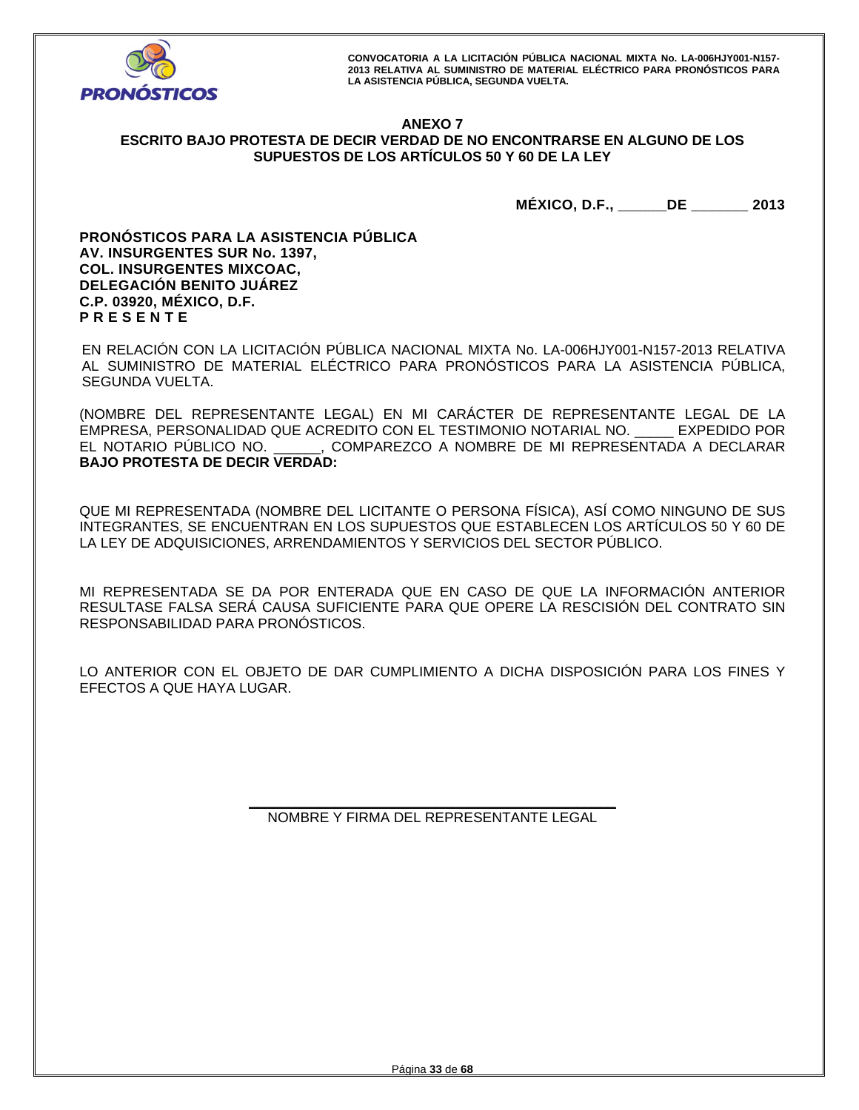

# **ANEXO 7 ESCRITO BAJO PROTESTA DE DECIR VERDAD DE NO ENCONTRARSE EN ALGUNO DE LOS SUPUESTOS DE LOS ARTÍCULOS 50 Y 60 DE LA LEY**

**MÉXICO, D.F., \_\_\_\_\_\_DE \_\_\_\_\_\_\_ 2013** 

**PRONÓSTICOS PARA LA ASISTENCIA PÚBLICA AV. INSURGENTES SUR No. 1397, COL. INSURGENTES MIXCOAC, DELEGACIÓN BENITO JUÁREZ C.P. 03920, MÉXICO, D.F. P R E S E N T E** 

EN RELACIÓN CON LA LICITACIÓN PÚBLICA NACIONAL MIXTA No. LA-006HJY001-N157-2013 RELATIVA AL SUMINISTRO DE MATERIAL ELÉCTRICO PARA PRONÓSTICOS PARA LA ASISTENCIA PÚBLICA, SEGUNDA VUELTA.

(NOMBRE DEL REPRESENTANTE LEGAL) EN MI CARÁCTER DE REPRESENTANTE LEGAL DE LA EMPRESA, PERSONALIDAD QUE ACREDITO CON EL TESTIMONIO NOTARIAL NO. \_\_\_\_\_ EXPEDIDO POR EL NOTARIO PÚBLICO NO. \_\_\_\_\_\_, COMPAREZCO A NOMBRE DE MI REPRESENTADA A DECLARAR **BAJO PROTESTA DE DECIR VERDAD:** 

QUE MI REPRESENTADA (NOMBRE DEL LICITANTE O PERSONA FÍSICA), ASÍ COMO NINGUNO DE SUS INTEGRANTES, SE ENCUENTRAN EN LOS SUPUESTOS QUE ESTABLECEN LOS ARTÍCULOS 50 Y 60 DE LA LEY DE ADQUISICIONES, ARRENDAMIENTOS Y SERVICIOS DEL SECTOR PÚBLICO.

MI REPRESENTADA SE DA POR ENTERADA QUE EN CASO DE QUE LA INFORMACIÓN ANTERIOR RESULTASE FALSA SERÁ CAUSA SUFICIENTE PARA QUE OPERE LA RESCISIÓN DEL CONTRATO SIN RESPONSABILIDAD PARA PRONÓSTICOS.

LO ANTERIOR CON EL OBJETO DE DAR CUMPLIMIENTO A DICHA DISPOSICIÓN PARA LOS FINES Y EFECTOS A QUE HAYA LUGAR.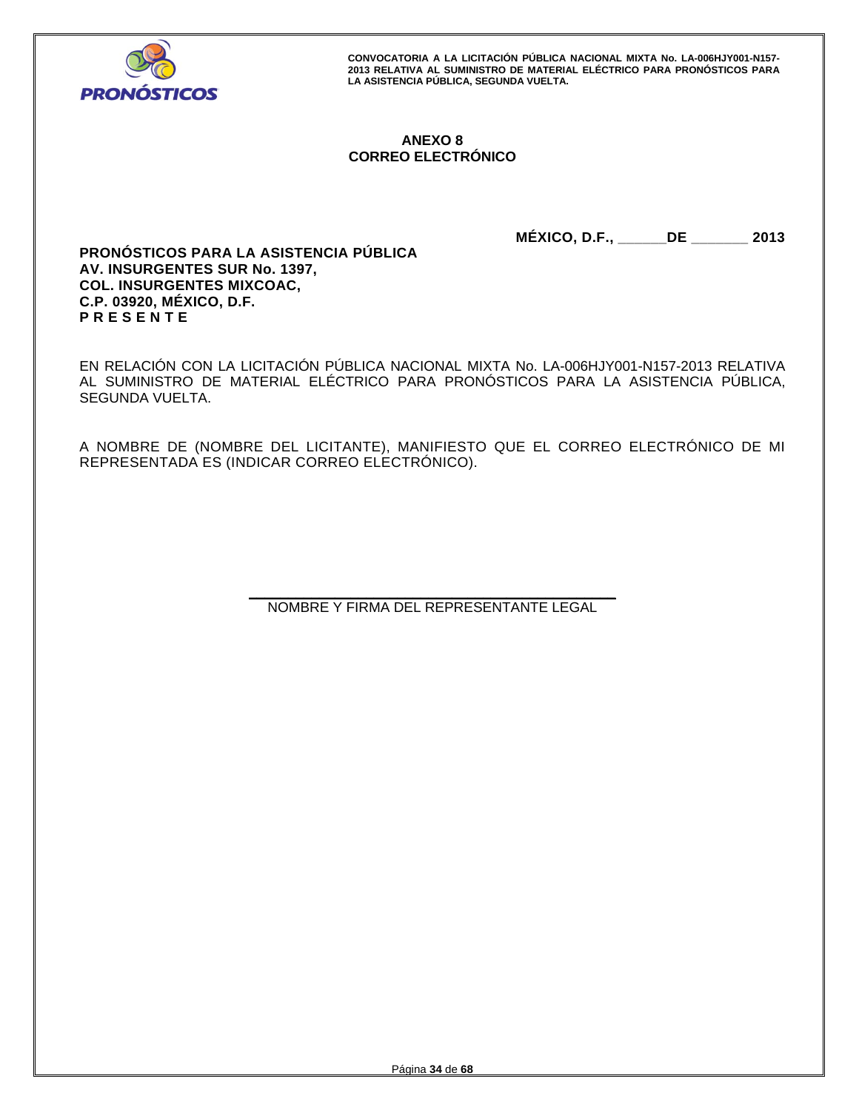

# **ANEXO 8 CORREO ELECTRÓNICO**

**MÉXICO, D.F., \_\_\_\_\_\_DE \_\_\_\_\_\_\_ 2013** 

**PRONÓSTICOS PARA LA ASISTENCIA PÚBLICA AV. INSURGENTES SUR No. 1397, COL. INSURGENTES MIXCOAC, C.P. 03920, MÉXICO, D.F. P R E S E N T E** 

EN RELACIÓN CON LA LICITACIÓN PÚBLICA NACIONAL MIXTA No. LA-006HJY001-N157-2013 RELATIVA AL SUMINISTRO DE MATERIAL ELÉCTRICO PARA PRONÓSTICOS PARA LA ASISTENCIA PÚBLICA, SEGUNDA VUELTA.

A NOMBRE DE (NOMBRE DEL LICITANTE), MANIFIESTO QUE EL CORREO ELECTRÓNICO DE MI REPRESENTADA ES (INDICAR CORREO ELECTRÓNICO).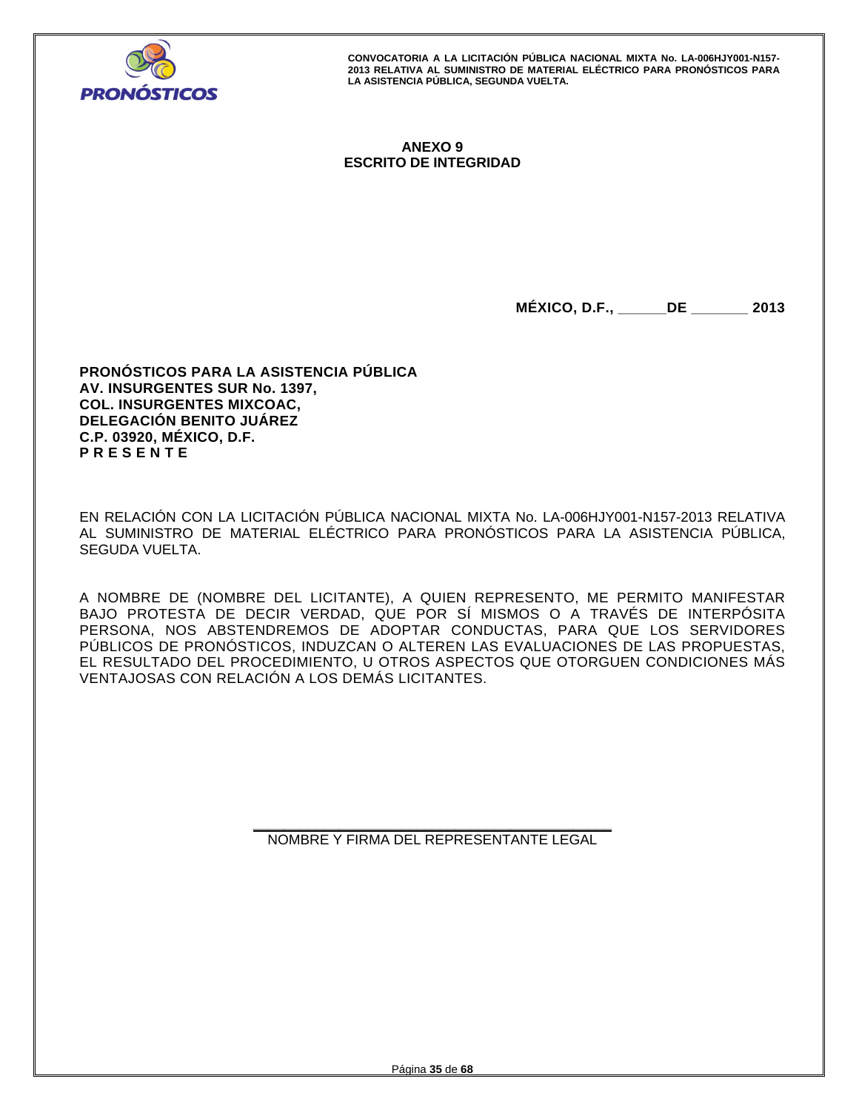

# **ANEXO 9 ESCRITO DE INTEGRIDAD**

**MÉXICO, D.F., \_\_\_\_\_\_DE \_\_\_\_\_\_\_ 2013** 

**PRONÓSTICOS PARA LA ASISTENCIA PÚBLICA AV. INSURGENTES SUR No. 1397, COL. INSURGENTES MIXCOAC, DELEGACIÓN BENITO JUÁREZ C.P. 03920, MÉXICO, D.F. P R E S E N T E** 

EN RELACIÓN CON LA LICITACIÓN PÚBLICA NACIONAL MIXTA No. LA-006HJY001-N157-2013 RELATIVA AL SUMINISTRO DE MATERIAL ELÉCTRICO PARA PRONÓSTICOS PARA LA ASISTENCIA PÚBLICA, SEGUDA VUELTA.

A NOMBRE DE (NOMBRE DEL LICITANTE), A QUIEN REPRESENTO, ME PERMITO MANIFESTAR BAJO PROTESTA DE DECIR VERDAD, QUE POR SÍ MISMOS O A TRAVÉS DE INTERPÓSITA PERSONA, NOS ABSTENDREMOS DE ADOPTAR CONDUCTAS, PARA QUE LOS SERVIDORES PÚBLICOS DE PRONÓSTICOS, INDUZCAN O ALTEREN LAS EVALUACIONES DE LAS PROPUESTAS, EL RESULTADO DEL PROCEDIMIENTO, U OTROS ASPECTOS QUE OTORGUEN CONDICIONES MÁS VENTAJOSAS CON RELACIÓN A LOS DEMÁS LICITANTES.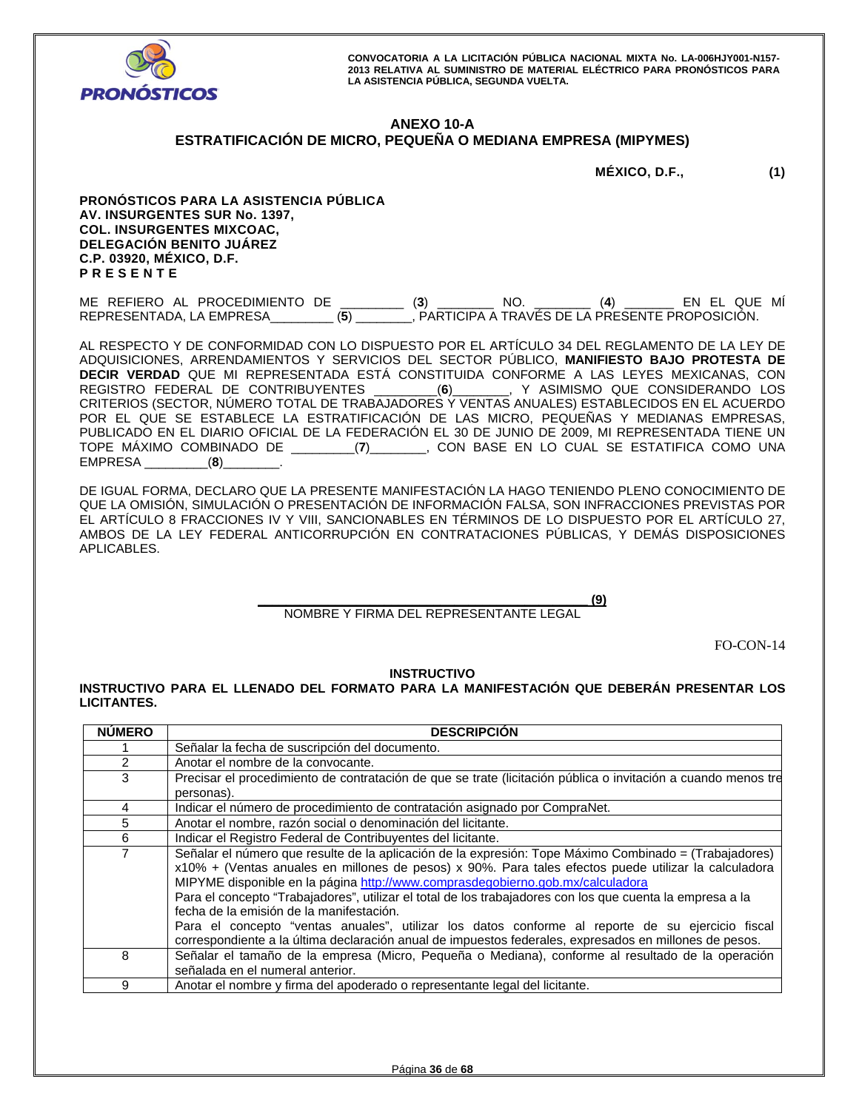

#### **ANEXO 10-A ESTRATIFICACIÓN DE MICRO, PEQUEÑA O MEDIANA EMPRESA (MIPYMES)**

| MÉXICO, D.F., | (1) |
|---------------|-----|

**PRONÓSTICOS PARA LA ASISTENCIA PÚBLICA AV. INSURGENTES SUR No. 1397, COL. INSURGENTES MIXCOAC, DELEGACIÓN BENITO JUÁREZ C.P. 03920, MÉXICO, D.F. P R E S E N T E** 

ME REFIERO AL PROCEDIMIENTO DE \_\_\_\_\_\_\_\_\_ (**3**) \_\_\_\_\_\_\_\_ NO. \_\_\_\_\_\_\_\_ (**4**) \_\_\_\_\_\_\_ EN EL QUE MÍ REPRESENTADA, LA EMPRESA\_\_\_\_\_\_\_\_\_ (**5**) \_\_\_\_\_\_\_\_, PARTICIPA A TRAVÉS DE LA PRESENTE PROPOSICIÓN.

AL RESPECTO Y DE CONFORMIDAD CON LO DISPUESTO POR EL ARTÍCULO 34 DEL REGLAMENTO DE LA LEY DE ADQUISICIONES, ARRENDAMIENTOS Y SERVICIOS DEL SECTOR PÚBLICO, **MANIFIESTO BAJO PROTESTA DE DECIR VERDAD** QUE MI REPRESENTADA ESTÁ CONSTITUIDA CONFORME A LAS LEYES MEXICANAS, CON REGISTRO FEDERAL DE CONTRIBUYENTES \_\_\_\_\_\_\_\_\_(**6**)\_\_\_\_\_\_\_\_, Y ASIMISMO QUE CONSIDERANDO LOS CRITERIOS (SECTOR, NÚMERO TOTAL DE TRABAJADORES Y VENTAS ANUALES) ESTABLECIDOS EN EL ACUERDO POR EL QUE SE ESTABLECE LA ESTRATIFICACIÓN DE LAS MICRO, PEQUEÑAS Y MEDIANAS EMPRESAS, PUBLICADO EN EL DIARIO OFICIAL DE LA FEDERACIÓN EL 30 DE JUNIO DE 2009, MI REPRESENTADA TIENE UN TOPE MÁXIMO COMBINADO DE \_\_\_\_\_\_\_\_\_(**7**)\_\_\_\_\_\_\_\_, CON BASE EN LO CUAL SE ESTATIFICA COMO UNA EMPRESA \_\_\_\_\_\_\_\_\_(**8**)\_\_\_\_\_\_\_\_.

DE IGUAL FORMA, DECLARO QUE LA PRESENTE MANIFESTACIÓN LA HAGO TENIENDO PLENO CONOCIMIENTO DE QUE LA OMISIÓN, SIMULACIÓN O PRESENTACIÓN DE INFORMACIÓN FALSA, SON INFRACCIONES PREVISTAS POR EL ARTÍCULO 8 FRACCIONES IV Y VIII, SANCIONABLES EN TÉRMINOS DE LO DISPUESTO POR EL ARTÍCULO 27, AMBOS DE LA LEY FEDERAL ANTICORRUPCIÓN EN CONTRATACIONES PÚBLICAS, Y DEMÁS DISPOSICIONES APLICABLES.

> **\_\_\_\_\_\_\_\_\_\_\_\_\_\_\_\_\_\_\_\_\_\_\_\_\_\_\_\_\_\_\_\_\_\_\_\_\_\_\_\_\_\_\_\_\_\_\_ (9)**  NOMBRE Y FIRMA DEL REPRESENTANTE LEGAL

> > FO-CON-14

## **INSTRUCTIVO**

**INSTRUCTIVO PARA EL LLENADO DEL FORMATO PARA LA MANIFESTACIÓN QUE DEBERÁN PRESENTAR LOS LICITANTES.** 

| <b>NÚMERO</b>  | <b>DESCRIPCIÓN</b>                                                                                                                                                                                                                                                                                                                                                                                                                                                                                                                                                                                                                                                      |
|----------------|-------------------------------------------------------------------------------------------------------------------------------------------------------------------------------------------------------------------------------------------------------------------------------------------------------------------------------------------------------------------------------------------------------------------------------------------------------------------------------------------------------------------------------------------------------------------------------------------------------------------------------------------------------------------------|
|                | Señalar la fecha de suscripción del documento.                                                                                                                                                                                                                                                                                                                                                                                                                                                                                                                                                                                                                          |
| $\overline{2}$ | Anotar el nombre de la convocante.                                                                                                                                                                                                                                                                                                                                                                                                                                                                                                                                                                                                                                      |
| 3              | Precisar el procedimiento de contratación de que se trate (licitación pública o invitación a cuando menos tre                                                                                                                                                                                                                                                                                                                                                                                                                                                                                                                                                           |
|                | personas).                                                                                                                                                                                                                                                                                                                                                                                                                                                                                                                                                                                                                                                              |
| 4              | Indicar el número de procedimiento de contratación asignado por CompraNet.                                                                                                                                                                                                                                                                                                                                                                                                                                                                                                                                                                                              |
| 5              | Anotar el nombre, razón social o denominación del licitante.                                                                                                                                                                                                                                                                                                                                                                                                                                                                                                                                                                                                            |
| 6              | Indicar el Registro Federal de Contribuyentes del licitante.                                                                                                                                                                                                                                                                                                                                                                                                                                                                                                                                                                                                            |
| 7              | Señalar el número que resulte de la aplicación de la expresión: Tope Máximo Combinado = (Trabajadores)<br>x10% + (Ventas anuales en millones de pesos) x 90%. Para tales efectos puede utilizar la calculadora<br>MIPYME disponible en la página http://www.comprasdegobierno.gob.mx/calculadora<br>Para el concepto "Trabajadores", utilizar el total de los trabajadores con los que cuenta la empresa a la<br>fecha de la emisión de la manifestación.<br>Para el concepto "ventas anuales", utilizar los datos conforme al reporte de su ejercicio fiscal<br>correspondiente a la última declaración anual de impuestos federales, expresados en millones de pesos. |
| 8              | Señalar el tamaño de la empresa (Micro, Pequeña o Mediana), conforme al resultado de la operación<br>señalada en el numeral anterior.                                                                                                                                                                                                                                                                                                                                                                                                                                                                                                                                   |
| 9              | Anotar el nombre y firma del apoderado o representante legal del licitante.                                                                                                                                                                                                                                                                                                                                                                                                                                                                                                                                                                                             |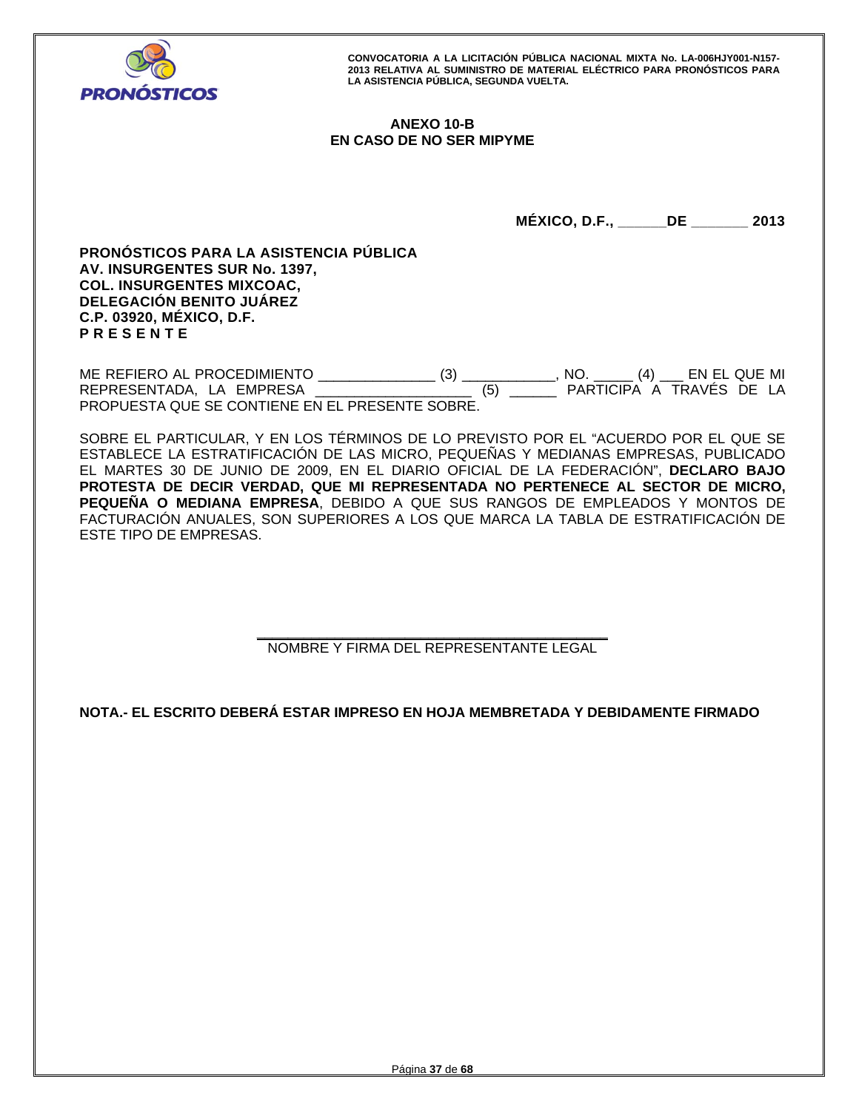

# **ANEXO 10-B EN CASO DE NO SER MIPYME**

**MÉXICO, D.F., \_\_\_\_\_\_DE \_\_\_\_\_\_\_ 2013** 

**PRONÓSTICOS PARA LA ASISTENCIA PÚBLICA AV. INSURGENTES SUR No. 1397, COL. INSURGENTES MIXCOAC, DELEGACIÓN BENITO JUÁREZ C.P. 03920, MÉXICO, D.F. P R E S E N T E** 

ME REFIERO AL PROCEDIMIENTO \_\_\_\_\_\_\_\_\_\_\_\_\_\_\_ (3) \_\_\_\_\_\_\_\_\_\_\_\_, NO. \_\_\_\_\_ (4) \_\_\_ EN EL QUE MI REPRESENTADA, LA EMPRESA PROPUESTA QUE SE CONTIENE EN EL PRESENTE SOBRE.

SOBRE EL PARTICULAR, Y EN LOS TÉRMINOS DE LO PREVISTO POR EL "ACUERDO POR EL QUE SE ESTABLECE LA ESTRATIFICACIÓN DE LAS MICRO, PEQUEÑAS Y MEDIANAS EMPRESAS, PUBLICADO EL MARTES 30 DE JUNIO DE 2009, EN EL DIARIO OFICIAL DE LA FEDERACIÓN", **DECLARO BAJO PROTESTA DE DECIR VERDAD, QUE MI REPRESENTADA NO PERTENECE AL SECTOR DE MICRO, PEQUEÑA O MEDIANA EMPRESA**, DEBIDO A QUE SUS RANGOS DE EMPLEADOS Y MONTOS DE FACTURACIÓN ANUALES, SON SUPERIORES A LOS QUE MARCA LA TABLA DE ESTRATIFICACIÓN DE ESTE TIPO DE EMPRESAS.

> **\_\_\_\_\_\_\_\_\_\_\_\_\_\_\_\_\_\_\_\_\_\_\_\_\_\_\_\_\_\_\_\_\_\_\_\_\_\_\_\_\_\_\_\_\_**  NOMBRE Y FIRMA DEL REPRESENTANTE LEGAL

**NOTA.- EL ESCRITO DEBERÁ ESTAR IMPRESO EN HOJA MEMBRETADA Y DEBIDAMENTE FIRMADO**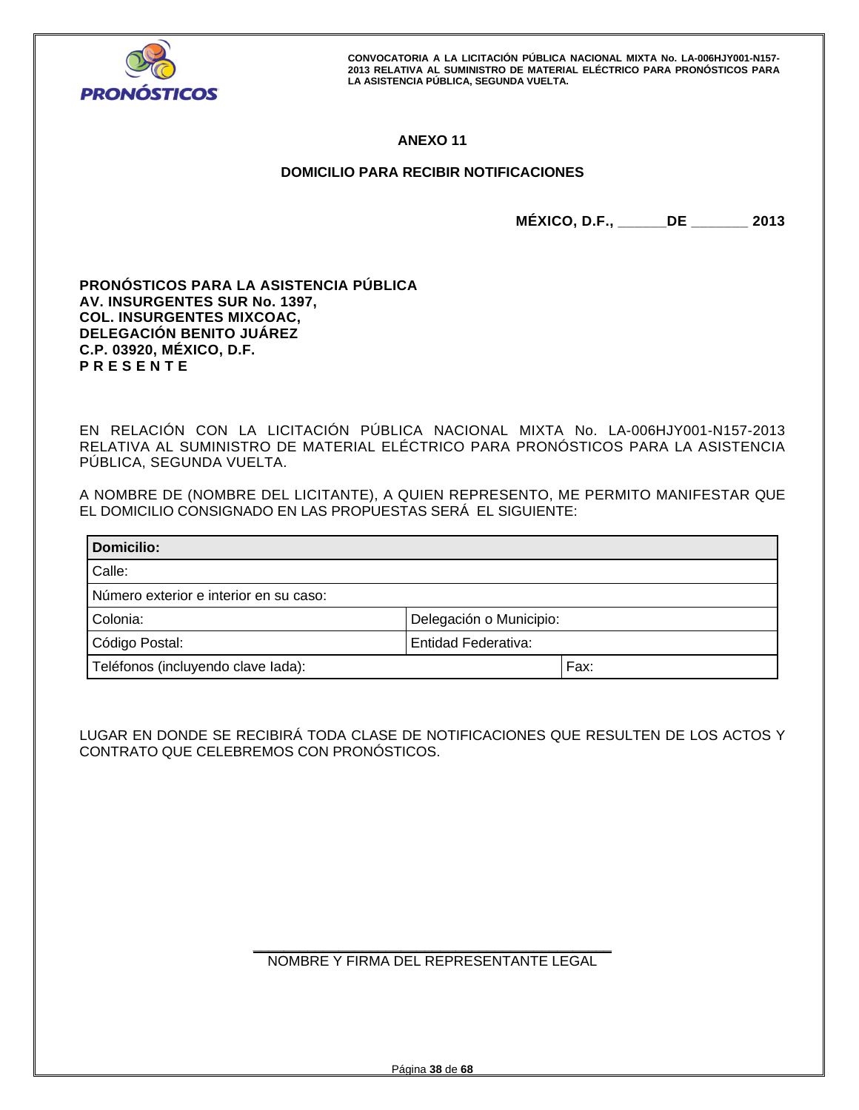

# **ANEXO 11**

# **DOMICILIO PARA RECIBIR NOTIFICACIONES**

**MÉXICO, D.F., \_\_\_\_\_\_DE \_\_\_\_\_\_\_ 2013** 

**PRONÓSTICOS PARA LA ASISTENCIA PÚBLICA AV. INSURGENTES SUR No. 1397, COL. INSURGENTES MIXCOAC, DELEGACIÓN BENITO JUÁREZ C.P. 03920, MÉXICO, D.F. P R E S E N T E** 

EN RELACIÓN CON LA LICITACIÓN PÚBLICA NACIONAL MIXTA No. LA-006HJY001-N157-2013 RELATIVA AL SUMINISTRO DE MATERIAL ELÉCTRICO PARA PRONÓSTICOS PARA LA ASISTENCIA PÚBLICA, SEGUNDA VUELTA.

A NOMBRE DE (NOMBRE DEL LICITANTE), A QUIEN REPRESENTO, ME PERMITO MANIFESTAR QUE EL DOMICILIO CONSIGNADO EN LAS PROPUESTAS SERÁ EL SIGUIENTE:

| Domicilio:                             |                         |      |  |  |
|----------------------------------------|-------------------------|------|--|--|
| Calle:                                 |                         |      |  |  |
| Número exterior e interior en su caso: |                         |      |  |  |
| Colonia:                               | Delegación o Municipio: |      |  |  |
| Código Postal:<br>Entidad Federativa:  |                         |      |  |  |
| Teléfonos (incluyendo clave lada):     |                         | Fax: |  |  |

LUGAR EN DONDE SE RECIBIRÁ TODA CLASE DE NOTIFICACIONES QUE RESULTEN DE LOS ACTOS Y CONTRATO QUE CELEBREMOS CON PRONÓSTICOS.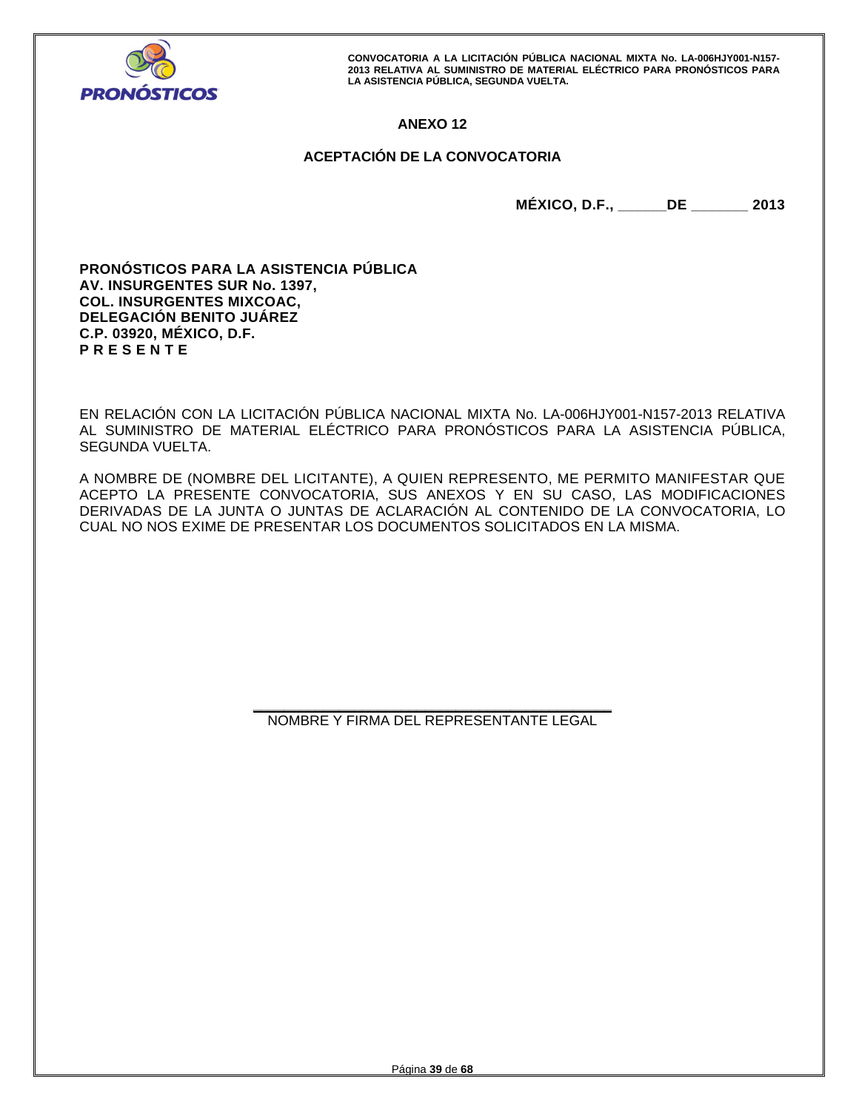

# **ANEXO 12**

# **ACEPTACIÓN DE LA CONVOCATORIA**

**MÉXICO, D.F., \_\_\_\_\_\_DE \_\_\_\_\_\_\_ 2013** 

**PRONÓSTICOS PARA LA ASISTENCIA PÚBLICA AV. INSURGENTES SUR No. 1397, COL. INSURGENTES MIXCOAC, DELEGACIÓN BENITO JUÁREZ C.P. 03920, MÉXICO, D.F. P R E S E N T E** 

EN RELACIÓN CON LA LICITACIÓN PÚBLICA NACIONAL MIXTA No. LA-006HJY001-N157-2013 RELATIVA AL SUMINISTRO DE MATERIAL ELÉCTRICO PARA PRONÓSTICOS PARA LA ASISTENCIA PÚBLICA, SEGUNDA VUELTA.

A NOMBRE DE (NOMBRE DEL LICITANTE), A QUIEN REPRESENTO, ME PERMITO MANIFESTAR QUE ACEPTO LA PRESENTE CONVOCATORIA, SUS ANEXOS Y EN SU CASO, LAS MODIFICACIONES DERIVADAS DE LA JUNTA O JUNTAS DE ACLARACIÓN AL CONTENIDO DE LA CONVOCATORIA, LO CUAL NO NOS EXIME DE PRESENTAR LOS DOCUMENTOS SOLICITADOS EN LA MISMA.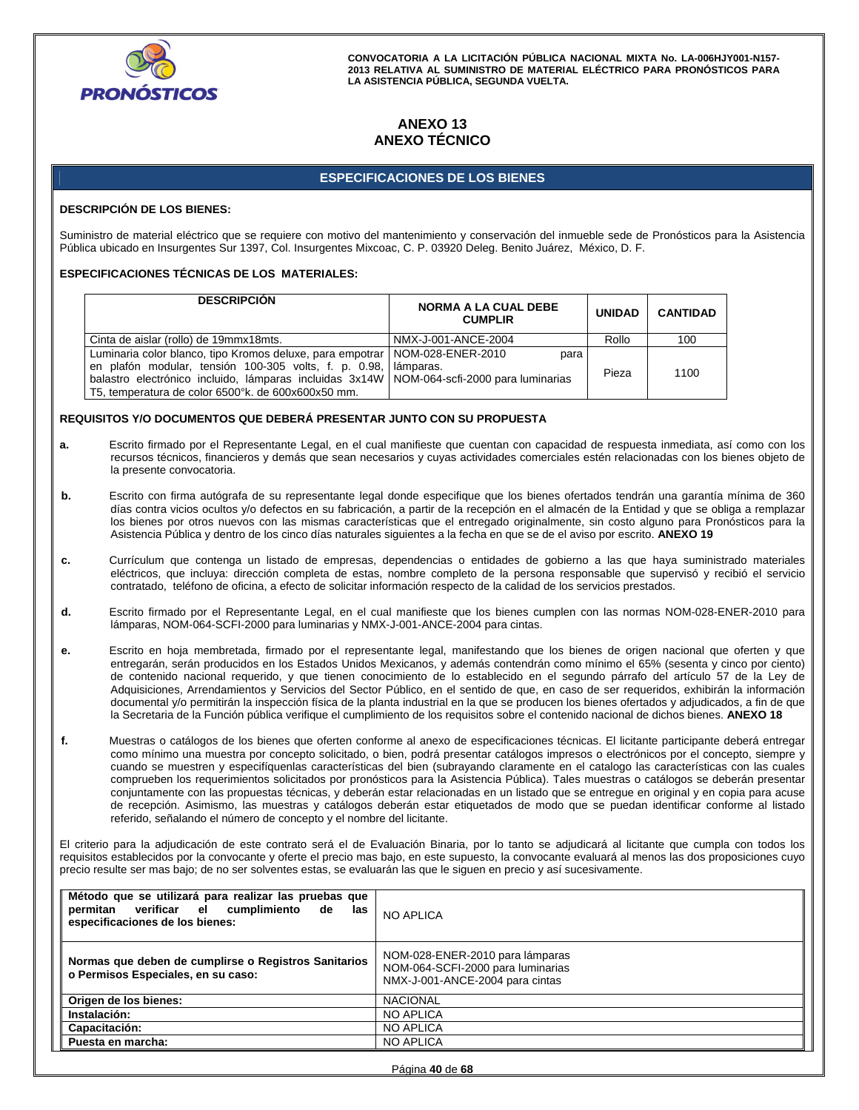

# **ANEXO 13 ANEXO TÉCNICO**

## **ESPECIFICACIONES DE LOS BIENES**

#### **DESCRIPCIÓN DE LOS BIENES:**

Suministro de material eléctrico que se requiere con motivo del mantenimiento y conservación del inmueble sede de Pronósticos para la Asistencia Pública ubicado en Insurgentes Sur 1397, Col. Insurgentes Mixcoac, C. P. 03920 Deleg. Benito Juárez, México, D. F.

#### **ESPECIFICACIONES TÉCNICAS DE LOS MATERIALES:**

| <b>DESCRIPCION</b>                                                                                                                                                                                                                                                                                    | <b>NORMA A LA CUAL DEBE</b><br><b>CUMPLIR</b> | <b>UNIDAD</b> | <b>CANTIDAD</b> |
|-------------------------------------------------------------------------------------------------------------------------------------------------------------------------------------------------------------------------------------------------------------------------------------------------------|-----------------------------------------------|---------------|-----------------|
| Cinta de aislar (rollo) de 19mmx18mts.                                                                                                                                                                                                                                                                | NMX-J-001-ANCE-2004                           | Rollo         | 100             |
| Luminaria color blanco, tipo Kromos deluxe, para empotrar   NOM-028-ENER-2010<br>en plafón modular, tensión 100-305 volts, f. p. 0.98, lamparas.<br>balastro electrónico incluido, lámparas incluidas 3x14W   NOM-064-scfi-2000 para luminarias<br>T5, temperatura de color 6500°k. de 600x600x50 mm. | para                                          | Pieza         | 1100            |

#### **REQUISITOS Y/O DOCUMENTOS QUE DEBERÁ PRESENTAR JUNTO CON SU PROPUESTA**

- **a.** Escrito firmado por el Representante Legal, en el cual manifieste que cuentan con capacidad de respuesta inmediata, así como con los recursos técnicos, financieros y demás que sean necesarios y cuyas actividades comerciales estén relacionadas con los bienes objeto de la presente convocatoria.
- **b.** Escrito con firma autógrafa de su representante legal donde especifique que los bienes ofertados tendrán una garantía mínima de 360 días contra vicios ocultos y/o defectos en su fabricación, a partir de la recepción en el almacén de la Entidad y que se obliga a remplazar los bienes por otros nuevos con las mismas características que el entregado originalmente, sin costo alguno para Pronósticos para la Asistencia Pública y dentro de los cinco días naturales siguientes a la fecha en que se de el aviso por escrito. **ANEXO 19**
- **c.** Currículum que contenga un listado de empresas, dependencias o entidades de gobierno a las que haya suministrado materiales eléctricos, que incluya: dirección completa de estas, nombre completo de la persona responsable que supervisó y recibió el servicio contratado, teléfono de oficina, a efecto de solicitar información respecto de la calidad de los servicios prestados.
- **d.** Escrito firmado por el Representante Legal, en el cual manifieste que los bienes cumplen con las normas NOM-028-ENER-2010 para lámparas, NOM-064-SCFI-2000 para luminarias y NMX-J-001-ANCE-2004 para cintas.
- **e.** Escrito en hoja membretada, firmado por el representante legal, manifestando que los bienes de origen nacional que oferten y que entregarán, serán producidos en los Estados Unidos Mexicanos, y además contendrán como mínimo el 65% (sesenta y cinco por ciento) de contenido nacional requerido, y que tienen conocimiento de lo establecido en el segundo párrafo del artículo 57 de la Ley de Adquisiciones, Arrendamientos y Servicios del Sector Público, en el sentido de que, en caso de ser requeridos, exhibirán la información documental y/o permitirán la inspección física de la planta industrial en la que se producen los bienes ofertados y adjudicados, a fin de que la Secretaria de la Función pública verifique el cumplimiento de los requisitos sobre el contenido nacional de dichos bienes. **ANEXO 18**
- **f.** Muestras o catálogos de los bienes que oferten conforme al anexo de especificaciones técnicas. El licitante participante deberá entregar como mínimo una muestra por concepto solicitado, o bien, podrá presentar catálogos impresos o electrónicos por el concepto, siempre y cuando se muestren y especifíquenlas características del bien (subrayando claramente en el catalogo las características con las cuales comprueben los requerimientos solicitados por pronósticos para la Asistencia Pública). Tales muestras o catálogos se deberán presentar conjuntamente con las propuestas técnicas, y deberán estar relacionadas en un listado que se entregue en original y en copia para acuse de recepción. Asimismo, las muestras y catálogos deberán estar etiquetados de modo que se puedan identificar conforme al listado referido, señalando el número de concepto y el nombre del licitante.

El criterio para la adjudicación de este contrato será el de Evaluación Binaria, por lo tanto se adjudicará al licitante que cumpla con todos los requisitos establecidos por la convocante y oferte el precio mas bajo, en este supuesto, la convocante evaluará al menos las dos proposiciones cuyo precio resulte ser mas bajo; de no ser solventes estas, se evaluarán las que le siguen en precio y así sucesivamente.

| Método que se utilizará para realizar las pruebas que<br>permitan verificar el<br>cumplimiento de<br>las<br>especificaciones de los bienes: | <b>NO APLICA</b>                                                                                        |
|---------------------------------------------------------------------------------------------------------------------------------------------|---------------------------------------------------------------------------------------------------------|
| Normas que deben de cumplirse o Registros Sanitarios<br>o Permisos Especiales, en su caso:                                                  | NOM-028-ENER-2010 para lámparas<br>NOM-064-SCFI-2000 para luminarias<br>NMX-J-001-ANCE-2004 para cintas |
| Origen de los bienes:                                                                                                                       | <b>NACIONAL</b>                                                                                         |
| Instalación:                                                                                                                                | NO APLICA                                                                                               |
| Capacitación:                                                                                                                               | <b>NO APLICA</b>                                                                                        |
| Puesta en marcha:                                                                                                                           | <b>NO APLICA</b>                                                                                        |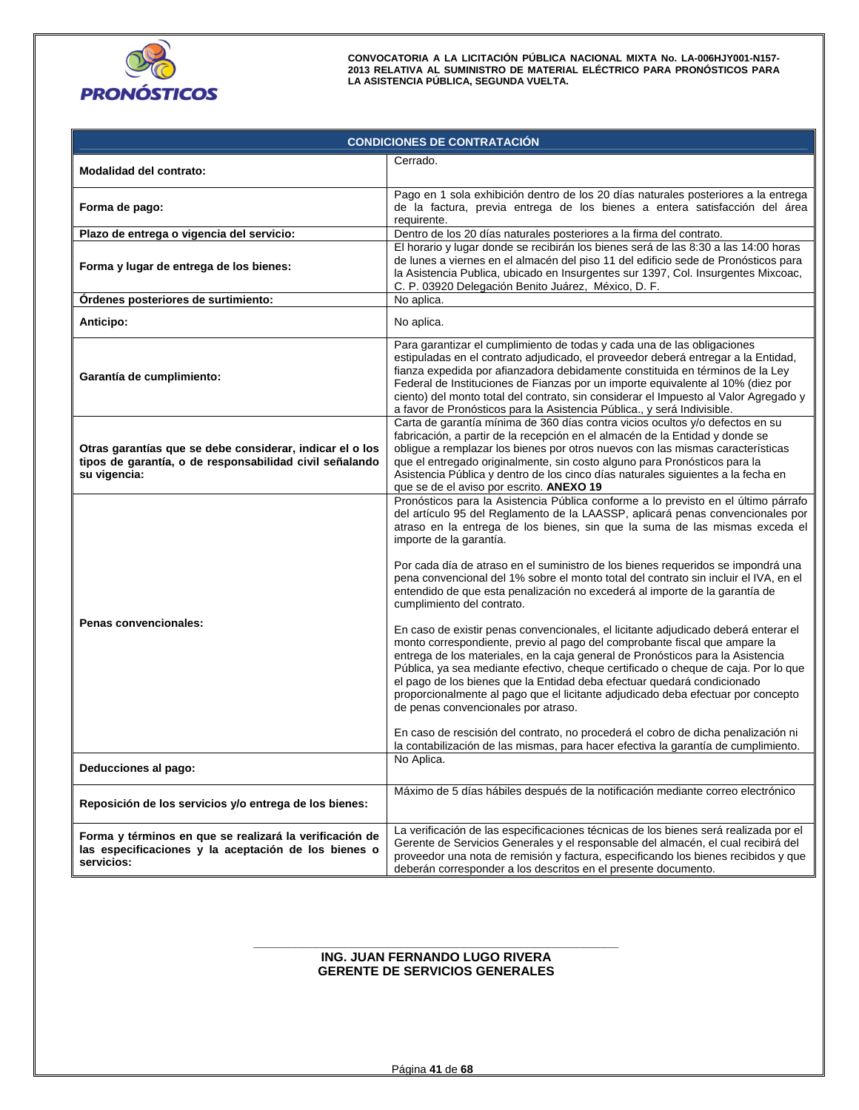

| <b>CONDICIONES DE CONTRATACIÓN</b>                                                                                                  |                                                                                                                                                                                                                                                                                                                                                                                                                                                                                                                                                                                                                                                                                                                                                                                                                                                                                                                                                                                                                                                                                                                                                                                                                 |  |  |  |  |
|-------------------------------------------------------------------------------------------------------------------------------------|-----------------------------------------------------------------------------------------------------------------------------------------------------------------------------------------------------------------------------------------------------------------------------------------------------------------------------------------------------------------------------------------------------------------------------------------------------------------------------------------------------------------------------------------------------------------------------------------------------------------------------------------------------------------------------------------------------------------------------------------------------------------------------------------------------------------------------------------------------------------------------------------------------------------------------------------------------------------------------------------------------------------------------------------------------------------------------------------------------------------------------------------------------------------------------------------------------------------|--|--|--|--|
| Modalidad del contrato:                                                                                                             | Cerrado.                                                                                                                                                                                                                                                                                                                                                                                                                                                                                                                                                                                                                                                                                                                                                                                                                                                                                                                                                                                                                                                                                                                                                                                                        |  |  |  |  |
| Forma de pago:                                                                                                                      | Pago en 1 sola exhibición dentro de los 20 días naturales posteriores a la entrega<br>de la factura, previa entrega de los bienes a entera satisfacción del área<br>requirente.                                                                                                                                                                                                                                                                                                                                                                                                                                                                                                                                                                                                                                                                                                                                                                                                                                                                                                                                                                                                                                 |  |  |  |  |
| Plazo de entrega o vigencia del servicio:                                                                                           | Dentro de los 20 días naturales posteriores a la firma del contrato.                                                                                                                                                                                                                                                                                                                                                                                                                                                                                                                                                                                                                                                                                                                                                                                                                                                                                                                                                                                                                                                                                                                                            |  |  |  |  |
| Forma y lugar de entrega de los bienes:                                                                                             | El horario y lugar donde se recibirán los bienes será de las 8:30 a las 14:00 horas<br>de lunes a viernes en el almacén del piso 11 del edificio sede de Pronósticos para<br>la Asistencia Publica, ubicado en Insurgentes sur 1397, Col. Insurgentes Mixcoac,<br>C. P. 03920 Delegación Benito Juárez, México, D. F.                                                                                                                                                                                                                                                                                                                                                                                                                                                                                                                                                                                                                                                                                                                                                                                                                                                                                           |  |  |  |  |
| Órdenes posteriores de surtimiento:                                                                                                 | No aplica.                                                                                                                                                                                                                                                                                                                                                                                                                                                                                                                                                                                                                                                                                                                                                                                                                                                                                                                                                                                                                                                                                                                                                                                                      |  |  |  |  |
| Anticipo:                                                                                                                           | No aplica.                                                                                                                                                                                                                                                                                                                                                                                                                                                                                                                                                                                                                                                                                                                                                                                                                                                                                                                                                                                                                                                                                                                                                                                                      |  |  |  |  |
| Garantía de cumplimiento:                                                                                                           | Para garantizar el cumplimiento de todas y cada una de las obligaciones<br>estipuladas en el contrato adjudicado, el proveedor deberá entregar a la Entidad,<br>fianza expedida por afianzadora debidamente constituida en términos de la Ley<br>Federal de Instituciones de Fianzas por un importe equivalente al 10% (diez por<br>ciento) del monto total del contrato, sin considerar el Impuesto al Valor Agregado y<br>a favor de Pronósticos para la Asistencia Pública., y será Indivisible.                                                                                                                                                                                                                                                                                                                                                                                                                                                                                                                                                                                                                                                                                                             |  |  |  |  |
| Otras garantías que se debe considerar, indicar el o los<br>tipos de garantía, o de responsabilidad civil señalando<br>su vigencia: | Carta de garantía mínima de 360 días contra vicios ocultos y/o defectos en su<br>fabricación, a partir de la recepción en el almacén de la Entidad y donde se<br>obligue a remplazar los bienes por otros nuevos con las mismas características<br>que el entregado originalmente, sin costo alguno para Pronósticos para la<br>Asistencia Pública y dentro de los cinco días naturales siguientes a la fecha en<br>que se de el aviso por escrito. ANEXO 19                                                                                                                                                                                                                                                                                                                                                                                                                                                                                                                                                                                                                                                                                                                                                    |  |  |  |  |
| Penas convencionales:                                                                                                               | Pronósticos para la Asistencia Pública conforme a lo previsto en el último párrafo<br>del artículo 95 del Reglamento de la LAASSP, aplicará penas convencionales por<br>atraso en la entrega de los bienes, sin que la suma de las mismas exceda el<br>importe de la garantía.<br>Por cada día de atraso en el suministro de los bienes requeridos se impondrá una<br>pena convencional del 1% sobre el monto total del contrato sin incluir el IVA, en el<br>entendido de que esta penalización no excederá al importe de la garantía de<br>cumplimiento del contrato.<br>En caso de existir penas convencionales, el licitante adjudicado deberá enterar el<br>monto correspondiente, previo al pago del comprobante fiscal que ampare la<br>entrega de los materiales, en la caja general de Pronósticos para la Asistencia<br>Pública, ya sea mediante efectivo, cheque certificado o cheque de caja. Por lo que<br>el pago de los bienes que la Entidad deba efectuar quedará condicionado<br>proporcionalmente al pago que el licitante adjudicado deba efectuar por concepto<br>de penas convencionales por atraso.<br>En caso de rescisión del contrato, no procederá el cobro de dicha penalización ni |  |  |  |  |
| Deducciones al pago:                                                                                                                | la contabilización de las mismas, para hacer efectiva la garantía de cumplimiento.<br>No Aplica.                                                                                                                                                                                                                                                                                                                                                                                                                                                                                                                                                                                                                                                                                                                                                                                                                                                                                                                                                                                                                                                                                                                |  |  |  |  |
| Reposición de los servicios y/o entrega de los bienes:                                                                              | Máximo de 5 días hábiles después de la notificación mediante correo electrónico                                                                                                                                                                                                                                                                                                                                                                                                                                                                                                                                                                                                                                                                                                                                                                                                                                                                                                                                                                                                                                                                                                                                 |  |  |  |  |
| Forma y términos en que se realizará la verificación de<br>las especificaciones y la aceptación de los bienes o<br>servicios:       | La verificación de las especificaciones técnicas de los bienes será realizada por el<br>Gerente de Servicios Generales y el responsable del almacén, el cual recibirá del<br>proveedor una nota de remisión y factura, especificando los bienes recibidos y que<br>deberán corresponder a los descritos en el presente documento.                                                                                                                                                                                                                                                                                                                                                                                                                                                                                                                                                                                                                                                                                                                                                                                                                                                                               |  |  |  |  |

#### **\_\_\_\_\_\_\_\_\_\_\_\_\_\_\_\_\_\_\_\_\_\_\_\_\_\_\_\_\_\_\_\_\_\_\_\_\_\_\_\_\_\_\_\_\_\_\_\_\_\_\_\_ ING. JUAN FERNANDO LUGO RIVERA GERENTE DE SERVICIOS GENERALES**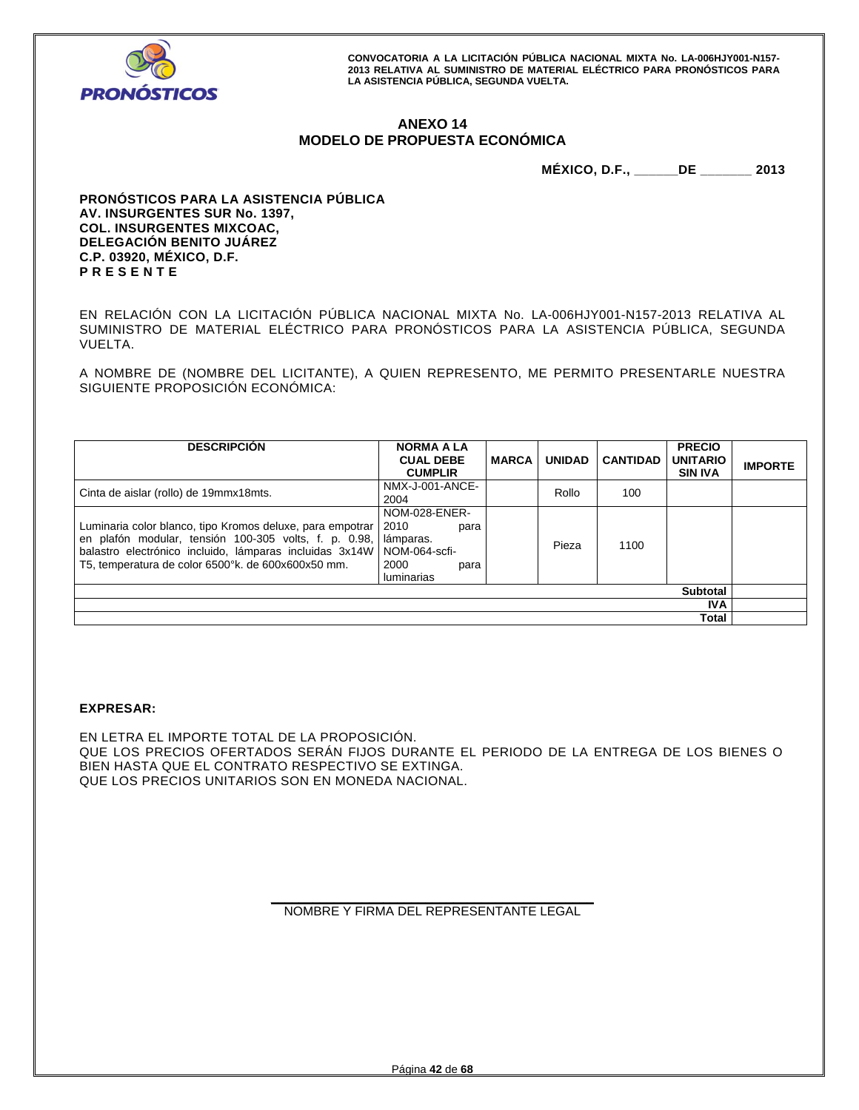

# **ANEXO 14 MODELO DE PROPUESTA ECONÓMICA**

**MÉXICO, D.F., \_\_\_\_\_\_DE \_\_\_\_\_\_\_ 2013** 

**PRONÓSTICOS PARA LA ASISTENCIA PÚBLICA AV. INSURGENTES SUR No. 1397, COL. INSURGENTES MIXCOAC, DELEGACIÓN BENITO JUÁREZ C.P. 03920, MÉXICO, D.F. P R E S E N T E** 

EN RELACIÓN CON LA LICITACIÓN PÚBLICA NACIONAL MIXTA No. LA-006HJY001-N157-2013 RELATIVA AL SUMINISTRO DE MATERIAL ELÉCTRICO PARA PRONÓSTICOS PARA LA ASISTENCIA PÚBLICA, SEGUNDA VUELTA.

A NOMBRE DE (NOMBRE DEL LICITANTE), A QUIEN REPRESENTO, ME PERMITO PRESENTARLE NUESTRA SIGUIENTE PROPOSICIÓN ECONÓMICA:

| <b>DESCRIPCIÓN</b>                                                                                                                                                                                                                  | <b>NORMA A LA</b><br><b>CUAL DEBE</b><br><b>CUMPLIR</b>                                          | <b>MARCA</b> | <b>UNIDAD</b> | <b>CANTIDAD</b> | <b>PRECIO</b><br><b>UNITARIO</b><br><b>SIN IVA</b> | <b>IMPORTE</b> |
|-------------------------------------------------------------------------------------------------------------------------------------------------------------------------------------------------------------------------------------|--------------------------------------------------------------------------------------------------|--------------|---------------|-----------------|----------------------------------------------------|----------------|
| Cinta de aislar (rollo) de 19mmx18mts.                                                                                                                                                                                              | NMX-J-001-ANCE-<br>2004                                                                          |              | Rollo         | 100             |                                                    |                |
| Luminaria color blanco, tipo Kromos deluxe, para empotrar<br>en plafón modular, tensión 100-305 volts, f. p. 0.98,<br>balastro electrónico incluido, lámparas incluidas 3x14W<br>T5, temperatura de color 6500°k. de 600x600x50 mm. | NOM-028-ENER-<br>2010<br>para<br>lámparas.<br>NOM-064-scfi-<br>2000<br>para<br><b>luminarias</b> |              | Pieza         | 1100            |                                                    |                |
| <b>Subtotal</b>                                                                                                                                                                                                                     |                                                                                                  |              |               |                 |                                                    |                |
| IVA.                                                                                                                                                                                                                                |                                                                                                  |              |               |                 |                                                    |                |
|                                                                                                                                                                                                                                     |                                                                                                  |              |               |                 | Total                                              |                |

# **EXPRESAR:**

EN LETRA EL IMPORTE TOTAL DE LA PROPOSICIÓN. QUE LOS PRECIOS OFERTADOS SERÁN FIJOS DURANTE EL PERIODO DE LA ENTREGA DE LOS BIENES O BIEN HASTA QUE EL CONTRATO RESPECTIVO SE EXTINGA. QUE LOS PRECIOS UNITARIOS SON EN MONEDA NACIONAL.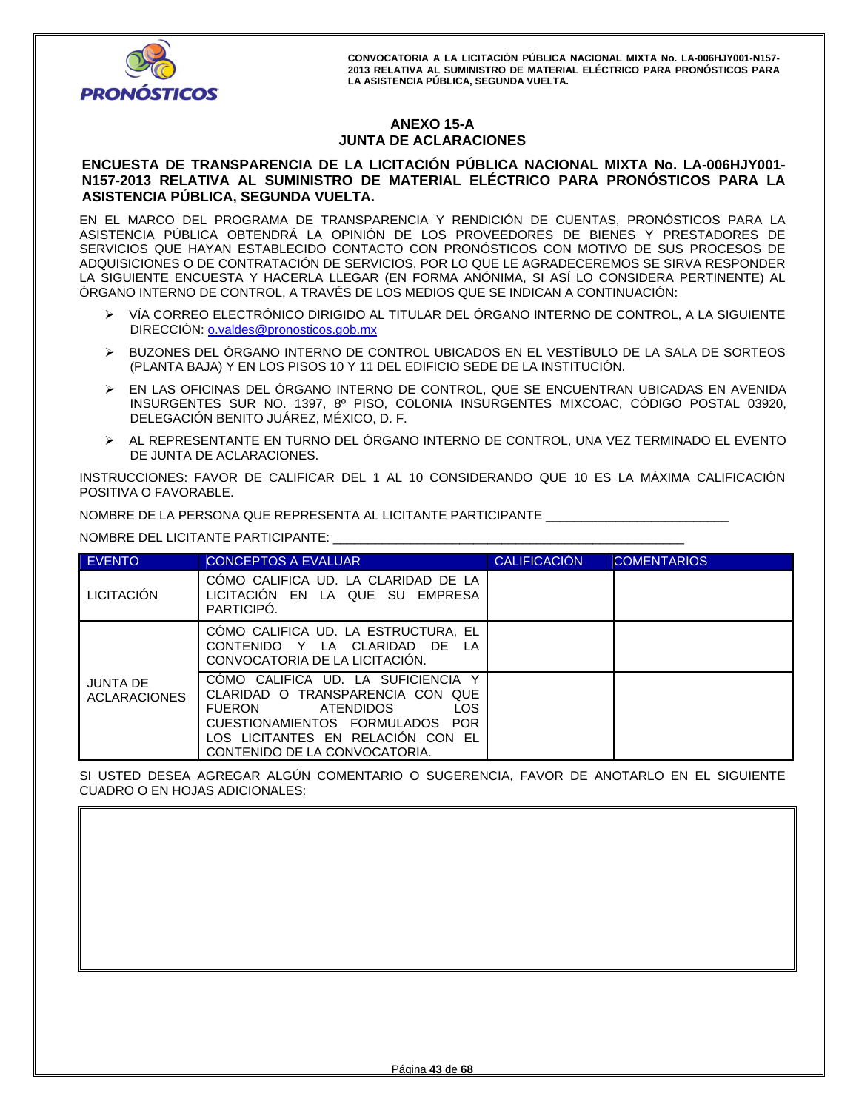

# **ANEXO 15-A JUNTA DE ACLARACIONES**

# **ENCUESTA DE TRANSPARENCIA DE LA LICITACIÓN PÚBLICA NACIONAL MIXTA No. LA-006HJY001- N157-2013 RELATIVA AL SUMINISTRO DE MATERIAL ELÉCTRICO PARA PRONÓSTICOS PARA LA ASISTENCIA PÚBLICA, SEGUNDA VUELTA.**

EN EL MARCO DEL PROGRAMA DE TRANSPARENCIA Y RENDICIÓN DE CUENTAS, PRONÓSTICOS PARA LA ASISTENCIA PÚBLICA OBTENDRÁ LA OPINIÓN DE LOS PROVEEDORES DE BIENES Y PRESTADORES DE SERVICIOS QUE HAYAN ESTABLECIDO CONTACTO CON PRONÓSTICOS CON MOTIVO DE SUS PROCESOS DE ADQUISICIONES O DE CONTRATACIÓN DE SERVICIOS, POR LO QUE LE AGRADECEREMOS SE SIRVA RESPONDER LA SIGUIENTE ENCUESTA Y HACERLA LLEGAR (EN FORMA ANÓNIMA, SI ASÍ LO CONSIDERA PERTINENTE) AL ÓRGANO INTERNO DE CONTROL, A TRAVÉS DE LOS MEDIOS QUE SE INDICAN A CONTINUACIÓN:

- VÍA CORREO ELECTRÓNICO DIRIGIDO AL TITULAR DEL ÓRGANO INTERNO DE CONTROL, A LA SIGUIENTE DIRECCIÓN: o.valdes@pronosticos.gob.mx
- BUZONES DEL ÓRGANO INTERNO DE CONTROL UBICADOS EN EL VESTÍBULO DE LA SALA DE SORTEOS (PLANTA BAJA) Y EN LOS PISOS 10 Y 11 DEL EDIFICIO SEDE DE LA INSTITUCIÓN.
- EN LAS OFICINAS DEL ÓRGANO INTERNO DE CONTROL, QUE SE ENCUENTRAN UBICADAS EN AVENIDA INSURGENTES SUR NO. 1397, 8º PISO, COLONIA INSURGENTES MIXCOAC, CÓDIGO POSTAL 03920, DELEGACIÓN BENITO JUÁREZ, MÉXICO, D. F.
- AL REPRESENTANTE EN TURNO DEL ÓRGANO INTERNO DE CONTROL, UNA VEZ TERMINADO EL EVENTO DE JUNTA DE ACLARACIONES.

INSTRUCCIONES: FAVOR DE CALIFICAR DEL 1 AL 10 CONSIDERANDO QUE 10 ES LA MÁXIMA CALIFICACIÓN POSITIVA O FAVORABLE.

NOMBRE DE LA PERSONA QUE REPRESENTA AL LICITANTE PARTICIPANTE \_\_\_\_\_\_\_\_\_\_\_\_\_\_\_\_\_\_\_\_\_\_\_\_\_\_

NOMBRE DEL LICITANTE PARTICIPANTE: \_\_\_\_\_\_\_\_\_\_\_\_\_\_\_\_\_\_\_\_\_\_\_\_\_\_\_\_\_\_\_\_\_\_\_\_\_\_\_\_\_\_\_\_\_\_\_\_\_\_

| <b>EVENTO</b>                          | <b>CONCEPTOS A EVALUAR</b>                                                                                                                                                                                                         | <b>CALIFICACIÓN</b> | <b>COMENTARIOS</b> |
|----------------------------------------|------------------------------------------------------------------------------------------------------------------------------------------------------------------------------------------------------------------------------------|---------------------|--------------------|
| <b>LICITACIÓN</b>                      | COMO CALIFICA UD. LA CLARIDAD DE LA<br>LICITACION EN LA QUE SU EMPRESA<br>PARTICIPO.                                                                                                                                               |                     |                    |
|                                        | COMO CALIFICA UD. LA ESTRUCTURA, EL<br>CONTENIDO Y LA CLARIDAD DE LA<br>CONVOCATORIA DE LA LICITACIÓN.                                                                                                                             |                     |                    |
| <b>JUNTA DE</b><br><b>ACLARACIONES</b> | COMO CALIFICA UD. LA SUFICIENCIA Y<br>CLARIDAD O TRANSPARENCIA CON QUE<br><b>LOS</b><br><b>FUERON</b><br><b>ATENDIDOS</b><br>CUESTIONAMIENTOS FORMULADOS POR<br>LOS LICITANTES EN RELACION CON EL<br>CONTENIDO DE LA CONVOCATORIA. |                     |                    |

SI USTED DESEA AGREGAR ALGÚN COMENTARIO O SUGERENCIA, FAVOR DE ANOTARLO EN EL SIGUIENTE CUADRO O EN HOJAS ADICIONALES: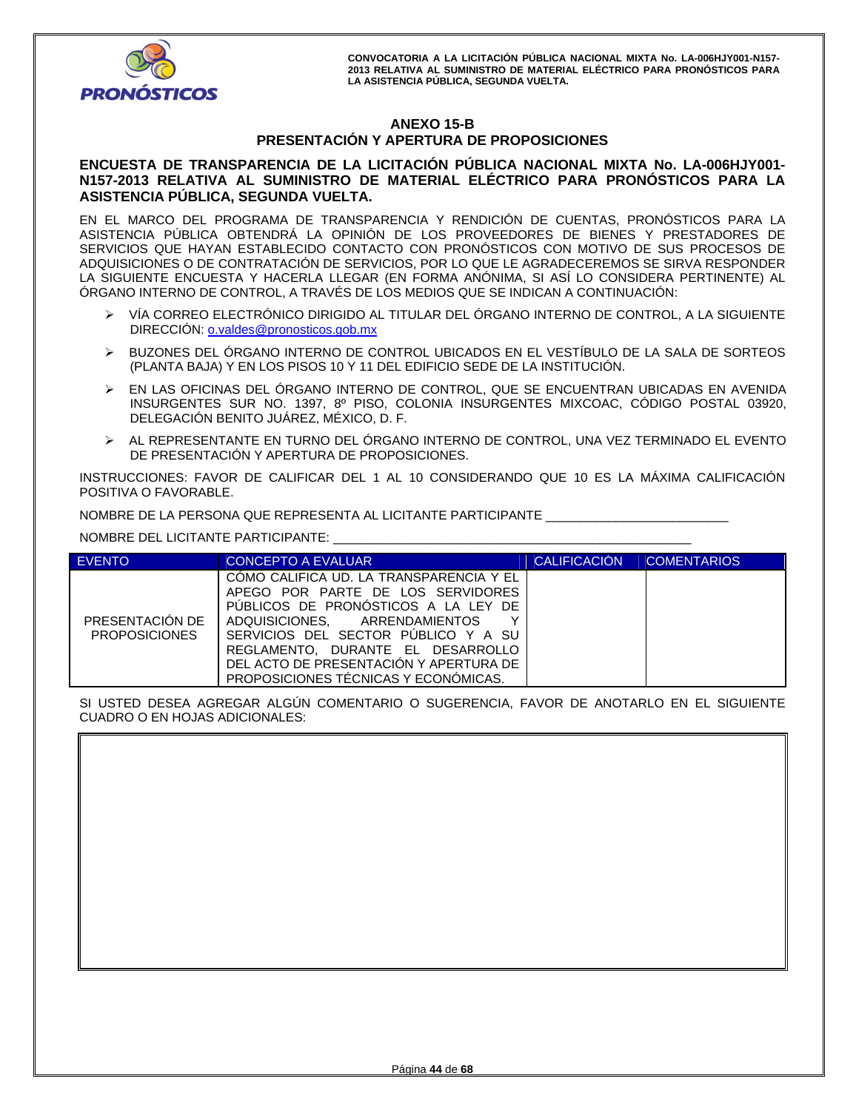

# **ANEXO 15-B PRESENTACIÓN Y APERTURA DE PROPOSICIONES**

# **ENCUESTA DE TRANSPARENCIA DE LA LICITACIÓN PÚBLICA NACIONAL MIXTA No. LA-006HJY001- N157-2013 RELATIVA AL SUMINISTRO DE MATERIAL ELÉCTRICO PARA PRONÓSTICOS PARA LA ASISTENCIA PÚBLICA, SEGUNDA VUELTA.**

EN EL MARCO DEL PROGRAMA DE TRANSPARENCIA Y RENDICIÓN DE CUENTAS, PRONÓSTICOS PARA LA ASISTENCIA PÚBLICA OBTENDRÁ LA OPINIÓN DE LOS PROVEEDORES DE BIENES Y PRESTADORES DE SERVICIOS QUE HAYAN ESTABLECIDO CONTACTO CON PRONÓSTICOS CON MOTIVO DE SUS PROCESOS DE ADQUISICIONES O DE CONTRATACIÓN DE SERVICIOS, POR LO QUE LE AGRADECEREMOS SE SIRVA RESPONDER LA SIGUIENTE ENCUESTA Y HACERLA LLEGAR (EN FORMA ANÓNIMA, SI ASÍ LO CONSIDERA PERTINENTE) AL ÓRGANO INTERNO DE CONTROL, A TRAVÉS DE LOS MEDIOS QUE SE INDICAN A CONTINUACIÓN:

- VÍA CORREO ELECTRÓNICO DIRIGIDO AL TITULAR DEL ÓRGANO INTERNO DE CONTROL, A LA SIGUIENTE DIRECCIÓN: o.valdes@pronosticos.gob.mx
- BUZONES DEL ÓRGANO INTERNO DE CONTROL UBICADOS EN EL VESTÍBULO DE LA SALA DE SORTEOS (PLANTA BAJA) Y EN LOS PISOS 10 Y 11 DEL EDIFICIO SEDE DE LA INSTITUCIÓN.
- EN LAS OFICINAS DEL ÓRGANO INTERNO DE CONTROL, QUE SE ENCUENTRAN UBICADAS EN AVENIDA INSURGENTES SUR NO. 1397, 8º PISO, COLONIA INSURGENTES MIXCOAC, CÓDIGO POSTAL 03920, DELEGACIÓN BENITO JUÁREZ, MÉXICO, D. F.
- AL REPRESENTANTE EN TURNO DEL ÓRGANO INTERNO DE CONTROL, UNA VEZ TERMINADO EL EVENTO DE PRESENTACIÓN Y APERTURA DE PROPOSICIONES.

INSTRUCCIONES: FAVOR DE CALIFICAR DEL 1 AL 10 CONSIDERANDO QUE 10 ES LA MÁXIMA CALIFICACIÓN POSITIVA O FAVORABLE.

NOMBRE DE LA PERSONA QUE REPRESENTA AL LICITANTE PARTICIPANTE \_\_\_\_\_\_\_\_\_\_\_\_\_\_\_\_\_\_\_\_\_\_\_\_\_\_

NOMBRE DEL LICITANTE PARTICIPANTE: \_\_\_\_\_\_\_\_\_\_\_\_\_\_\_\_\_\_\_\_\_\_\_\_\_\_\_\_\_\_\_\_\_\_\_\_\_\_\_\_\_\_\_\_\_\_\_\_\_\_\_

| <b>EVENTO</b>                           | CONCEPTO A EVALUAR                                                                                                                                                                                                                                                                                                      | <b>CALIFICACIÓN</b> | <b>COMENTARIOS</b> |
|-----------------------------------------|-------------------------------------------------------------------------------------------------------------------------------------------------------------------------------------------------------------------------------------------------------------------------------------------------------------------------|---------------------|--------------------|
| PRESENTACIÓN DE<br><b>PROPOSICIONES</b> | COMO CALIFICA UD. LA TRANSPARENCIA Y EL<br>APEGO POR PARTE DE LOS SERVIDORES<br>PUBLICOS DE PRONOSTICOS A LA LEY DE<br>ADQUISICIONES. ARRENDAMIENTOS<br>v<br>SERVICIOS DEL SECTOR PUBLICO Y A SU<br>REGLAMENTO. DURANTE EL DESARROLLO<br>DEL ACTO DE PRESENTACIÓN Y APERTURA DE<br>PROPOSICIONES TÉCNICAS Y ECONÓMICAS. |                     |                    |

SI USTED DESEA AGREGAR ALGÚN COMENTARIO O SUGERENCIA, FAVOR DE ANOTARLO EN EL SIGUIENTE CUADRO O EN HOJAS ADICIONALES:

| COADING O EIN HOJAS ADICIONALES. |
|----------------------------------|
|                                  |
|                                  |
|                                  |
|                                  |
|                                  |
|                                  |
|                                  |
|                                  |
|                                  |
|                                  |
|                                  |
|                                  |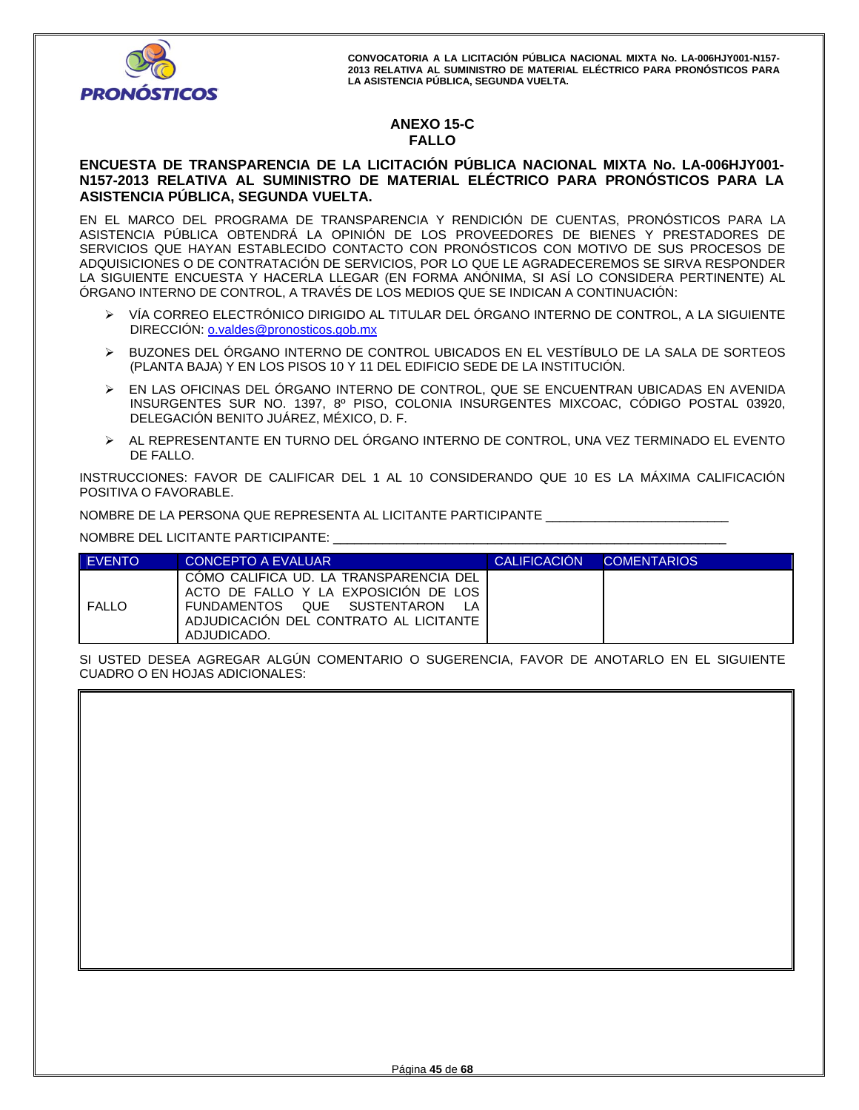

# **ANEXO 15-C FALLO**

# **ENCUESTA DE TRANSPARENCIA DE LA LICITACIÓN PÚBLICA NACIONAL MIXTA No. LA-006HJY001- N157-2013 RELATIVA AL SUMINISTRO DE MATERIAL ELÉCTRICO PARA PRONÓSTICOS PARA LA ASISTENCIA PÚBLICA, SEGUNDA VUELTA.**

EN EL MARCO DEL PROGRAMA DE TRANSPARENCIA Y RENDICIÓN DE CUENTAS, PRONÓSTICOS PARA LA ASISTENCIA PÚBLICA OBTENDRÁ LA OPINIÓN DE LOS PROVEEDORES DE BIENES Y PRESTADORES DE SERVICIOS QUE HAYAN ESTABLECIDO CONTACTO CON PRONÓSTICOS CON MOTIVO DE SUS PROCESOS DE ADQUISICIONES O DE CONTRATACIÓN DE SERVICIOS, POR LO QUE LE AGRADECEREMOS SE SIRVA RESPONDER LA SIGUIENTE ENCUESTA Y HACERLA LLEGAR (EN FORMA ANÓNIMA, SI ASÍ LO CONSIDERA PERTINENTE) AL ÓRGANO INTERNO DE CONTROL, A TRAVÉS DE LOS MEDIOS QUE SE INDICAN A CONTINUACIÓN:

- VÍA CORREO ELECTRÓNICO DIRIGIDO AL TITULAR DEL ÓRGANO INTERNO DE CONTROL, A LA SIGUIENTE DIRECCIÓN: o.valdes@pronosticos.gob.mx
- BUZONES DEL ÓRGANO INTERNO DE CONTROL UBICADOS EN EL VESTÍBULO DE LA SALA DE SORTEOS (PLANTA BAJA) Y EN LOS PISOS 10 Y 11 DEL EDIFICIO SEDE DE LA INSTITUCIÓN.
- EN LAS OFICINAS DEL ÓRGANO INTERNO DE CONTROL, QUE SE ENCUENTRAN UBICADAS EN AVENIDA INSURGENTES SUR NO. 1397, 8º PISO, COLONIA INSURGENTES MIXCOAC, CÓDIGO POSTAL 03920, DELEGACIÓN BENITO JUÁREZ, MÉXICO, D. F.
- AL REPRESENTANTE EN TURNO DEL ÓRGANO INTERNO DE CONTROL, UNA VEZ TERMINADO EL EVENTO DE FALLO.

INSTRUCCIONES: FAVOR DE CALIFICAR DEL 1 AL 10 CONSIDERANDO QUE 10 ES LA MÁXIMA CALIFICACIÓN POSITIVA O FAVORABLE.

NOMBRE DE LA PERSONA QUE REPRESENTA AL LICITANTE PARTICIPANTE

NOMBRE DEL LICITANTE PARTICIPANTE: \_\_\_\_\_\_\_\_\_\_\_

| <b>FVENTO</b> | <b>CONCEPTO A EVALUAR</b>                                                                                                                                              | <b>CALIFICACION</b> | <b>COMENTARIOS</b> |
|---------------|------------------------------------------------------------------------------------------------------------------------------------------------------------------------|---------------------|--------------------|
| <b>FALLO</b>  | COMO CALIFICA UD. LA TRANSPARENCIA DEL<br>ACTO DE FALLO Y LA EXPOSICION DE LOS<br>FUNDAMENTOS QUE SUSTENTARON<br>ADJUDICACION DEL CONTRATO AL LICITANTE<br>ADJUDICADO. |                     |                    |

SI USTED DESEA AGREGAR ALGÚN COMENTARIO O SUGERENCIA, FAVOR DE ANOTARLO EN EL SIGUIENTE CUADRO O EN HOJAS ADICIONALES: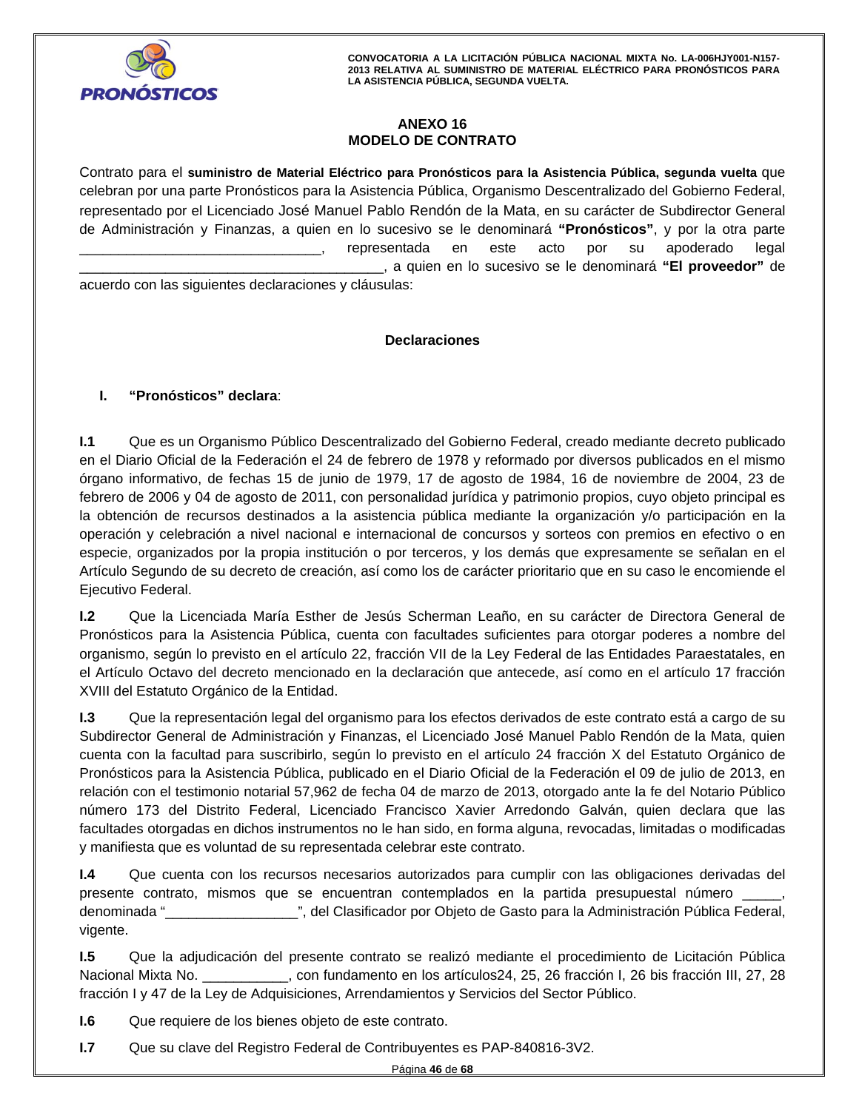

# **ANEXO 16 MODELO DE CONTRATO**

Contrato para el **suministro de Material Eléctrico para Pronósticos para la Asistencia Pública, segunda vuelta** que celebran por una parte Pronósticos para la Asistencia Pública, Organismo Descentralizado del Gobierno Federal, representado por el Licenciado José Manuel Pablo Rendón de la Mata, en su carácter de Subdirector General de Administración y Finanzas, a quien en lo sucesivo se le denominará **"Pronósticos"**, y por la otra parte representada en este acto por su apoderado legal \_\_\_\_\_\_\_\_\_\_\_\_\_\_\_\_\_\_\_\_\_\_\_\_\_\_\_\_\_\_\_\_\_\_\_\_\_\_\_, a quien en lo sucesivo se le denominará **"El proveedor"** de

acuerdo con las siguientes declaraciones y cláusulas:

# **Declaraciones**

# **I. "Pronósticos" declara**:

**I.1** Que es un Organismo Público Descentralizado del Gobierno Federal, creado mediante decreto publicado en el Diario Oficial de la Federación el 24 de febrero de 1978 y reformado por diversos publicados en el mismo órgano informativo, de fechas 15 de junio de 1979, 17 de agosto de 1984, 16 de noviembre de 2004, 23 de febrero de 2006 y 04 de agosto de 2011, con personalidad jurídica y patrimonio propios, cuyo objeto principal es la obtención de recursos destinados a la asistencia pública mediante la organización y/o participación en la operación y celebración a nivel nacional e internacional de concursos y sorteos con premios en efectivo o en especie, organizados por la propia institución o por terceros, y los demás que expresamente se señalan en el Artículo Segundo de su decreto de creación, así como los de carácter prioritario que en su caso le encomiende el Ejecutivo Federal.

Monte de la Electronada mana Estrich de Secale Bohemian Estric, en se salador de Bristolia Benedia de<br>Pronósticos para la Asistencia Pública, cuenta con facultades suficientes para otorgar poderes a nombre del<br>Propio de la **I.2** Que la Licenciada María Esther de Jesús Scherman Leaño, en su carácter de Directora General de organismo, según lo previsto en el artículo 22, fracción VII de la Ley Federal de las Entidades Paraestatales, en el Artículo Octavo del decreto mencionado en la declaración que antecede, así como en el artículo 17 fracción XVIII del Estatuto Orgánico de la Entidad.

**I.3** Que la representación legal del organismo para los efectos derivados de este contrato está a cargo de su Subdirector General de Administración y Finanzas, el Licenciado José Manuel Pablo Rendón de la Mata, quien cuenta con la facultad para suscribirlo, según lo previsto en el artículo 24 fracción X del Estatuto Orgánico de Pronósticos para la Asistencia Pública, publicado en el Diario Oficial de la Federación el 09 de julio de 2013, en relación con el testimonio notarial 57,962 de fecha 04 de marzo de 2013, otorgado ante la fe del Notario Público número 173 del Distrito Federal, Licenciado Francisco Xavier Arredondo Galván, quien declara que las facultades otorgadas en dichos instrumentos no le han sido, en forma alguna, revocadas, limitadas o modificadas y manifiesta que es voluntad de su representada celebrar este contrato.

**I.4** Que cuenta con los recursos necesarios autorizados para cumplir con las obligaciones derivadas del presente contrato, mismos que se encuentran contemplados en la partida presupuestal número \_\_\_\_\_, denominada "\_\_\_\_\_\_\_\_\_\_\_\_\_\_\_\_\_", del Clasificador por Objeto de Gasto para la Administración Pública Federal, vigente.

**I.5** Que la adjudicación del presente contrato se realizó mediante el procedimiento de Licitación Pública Nacional Mixta No. \_\_\_\_\_\_\_\_\_\_\_, con fundamento en los artículos24, 25, 26 fracción I, 26 bis fracción III, 27, 28 fracción I y 47 de la Ley de Adquisiciones, Arrendamientos y Servicios del Sector Público.

**I.6** Que requiere de los bienes objeto de este contrato.

**I.7** Que su clave del Registro Federal de Contribuyentes es PAP-840816-3V2.

Página **46** de **68**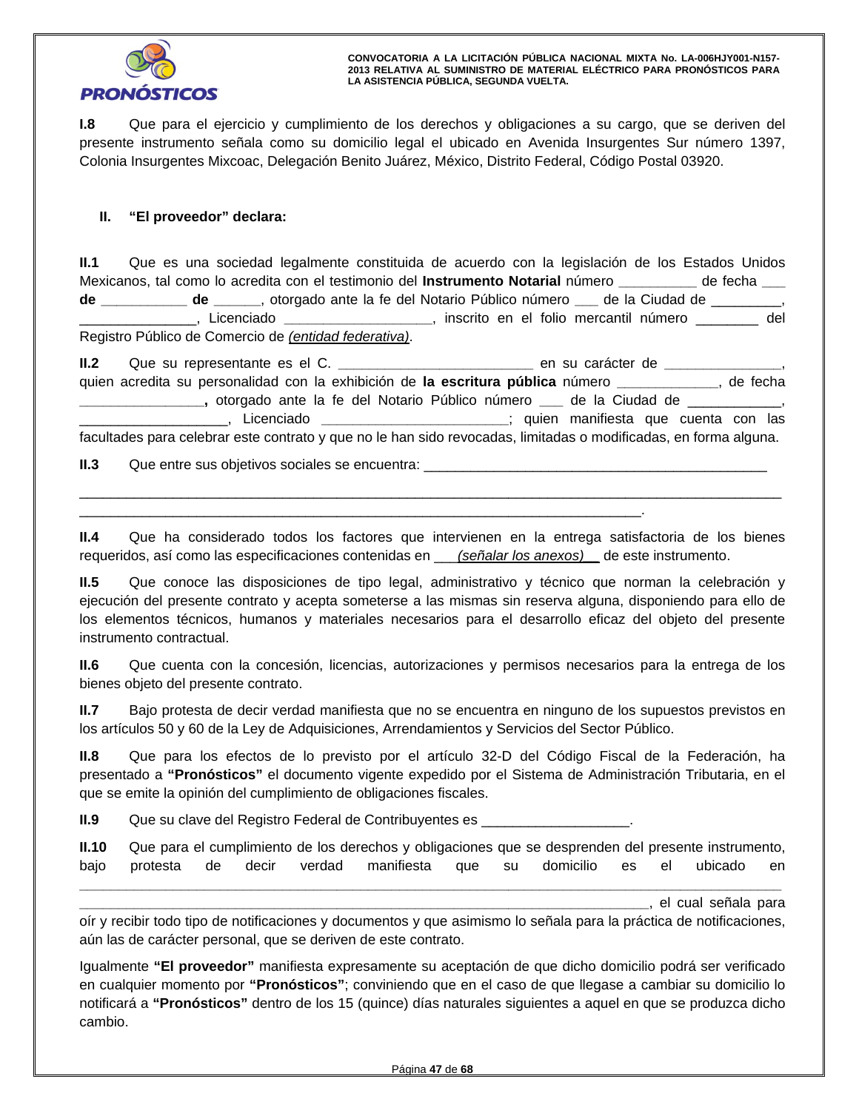

**I.8** Que para el ejercicio y cumplimiento de los derechos y obligaciones a su cargo, que se deriven del presente instrumento señala como su domicilio legal el ubicado en Avenida Insurgentes Sur número 1397, Colonia Insurgentes Mixcoac, Delegación Benito Juárez, México, Distrito Federal, Código Postal 03920.

# **II. "El proveedor" declara:**

**II.1** Que es una sociedad legalmente constituida de acuerdo con la legislación de los Estados Unidos Mexicanos, tal como lo acredita con el testimonio del **Instrumento Notarial** número **\_\_\_\_\_\_\_\_\_\_** de fecha **\_\_\_ de \_\_\_\_\_\_\_\_\_\_\_ de \_\_\_\_\_\_**, otorgado ante la fe del Notario Público número **\_\_\_** de la Ciudad de \_\_\_\_\_\_\_\_\_, \_\_\_\_\_\_\_\_\_\_\_\_\_\_\_, Licenciado **\_\_\_\_\_\_\_\_\_\_\_\_\_\_\_\_\_\_\_**, inscrito en el folio mercantil número \_\_\_\_\_\_\_\_ del Registro Público de Comercio de *(entidad federativa)*.

|            | en su carácter de <b>Electricia de Salacter</b>                                                                  |          |
|------------|------------------------------------------------------------------------------------------------------------------|----------|
|            | quien acredita su personalidad con la exhibición de la escritura pública número ________                         | de fecha |
|            | otorgado ante la fe del Notario Público número __ de la Ciudad de __________,                                    |          |
| Licenciado | ; quien manifiesta que cuenta con las                                                                            |          |
|            | facultades para celebrar este contrato y que no le han sido revocadas, limitadas o modificadas, en forma alguna. |          |

**II.3** Que entre sus objetivos sociales se encuentra: \_\_\_\_\_\_\_\_\_\_\_\_\_\_\_\_\_\_\_\_\_\_\_\_\_\_\_

**II.4** Que ha considerado todos los factores que intervienen en la entrega satisfactoria de los bienes requeridos, así como las especificaciones contenidas en \_\_\_*(señalar los anexos)\_\_* de este instrumento.

\_\_\_\_\_\_\_\_\_\_\_\_\_\_\_\_\_\_\_\_\_\_\_\_\_\_\_\_\_\_\_\_\_\_\_\_\_\_\_\_\_\_\_\_\_\_\_\_\_\_\_\_\_\_\_\_\_\_\_\_\_\_\_\_\_\_\_\_\_\_\_\_\_\_\_\_\_\_\_\_\_\_\_\_\_\_\_\_\_\_

**II.5** Que conoce las disposiciones de tipo legal, administrativo y técnico que norman la celebración y ejecución del presente contrato y acepta someterse a las mismas sin reserva alguna, disponiendo para ello de los elementos técnicos, humanos y materiales necesarios para el desarrollo eficaz del objeto del presente instrumento contractual.

**II.6** Que cuenta con la concesión, licencias, autorizaciones y permisos necesarios para la entrega de los bienes objeto del presente contrato.

**II.7** Bajo protesta de decir verdad manifiesta que no se encuentra en ninguno de los supuestos previstos en los artículos 50 y 60 de la Ley de Adquisiciones, Arrendamientos y Servicios del Sector Público.

**II.8** Que para los efectos de lo previsto por el artículo 32-D del Código Fiscal de la Federación, ha presentado a **"Pronósticos"** el documento vigente expedido por el Sistema de Administración Tributaria, en el que se emite la opinión del cumplimiento de obligaciones fiscales.

**II.9** Que su clave del Registro Federal de Contribuyentes es \_\_\_\_\_\_\_\_\_\_\_\_\_\_\_\_\_\_\_

\_\_\_\_\_\_\_\_\_\_\_\_\_\_\_\_\_\_\_\_\_\_\_\_\_\_\_\_\_\_\_\_\_\_\_\_\_\_\_\_\_\_\_\_\_\_\_\_\_\_\_\_\_\_\_\_\_\_\_\_\_\_\_\_\_\_\_\_\_\_\_\_.

| II.10 |  |  |  | Que para el cumplimiento de los derechos y obligaciones que se desprenden del presente instrumento, |  |  |
|-------|--|--|--|-----------------------------------------------------------------------------------------------------|--|--|
|       |  |  |  | bajo protesta de decir verdad manifiesta que su domicilio es el ubicado en                          |  |  |

**\_\_\_\_\_\_\_\_\_\_\_\_\_\_\_\_\_\_\_\_\_\_\_\_\_\_\_\_\_\_\_\_\_\_\_\_\_\_\_\_\_\_\_\_\_\_\_\_\_\_\_\_\_\_\_\_\_\_\_\_\_\_\_\_\_\_\_\_\_\_\_\_\_\_\_\_\_\_\_\_\_\_\_\_\_\_\_\_\_\_**

**\_\_\_\_\_\_\_\_\_\_\_\_\_\_\_\_\_\_\_\_\_\_\_\_\_\_\_\_\_\_\_\_\_\_\_\_\_\_\_\_\_\_\_\_\_\_\_\_\_\_\_\_\_\_\_\_\_\_\_\_\_\_\_\_\_\_\_\_\_\_\_\_\_**, el cual señala para oír y recibir todo tipo de notificaciones y documentos y que asimismo lo señala para la práctica de notificaciones, aún las de carácter personal, que se deriven de este contrato.

Igualmente **"El proveedor"** manifiesta expresamente su aceptación de que dicho domicilio podrá ser verificado en cualquier momento por **"Pronósticos"**; conviniendo que en el caso de que llegase a cambiar su domicilio lo notificará a **"Pronósticos"** dentro de los 15 (quince) días naturales siguientes a aquel en que se produzca dicho cambio.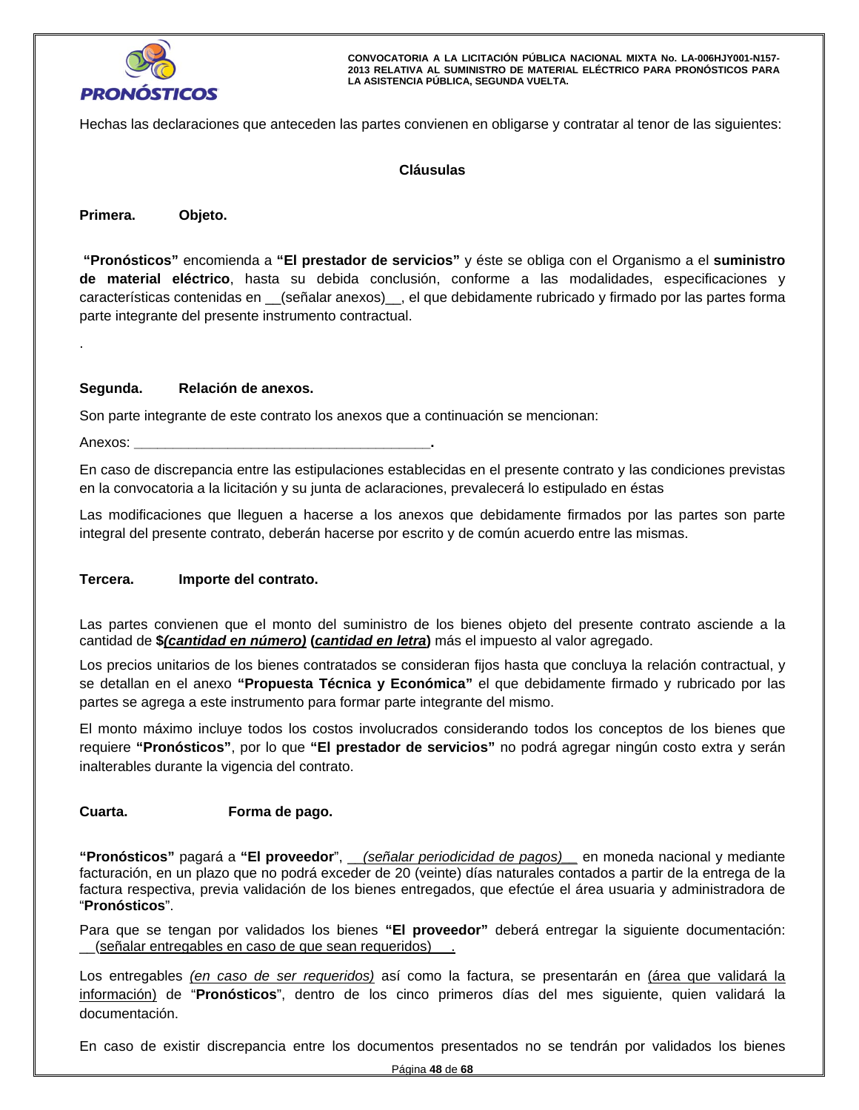

Hechas las declaraciones que anteceden las partes convienen en obligarse y contratar al tenor de las siguientes:

# **Cláusulas**

**Primera. Objeto.** 

.

MODELO DE CONTRATO características contenidas en \_\_(señalar anexos)\_\_, el que debidamente rubricado y firmado por las partes forma  **"Pronósticos"** encomienda a **"El prestador de servicios"** y éste se obliga con el Organismo a el **suministro de material eléctrico**, hasta su debida conclusión, conforme a las modalidades, especificaciones y parte integrante del presente instrumento contractual.

# **Segunda. Relación de anexos.**

Son parte integrante de este contrato los anexos que a continuación se mencionan:

Anexos: **\_\_\_\_\_\_\_\_\_\_\_\_\_\_\_\_\_\_\_\_\_\_\_\_\_\_\_\_\_\_\_\_\_\_\_\_\_\_.**

En caso de discrepancia entre las estipulaciones establecidas en el presente contrato y las condiciones previstas en la convocatoria a la licitación y su junta de aclaraciones, prevalecerá lo estipulado en éstas

Las modificaciones que lleguen a hacerse a los anexos que debidamente firmados por las partes son parte integral del presente contrato, deberán hacerse por escrito y de común acuerdo entre las mismas.

# **Tercera. Importe del contrato.**

Las partes convienen que el monto del suministro de los bienes objeto del presente contrato asciende a la cantidad de **\$***(cantidad en número)* **(***cantidad en letra***)** más el impuesto al valor agregado.

Los precios unitarios de los bienes contratados se consideran fijos hasta que concluya la relación contractual, y se detallan en el anexo **"Propuesta Técnica y Económica"** el que debidamente firmado y rubricado por las partes se agrega a este instrumento para formar parte integrante del mismo.

El monto máximo incluye todos los costos involucrados considerando todos los conceptos de los bienes que requiere **"Pronósticos"**, por lo que **"El prestador de servicios"** no podrá agregar ningún costo extra y serán inalterables durante la vigencia del contrato.

# **Cuarta. Forma de pago.**

**"Pronósticos"** pagará a **"El proveedor**", \_\_*(señalar periodicidad de pagos)\_\_* en moneda nacional y mediante facturación, en un plazo que no podrá exceder de 20 (veinte) días naturales contados a partir de la entrega de la factura respectiva, previa validación de los bienes entregados, que efectúe el área usuaria y administradora de "**Pronósticos**".

Para que se tengan por validados los bienes **"El proveedor"** deberá entregar la siguiente documentación: \_\_(señalar entregables en caso de que sean requeridos)\_\_ .

Los entregables *(en caso de ser requeridos)* así como la factura, se presentarán en (área que validará la información) de "**Pronósticos**", dentro de los cinco primeros días del mes siguiente, quien validará la documentación.

En caso de existir discrepancia entre los documentos presentados no se tendrán por validados los bienes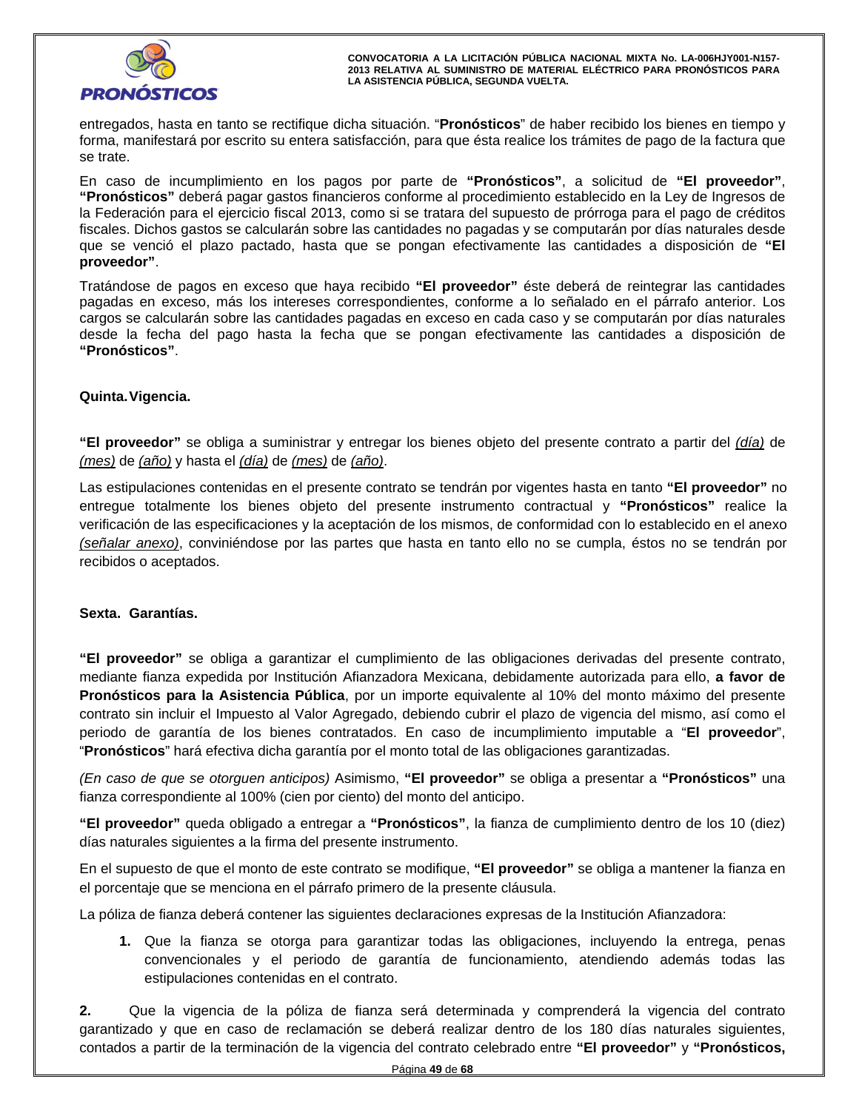

entregados, hasta en tanto se rectifique dicha situación. "**Pronósticos**" de haber recibido los bienes en tiempo y forma, manifestará por escrito su entera satisfacción, para que ésta realice los trámites de pago de la factura que se trate.

Modelo Pienes gables es existinamientos de cantidades no pagadas y se comparador per existenciales acessos.<br>Que se venció el plazo pactado, hasta que se pongan efectivamente las cantidades a disposición de "El<br>Tetá classe En caso de incumplimiento en los pagos por parte de **"Pronósticos"**, a solicitud de **"El proveedor"**, **"Pronósticos"** deberá pagar gastos financieros conforme al procedimiento establecido en la Ley de Ingresos de la Federación para el ejercicio fiscal 2013, como si se tratara del supuesto de prórroga para el pago de créditos fiscales. Dichos gastos se calcularán sobre las cantidades no pagadas y se computarán por días naturales desde **proveedor"**.

Tratándose de pagos en exceso que haya recibido **"El proveedor"** éste deberá de reintegrar las cantidades pagadas en exceso, más los intereses correspondientes, conforme a lo señalado en el párrafo anterior. Los cargos se calcularán sobre las cantidades pagadas en exceso en cada caso y se computarán por días naturales desde la fecha del pago hasta la fecha que se pongan efectivamente las cantidades a disposición de **"Pronósticos"**.

# **Quinta. Vigencia.**

**"El proveedor"** se obliga a suministrar y entregar los bienes objeto del presente contrato a partir del *(día)* de *(mes)* de *(año)* y hasta el *(día)* de *(mes)* de *(año)*.

Las estipulaciones contenidas en el presente contrato se tendrán por vigentes hasta en tanto **"El proveedor"** no entregue totalmente los bienes objeto del presente instrumento contractual y **"Pronósticos"** realice la verificación de las especificaciones y la aceptación de los mismos, de conformidad con lo establecido en el anexo *(señalar anexo)*, conviniéndose por las partes que hasta en tanto ello no se cumpla, éstos no se tendrán por recibidos o aceptados.

# **Sexta. Garantías.**

**"El proveedor"** se obliga a garantizar el cumplimiento de las obligaciones derivadas del presente contrato, mediante fianza expedida por Institución Afianzadora Mexicana, debidamente autorizada para ello, **a favor de Pronósticos para la Asistencia Pública**, por un importe equivalente al 10% del monto máximo del presente contrato sin incluir el Impuesto al Valor Agregado, debiendo cubrir el plazo de vigencia del mismo, así como el periodo de garantía de los bienes contratados. En caso de incumplimiento imputable a "**El proveedor**", "**Pronósticos**" hará efectiva dicha garantía por el monto total de las obligaciones garantizadas.

*(En caso de que se otorguen anticipos)* Asimismo, **"El proveedor"** se obliga a presentar a **"Pronósticos"** una fianza correspondiente al 100% (cien por ciento) del monto del anticipo.

**"El proveedor"** queda obligado a entregar a **"Pronósticos"**, la fianza de cumplimiento dentro de los 10 (diez) días naturales siguientes a la firma del presente instrumento.

En el supuesto de que el monto de este contrato se modifique, **"El proveedor"** se obliga a mantener la fianza en el porcentaje que se menciona en el párrafo primero de la presente cláusula.

La póliza de fianza deberá contener las siguientes declaraciones expresas de la Institución Afianzadora:

**1.** Que la fianza se otorga para garantizar todas las obligaciones, incluyendo la entrega, penas convencionales y el periodo de garantía de funcionamiento, atendiendo además todas las estipulaciones contenidas en el contrato.

**2.** Que la vigencia de la póliza de fianza será determinada y comprenderá la vigencia del contrato garantizado y que en caso de reclamación se deberá realizar dentro de los 180 días naturales siguientes, contados a partir de la terminación de la vigencia del contrato celebrado entre **"El proveedor"** y **"Pronósticos,**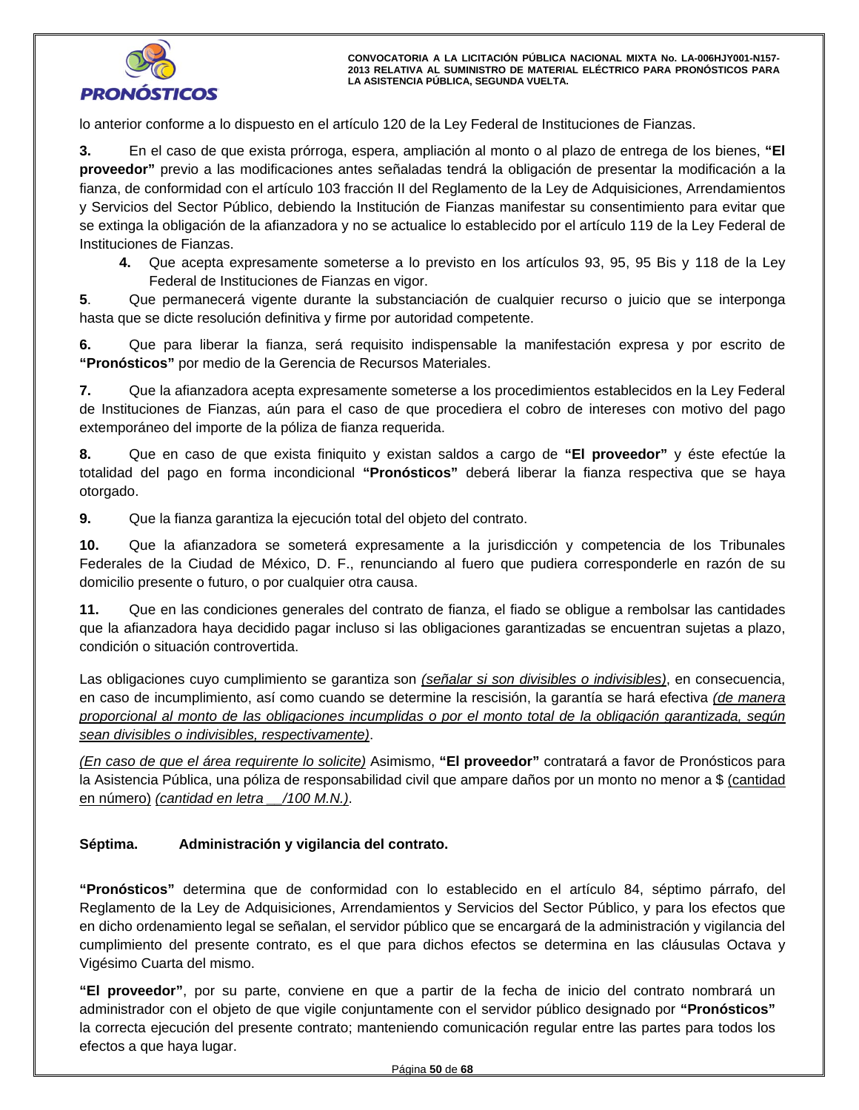

lo anterior conforme a lo dispuesto en el artículo 120 de la Ley Federal de Instituciones de Fianzas.

**3.** En el caso de que exista prórroga, espera, ampliación al monto o al plazo de entrega de los bienes, **"El proveedor"** previo a las modificaciones antes señaladas tendrá la obligación de presentar la modificación a la fianza, de conformidad con el artículo 103 fracción II del Reglamento de la Ley de Adquisiciones, Arrendamientos y Servicios del Sector Público, debiendo la Institución de Fianzas manifestar su consentimiento para evitar que se extinga la obligación de la afianzadora y no se actualice lo establecido por el artículo 119 de la Ley Federal de Instituciones de Fianzas.

ones de Fianzas.<br>Que acepta expresamente someterse a lo previsto en los artículos 93, 95, 95 Bis y 118 d<br>Federal de Instituciones de Fianzas en vigor. **4.** Que acepta expresamente someterse a lo previsto en los artículos 93, 95, 95 Bis y 118 de la Ley Federal de Instituciones de Fianzas en vigor.

**5**. Que permanecerá vigente durante la substanciación de cualquier recurso o juicio que se interponga hasta que se dicte resolución definitiva y firme por autoridad competente.

**6.** Que para liberar la fianza, será requisito indispensable la manifestación expresa y por escrito de **"Pronósticos"** por medio de la Gerencia de Recursos Materiales.

**7.** Que la afianzadora acepta expresamente someterse a los procedimientos establecidos en la Ley Federal de Instituciones de Fianzas, aún para el caso de que procediera el cobro de intereses con motivo del pago extemporáneo del importe de la póliza de fianza requerida.

**8.** Que en caso de que exista finiquito y existan saldos a cargo de **"El proveedor"** y éste efectúe la totalidad del pago en forma incondicional **"Pronósticos"** deberá liberar la fianza respectiva que se haya otorgado.

**9.** Que la fianza garantiza la ejecución total del objeto del contrato.

**10.** Que la afianzadora se someterá expresamente a la jurisdicción y competencia de los Tribunales Federales de la Ciudad de México, D. F., renunciando al fuero que pudiera corresponderle en razón de su domicilio presente o futuro, o por cualquier otra causa.

**11.** Que en las condiciones generales del contrato de fianza, el fiado se obligue a rembolsar las cantidades que la afianzadora haya decidido pagar incluso si las obligaciones garantizadas se encuentran sujetas a plazo, condición o situación controvertida.

Las obligaciones cuyo cumplimiento se garantiza son *(señalar si son divisibles o indivisibles)*, en consecuencia, en caso de incumplimiento, así como cuando se determine la rescisión, la garantía se hará efectiva *(de manera proporcional al monto de las obligaciones incumplidas o por el monto total de la obligación garantizada, según sean divisibles o indivisibles, respectivamente)*.

*(En caso de que el área requirente lo solicite)* Asimismo, **"El proveedor"** contratará a favor de Pronósticos para la Asistencia Pública, una póliza de responsabilidad civil que ampare daños por un monto no menor a \$ (cantidad en número) *(cantidad en letra \_\_/100 M.N.)*.

# **Séptima. Administración y vigilancia del contrato.**

**"Pronósticos"** determina que de conformidad con lo establecido en el artículo 84, séptimo párrafo, del Reglamento de la Ley de Adquisiciones, Arrendamientos y Servicios del Sector Público, y para los efectos que en dicho ordenamiento legal se señalan, el servidor público que se encargará de la administración y vigilancia del cumplimiento del presente contrato, es el que para dichos efectos se determina en las cláusulas Octava y Vigésimo Cuarta del mismo.

**"El proveedor"**, por su parte, conviene en que a partir de la fecha de inicio del contrato nombrará un administrador con el objeto de que vigile conjuntamente con el servidor público designado por **"Pronósticos"** la correcta ejecución del presente contrato; manteniendo comunicación regular entre las partes para todos los efectos a que haya lugar.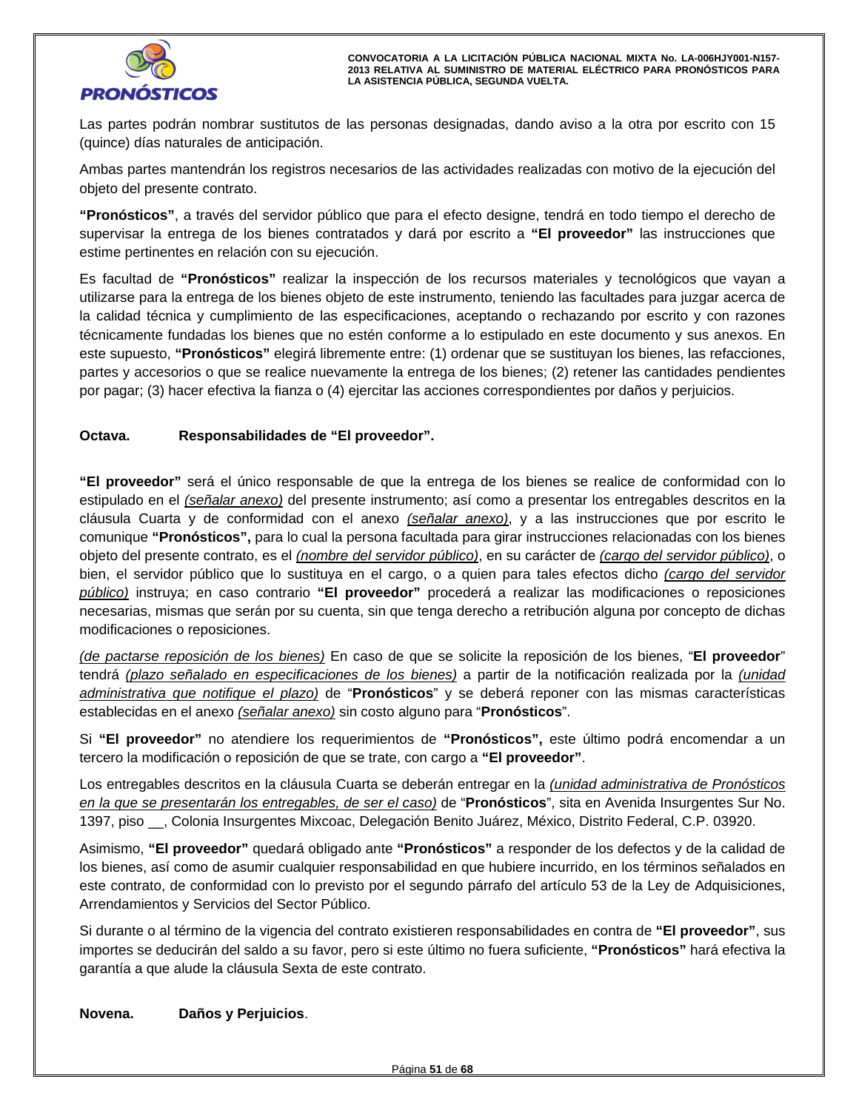

Las partes podrán nombrar sustitutos de las personas designadas, dando aviso a la otra por escrito con 15 (quince) días naturales de anticipación.

Ambas partes mantendrán los registros necesarios de las actividades realizadas con motivo de la ejecución del objeto del presente contrato.

objeto del presente contrato.<br>**"Pronósticos"**, a través del servidor público que para el efecto designe, tendrá en todo tiempo el derecho de supervisar la entrega de los bienes contratados y dará por escrito a **"El proveedor"** las instrucciones que estime pertinentes en relación con su ejecución.

Es facultad de **"Pronósticos"** realizar la inspección de los recursos materiales y tecnológicos que vayan a utilizarse para la entrega de los bienes objeto de este instrumento, teniendo las facultades para juzgar acerca de la calidad técnica y cumplimiento de las especificaciones, aceptando o rechazando por escrito y con razones técnicamente fundadas los bienes que no estén conforme a lo estipulado en este documento y sus anexos. En este supuesto, **"Pronósticos"** elegirá libremente entre: (1) ordenar que se sustituyan los bienes, las refacciones, partes y accesorios o que se realice nuevamente la entrega de los bienes; (2) retener las cantidades pendientes por pagar; (3) hacer efectiva la fianza o (4) ejercitar las acciones correspondientes por daños y perjuicios.

# **Octava. Responsabilidades de "El proveedor".**

**"El proveedor"** será el único responsable de que la entrega de los bienes se realice de conformidad con lo estipulado en el *(señalar anexo)* del presente instrumento; así como a presentar los entregables descritos en la cláusula Cuarta y de conformidad con el anexo *(señalar anexo)*, y a las instrucciones que por escrito le comunique **"Pronósticos",** para lo cual la persona facultada para girar instrucciones relacionadas con los bienes objeto del presente contrato, es el *(nombre del servidor público)*, en su carácter de *(cargo del servidor público)*, o bien, el servidor público que lo sustituya en el cargo, o a quien para tales efectos dicho *(cargo del servidor público)* instruya; en caso contrario **"El proveedor"** procederá a realizar las modificaciones o reposiciones necesarias, mismas que serán por su cuenta, sin que tenga derecho a retribución alguna por concepto de dichas modificaciones o reposiciones.

*(de pactarse reposición de los bienes)* En caso de que se solicite la reposición de los bienes, "**El proveedor**" tendrá *(plazo señalado en especificaciones de los bienes)* a partir de la notificación realizada por la *(unidad administrativa que notifique el plazo)* de "**Pronósticos**" y se deberá reponer con las mismas características establecidas en el anexo *(señalar anexo)* sin costo alguno para "**Pronósticos**".

Si **"El proveedor"** no atendiere los requerimientos de **"Pronósticos",** este último podrá encomendar a un tercero la modificación o reposición de que se trate, con cargo a **"El proveedor"**.

Los entregables descritos en la cláusula Cuarta se deberán entregar en la *(unidad administrativa de Pronósticos en la que se presentarán los entregables, de ser el caso)* de "**Pronósticos**", sita en Avenida Insurgentes Sur No. 1397, piso \_\_, Colonia Insurgentes Mixcoac, Delegación Benito Juárez, México, Distrito Federal, C.P. 03920.

Asimismo, **"El proveedor"** quedará obligado ante **"Pronósticos"** a responder de los defectos y de la calidad de los bienes, así como de asumir cualquier responsabilidad en que hubiere incurrido, en los términos señalados en este contrato, de conformidad con lo previsto por el segundo párrafo del artículo 53 de la Ley de Adquisiciones, Arrendamientos y Servicios del Sector Público.

Si durante o al término de la vigencia del contrato existieren responsabilidades en contra de **"El proveedor"**, sus importes se deducirán del saldo a su favor, pero si este último no fuera suficiente, **"Pronósticos"** hará efectiva la garantía a que alude la cláusula Sexta de este contrato.

# Daños y Perjuicios.<br>
Daños y Perjuicios. **Novena. Daños y Perjuicios**.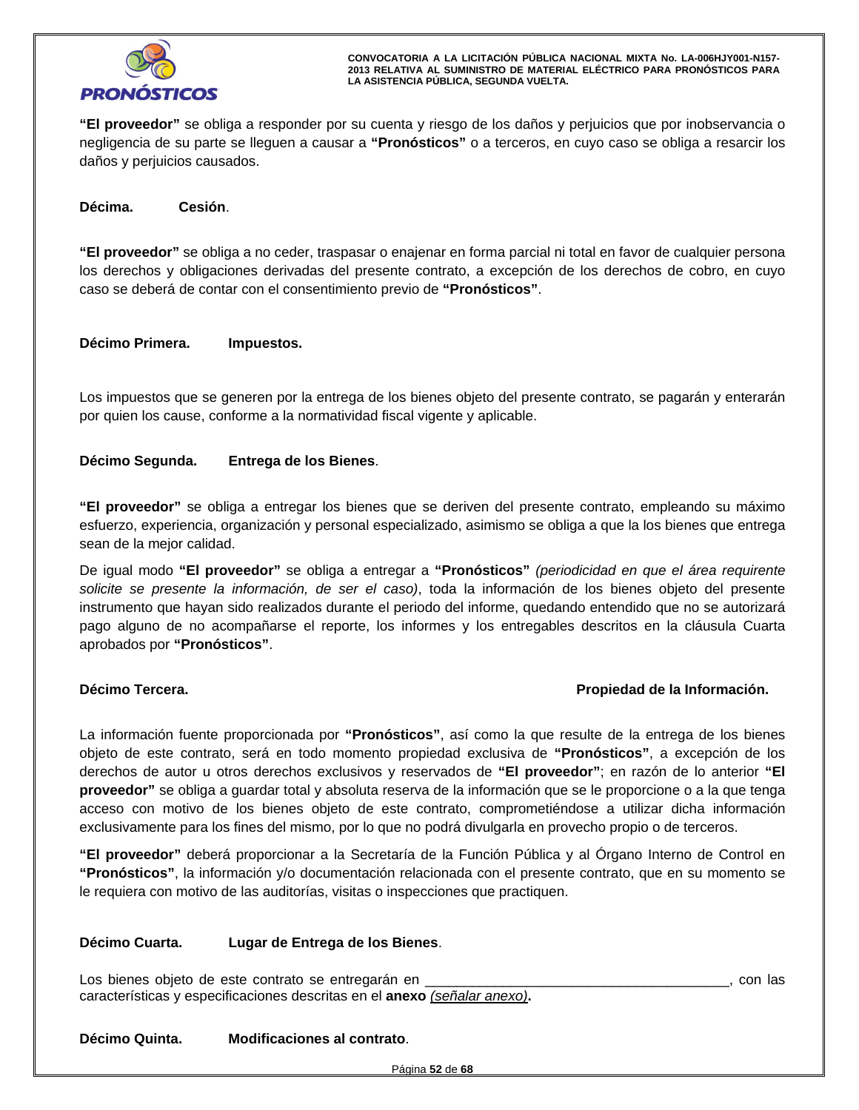

**"El proveedor"** se obliga a responder por su cuenta y riesgo de los daños y perjuicios que por inobservancia o negligencia de su parte se lleguen a causar a **"Pronósticos"** o a terceros, en cuyo caso se obliga a resarcir los daños y perjuicios causados.

# **Décima. Cesión**.

**"El proveedor"** se obliga a no ceder, traspasar o enajenar en forma parcial ni total en favor de cualquier persona los derechos y obligaciones derivadas del presente contrato, a excepción de los derechos de cobro, en cuyo caso se deberá de contar con el consentimiento previo de **"Pronósticos"**.

# **Décimo Primera. Impuestos.**

Los impuestos que se generen por la entrega de los bienes objeto del presente contrato, se pagarán y enterarán por quien los cause, conforme a la normatividad fiscal vigente y aplicable.

# **Décimo Segunda. Entrega de los Bienes**.

**"El proveedor"** se obliga a entregar los bienes que se deriven del presente contrato, empleando su máximo esfuerzo, experiencia, organización y personal especializado, asimismo se obliga a que la los bienes que entrega sean de la mejor calidad.

De igual modo **"El proveedor"** se obliga a entregar a **"Pronósticos"** *(periodicidad en que el área requirente solicite se presente la información, de ser el caso)*, toda la información de los bienes objeto del presente instrumento que hayan sido realizados durante el periodo del informe, quedando entendido que no se autorizará pago alguno de no acompañarse el reporte, los informes y los entregables descritos en la cláusula Cuarta aprobados por **"Pronósticos"**.

# **Décimo Tercera. Propiedad de la Información.**

La información fuente proporcionada por **"Pronósticos"**, así como la que resulte de la entrega de los bienes objeto de este contrato, será en todo momento propiedad exclusiva de **"Pronósticos"**, a excepción de los derechos de autor u otros derechos exclusivos y reservados de **"El proveedor"**; en razón de lo anterior **"El proveedor"** se obliga a guardar total y absoluta reserva de la información que se le proporcione o a la que tenga acceso con motivo de los bienes objeto de este contrato, comprometiéndose a utilizar dicha información exclusivamente para los fines del mismo, por lo que no podrá divulgarla en provecho propio o de terceros.

**"El proveedor"** deberá proporcionar a la Secretaría de la Función Pública y al Órgano Interno de Control en **"Pronósticos"**, la información y/o documentación relacionada con el presente contrato, que en su momento se le requiera con motivo de las auditorías, visitas o inspecciones que practiquen.

# **Décimo Cuarta. Lugar de Entrega de los Bienes**.

Los bienes objeto de este contrato se entregarán en \_\_\_\_\_\_\_\_\_\_\_\_\_\_\_\_\_\_\_\_\_\_\_\_\_\_\_\_\_\_\_\_\_\_\_\_\_\_\_, con las características y especificaciones descritas en el **anexo** *(señalar anexo)***.**

# nta. Modificaciones al contrato. **Décimo Quinta. Modificaciones al contrato**.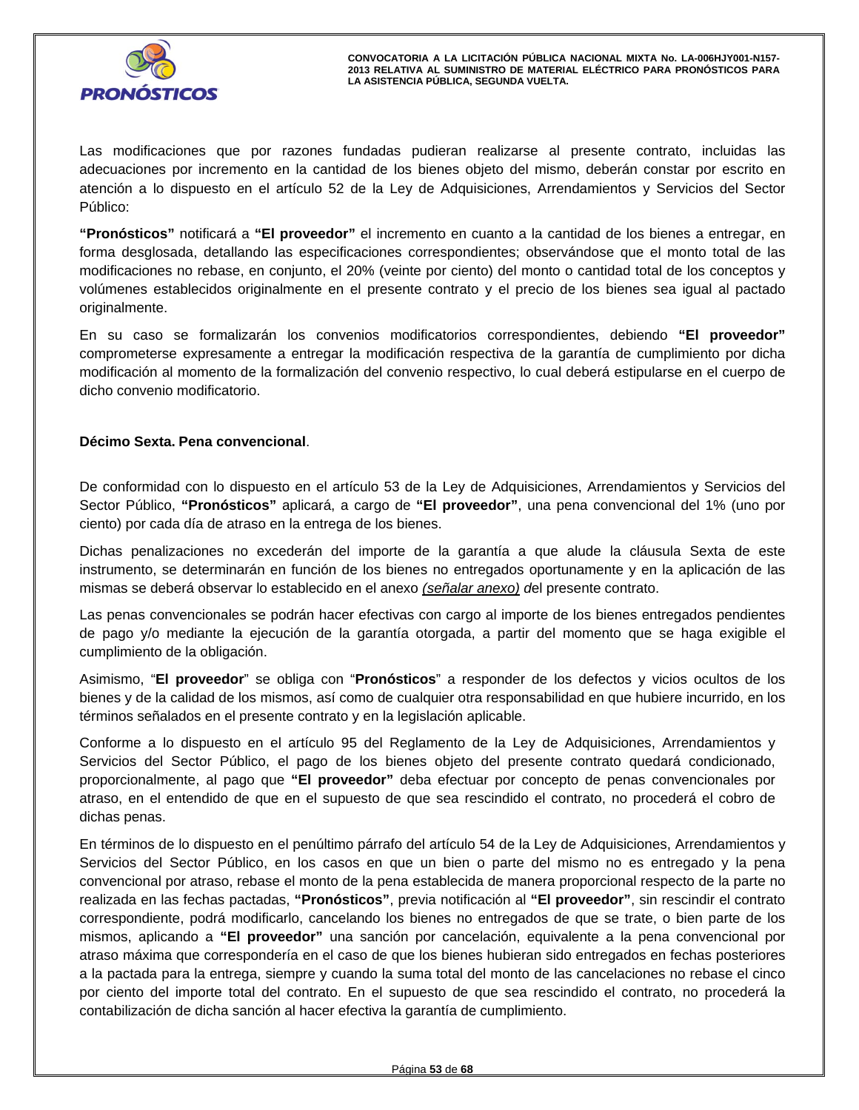

Las modificaciones que por razones fundadas pudieran realizarse al presente contrato, incluidas las adecuaciones por incremento en la cantidad de los bienes objeto del mismo, deberán constar por escrito en atención a lo dispuesto en el artículo 52 de la Ley de Adquisiciones, Arrendamientos y Servicios del Sector Público:

**"Pronósticos"** notificará a **"El proveedor"** el incremento en cuanto a la cantidad de los bienes a entregar, en forma desglosada, detallando las especificaciones correspondientes; observándose que el monto total de las modificaciones no rebase, en conjunto, el 20% (veinte por ciento) del monto o cantidad total de los conceptos y volúmenes establecidos originalmente en el presente contrato y el precio de los bienes sea igual al pactado originalmente.

En su caso se formalizarán los convenios modificatorios correspondientes, debiendo **"El proveedor"**  comprometerse expresamente a entregar la modificación respectiva de la garantía de cumplimiento por dicha modificación al momento de la formalización del convenio respectivo, lo cual deberá estipularse en el cuerpo de dicho convenio modificatorio.

# **Décimo Sexta. Pena convencional**.

De conformidad con lo dispuesto en el artículo 53 de la Ley de Adquisiciones, Arrendamientos y Servicios del Sector Público, **"Pronósticos"** aplicará, a cargo de **"El proveedor"**, una pena convencional del 1% (uno por ciento) por cada día de atraso en la entrega de los bienes.

Dichas penalizaciones no excederán del importe de la garantía a que alude la cláusula Sexta de este instrumento, se determinarán en función de los bienes no entregados oportunamente y en la aplicación de las mismas se deberá observar lo establecido en el anexo *(señalar anexo) d*el presente contrato.

Las penas convencionales se podrán hacer efectivas con cargo al importe de los bienes entregados pendientes de pago y/o mediante la ejecución de la garantía otorgada, a partir del momento que se haga exigible el cumplimiento de la obligación.

Asimismo, "**El proveedor**" se obliga con "**Pronósticos**" a responder de los defectos y vicios ocultos de los bienes y de la calidad de los mismos, así como de cualquier otra responsabilidad en que hubiere incurrido, en los términos señalados en el presente contrato y en la legislación aplicable.

dichas penas.<br>En términos de lo dispuesto en el penúltimo párrafo del artículo 54 de la Ley de Adquisiciones, Arrendamientos y Conforme a lo dispuesto en el artículo 95 del Reglamento de la Ley de Adquisiciones, Arrendamientos y Servicios del Sector Público, el pago de los bienes objeto del presente contrato quedará condicionado, proporcionalmente, al pago que **"El proveedor"** deba efectuar por concepto de penas convencionales por atraso, en el entendido de que en el supuesto de que sea rescindido el contrato, no procederá el cobro de dichas penas.

Servicios del Sector Público, en los casos en que un bien o parte del mismo no es entregado y la pena convencional por atraso, rebase el monto de la pena establecida de manera proporcional respecto de la parte no realizada en las fechas pactadas, **"Pronósticos"**, previa notificación al **"El proveedor"**, sin rescindir el contrato correspondiente, podrá modificarlo, cancelando los bienes no entregados de que se trate, o bien parte de los mismos, aplicando a **"El proveedor"** una sanción por cancelación, equivalente a la pena convencional por atraso máxima que correspondería en el caso de que los bienes hubieran sido entregados en fechas posteriores a la pactada para la entrega, siempre y cuando la suma total del monto de las cancelaciones no rebase el cinco por ciento del importe total del contrato. En el supuesto de que sea rescindido el contrato, no procederá la contabilización de dicha sanción al hacer efectiva la garantía de cumplimiento.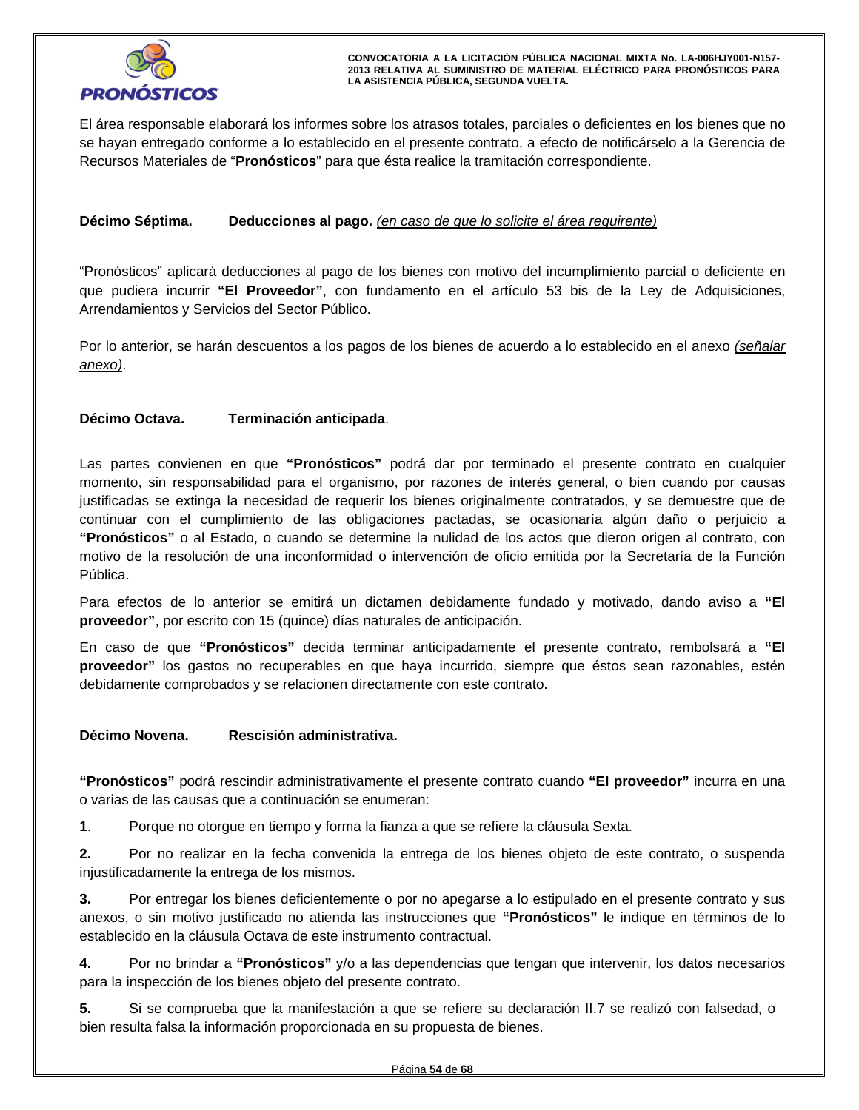

El área responsable elaborará los informes sobre los atrasos totales, parciales o deficientes en los bienes que no se hayan entregado conforme a lo establecido en el presente contrato, a efecto de notificárselo a la Gerencia de Recursos Materiales de "**Pronósticos**" para que ésta realice la tramitación correspondiente.

# **Décimo Séptima. Deducciones al pago.** *(en caso de que lo solicite el área requirente)*

"Pronósticos" aplicará deducciones al pago de los bienes con motivo del incumplimiento parcial o deficiente en que pudiera incurrir **"El Proveedor"**, con fundamento en el artículo 53 bis de la Ley de Adquisiciones, Arrendamientos y Servicios del Sector Público.

Por lo anterior, se harán descuentos a los pagos de los bienes de acuerdo a lo establecido en el anexo *(señalar anexo)*.

# **Décimo Octava. Terminación anticipada**.

Las partes convienen en que **"Pronósticos"** podrá dar por terminado el presente contrato en cualquier momento, sin responsabilidad para el organismo, por razones de interés general, o bien cuando por causas justificadas se extinga la necesidad de requerir los bienes originalmente contratados, y se demuestre que de continuar con el cumplimiento de las obligaciones pactadas, se ocasionaría algún daño o perjuicio a **"Pronósticos"** o al Estado, o cuando se determine la nulidad de los actos que dieron origen al contrato, con motivo de la resolución de una inconformidad o intervención de oficio emitida por la Secretaría de la Función Pública.

Para efectos de lo anterior se emitirá un dictamen debidamente fundado y motivado, dando aviso a **"El proveedor"**, por escrito con 15 (quince) días naturales de anticipación.

En caso de que **"Pronósticos"** decida terminar anticipadamente el presente contrato, rembolsará a **"El proveedor"** los gastos no recuperables en que haya incurrido, siempre que éstos sean razonables, estén debidamente comprobados y se relacionen directamente con este contrato.

# **Décimo Novena. Rescisión administrativa.**

**"Pronósticos"** podrá rescindir administrativamente el presente contrato cuando **"El proveedor"** incurra en una o varias de las causas que a continuación se enumeran:

**1**. Porque no otorgue en tiempo y forma la fianza a que se refiere la cláusula Sexta.

**2.** Por no realizar en la fecha convenida la entrega de los bienes objeto de este contrato, o suspenda injustificadamente la entrega de los mismos.

injustificadamente la entrega de los mismos.<br>**3.** Por entregar los bienes deficientemente o por no apegarse a lo estipulado en el presente contrato y sus anexos, o sin motivo justificado no atienda las instrucciones que **"Pronósticos"** le indique en términos de lo establecido en la cláusula Octava de este instrumento contractual.

**4.** Por no brindar a **"Pronósticos"** y/o a las dependencias que tengan que intervenir, los datos necesarios para la inspección de los bienes objeto del presente contrato.

**5.** Si se comprueba que la manifestación a que se refiere su declaración II.7 se realizó con falsedad, o bien resulta falsa la información proporcionada en su propuesta de bienes.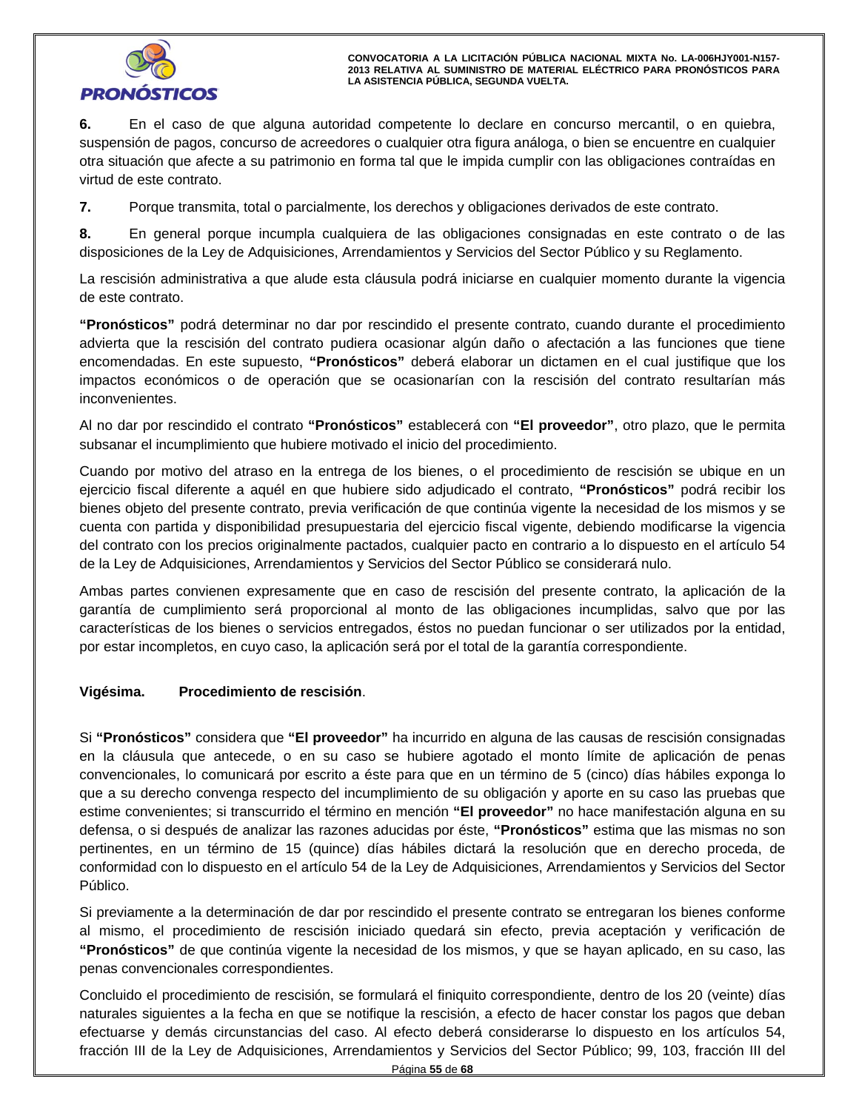

**6.** En el caso de que alguna autoridad competente lo declare en concurso mercantil, o en quiebra, suspensión de pagos, concurso de acreedores o cualquier otra figura análoga, o bien se encuentre en cualquier otra situación que afecte a su patrimonio en forma tal que le impida cumplir con las obligaciones contraídas en virtud de este contrato.

**7.** Porque transmita, total o parcialmente, los derechos y obligaciones derivados de este contrato.

**8.** En general porque incumpla cualquiera de las obligaciones consignadas en este contrato o de las disposiciones de la Ley de Adquisiciones, Arrendamientos y Servicios del Sector Público y su Reglamento.

La rescisión administrativa a que alude esta cláusula podrá iniciarse en cualquier momento durante la vigencia de este contrato.

**"Pronósticos"** podrá determinar no dar por rescindido el presente contrato, cuando durante el procedimiento advierta que la rescisión del contrato pudiera ocasionar algún daño o afectación a las funciones que tiene encomendadas. En este supuesto, **"Pronósticos"** deberá elaborar un dictamen en el cual justifique que los impactos económicos o de operación que se ocasionarían con la rescisión del contrato resultarían más inconvenientes.

Al no dar por rescindido el contrato **"Pronósticos"** establecerá con **"El proveedor"**, otro plazo, que le permita subsanar el incumplimiento que hubiere motivado el inicio del procedimiento.

Cuando por motivo del atraso en la entrega de los bienes, o el procedimiento de rescisión se ubique en un ejercicio fiscal diferente a aquél en que hubiere sido adjudicado el contrato, **"Pronósticos"** podrá recibir los bienes objeto del presente contrato, previa verificación de que continúa vigente la necesidad de los mismos y se cuenta con partida y disponibilidad presupuestaria del ejercicio fiscal vigente, debiendo modificarse la vigencia del contrato con los precios originalmente pactados, cualquier pacto en contrario a lo dispuesto en el artículo 54 de la Ley de Adquisiciones, Arrendamientos y Servicios del Sector Público se considerará nulo.

Ambas partes convienen expresamente que en caso de rescisión del presente contrato, la aplicación de la garantía de cumplimiento será proporcional al monto de las obligaciones incumplidas, salvo que por las características de los bienes o servicios entregados, éstos no puedan funcionar o ser utilizados por la entidad, por estar incompletos, en cuyo caso, la aplicación será por el total de la garantía correspondiente.

# **Vigésima. Procedimiento de rescisión**.

cionales, lo comunicara por escrito a este para que en un termino de 5 (cinco) días habiles e<br>su derecho convenga respecto del incumplimiento de su obligación y aporte en su caso las pru<br>convenientes; si transcurrido el té Si **"Pronósticos"** considera que **"El proveedor"** ha incurrido en alguna de las causas de rescisión consignadas en la cláusula que antecede, o en su caso se hubiere agotado el monto límite de aplicación de penas convencionales, lo comunicará por escrito a éste para que en un término de 5 (cinco) días hábiles exponga lo que a su derecho convenga respecto del incumplimiento de su obligación y aporte en su caso las pruebas que estime convenientes; si transcurrido el término en mención **"El proveedor"** no hace manifestación alguna en su defensa, o si después de analizar las razones aducidas por éste, **"Pronósticos"** estima que las mismas no son pertinentes, en un término de 15 (quince) días hábiles dictará la resolución que en derecho proceda, de conformidad con lo dispuesto en el artículo 54 de la Ley de Adquisiciones, Arrendamientos y Servicios del Sector Público.

Si previamente a la determinación de dar por rescindido el presente contrato se entregaran los bienes conforme al mismo, el procedimiento de rescisión iniciado quedará sin efecto, previa aceptación y verificación de **"Pronósticos"** de que continúa vigente la necesidad de los mismos, y que se hayan aplicado, en su caso, las penas convencionales correspondientes.

Concluido el procedimiento de rescisión, se formulará el finiquito correspondiente, dentro de los 20 (veinte) días naturales siguientes a la fecha en que se notifique la rescisión, a efecto de hacer constar los pagos que deban efectuarse y demás circunstancias del caso. Al efecto deberá considerarse lo dispuesto en los artículos 54, fracción III de la Ley de Adquisiciones, Arrendamientos y Servicios del Sector Público; 99, 103, fracción III del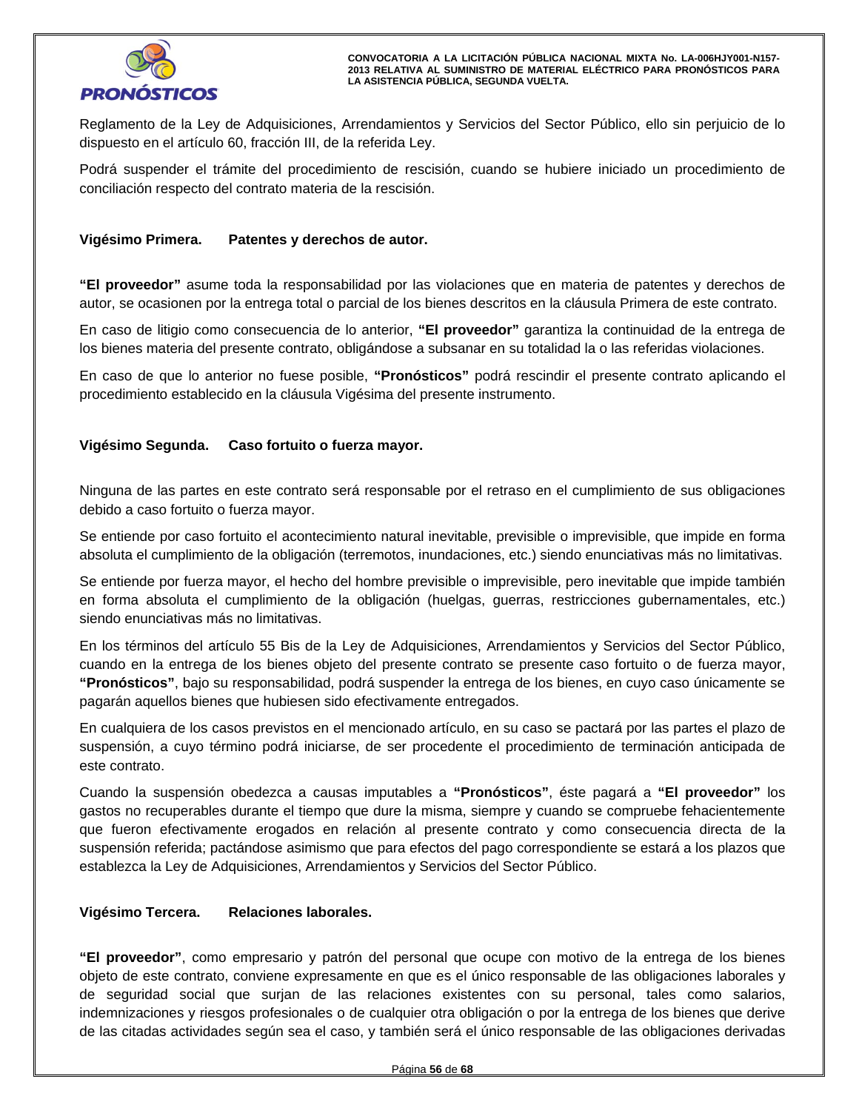

Reglamento de la Ley de Adquisiciones, Arrendamientos y Servicios del Sector Público, ello sin perjuicio de lo dispuesto en el artículo 60, fracción III, de la referida Ley.

Podrá suspender el trámite del procedimiento de rescisión, cuando se hubiere iniciado un procedimiento de conciliación respecto del contrato materia de la rescisión.

# **Vigésimo Primera. Patentes y derechos de autor.**

**"El proveedor"** asume toda la responsabilidad por las violaciones que en materia de patentes y derechos de autor, se ocasionen por la entrega total o parcial de los bienes descritos en la cláusula Primera de este contrato.

En caso de litigio como consecuencia de lo anterior, **"El proveedor"** garantiza la continuidad de la entrega de los bienes materia del presente contrato, obligándose a subsanar en su totalidad la o las referidas violaciones.

En caso de que lo anterior no fuese posible, **"Pronósticos"** podrá rescindir el presente contrato aplicando el procedimiento establecido en la cláusula Vigésima del presente instrumento.

# **Vigésimo Segunda. Caso fortuito o fuerza mayor.**

Ninguna de las partes en este contrato será responsable por el retraso en el cumplimiento de sus obligaciones debido a caso fortuito o fuerza mayor.

Se entiende por caso fortuito el acontecimiento natural inevitable, previsible o imprevisible, que impide en forma absoluta el cumplimiento de la obligación (terremotos, inundaciones, etc.) siendo enunciativas más no limitativas.

Se entiende por fuerza mayor, el hecho del hombre previsible o imprevisible, pero inevitable que impide también en forma absoluta el cumplimiento de la obligación (huelgas, guerras, restricciones gubernamentales, etc.) siendo enunciativas más no limitativas.

en la entrega de los bienes objeto del presente contrato se presente caso fortuito o de fuerz<br>sticos", bajo su responsabilidad, podrá suspender la entrega de los bienes, en cuyo caso única<br>n aquellos bienes que hubiesen si En los términos del artículo 55 Bis de la Ley de Adquisiciones, Arrendamientos y Servicios del Sector Público, cuando en la entrega de los bienes objeto del presente contrato se presente caso fortuito o de fuerza mayor, **"Pronósticos"**, bajo su responsabilidad, podrá suspender la entrega de los bienes, en cuyo caso únicamente se pagarán aquellos bienes que hubiesen sido efectivamente entregados.

En cualquiera de los casos previstos en el mencionado artículo, en su caso se pactará por las partes el plazo de suspensión, a cuyo término podrá iniciarse, de ser procedente el procedimiento de terminación anticipada de este contrato.

Cuando la suspensión obedezca a causas imputables a **"Pronósticos"**, éste pagará a **"El proveedor"** los gastos no recuperables durante el tiempo que dure la misma, siempre y cuando se compruebe fehacientemente que fueron efectivamente erogados en relación al presente contrato y como consecuencia directa de la suspensión referida; pactándose asimismo que para efectos del pago correspondiente se estará a los plazos que establezca la Ley de Adquisiciones, Arrendamientos y Servicios del Sector Público.

# **Vigésimo Tercera. Relaciones laborales.**

**"El proveedor"**, como empresario y patrón del personal que ocupe con motivo de la entrega de los bienes objeto de este contrato, conviene expresamente en que es el único responsable de las obligaciones laborales y de seguridad social que surjan de las relaciones existentes con su personal, tales como salarios, indemnizaciones y riesgos profesionales o de cualquier otra obligación o por la entrega de los bienes que derive de las citadas actividades según sea el caso, y también será el único responsable de las obligaciones derivadas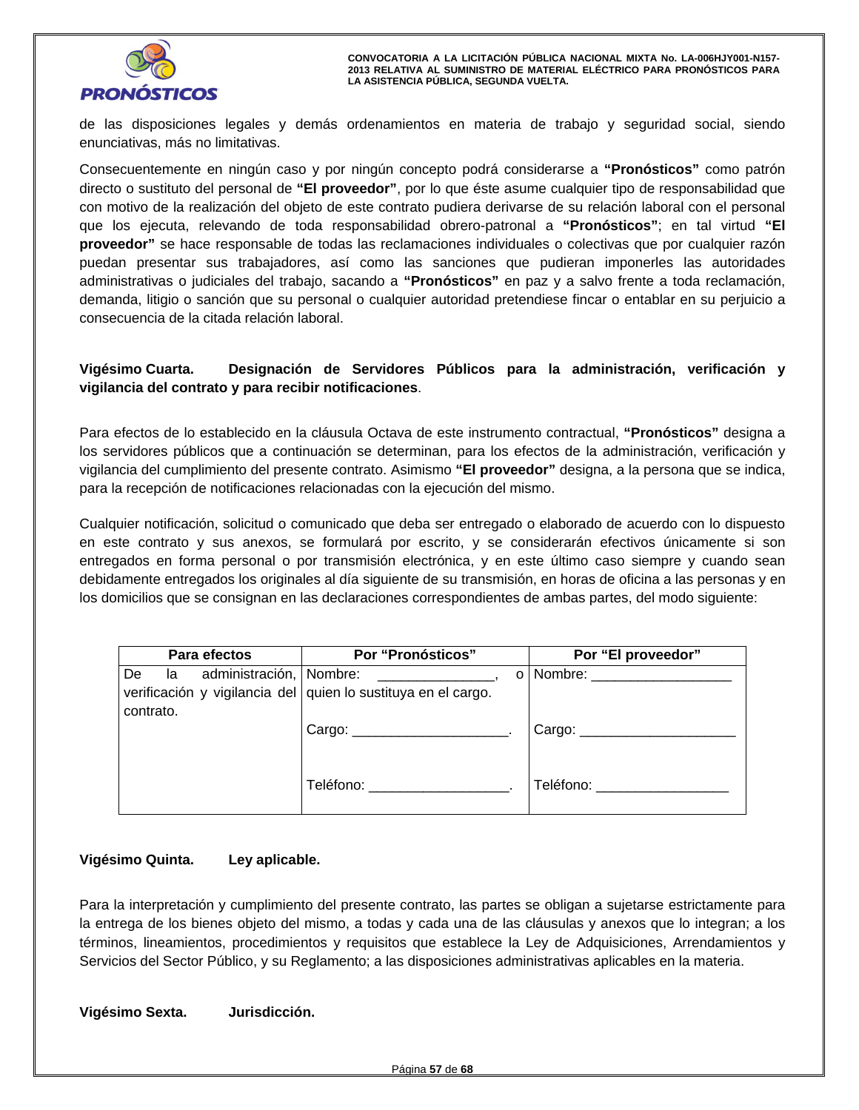

de las disposiciones legales y demás ordenamientos en materia de trabajo y seguridad social, siendo enunciativas, más no limitativas.

Consecuentemente en ningún caso y por ningún concepto podrá considerarse a **"Pronósticos"** como patrón directo o sustituto del personal de **"El proveedor"**, por lo que éste asume cualquier tipo de responsabilidad que con motivo de la realización del objeto de este contrato pudiera derivarse de su relación laboral con el personal que los ejecuta, relevando de toda responsabilidad obrero-patronal a **"Pronósticos"**; en tal virtud **"El proveedor"** se hace responsable de todas las reclamaciones individuales o colectivas que por cualquier razón puedan presentar sus trabajadores, así como las sanciones que pudieran imponerles las autoridades administrativas o judiciales del trabajo, sacando a **"Pronósticos"** en paz y a salvo frente a toda reclamación, demanda, litigio o sanción que su personal o cualquier autoridad pretendiese fincar o entablar en su perjuicio a consecuencia de la citada relación laboral.

# **Vigésimo Cuarta. Designación de Servidores Públicos para la administración, verificación y vigilancia del contrato y para recibir notificaciones**.

Para efectos de lo establecido en la cláusula Octava de este instrumento contractual, **"Pronósticos"** designa a los servidores públicos que a continuación se determinan, para los efectos de la administración, verificación y vigilancia del cumplimiento del presente contrato. Asimismo **"El proveedor"** designa, a la persona que se indica, para la recepción de notificaciones relacionadas con la ejecución del mismo.

Cualquier notificación, solicitud o comunicado que deba ser entregado o elaborado de acuerdo con lo dispuesto en este contrato y sus anexos, se formulará por escrito, y se considerarán efectivos únicamente si son entregados en forma personal o por transmisión electrónica, y en este último caso siempre y cuando sean debidamente entregados los originales al día siguiente de su transmisión, en horas de oficina a las personas y en los domicilios que se consignan en las declaraciones correspondientes de ambas partes, del modo siguiente:

| Para efectos                                       | Por "Pronósticos"                                                                                                                                                                                                                                                                                     | Por "El proveedor"            |  |  |
|----------------------------------------------------|-------------------------------------------------------------------------------------------------------------------------------------------------------------------------------------------------------------------------------------------------------------------------------------------------------|-------------------------------|--|--|
| administración, Nombre:<br>De<br>la l<br>contrato. | <u>and the company of the company of the company of the company of the company of the company of the company of the company of the company of the company of the company of the company of the company of the company of the com</u><br>verificación y vigilancia del quien lo sustituya en el cargo. | o   Nombre: _________________ |  |  |
|                                                    | Cargo: _____________________________.                                                                                                                                                                                                                                                                 | Cargo: $\frac{1}{2}$          |  |  |
|                                                    | Teléfono: www.astronomia.com                                                                                                                                                                                                                                                                          | Teléfono:                     |  |  |

# **Vigésimo Quinta. Ley aplicable.**

Para la interpretación y cumplimiento del presente contrato, las partes se obligan a sujetarse estrictamente para la entrega de los bienes objeto del mismo, a todas y cada una de las cláusulas y anexos que lo integran; a los términos, lineamientos, procedimientos y requisitos que establece la Ley de Adquisiciones, Arrendamientos y Servicios del Sector Público, y su Reglamento; a las disposiciones administrativas aplicables en la materia.

**Vigésimo Sexta. Jurisdicción.**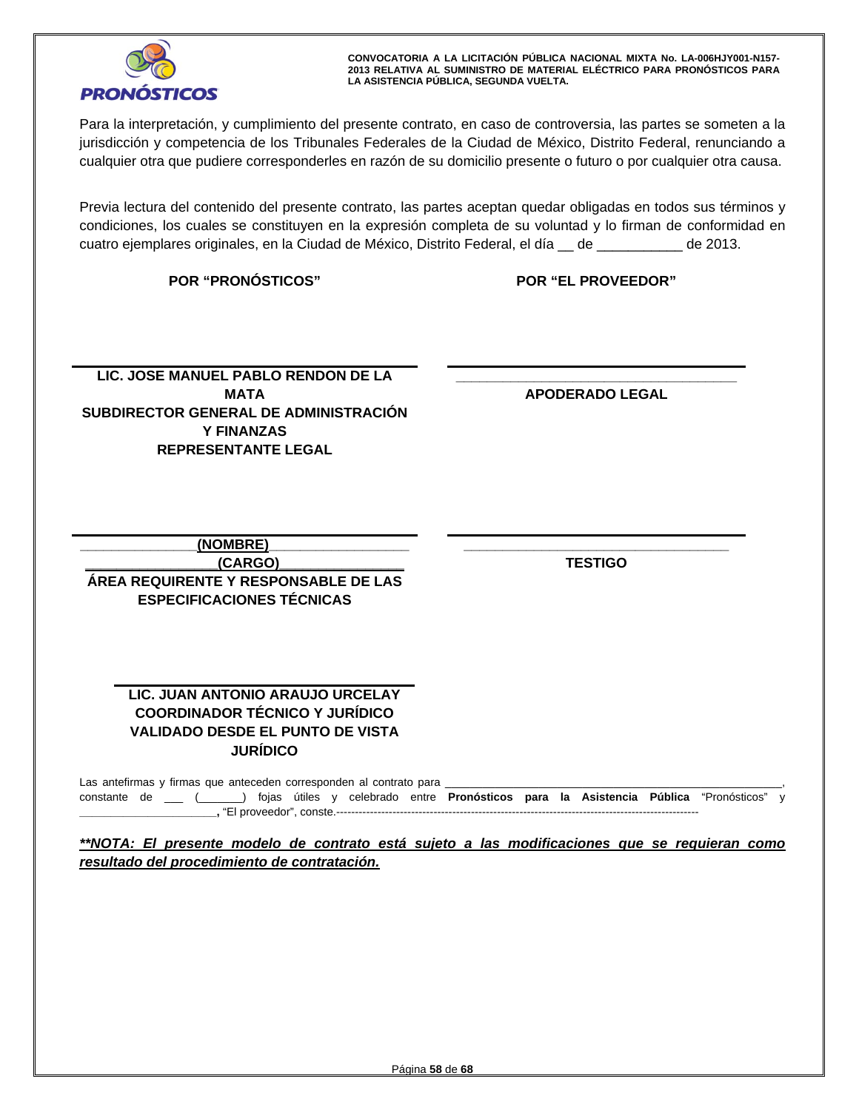

Para la interpretación, y cumplimiento del presente contrato, en caso de controversia, las partes se someten a la jurisdicción y competencia de los Tribunales Federales de la Ciudad de México, Distrito Federal, renunciando a cualquier otra que pudiere corresponderles en razón de su domicilio presente o futuro o por cualquier otra causa.

Previa lectura del contenido del presente contrato, las partes aceptan quedar obligadas en todos sus términos y condiciones, los cuales se constituyen en la expresión completa de su voluntad y lo firman de conformidad en cuatro ejemplares originales, en la Ciudad de México, Distrito Federal, el día \_\_ de \_\_\_\_\_\_\_\_\_\_\_ de 2013.

**POR "PRONÓSTICOS" POR "EL PROVEEDOR"**

LIC. JOSE MANUEL PABLO RENDON DE LA **ANGLE EN EL PARTA DE CONTRATA DE LA PODERADO LEGAL**<br>MATA APODERADO LEGAL<br>BEDIRECTOR GENERAL DE ADMINISTRACIÓN **MATA SUBDIRECTOR GENERAL DE ADMINISTRACIÓN Y FINANZAS REPRESENTANTE LEGAL** 

**\_\_\_\_\_\_\_\_\_\_\_\_\_\_\_\_\_\_\_\_\_\_\_\_\_\_\_\_\_\_\_\_\_\_\_\_ APODERADO LEGAL** 

**\_\_\_\_\_\_\_\_\_\_\_\_\_\_\_(NOMBRE)\_\_\_\_\_\_\_\_\_\_\_\_\_\_\_\_\_\_ \_\_\_\_\_\_\_\_\_\_\_\_\_\_\_\_\_(CARGO)\_\_\_\_\_\_\_\_\_\_\_\_\_\_\_\_ ÁREA REQUIRENTE Y RESPONSABLE DE LAS ESPECIFICACIONES TÉCNICAS** 

**TESTIGO** 

 **\_\_\_\_\_\_\_\_\_\_\_\_\_\_\_\_\_\_\_\_\_\_\_\_\_\_\_\_\_\_\_\_\_\_** 

# **LIC. JUAN ANTONIO ARAUJO URCELAY COORDINADOR TÉCNICO Y JURÍDICO VALIDADO DESDE EL PUNTO DE VISTA JURÍDICO**

Las antefirmas y firmas que anteceden corresponden al contrato para \_ constante de \_\_\_ (\_\_\_\_\_\_\_) fojas útiles y celebrado entre **Pronósticos para la Asistencia Pública** "Pronósticos" y **\_\_\_\_\_\_\_\_\_\_\_\_\_\_\_\_\_\_\_\_\_\_,** "El proveedor", conste.-------------------------------------------------------------------------------------------------

*\*\*NOTA: El presente modelo de contrato está sujeto a las modificaciones que se requieran como resultado del procedimiento de contratación.*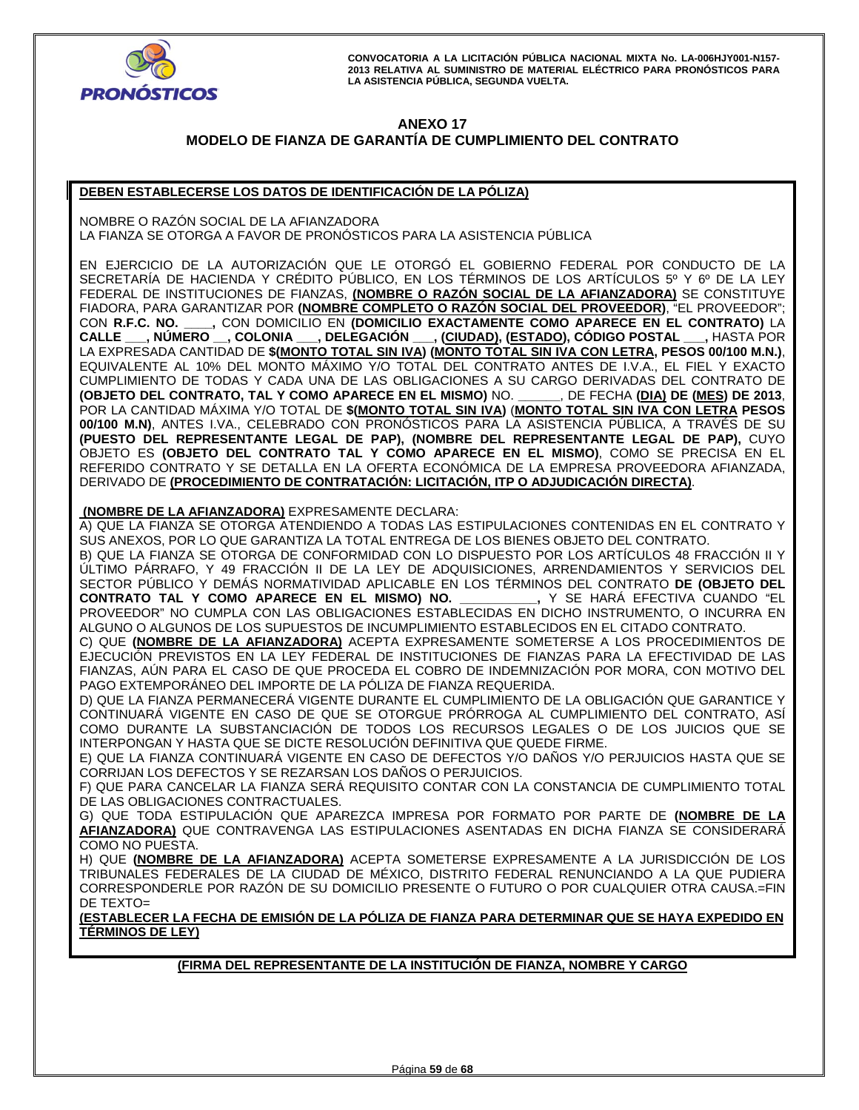

# **ANEXO 17 MODELO DE FIANZA DE GARANTÍA DE CUMPLIMIENTO DEL CONTRATO**

# **DEBEN ESTABLECERSE LOS DATOS DE IDENTIFICACIÓN DE LA PÓLIZA)**

NOMBRE O RAZÓN SOCIAL DE LA AFIANZADORA LA FIANZA SE OTORGA A FAVOR DE PRONOSTICOS PARA LA ASISTENCIA PUBLICA

EN EJERCICIO DE LA AUTORIZACIÓN QUE LE OTORGÓ EL GOBIERNO FEDERAL POR CONDUCTO DE LA SECRETARÍA DE HACIENDA Y CRÉDITO PÚBLICO, EN LOS TÉRMINOS DE LOS ARTÍCULOS 5º Y 6º DE LA LEY FEDERAL DE INSTITUCIONES DE FIANZAS, **(NOMBRE O RAZÓN SOCIAL DE LA AFIANZADORA)** SE CONSTITUYE FIADORA, PARA GARANTIZAR POR **(NOMBRE COMPLETO O RAZÓN SOCIAL DEL PROVEEDOR)**, "EL PROVEEDOR"; \_, CON DOMICILIO EN **(DOMICILIO EXACTAMENTE COMO APARECE EN EL CONTRATO)** LA<br>) \_\_, **COLONIA \_\_\_, DELEGACIÓN \_\_\_, (CIUDAD), (ESTADO), CÓDIGO POSTAL \_\_\_,** HASTA POR **CALLE \_\_\_, NÚMERO \_\_, COLONIA \_\_\_, DELEGACIÓN \_\_\_, (CIUDAD), (ESTADO), CÓDIGO POSTAL \_\_\_,** HASTA POR LA EXPRESADA CANTIDAD DE **\$(MONTO TOTAL SIN IVA) (MONTO TOTAL SIN IVA CON LETRA, PESOS 00/100 M.N.)**, EQUIVALENTE AL 10% DEL MONTO MÁXIMO Y/O TOTAL DEL CONTRATO ANTES DE I.V.A., EL FIEL Y EXACTO CUMPLIMIENTO DE TODAS Y CADA UNA DE LAS OBLIGACIONES A SU CARGO DERIVADAS DEL CONTRATO DE **(OBJETO DEL CONTRATO, TAL Y COMO APARECE EN EL MISMO)** NO. **\_\_\_\_\_\_**, DE FECHA **(DIA) DE (MES) DE 2013**, POR LA CANTIDAD MÁXIMA Y/O TOTAL DE **\$(MONTO TOTAL SIN IVA)** (**MONTO TOTAL SIN IVA CON LETRA PESOS 00/100 M.N)**, ANTES I.VA., CELEBRADO CON PRONÓSTICOS PARA LA ASISTENCIA PÚBLICA, A TRAVÉS DE SU **(PUESTO DEL REPRESENTANTE LEGAL DE PAP), (NOMBRE DEL REPRESENTANTE LEGAL DE PAP),** CUYO OBJETO ES **(OBJETO DEL CONTRATO TAL Y COMO APARECE EN EL MISMO)**, COMO SE PRECISA EN EL REFERIDO CONTRATO Y SE DETALLA EN LA OFERTA ECONÓMICA DE LA EMPRESA PROVEEDORA AFIANZADA, DERIVADO DE **(PROCEDIMIENTO DE CONTRATACIÓN: LICITACIÓN, ITP O ADJUDICACIÓN DIRECTA)**.

 **(NOMBRE DE LA AFIANZADORA)** EXPRESAMENTE DECLARA:

A) QUE LA FIANZA SE OTORGA ATENDIENDO A TODAS LAS ESTIPULACIONES CONTENIDAS EN EL CONTRATO Y SUS ANEXOS, POR LO QUE GARANTIZA LA TOTAL ENTREGA DE LOS BIENES OBJETO DEL CONTRATO.

B) QUE LA FIANZA SE OTORGA DE CONFORMIDAD CON LO DISPUESTO POR LOS ARTÍCULOS 48 FRACCIÓN II Y ÚLTIMO PÁRRAFO, Y 49 FRACCIÓN II DE LA LEY DE ADQUISICIONES, ARRENDAMIENTOS Y SERVICIOS DEL SECTOR PÚBLICO Y DEMÁS NORMATIVIDAD APLICABLE EN LOS TÉRMINOS DEL CONTRATO **DE (OBJETO DEL CONTRATO TAL Y COMO APARECE EN EL MISMO) NO. \_\_\_\_\_\_\_\_\_\_\_,** Y SE HARÁ EFECTIVA CUANDO "EL PROVEEDOR" NO CUMPLA CON LAS OBLIGACIONES ESTABLECIDAS EN DICHO INSTRUMENTO, O INCURRA EN ALGUNO O ALGUNOS DE LOS SUPUESTOS DE INCUMPLIMIENTO ESTABLECIDOS EN EL CITADO CONTRATO.

C) QUE **(NOMBRE DE LA AFIANZADORA)** ACEPTA EXPRESAMENTE SOMETERSE A LOS PROCEDIMIENTOS DE EJECUCIÓN PREVISTOS EN LA LEY FEDERAL DE INSTITUCIONES DE FIANZAS PARA LA EFECTIVIDAD DE LAS FIANZAS, AÚN PARA EL CASO DE QUE PROCEDA EL COBRO DE INDEMNIZACIÓN POR MORA, CON MOTIVO DEL PAGO EXTEMPORÁNEO DEL IMPORTE DE LA PÓLIZA DE FIANZA REQUERIDA.

D) QUE LA FIANZA PERMANECERÁ VIGENTE DURANTE EL CUMPLIMIENTO DE LA OBLIGACIÓN QUE GARANTICE Y CONTINUARÁ VIGENTE EN CASO DE QUE SE OTORGUE PRÓRROGA AL CUMPLIMIENTO DEL CONTRATO, ASÍ COMO DURANTE LA SUBSTANCIACIÓN DE TODOS LOS RECURSOS LEGALES O DE LOS JUICIOS QUE SE INTERPONGAN Y HASTA QUE SE DICTE RESOLUCIÓN DEFINITIVA QUE QUEDE FIRME.

E) QUE LA FIANZA CONTINUARÁ VIGENTE EN CASO DE DEFECTOS Y/O DAÑOS Y/O PERJUICIOS HASTA QUE SE CORRIJAN LOS DEFECTOS Y SE REZARSAN LOS DAÑOS O PERJUICIOS.

F) QUE PARA CANCELAR LA FIANZA SERÁ REQUISITO CONTAR CON LA CONSTANCIA DE CUMPLIMIENTO TOTAL DE LAS OBLIGACIONES CONTRACTUALES.

G) QUE TODA ESTIPULACIÓN QUE APAREZCA IMPRESA POR FORMATO POR PARTE DE **(NOMBRE DE LA AFIANZADORA)** QUE CONTRAVENGA LAS ESTIPULACIONES ASENTADAS EN DICHA FIANZA SE CONSIDERARÁ COMO NO PUESTA.

H) QUE **(NOMBRE DE LA AFIANZADORA)** ACEPTA SOMETERSE EXPRESAMENTE A LA JURISDICCIÓN DE LOS TRIBUNALES FEDERALES DE LA CIUDAD DE MÉXICO, DISTRITO FEDERAL RENUNCIANDO A LA QUE PUDIERA CORRESPONDERLE POR RAZÓN DE SU DOMICILIO PRESENTE O FUTURO O POR CUALQUIER OTRA CAUSA.=FIN DE TEXTO=

**(ESTABLECER LA FECHA DE EMISIÓN DE LA PÓLIZA DE FIANZA PARA DETERMINAR QUE SE HAYA EXPEDIDO EN TÉRMINOS DE LEY)** 

**(FIRMA DEL REPRESENTANTE DE LA INSTITUCIÓN DE FIANZA, NOMBRE Y CARGO**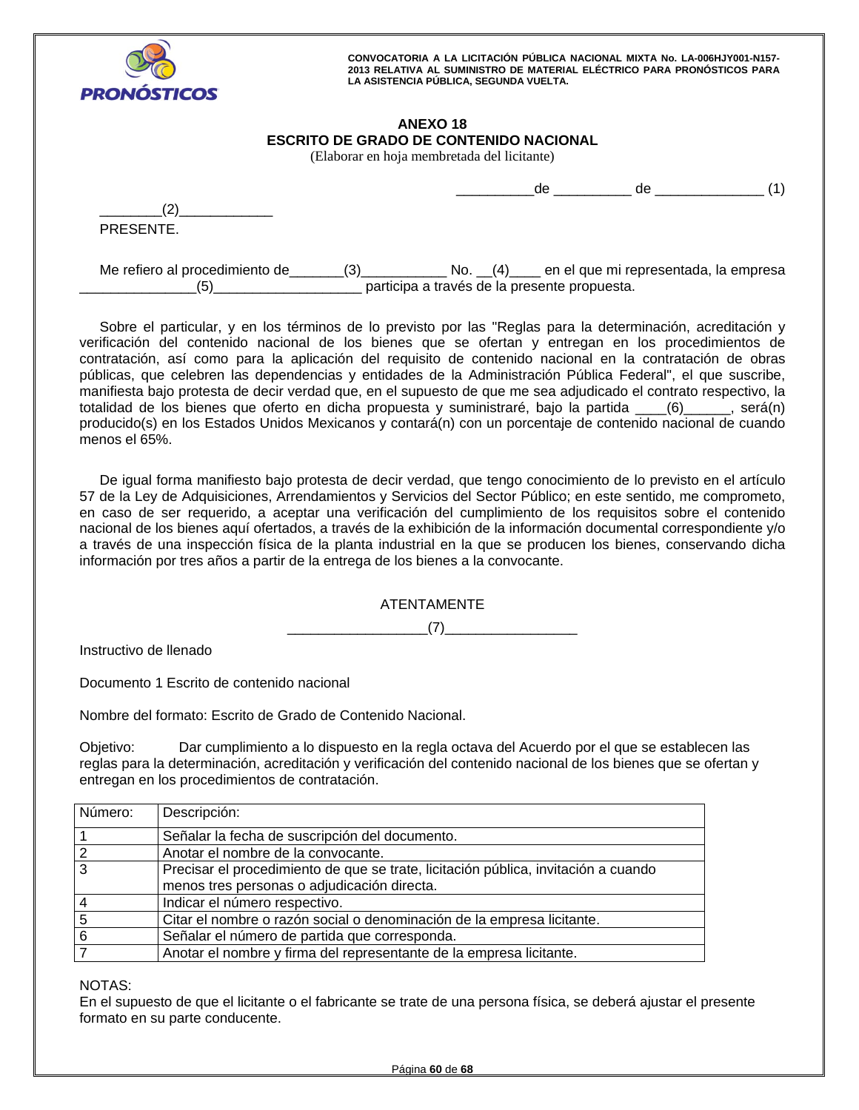

# **ANEXO 18 ESCRITO DE GRADO DE CONTENIDO NACIONAL**

(Elaborar en hoja membretada del licitante)

|                                       |     |                                              | de | de                                            |  |
|---------------------------------------|-----|----------------------------------------------|----|-----------------------------------------------|--|
| PRESENTE.                             |     |                                              |    |                                               |  |
| Me refiero al procedimiento de<br>'5) | (3) | participa a través de la presente propuesta. |    | No. (4) en el que mi representada, la empresa |  |

Sobre el particular, y en los términos de lo previsto por las "Reglas para la determinación, acreditación y verificación del contenido nacional de los bienes que se ofertan y entregan en los procedimientos de contratación, así como para la aplicación del requisito de contenido nacional en la contratación de obras públicas, que celebren las dependencias y entidades de la Administración Pública Federal", el que suscribe, manifiesta bajo protesta de decir verdad que, en el supuesto de que me sea adjudicado el contrato respectivo, la totalidad de los bienes que oferto en dicha propuesta y suministraré, bajo la partida \_\_\_\_(6)\_\_\_\_\_\_, será(n) producido(s) en los Estados Unidos Mexicanos y contará(n) con un porcentaje de contenido nacional de cuando menos el 65%.

De igual forma manifiesto bajo protesta de decir verdad, que tengo conocimiento de lo previsto en el artículo 57 de la Ley de Adquisiciones, Arrendamientos y Servicios del Sector Público; en este sentido, me comprometo, en caso de ser requerido, a aceptar una verificación del cumplimiento de los requisitos sobre el contenido nacional de los bienes aquí ofertados, a través de la exhibición de la información documental correspondiente y/o a través de una inspección física de la planta industrial en la que se producen los bienes, conservando dicha información por tres años a partir de la entrega de los bienes a la convocante.

ATENTAMENTE

\_\_\_\_\_\_\_\_\_\_\_\_\_\_\_\_\_\_(7)\_\_\_\_\_\_\_\_\_\_\_\_\_\_\_\_\_

Instructivo de llenado

Documento 1 Escrito de contenido nacional

Nombre del formato: Escrito de Grado de Contenido Nacional.

Objetivo: Dar cumplimiento a lo dispuesto en la regla octava del Acuerdo por el que se establecen las reglas para la determinación, acreditación y verificación del contenido nacional de los bienes que se ofertan y entregan en los procedimientos de contratación.

| I Número: | Descripción:                                                                       |
|-----------|------------------------------------------------------------------------------------|
|           | Señalar la fecha de suscripción del documento.                                     |
|           | Anotar el nombre de la convocante.                                                 |
| 3         | Precisar el procedimiento de que se trate, licitación pública, invitación a cuando |
|           | menos tres personas o adjudicación directa.                                        |
|           | Indicar el número respectivo.                                                      |
|           | Citar el nombre o razón social o denominación de la empresa licitante.             |
|           | Señalar el número de partida que corresponda.                                      |
|           | Anotar el nombre y firma del representante de la empresa licitante.                |

NOTAS:

En el supuesto de que el licitante o el fabricante se trate de una persona física, se deberá ajustar el presente formato en su parte conducente.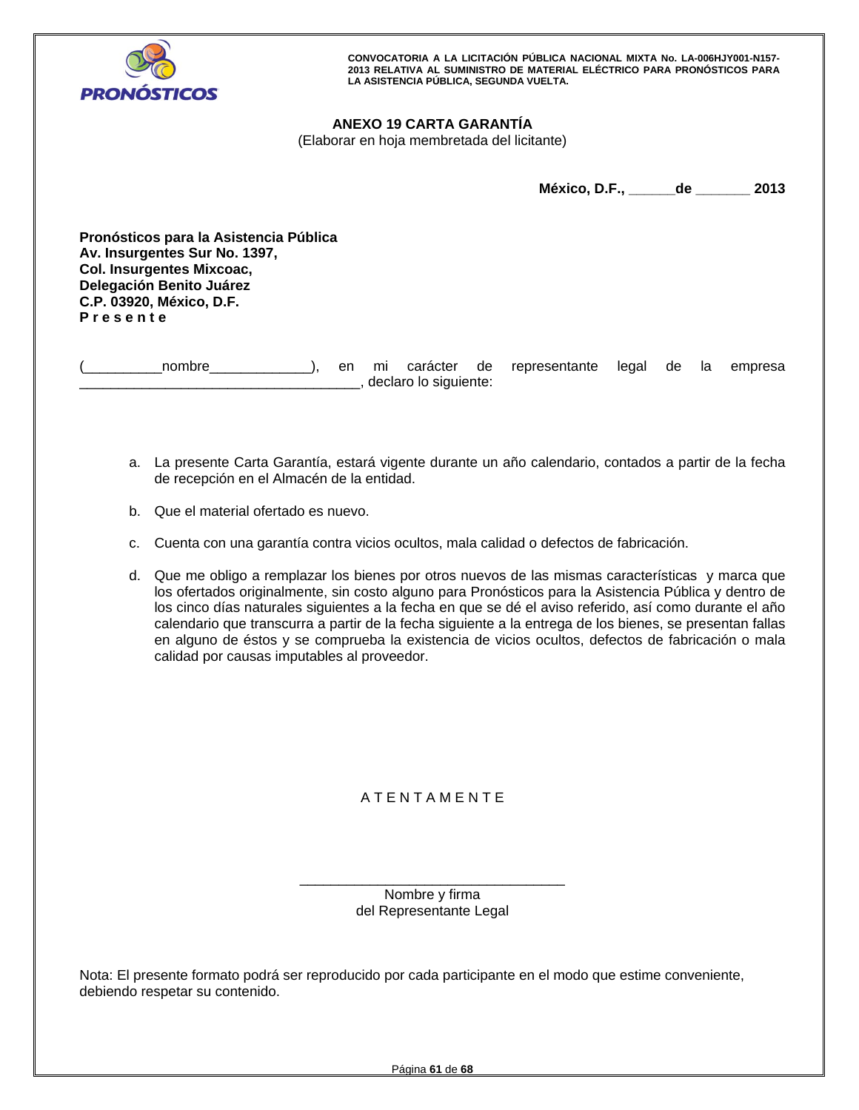

# **ANEXO 19 CARTA GARANTÍA**

(Elaborar en hoja membretada del licitante)

**México, D.F., \_\_\_\_\_\_de \_\_\_\_\_\_\_ 2013** 

**Pronósticos para la Asistencia Pública Av. Insurgentes Sur No. 1397, Col. Insurgentes Mixcoac, Delegación Benito Juárez C.P. 03920, México, D.F. P r e s e n t e** 

(\_\_\_\_\_\_\_\_\_\_nombre\_\_\_\_\_\_\_\_\_\_\_\_\_), en mi carácter de representante legal de la empresa \_\_\_\_\_\_\_\_\_\_\_\_\_\_\_\_\_\_\_\_\_\_\_\_\_\_\_\_\_\_\_\_\_\_\_\_, declaro lo siguiente:

- a. La presente Carta Garantía, estará vigente durante un año calendario, contados a partir de la fecha de recepción en el Almacén de la entidad.
- b. Que el material ofertado es nuevo.
- c. Cuenta con una garantía contra vicios ocultos, mala calidad o defectos de fabricación.
- d. Que me obligo a remplazar los bienes por otros nuevos de las mismas características y marca que los ofertados originalmente, sin costo alguno para Pronósticos para la Asistencia Pública y dentro de los cinco días naturales siguientes a la fecha en que se dé el aviso referido, así como durante el año calendario que transcurra a partir de la fecha siguiente a la entrega de los bienes, se presentan fallas en alguno de éstos y se comprueba la existencia de vicios ocultos, defectos de fabricación o mala calidad por causas imputables al proveedor.

# A T E N T A M E N T E

\_\_\_\_\_\_\_\_\_\_\_\_\_\_\_\_\_\_\_\_\_\_\_\_\_\_\_\_\_\_\_\_\_\_ Nombre y firma del Representante Legal

Nota: El presente formato podrá ser reproducido por cada participante en el modo que estime conveniente, debiendo respetar su contenido.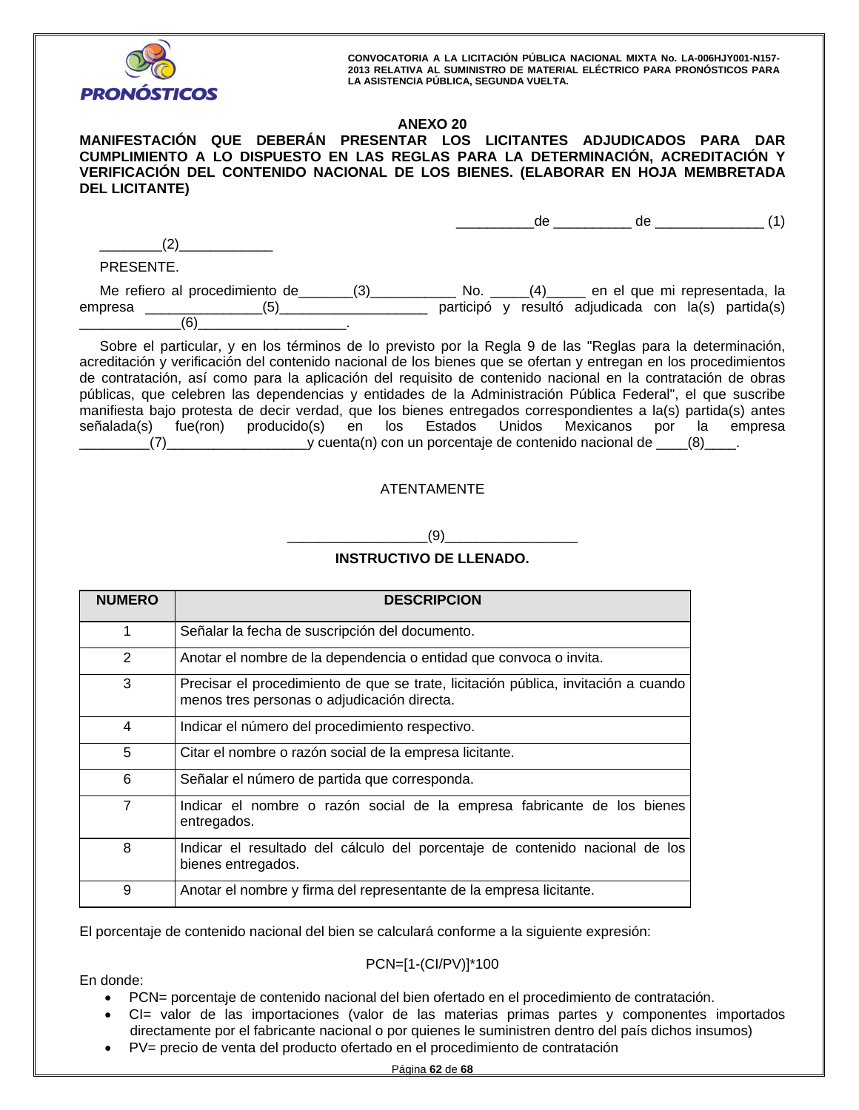

En donde:

**CONVOCATORIA A LA LICITACIÓN PÚBLICA NACIONAL MIXTA No. LA-006HJY001-N157- 2013 RELATIVA AL SUMINISTRO DE MATERIAL ELÉCTRICO PARA PRONÓSTICOS PARA LA ASISTENCIA PÚBLICA, SEGUNDA VUELTA.** 

# **ANEXO 20**

# **MANIFESTACIÓN QUE DEBERÁN PRESENTAR LOS LICITANTES ADJUDICADOS PARA DAR CUMPLIMIENTO A LO DISPUESTO EN LAS REGLAS PARA LA DETERMINACIÓN, ACREDITACIÓN Y VERIFICACIÓN DEL CONTENIDO NACIONAL DE LOS BIENES. (ELABORAR EN HOJA MEMBRETADA DEL LICITANTE)**

 $de$  de  $(1)$  $(2)$ PRESENTE. Me refiero al procedimiento de \_\_\_\_\_\_(3)\_\_\_\_\_\_\_\_\_\_\_\_ No. \_\_\_\_\_(4)\_\_\_\_\_ en el que mi representada, la empresa (5) (5) participó y resultó adjudicada con la(s) partida(s) \_\_\_\_\_\_\_\_\_\_\_\_\_(6)\_\_\_\_\_\_\_\_\_\_\_\_\_\_\_\_\_\_\_.

Sobre el particular, y en los términos de lo previsto por la Regla 9 de las "Reglas para la determinación, acreditación y verificación del contenido nacional de los bienes que se ofertan y entregan en los procedimientos de contratación, así como para la aplicación del requisito de contenido nacional en la contratación de obras públicas, que celebren las dependencias y entidades de la Administración Pública Federal", el que suscribe manifiesta bajo protesta de decir verdad, que los bienes entregados correspondientes a la(s) partida(s) antes señalada(s) fue(ron) producido(s) en los Estados Unidos Mexicanos por la empresa (7) v cuenta(n) con un porcentaje de contenido nacional de  $(8)$ 

# ATENTAMENTE

\_\_\_\_\_\_\_\_\_\_\_\_\_\_\_\_\_\_(9)\_\_\_\_\_\_\_\_\_\_\_\_\_\_\_\_\_

# **INSTRUCTIVO DE LLENADO.**

| <b>NUMERO</b>  | <b>DESCRIPCION</b>                                                                                                                |
|----------------|-----------------------------------------------------------------------------------------------------------------------------------|
| 1              | Señalar la fecha de suscripción del documento.                                                                                    |
| 2              | Anotar el nombre de la dependencia o entidad que convoca o invita.                                                                |
| 3              | Precisar el procedimiento de que se trate, licitación pública, invitación a cuando<br>menos tres personas o adjudicación directa. |
| 4              | Indicar el número del procedimiento respectivo.                                                                                   |
| 5              | Citar el nombre o razón social de la empresa licitante.                                                                           |
| 6              | Señalar el número de partida que corresponda.                                                                                     |
| $\overline{7}$ | Indicar el nombre o razón social de la empresa fabricante de los bienes<br>entregados.                                            |
| 8              | Indicar el resultado del cálculo del porcentaje de contenido nacional de los<br>bienes entregados.                                |
| 9              | Anotar el nombre y firma del representante de la empresa licitante.                                                               |

El porcentaje de contenido nacional del bien se calculará conforme a la siguiente expresión:

PCN=[1-(CI/PV)]\*100

- PCN= porcentaje de contenido nacional del bien ofertado en el procedimiento de contratación.
- CI= valor de las importaciones (valor de las materias primas partes y componentes importados directamente por el fabricante nacional o por quienes le suministren dentro del país dichos insumos)
- PV= precio de venta del producto ofertado en el procedimiento de contratación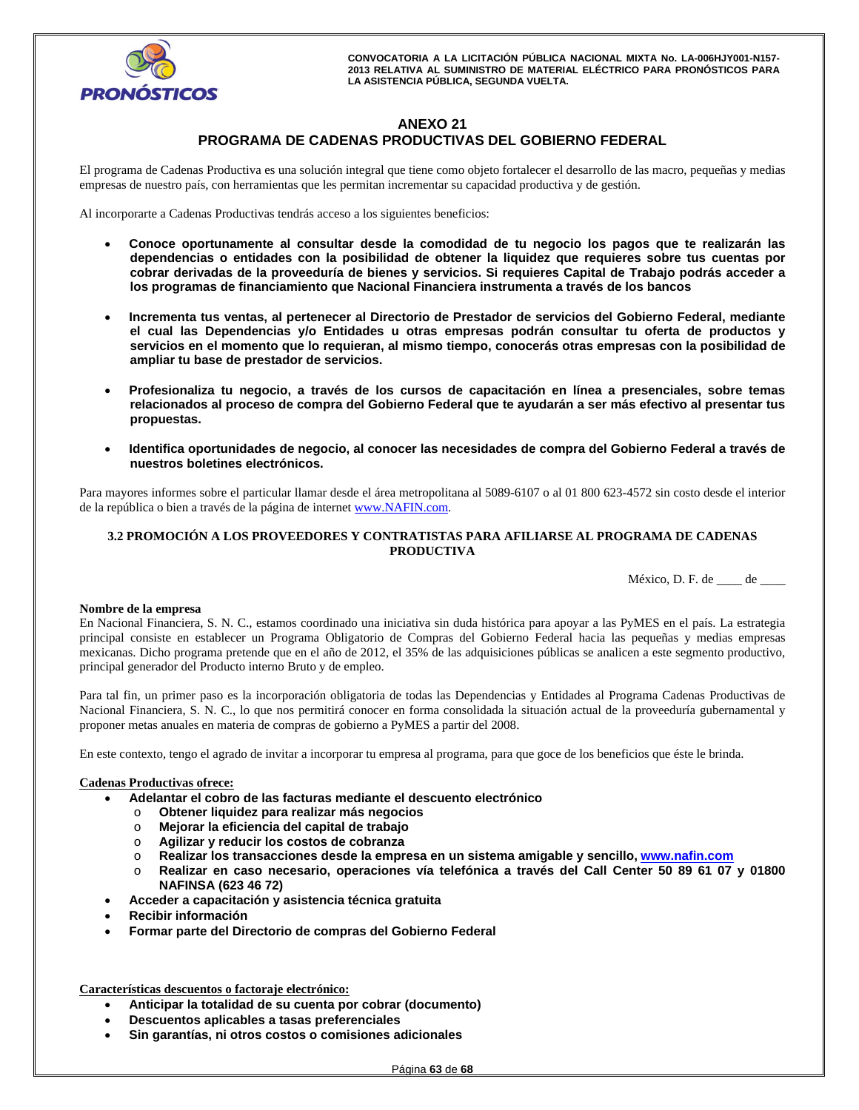# **ANEXO 21 PROGRAMA DE CADENAS PRODUCTIVAS DEL GOBIERNO FEDERAL**

El programa de Cadenas Productiva es una solución integral que tiene como objeto fortalecer el desarrollo de las macro, pequeñas y medias empresas de nuestro país, con herramientas que les permitan incrementar su capacidad productiva y de gestión.

Al incorporarte a Cadenas Productivas tendrás acceso a los siguientes beneficios:

- **Conoce oportunamente al consultar desde la comodidad de tu negocio los pagos que te realizarán las dependencias o entidades con la posibilidad de obtener la liquidez que requieres sobre tus cuentas por cobrar derivadas de la proveeduría de bienes y servicios. Si requieres Capital de Trabajo podrás acceder a los programas de financiamiento que Nacional Financiera instrumenta a través de los bancos**
- **Incrementa tus ventas, al pertenecer al Directorio de Prestador de servicios del Gobierno Federal, mediante el cual las Dependencias y/o Entidades u otras empresas podrán consultar tu oferta de productos y servicios en el momento que lo requieran, al mismo tiempo, conocerás otras empresas con la posibilidad de ampliar tu base de prestador de servicios.**
- **Profesionaliza tu negocio, a través de los cursos de capacitación en línea a presenciales, sobre temas relacionados al proceso de compra del Gobierno Federal que te ayudarán a ser más efectivo al presentar tus propuestas.**
- **Identifica oportunidades de negocio, al conocer las necesidades de compra del Gobierno Federal a través de nuestros boletines electrónicos.**

Para mayores informes sobre el particular llamar desde el área metropolitana al 5089-6107 o al 01 800 623-4572 sin costo desde el interior de la república o bien a través de la página de internet www.NAFIN.com.

## **3.2 PROMOCIÓN A LOS PROVEEDORES Y CONTRATISTAS PARA AFILIARSE AL PROGRAMA DE CADENAS PRODUCTIVA**

México, D. F. de \_\_\_\_ de \_\_\_\_

#### **Nombre de la empresa**

En Nacional Financiera, S. N. C., estamos coordinado una iniciativa sin duda histórica para apoyar a las PyMES en el país. La estrategia principal consiste en establecer un Programa Obligatorio de Compras del Gobierno Federal hacia las pequeñas y medias empresas mexicanas. Dicho programa pretende que en el año de 2012, el 35% de las adquisiciones públicas se analicen a este segmento productivo, principal generador del Producto interno Bruto y de empleo.

Para tal fin, un primer paso es la incorporación obligatoria de todas las Dependencias y Entidades al Programa Cadenas Productivas de Nacional Financiera, S. N. C., lo que nos permitirá conocer en forma consolidada la situación actual de la proveeduría gubernamental y proponer metas anuales en materia de compras de gobierno a PyMES a partir del 2008.

En este contexto, tengo el agrado de invitar a incorporar tu empresa al programa, para que goce de los beneficios que éste le brinda.

#### **Cadenas Productivas ofrece:**

- **Adelantar el cobro de las facturas mediante el descuento electrónico** 
	- o **Obtener liquidez para realizar más negocios**
	- o **Mejorar la eficiencia del capital de trabajo**
	- o **Agilizar y reducir los costos de cobranza**
	- o **Realizar los transacciones desde la empresa en un sistema amigable y sencillo, www.nafin.com**
- o **Realizar en caso necesario, operaciones vía telefónica a través del Call Center 50 89 61 07 y 01800 NAFINSA (623 46 72)**
- **Acceder a capacitación y asistencia técnica gratuita**
- **Recibir información**
- **Formar parte del Directorio de compras del Gobierno Federal**

**Características descuentos o factoraje electrónico:** 

- **Anticipar la totalidad de su cuenta por cobrar (documento)**
- **Descuentos aplicables a tasas preferenciales**
- **Sin garantías, ni otros costos o comisiones adicionales**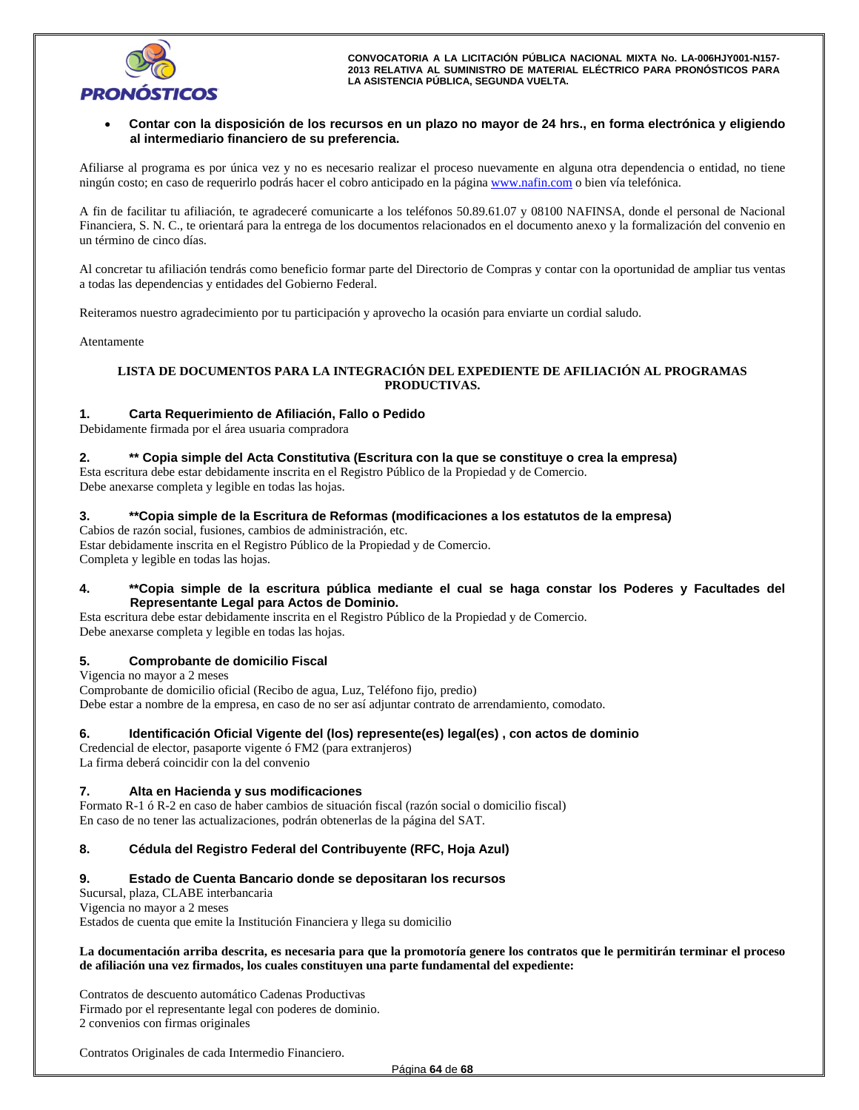

#### **Contar con la disposición de los recursos en un plazo no mayor de 24 hrs., en forma electrónica y eligiendo al intermediario financiero de su preferencia.**

Afiliarse al programa es por única vez y no es necesario realizar el proceso nuevamente en alguna otra dependencia o entidad, no tiene ningún costo; en caso de requerirlo podrás hacer el cobro anticipado en la página www.nafin.com o bien vía telefónica.

A fin de facilitar tu afiliación, te agradeceré comunicarte a los teléfonos 50.89.61.07 y 08100 NAFINSA, donde el personal de Nacional Financiera, S. N. C., te orientará para la entrega de los documentos relacionados en el documento anexo y la formalización del convenio en un término de cinco días.

Al concretar tu afiliación tendrás como beneficio formar parte del Directorio de Compras y contar con la oportunidad de ampliar tus ventas a todas las dependencias y entidades del Gobierno Federal.

Reiteramos nuestro agradecimiento por tu participación y aprovecho la ocasión para enviarte un cordial saludo.

Atentamente

# **LISTA DE DOCUMENTOS PARA LA INTEGRACIÓN DEL EXPEDIENTE DE AFILIACIÓN AL PROGRAMAS PRODUCTIVAS.**

## **1. Carta Requerimiento de Afiliación, Fallo o Pedido**

Debidamente firmada por el área usuaria compradora

#### **2. \*\* Copia simple del Acta Constitutiva (Escritura con la que se constituye o crea la empresa)**

Esta escritura debe estar debidamente inscrita en el Registro Público de la Propiedad y de Comercio. Debe anexarse completa y legible en todas las hojas.

#### **3. \*\*Copia simple de la Escritura de Reformas (modificaciones a los estatutos de la empresa)**

Cabios de razón social, fusiones, cambios de administración, etc.

Estar debidamente inscrita en el Registro Público de la Propiedad y de Comercio. Completa y legible en todas las hojas.

#### **4. \*\*Copia simple de la escritura pública mediante el cual se haga constar los Poderes y Facultades del Representante Legal para Actos de Dominio.**

Esta escritura debe estar debidamente inscrita en el Registro Público de la Propiedad y de Comercio. Debe anexarse completa y legible en todas las hojas.

## **5. Comprobante de domicilio Fiscal**

Vigencia no mayor a 2 meses Comprobante de domicilio oficial (Recibo de agua, Luz, Teléfono fijo, predio) Debe estar a nombre de la empresa, en caso de no ser así adjuntar contrato de arrendamiento, comodato.

#### **6. Identificación Oficial Vigente del (los) represente(es) legal(es) , con actos de dominio**

Credencial de elector, pasaporte vigente ó FM2 (para extranjeros) La firma deberá coincidir con la del convenio

#### **7. Alta en Hacienda y sus modificaciones**

Formato R-1 ó R-2 en caso de haber cambios de situación fiscal (razón social o domicilio fiscal) En caso de no tener las actualizaciones, podrán obtenerlas de la página del SAT.

## **8. Cédula del Registro Federal del Contribuyente (RFC, Hoja Azul)**

## **9. Estado de Cuenta Bancario donde se depositaran los recursos**

Sucursal, plaza, CLABE interbancaria Vigencia no mayor a 2 meses Estados de cuenta que emite la Institución Financiera y llega su domicilio

#### **La documentación arriba descrita, es necesaria para que la promotoría genere los contratos que le permitirán terminar el proceso de afiliación una vez firmados, los cuales constituyen una parte fundamental del expediente:**

Contratos de descuento automático Cadenas Productivas Firmado por el representante legal con poderes de dominio. 2 convenios con firmas originales

Contratos Originales de cada Intermedio Financiero.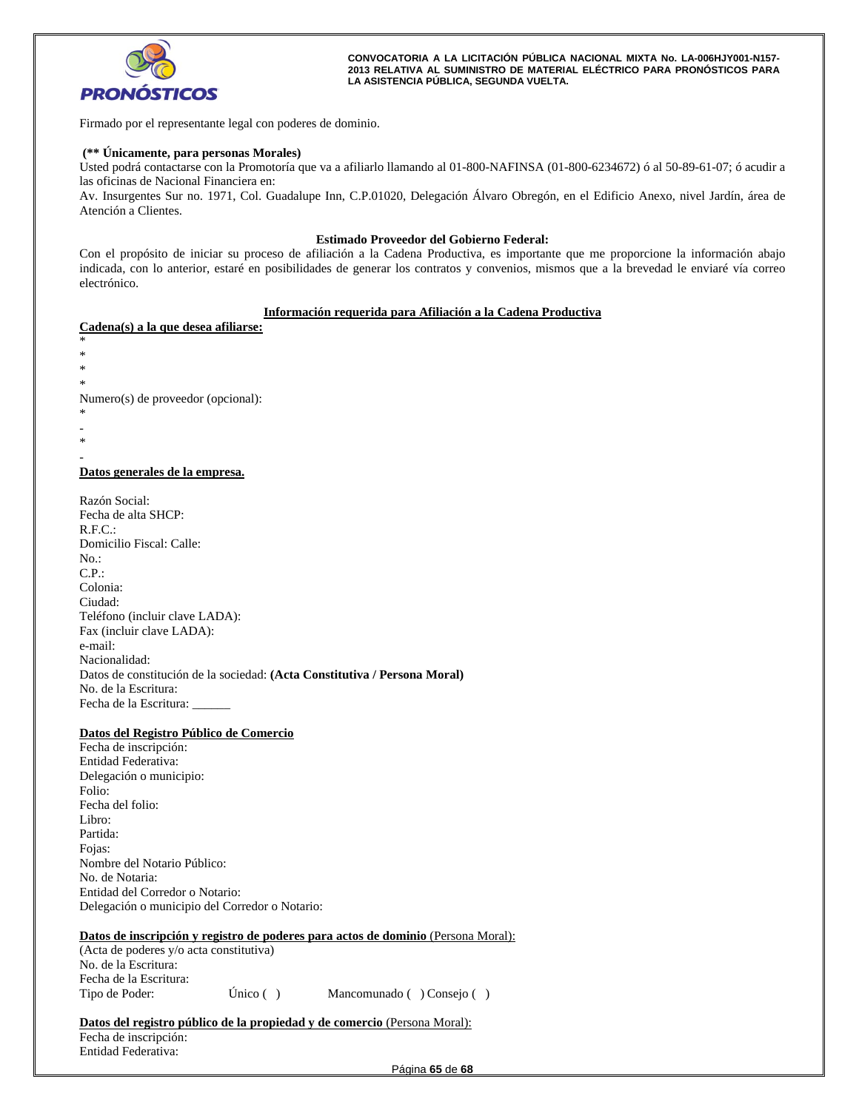

Firmado por el representante legal con poderes de dominio.

#### **(\*\* Únicamente, para personas Morales)**

Usted podrá contactarse con la Promotoría que va a afiliarlo llamando al 01-800-NAFINSA (01-800-6234672) ó al 50-89-61-07; ó acudir a las oficinas de Nacional Financiera en:

Av. Insurgentes Sur no. 1971, Col. Guadalupe Inn, C.P.01020, Delegación Álvaro Obregón, en el Edificio Anexo, nivel Jardín, área de Atención a Clientes.

#### **Estimado Proveedor del Gobierno Federal:**

Con el propósito de iniciar su proceso de afiliación a la Cadena Productiva, es importante que me proporcione la información abajo indicada, con lo anterior, estaré en posibilidades de generar los contratos y convenios, mismos que a la brevedad le enviaré vía correo electrónico.

#### **Información requerida para Afiliación a la Cadena Productiva**

**Cadena(s) a la que desea afiliarse:**  \* \* \* \* Numero(s) de proveedor (opcional): \* - \* - **Datos generales de la empresa.** 

Razón Social: Fecha de alta SHCP: R.F.C.: Domicilio Fiscal: Calle: No.: C.P.: Colonia: Ciudad: Teléfono (incluir clave LADA): Fax (incluir clave LADA): e-mail: Nacionalidad: Datos de constitución de la sociedad: **(Acta Constitutiva / Persona Moral)** No. de la Escritura: Fecha de la Escritura:

#### **Datos del Registro Público de Comercio**

Fecha de inscripción: Entidad Federativa: Delegación o municipio: Folio: Fecha del folio: Libro: Partida: Fojas: Nombre del Notario Público: No. de Notaria: Entidad del Corredor o Notario: Delegación o municipio del Corredor o Notario:

#### **Datos de inscripción y registro de poderes para actos de dominio** (Persona Moral):

(Acta de poderes y/o acta constitutiva) No. de la Escritura: Fecha de la Escritura: Tipo de Poder: Único ( ) Mancomunado ( ) Consejo ( )

Datos del registro público de la propiedad y de comercio (Persona Moral): Fecha de inscripción: Entidad Federativa: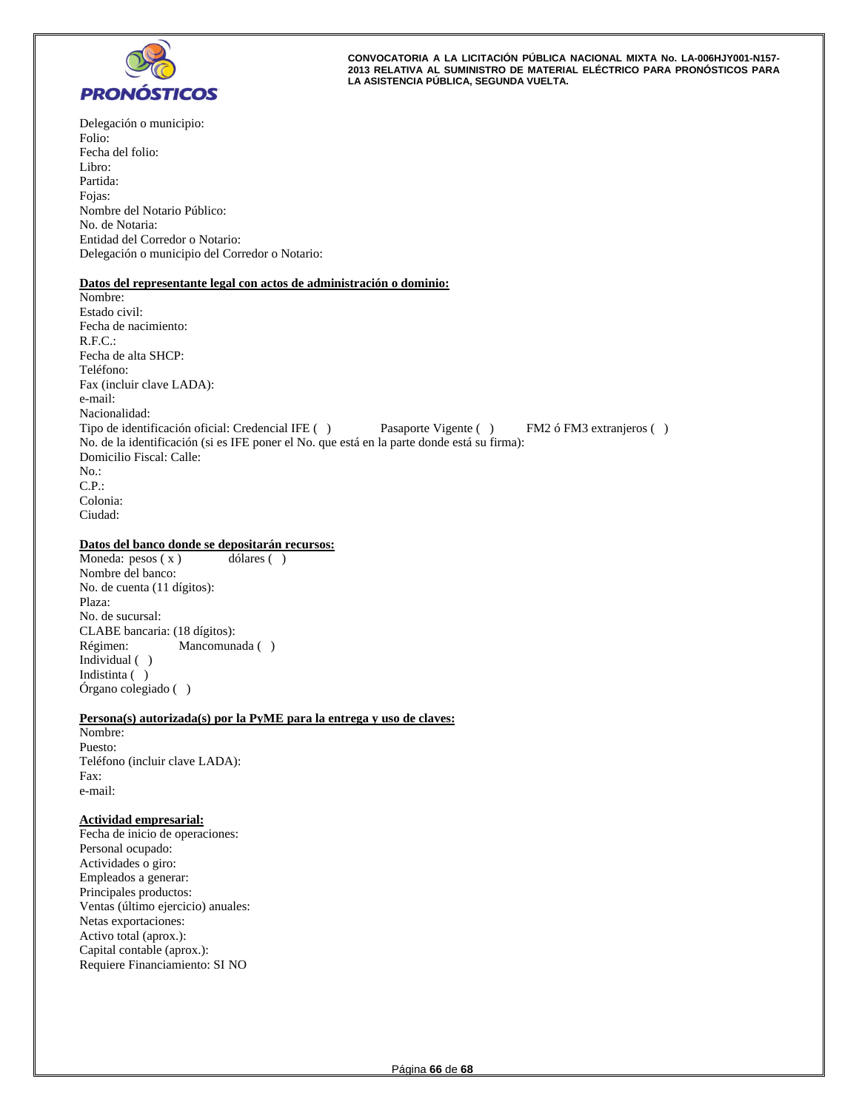

Delegación o municipio: Folio: Fecha del folio: Libro: Partida: Fojas: Nombre del Notario Público: No. de Notaria: Entidad del Corredor o Notario: Delegación o municipio del Corredor o Notario:

#### **Datos del representante legal con actos de administración o dominio:**

Nombre: Estado civil: Fecha de nacimiento: R.F.C.: Fecha de alta SHCP: Teléfono: Fax (incluir clave LADA): e-mail: Nacionalidad: Tipo de identificación oficial: Credencial IFE ( ) Pasaporte Vigente ( ) FM2 ó FM3 extranjeros ( ) No. de la identificación (si es IFE poner el No. que está en la parte donde está su firma): Domicilio Fiscal: Calle: No.: C.P.: Colonia: Ciudad:

## **Datos del banco donde se depositarán recursos:**

Moneda:  $pesos(x)$  dólares () Nombre del banco: No. de cuenta (11 dígitos): Plaza: No. de sucursal: CLABE bancaria: (18 dígitos): Régimen: Mancomunada ( ) Individual ( ) Indistinta ( ) Órgano colegiado ( )

#### **Persona(s) autorizada(s) por la PyME para la entrega y uso de claves:**

Nombre: Puesto: Teléfono (incluir clave LADA): Fax: e-mail:

#### **Actividad empresarial:**

Fecha de inicio de operaciones: Personal ocupado: Actividades o giro: Empleados a generar: Principales productos: Ventas (último ejercicio) anuales: Netas exportaciones: Activo total (aprox.): Capital contable (aprox.): Requiere Financiamiento: SI NO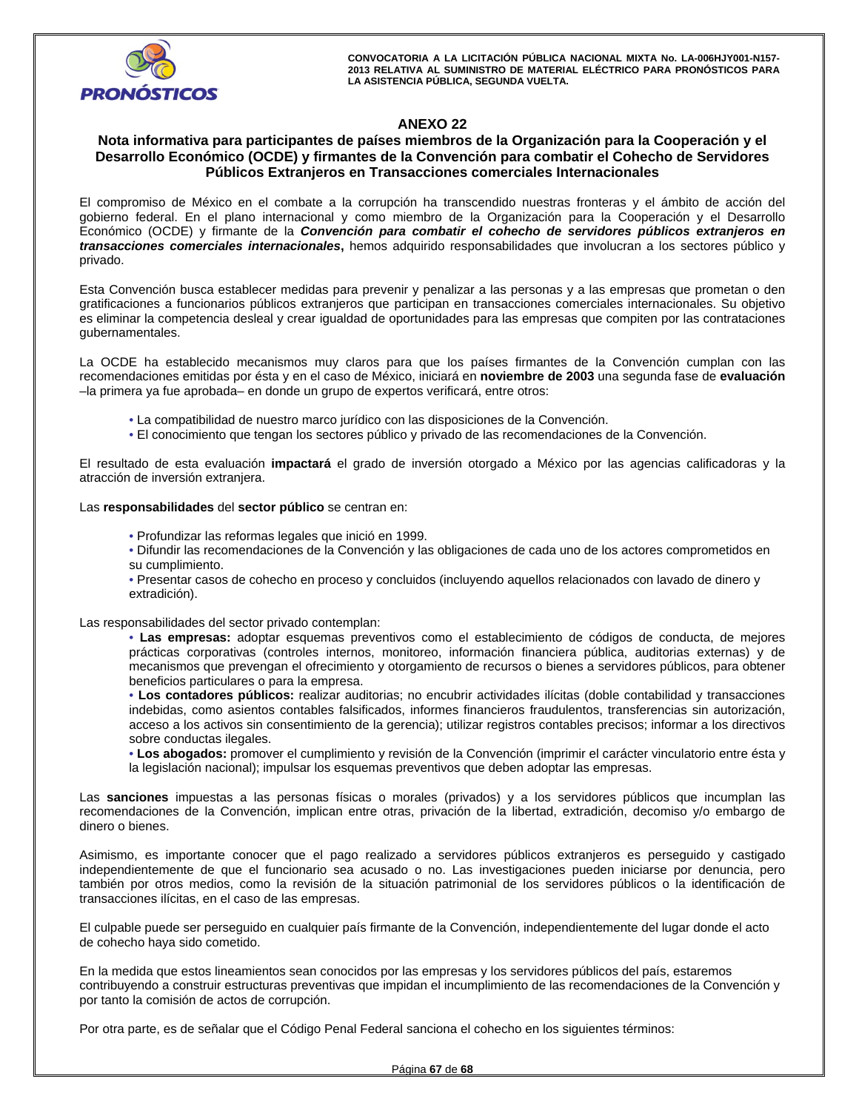

# **ANEXO 22**

# **Nota informativa para participantes de países miembros de la Organización para la Cooperación y el Desarrollo Económico (OCDE) y firmantes de la Convención para combatir el Cohecho de Servidores Públicos Extranjeros en Transacciones comerciales Internacionales**

El compromiso de México en el combate a la corrupción ha transcendido nuestras fronteras y el ámbito de acción del gobierno federal. En el plano internacional y como miembro de la Organización para la Cooperación y el Desarrollo Económico (OCDE) y firmante de la *Convención para combatir el cohecho de servidores públicos extranjeros en transacciones comerciales internacionales***,** hemos adquirido responsabilidades que involucran a los sectores público y privado.

Esta Convención busca establecer medidas para prevenir y penalizar a las personas y a las empresas que prometan o den gratificaciones a funcionarios públicos extranjeros que participan en transacciones comerciales internacionales. Su objetivo es eliminar la competencia desleal y crear igualdad de oportunidades para las empresas que compiten por las contrataciones gubernamentales.

La OCDE ha establecido mecanismos muy claros para que los países firmantes de la Convención cumplan con las recomendaciones emitidas por ésta y en el caso de México, iniciará en **noviembre de 2003** una segunda fase de **evaluación**  –la primera ya fue aprobada– en donde un grupo de expertos verificará, entre otros:

- La compatibilidad de nuestro marco jurídico con las disposiciones de la Convención.
- El conocimiento que tengan los sectores público y privado de las recomendaciones de la Convención.

El resultado de esta evaluación **impactará** el grado de inversión otorgado a México por las agencias calificadoras y la atracción de inversión extranjera.

Las **responsabilidades** del **sector público** se centran en:

- Profundizar las reformas legales que inició en 1999.
- Difundir las recomendaciones de la Convención y las obligaciones de cada uno de los actores comprometidos en su cumplimiento.
- Presentar casos de cohecho en proceso y concluidos (incluyendo aquellos relacionados con lavado de dinero y extradición).

Las responsabilidades del sector privado contemplan:

• **Las empresas:** adoptar esquemas preventivos como el establecimiento de códigos de conducta, de mejores prácticas corporativas (controles internos, monitoreo, información financiera pública, auditorias externas) y de mecanismos que prevengan el ofrecimiento y otorgamiento de recursos o bienes a servidores públicos, para obtener beneficios particulares o para la empresa.

• **Los contadores públicos:** realizar auditorias; no encubrir actividades ilícitas (doble contabilidad y transacciones indebidas, como asientos contables falsificados, informes financieros fraudulentos, transferencias sin autorización, acceso a los activos sin consentimiento de la gerencia); utilizar registros contables precisos; informar a los directivos sobre conductas ilegales.

• **Los abogados:** promover el cumplimiento y revisión de la Convención (imprimir el carácter vinculatorio entre ésta y la legislación nacional); impulsar los esquemas preventivos que deben adoptar las empresas.

Las **sanciones** impuestas a las personas físicas o morales (privados) y a los servidores públicos que incumplan las recomendaciones de la Convención, implican entre otras, privación de la libertad, extradición, decomiso y/o embargo de dinero o bienes.

Asimismo, es importante conocer que el pago realizado a servidores públicos extranjeros es perseguido y castigado independientemente de que el funcionario sea acusado o no. Las investigaciones pueden iniciarse por denuncia, pero también por otros medios, como la revisión de la situación patrimonial de los servidores públicos o la identificación de transacciones ilícitas, en el caso de las empresas.

El culpable puede ser perseguido en cualquier país firmante de la Convención, independientemente del lugar donde el acto de cohecho haya sido cometido.

En la medida que estos lineamientos sean conocidos por las empresas y los servidores públicos del país, estaremos contribuyendo a construir estructuras preventivas que impidan el incumplimiento de las recomendaciones de la Convención y por tanto la comisión de actos de corrupción.

Por otra parte, es de señalar que el Código Penal Federal sanciona el cohecho en los siguientes términos: